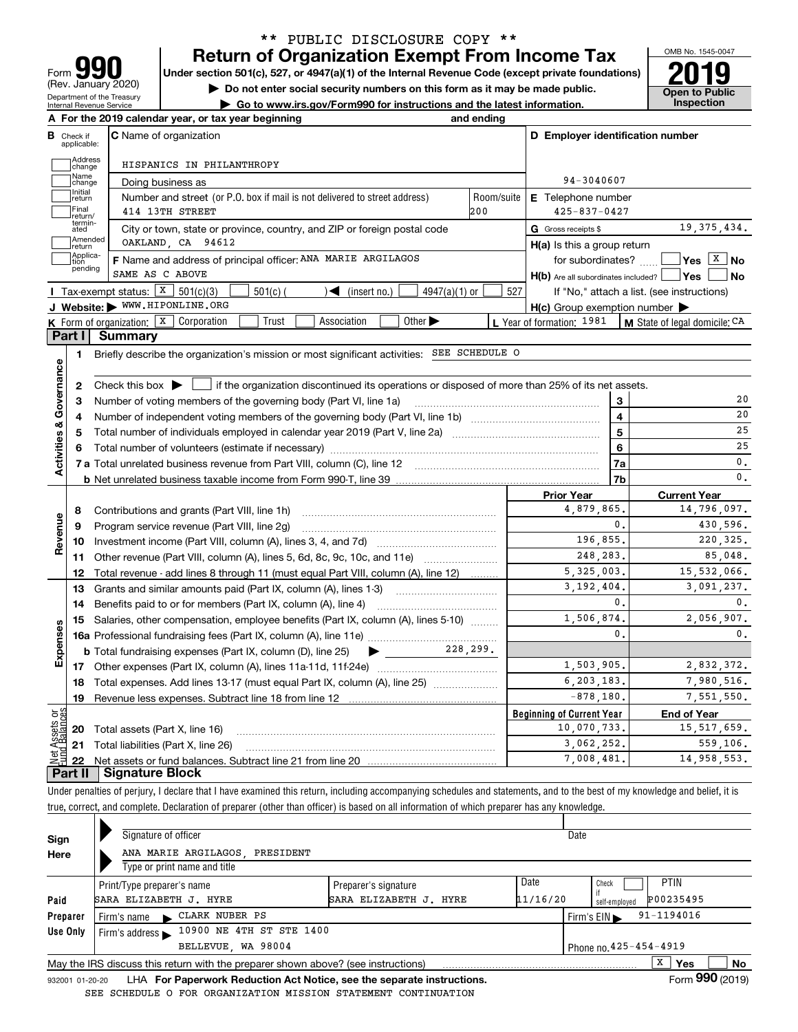| lq                                                            |
|---------------------------------------------------------------|
| Form                                                          |
| (Rev. January 2020)                                           |
| Department of the Treasury<br><b>Internal Revenue Service</b> |

## **Return of Organization Exempt From Income Tax** \*\* PUBLIC DISCLOSURE COPY \*\*

Under section 501(c), 527, or 4947(a)(1) of the Internal Revenue Code (except private foundations) **2019** 

**| Do not enter social security numbers on this form as it may be made public.**

**| Go to www.irs.gov/Form990 for instructions and the latest information. Inspection**



|                         |                         | A For the 2019 calendar year, or tax year beginning                                                                                                 | and ending |                                                     |                         |                                                                                                         |
|-------------------------|-------------------------|-----------------------------------------------------------------------------------------------------------------------------------------------------|------------|-----------------------------------------------------|-------------------------|---------------------------------------------------------------------------------------------------------|
| В                       | Check if<br>applicable: | <b>C</b> Name of organization                                                                                                                       |            | D Employer identification number                    |                         |                                                                                                         |
|                         | Address<br>change       | HISPANICS IN PHILANTHROPY                                                                                                                           |            |                                                     |                         |                                                                                                         |
|                         | Name<br>change          | Doing business as                                                                                                                                   |            | 94-3040607                                          |                         |                                                                                                         |
|                         | Initial<br>return       | Number and street (or P.O. box if mail is not delivered to street address)                                                                          | Room/suite | <b>E</b> Telephone number                           |                         |                                                                                                         |
|                         | Final<br>return/        | 414 13TH STREET                                                                                                                                     | 200        | $425 - 837 - 0427$                                  |                         |                                                                                                         |
|                         | termin-<br>ated         | City or town, state or province, country, and ZIP or foreign postal code                                                                            |            | G Gross receipts \$                                 |                         | 19, 375, 434.                                                                                           |
|                         | Amended<br>return       | OAKLAND, CA 94612                                                                                                                                   |            | $H(a)$ is this a group return                       |                         |                                                                                                         |
|                         | Applica-<br>tion        | F Name and address of principal officer: ANA MARIE ARGILAGOS                                                                                        |            | for subordinates? $\Box$                            |                         | $\sqrt{\mathsf{Yes} \left[\begin{array}{c} \mathbf{X} \end{array}\right]}$ No                           |
|                         | pending                 | SAME AS C ABOVE                                                                                                                                     |            | $H(b)$ Are all subordinates included? $\Box$ Yes    |                         | No                                                                                                      |
|                         |                         | Tax-exempt status: $X$ 501(c)(3)<br>$4947(a)(1)$ or<br>$501(c)$ (<br>$\sqrt{\frac{1}{1}}$ (insert no.)                                              | 527        |                                                     |                         | If "No," attach a list. (see instructions)                                                              |
|                         |                         | J Website: WWW.HIPONLINE.ORG                                                                                                                        |            | $H(c)$ Group exemption number $\blacktriangleright$ |                         |                                                                                                         |
|                         |                         | K Form of organization: $X$ Corporation<br>Trust<br>Association<br>Other $\blacktriangleright$                                                      |            | L Year of formation: 1981                           |                         | M State of legal domicile: CA                                                                           |
|                         | Part I                  | Summary                                                                                                                                             |            |                                                     |                         |                                                                                                         |
|                         | 1                       | Briefly describe the organization's mission or most significant activities: SEE SCHEDULE O                                                          |            |                                                     |                         |                                                                                                         |
|                         |                         |                                                                                                                                                     |            |                                                     |                         |                                                                                                         |
|                         | 2                       | Check this box $\blacktriangleright$ $\blacksquare$ if the organization discontinued its operations or disposed of more than 25% of its net assets. |            |                                                     |                         |                                                                                                         |
|                         | 3                       | Number of voting members of the governing body (Part VI, line 1a)                                                                                   |            |                                                     | 3                       | 20                                                                                                      |
|                         | 4                       |                                                                                                                                                     |            |                                                     | $\overline{\mathbf{4}}$ | 20                                                                                                      |
|                         | 5                       |                                                                                                                                                     |            | 5                                                   | 25                      |                                                                                                         |
|                         | 6                       |                                                                                                                                                     |            | 6                                                   | 25                      |                                                                                                         |
| Activities & Governance |                         |                                                                                                                                                     |            |                                                     | 7a                      | 0.                                                                                                      |
|                         |                         |                                                                                                                                                     |            |                                                     | 7b                      | 0.                                                                                                      |
|                         |                         |                                                                                                                                                     |            | <b>Prior Year</b>                                   |                         | <b>Current Year</b>                                                                                     |
|                         | 8                       | Contributions and grants (Part VIII, line 1h)                                                                                                       |            | 4,879,865.                                          |                         | 14,796,097.                                                                                             |
| Revenue                 | 9                       | Program service revenue (Part VIII, line 2g)                                                                                                        |            |                                                     | $\mathbf{0}$ .          | 430,596.                                                                                                |
|                         | 10                      | Investment income (Part VIII, column (A), lines 3, 4, and 7d)                                                                                       |            | 196,855.                                            |                         | 220, 325.                                                                                               |
|                         | 11                      | Other revenue (Part VIII, column (A), lines 5, 6d, 8c, 9c, 10c, and 11e)                                                                            |            | 248, 283.                                           |                         | 85,048.                                                                                                 |
|                         | 12 <sup>2</sup>         | Total revenue - add lines 8 through 11 (must equal Part VIII, column (A), line 12)                                                                  |            | $\overline{5}$ , 325, 003.                          |                         | 15,532,066.                                                                                             |
|                         | 13                      | Grants and similar amounts paid (Part IX, column (A), lines 1-3)                                                                                    |            | 3,091,237.                                          |                         |                                                                                                         |
|                         |                         |                                                                                                                                                     |            | 3,192,404.                                          |                         |                                                                                                         |
|                         | 14                      |                                                                                                                                                     |            |                                                     | $\mathbf{0}$ .          |                                                                                                         |
|                         | 15                      | Salaries, other compensation, employee benefits (Part IX, column (A), lines 5-10)                                                                   |            | 1,506,874.                                          |                         |                                                                                                         |
|                         |                         |                                                                                                                                                     |            |                                                     | $\mathbf{0}$ .          |                                                                                                         |
|                         |                         | $\blacktriangleright$ 228,299.<br><b>b</b> Total fundraising expenses (Part IX, column (D), line 25)                                                |            |                                                     |                         |                                                                                                         |
|                         |                         |                                                                                                                                                     |            | 1,503,905.                                          |                         |                                                                                                         |
|                         | 18                      | Total expenses. Add lines 13-17 (must equal Part IX, column (A), line 25) [                                                                         |            | 6,203,183.                                          |                         |                                                                                                         |
|                         | 19                      |                                                                                                                                                     |            | $-878,180.$                                         |                         |                                                                                                         |
|                         |                         |                                                                                                                                                     |            | <b>Beginning of Current Year</b>                    |                         | <b>End of Year</b>                                                                                      |
| Expenses<br>ăğ          |                         | <b>20</b> Total assets (Part X, line 16)                                                                                                            |            | 10,070,733.                                         |                         | $\mathbf{0}$ .<br>2,056,907.<br>$\mathbf{0}$ .<br>2,832,372.<br>7,980,516.<br>7,551,550.<br>15,517,659. |
| ssets                   | 21                      | Total liabilities (Part X, line 26)                                                                                                                 |            | 3,062,252.                                          |                         | 559.106.                                                                                                |

Under penalties of perjury, I declare that I have examined this return, including accompanying schedules and statements, and to the best of my knowledge and belief, it is true, correct, and complete. Declaration of preparer (other than officer) is based on all information of which preparer has any knowledge.

| Sign     | Signature of officer                                                                                         |                        |          | Date                                           |  |  |  |  |  |  |  |
|----------|--------------------------------------------------------------------------------------------------------------|------------------------|----------|------------------------------------------------|--|--|--|--|--|--|--|
| Here     | ANA MARIE ARGILAGOS, PRESIDENT                                                                               |                        |          |                                                |  |  |  |  |  |  |  |
|          | Type or print name and title                                                                                 |                        |          |                                                |  |  |  |  |  |  |  |
|          | Print/Type preparer's name                                                                                   | Preparer's signature   | Date     | <b>PTIN</b><br>Check                           |  |  |  |  |  |  |  |
| Paid     | SARA ELIZABETH J. HYRE                                                                                       | SARA ELIZABETH J. HYRE | 11/16/20 | P00235495<br>self-emploved                     |  |  |  |  |  |  |  |
| Preparer | CLARK NUBER PS<br>Firm's name                                                                                |                        |          | 91-1194016<br>Firm's $EIN \blacktriangleright$ |  |  |  |  |  |  |  |
| Use Only | Firm's address $\blacktriangleright$ 10900 NE 4TH ST STE 1400                                                |                        |          |                                                |  |  |  |  |  |  |  |
|          | Phone no. 425-454-4919<br>BELLEVUE, WA 98004                                                                 |                        |          |                                                |  |  |  |  |  |  |  |
|          | May the IRS discuss this return with the preparer shown above? (see instructions)                            |                        |          | x<br>No<br><b>Yes</b>                          |  |  |  |  |  |  |  |
|          | Form 990 (2019)<br>LHA For Paperwork Reduction Act Notice, see the separate instructions.<br>932001 01-20-20 |                        |          |                                                |  |  |  |  |  |  |  |

SEE SCHEDULE O FOR ORGANIZATION MISSION STATEMENT CONTINUATION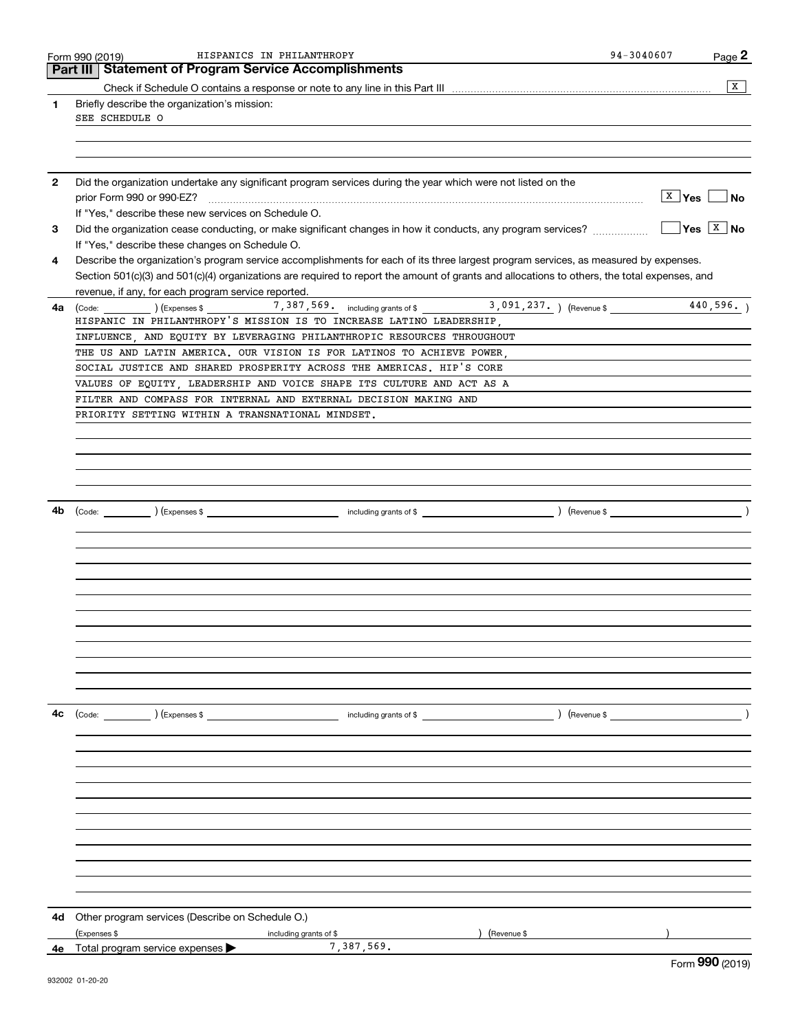|              | HISPANICS IN PHILANTHROPY<br>Form 990 (2019)                                                                                                                                                       | 94-3040607<br>Page 2                         |
|--------------|----------------------------------------------------------------------------------------------------------------------------------------------------------------------------------------------------|----------------------------------------------|
|              | <b>Statement of Program Service Accomplishments</b><br>Part III                                                                                                                                    |                                              |
|              |                                                                                                                                                                                                    | $\overline{X}$                               |
| 1            | Briefly describe the organization's mission:<br>SEE SCHEDULE O                                                                                                                                     |                                              |
|              |                                                                                                                                                                                                    |                                              |
|              |                                                                                                                                                                                                    |                                              |
| $\mathbf{2}$ | Did the organization undertake any significant program services during the year which were not listed on the                                                                                       | <b>X</b> Yes<br><b>No</b>                    |
| 3            | If "Yes," describe these new services on Schedule O.                                                                                                                                               | $\sqrt{\mathsf{Yes}}$ $\sqrt{\mathsf{X}}$ No |
| 4            | If "Yes," describe these changes on Schedule O.<br>Describe the organization's program service accomplishments for each of its three largest program services, as measured by expenses.            |                                              |
|              | Section 501(c)(3) and 501(c)(4) organizations are required to report the amount of grants and allocations to others, the total expenses, and<br>revenue, if any, for each program service reported |                                              |
| 4a           | (Code: ) (Expenses \$ 7, 387, 569. including grants of \$ 3, 091, 237. ) (Revenue \$<br>HISPANIC IN PHILANTHROPY'S MISSION IS TO INCREASE LATINO LEADERSHIP                                        | 440,596.                                     |
|              | INFLUENCE, AND EQUITY BY LEVERAGING PHILANTHROPIC RESOURCES THROUGHOUT                                                                                                                             |                                              |
|              | THE US AND LATIN AMERICA. OUR VISION IS FOR LATINOS TO ACHIEVE POWER,                                                                                                                              |                                              |
|              | SOCIAL JUSTICE AND SHARED PROSPERITY ACROSS THE AMERICAS. HIP'S CORE                                                                                                                               |                                              |
|              | VALUES OF EQUITY, LEADERSHIP AND VOICE SHAPE ITS CULTURE AND ACT AS A                                                                                                                              |                                              |
|              | FILTER AND COMPASS FOR INTERNAL AND EXTERNAL DECISION MAKING AND                                                                                                                                   |                                              |
|              | PRIORITY SETTING WITHIN A TRANSNATIONAL MINDSET.                                                                                                                                                   |                                              |
|              |                                                                                                                                                                                                    |                                              |
|              |                                                                                                                                                                                                    |                                              |
|              |                                                                                                                                                                                                    |                                              |
|              |                                                                                                                                                                                                    |                                              |
| 4b           |                                                                                                                                                                                                    |                                              |
|              |                                                                                                                                                                                                    |                                              |
|              |                                                                                                                                                                                                    |                                              |
|              |                                                                                                                                                                                                    |                                              |
|              |                                                                                                                                                                                                    |                                              |
|              |                                                                                                                                                                                                    |                                              |
|              |                                                                                                                                                                                                    |                                              |
|              |                                                                                                                                                                                                    |                                              |
|              |                                                                                                                                                                                                    |                                              |
|              |                                                                                                                                                                                                    |                                              |
|              |                                                                                                                                                                                                    |                                              |
|              |                                                                                                                                                                                                    |                                              |
|              |                                                                                                                                                                                                    |                                              |
| 4с           | (Code: ) (Expenses \$<br>including grants of \$                     ) (Revenue \$                                                                                                                  |                                              |
|              |                                                                                                                                                                                                    |                                              |
|              |                                                                                                                                                                                                    |                                              |
|              |                                                                                                                                                                                                    |                                              |
|              |                                                                                                                                                                                                    |                                              |
|              |                                                                                                                                                                                                    |                                              |
|              |                                                                                                                                                                                                    |                                              |
|              |                                                                                                                                                                                                    |                                              |
|              |                                                                                                                                                                                                    |                                              |
|              |                                                                                                                                                                                                    |                                              |
|              |                                                                                                                                                                                                    |                                              |
|              |                                                                                                                                                                                                    |                                              |
|              |                                                                                                                                                                                                    |                                              |
| 4d           | Other program services (Describe on Schedule O.)                                                                                                                                                   |                                              |
|              | (Expenses \$<br>(Revenue \$<br>including grants of \$                                                                                                                                              |                                              |
|              | 7,387,569.<br>4e Total program service expenses >                                                                                                                                                  | $\sim$                                       |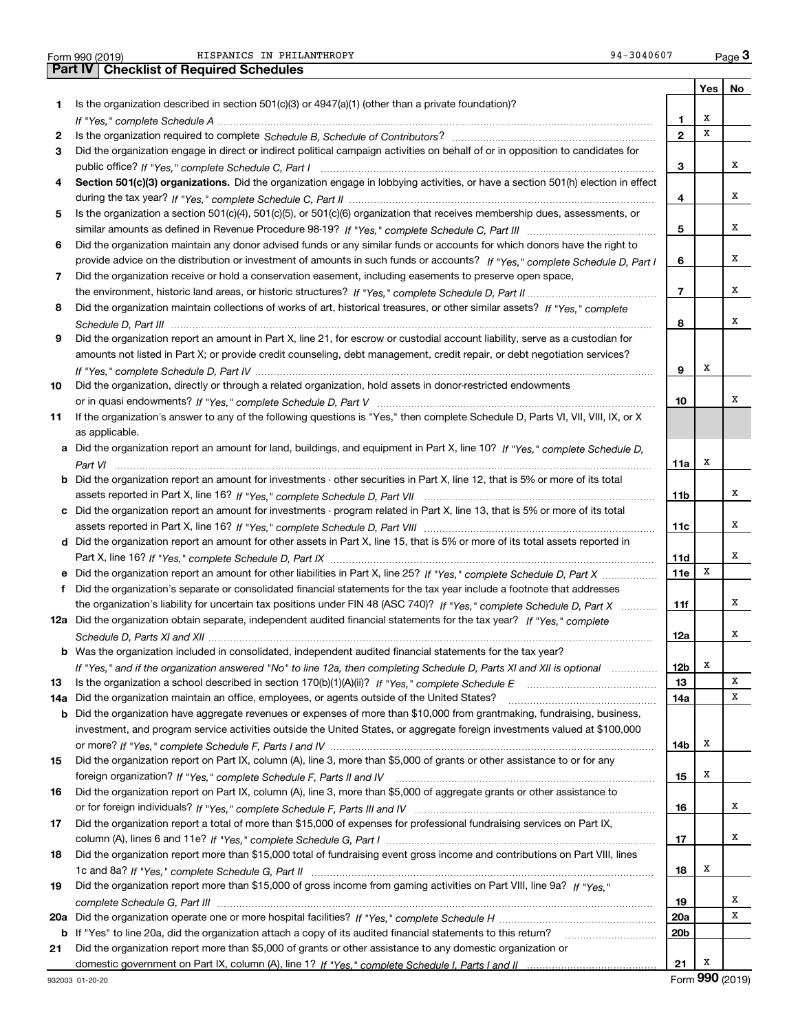| Form 990 (2019) |  |  |
|-----------------|--|--|

Form 990 (2019) HISPANICS IN PHILANTHROPY 94-3040607 Page Form 990 (2019) HISPANICS\_IN\_PHILANTHROPY 94-3040607 <sub>Page</sub> 3<br>Part IV | Checklist of Required Schedules

|     |                                                                                                                                                                                                                                |                 | Yes | No |
|-----|--------------------------------------------------------------------------------------------------------------------------------------------------------------------------------------------------------------------------------|-----------------|-----|----|
| 1.  | Is the organization described in section $501(c)(3)$ or $4947(a)(1)$ (other than a private foundation)?                                                                                                                        |                 |     |    |
|     | If "Yes," complete Schedule A measure and a control of the state of the state of the state of the state of the state of the state of the state of the state of the state of the state of the state of the state of the state o | 1               | х   |    |
| 2   |                                                                                                                                                                                                                                | $\overline{2}$  | X   |    |
| 3   | Did the organization engage in direct or indirect political campaign activities on behalf of or in opposition to candidates for                                                                                                |                 |     |    |
|     |                                                                                                                                                                                                                                | 3               |     | х  |
| 4   | Section 501(c)(3) organizations. Did the organization engage in lobbying activities, or have a section 501(h) election in effect                                                                                               |                 |     |    |
|     |                                                                                                                                                                                                                                | 4               |     | х  |
| 5   | Is the organization a section 501(c)(4), 501(c)(5), or 501(c)(6) organization that receives membership dues, assessments, or                                                                                                   |                 |     |    |
|     |                                                                                                                                                                                                                                | 5               |     | х  |
| 6   | Did the organization maintain any donor advised funds or any similar funds or accounts for which donors have the right to                                                                                                      |                 |     |    |
|     | provide advice on the distribution or investment of amounts in such funds or accounts? If "Yes," complete Schedule D, Part I                                                                                                   | 6               |     | х  |
| 7   | Did the organization receive or hold a conservation easement, including easements to preserve open space,                                                                                                                      |                 |     |    |
|     |                                                                                                                                                                                                                                | $\overline{7}$  |     | х  |
| 8   | Did the organization maintain collections of works of art, historical treasures, or other similar assets? If "Yes," complete                                                                                                   |                 |     |    |
|     |                                                                                                                                                                                                                                | 8               |     | х  |
| 9   | Did the organization report an amount in Part X, line 21, for escrow or custodial account liability, serve as a custodian for                                                                                                  |                 |     |    |
|     | amounts not listed in Part X; or provide credit counseling, debt management, credit repair, or debt negotiation services?                                                                                                      |                 |     |    |
|     |                                                                                                                                                                                                                                | 9               | Х   |    |
| 10  | Did the organization, directly or through a related organization, hold assets in donor-restricted endowments                                                                                                                   |                 |     |    |
|     |                                                                                                                                                                                                                                | 10              |     | х  |
| 11  | If the organization's answer to any of the following questions is "Yes," then complete Schedule D, Parts VI, VII, VIII, IX, or X                                                                                               |                 |     |    |
|     | as applicable.                                                                                                                                                                                                                 |                 |     |    |
| a   | Did the organization report an amount for land, buildings, and equipment in Part X, line 10? If "Yes," complete Schedule D,                                                                                                    |                 |     |    |
|     |                                                                                                                                                                                                                                | 11a             | X   |    |
| b   | Did the organization report an amount for investments - other securities in Part X, line 12, that is 5% or more of its total                                                                                                   |                 |     |    |
|     |                                                                                                                                                                                                                                | 11b             |     | х  |
| c   | Did the organization report an amount for investments - program related in Part X, line 13, that is 5% or more of its total                                                                                                    |                 |     |    |
|     |                                                                                                                                                                                                                                | 11c             |     | х  |
|     | d Did the organization report an amount for other assets in Part X, line 15, that is 5% or more of its total assets reported in                                                                                                |                 |     |    |
|     |                                                                                                                                                                                                                                | 11d             |     | х  |
|     | Did the organization report an amount for other liabilities in Part X, line 25? If "Yes," complete Schedule D, Part X                                                                                                          | 11e             | X   |    |
| f   | Did the organization's separate or consolidated financial statements for the tax year include a footnote that addresses                                                                                                        |                 |     |    |
|     | the organization's liability for uncertain tax positions under FIN 48 (ASC 740)? If "Yes," complete Schedule D, Part X                                                                                                         | 11f             |     | х  |
|     | 12a Did the organization obtain separate, independent audited financial statements for the tax year? If "Yes," complete                                                                                                        |                 |     |    |
|     |                                                                                                                                                                                                                                | 12a             |     | х  |
|     | <b>b</b> Was the organization included in consolidated, independent audited financial statements for the tax year?                                                                                                             |                 |     |    |
|     | If "Yes," and if the organization answered "No" to line 12a, then completing Schedule D, Parts XI and XII is optional                                                                                                          | 12 <sub>b</sub> | х   |    |
| 13  |                                                                                                                                                                                                                                | 13              |     | х  |
| 14a | Did the organization maintain an office, employees, or agents outside of the United States?                                                                                                                                    | 14a             |     | х  |
| b   | Did the organization have aggregate revenues or expenses of more than \$10,000 from grantmaking, fundraising, business,                                                                                                        |                 |     |    |
|     | investment, and program service activities outside the United States, or aggregate foreign investments valued at \$100,000                                                                                                     |                 |     |    |
|     |                                                                                                                                                                                                                                | 14b             | x   |    |
| 15  | Did the organization report on Part IX, column (A), line 3, more than \$5,000 of grants or other assistance to or for any                                                                                                      |                 |     |    |
|     |                                                                                                                                                                                                                                | 15              | x   |    |
| 16  | Did the organization report on Part IX, column (A), line 3, more than \$5,000 of aggregate grants or other assistance to                                                                                                       |                 |     |    |
|     |                                                                                                                                                                                                                                | 16              |     | х  |
| 17  | Did the organization report a total of more than \$15,000 of expenses for professional fundraising services on Part IX,                                                                                                        |                 |     |    |
|     |                                                                                                                                                                                                                                | 17              |     | х  |
| 18  | Did the organization report more than \$15,000 total of fundraising event gross income and contributions on Part VIII, lines                                                                                                   |                 |     |    |
|     |                                                                                                                                                                                                                                | 18              | x   |    |
| 19  | Did the organization report more than \$15,000 of gross income from gaming activities on Part VIII, line 9a? If "Yes."                                                                                                         |                 |     |    |
|     |                                                                                                                                                                                                                                | 19              |     | x  |
| 20a |                                                                                                                                                                                                                                | 20a             |     | х  |
| b   | If "Yes" to line 20a, did the organization attach a copy of its audited financial statements to this return?                                                                                                                   | 20b             |     |    |
| 21  | Did the organization report more than \$5,000 of grants or other assistance to any domestic organization or                                                                                                                    |                 |     |    |
|     |                                                                                                                                                                                                                                | 21              | x   |    |

Form (2019) **990**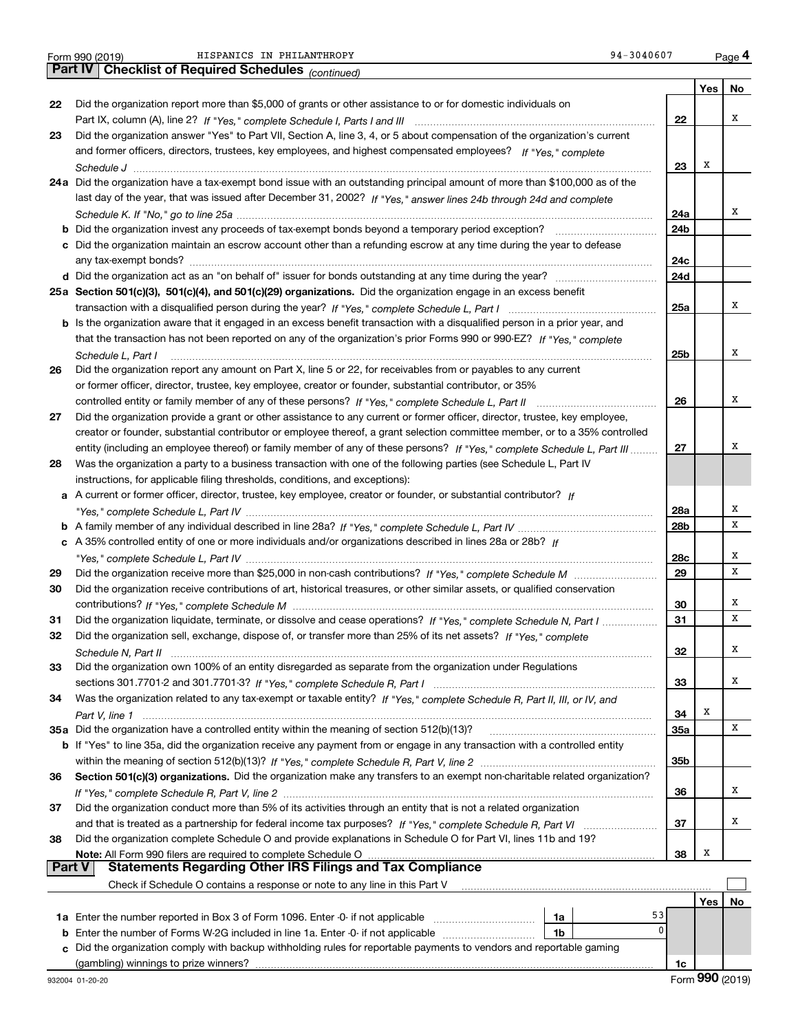|               | 94-3040607<br>HISPANICS IN PHILANTHROPY<br>Form 990 (2019)                                                                   |     |     | Page 4 |
|---------------|------------------------------------------------------------------------------------------------------------------------------|-----|-----|--------|
|               | <b>Part IV   Checklist of Required Schedules</b> (continued)                                                                 |     |     |        |
|               |                                                                                                                              |     | Yes | No     |
| 22            | Did the organization report more than \$5,000 of grants or other assistance to or for domestic individuals on                |     |     |        |
|               |                                                                                                                              | 22  |     | х      |
| 23            | Did the organization answer "Yes" to Part VII, Section A, line 3, 4, or 5 about compensation of the organization's current   |     |     |        |
|               | and former officers, directors, trustees, key employees, and highest compensated employees? If "Yes," complete               |     |     |        |
|               |                                                                                                                              | 23  | х   |        |
|               | 24a Did the organization have a tax-exempt bond issue with an outstanding principal amount of more than \$100,000 as of the  |     |     |        |
|               | last day of the year, that was issued after December 31, 2002? If "Yes," answer lines 24b through 24d and complete           |     |     |        |
|               |                                                                                                                              | 24a |     | х      |
|               |                                                                                                                              | 24b |     |        |
|               |                                                                                                                              |     |     |        |
|               | c Did the organization maintain an escrow account other than a refunding escrow at any time during the year to defease       |     |     |        |
|               |                                                                                                                              | 24c |     |        |
|               |                                                                                                                              | 24d |     |        |
|               | 25a Section 501(c)(3), 501(c)(4), and 501(c)(29) organizations. Did the organization engage in an excess benefit             |     |     |        |
|               |                                                                                                                              | 25a |     | х      |
|               | b Is the organization aware that it engaged in an excess benefit transaction with a disqualified person in a prior year, and |     |     |        |
|               | that the transaction has not been reported on any of the organization's prior Forms 990 or 990-EZ? If "Yes," complete        |     |     |        |
|               | Schedule L. Part I                                                                                                           | 25b |     | х      |
| 26            | Did the organization report any amount on Part X, line 5 or 22, for receivables from or payables to any current              |     |     |        |
|               | or former officer, director, trustee, key employee, creator or founder, substantial contributor, or 35%                      |     |     |        |
|               |                                                                                                                              | 26  |     | х      |
| 27            | Did the organization provide a grant or other assistance to any current or former officer, director, trustee, key employee,  |     |     |        |
|               | creator or founder, substantial contributor or employee thereof, a grant selection committee member, or to a 35% controlled  |     |     |        |
|               | entity (including an employee thereof) or family member of any of these persons? If "Yes," complete Schedule L, Part III     | 27  |     | х      |
| 28            | Was the organization a party to a business transaction with one of the following parties (see Schedule L, Part IV            |     |     |        |
|               |                                                                                                                              |     |     |        |
|               | instructions, for applicable filing thresholds, conditions, and exceptions):                                                 |     |     |        |
|               | a A current or former officer, director, trustee, key employee, creator or founder, or substantial contributor? If           |     |     | х      |
|               |                                                                                                                              | 28a |     | X      |
|               |                                                                                                                              | 28b |     |        |
|               | c A 35% controlled entity of one or more individuals and/or organizations described in lines 28a or 28b? If                  |     |     |        |
|               |                                                                                                                              | 28c |     | х      |
| 29            |                                                                                                                              | 29  |     | X      |
| 30            | Did the organization receive contributions of art, historical treasures, or other similar assets, or qualified conservation  |     |     |        |
|               |                                                                                                                              | 30  |     | х      |
| 31            | Did the organization liquidate, terminate, or dissolve and cease operations? If "Yes," complete Schedule N, Part I           | 31  |     | X      |
| 32            | Did the organization sell, exchange, dispose of, or transfer more than 25% of its net assets? If "Yes," complete             |     |     |        |
|               |                                                                                                                              | 32  |     | Χ      |
| 33            | Did the organization own 100% of an entity disregarded as separate from the organization under Regulations                   |     |     |        |
|               |                                                                                                                              | 33  |     | x      |
| 34            | Was the organization related to any tax-exempt or taxable entity? If "Yes," complete Schedule R, Part II, III, or IV, and    |     |     |        |
|               |                                                                                                                              | 34  | Х   |        |
|               | 35a Did the organization have a controlled entity within the meaning of section 512(b)(13)?                                  | 35a |     | х      |
|               | b If "Yes" to line 35a, did the organization receive any payment from or engage in any transaction with a controlled entity  |     |     |        |
|               |                                                                                                                              | 35b |     |        |
| 36            | Section 501(c)(3) organizations. Did the organization make any transfers to an exempt non-charitable related organization?   |     |     |        |
|               |                                                                                                                              | 36  |     | х      |
|               | Did the organization conduct more than 5% of its activities through an entity that is not a related organization             |     |     |        |
| 37            |                                                                                                                              |     |     | x      |
|               |                                                                                                                              | 37  |     |        |
| 38            | Did the organization complete Schedule O and provide explanations in Schedule O for Part VI, lines 11b and 19?               |     |     |        |
|               | Note: All Form 990 filers are required to complete Schedule O                                                                | 38  | х   |        |
| <b>Part V</b> | <b>Statements Regarding Other IRS Filings and Tax Compliance</b>                                                             |     |     |        |
|               | Check if Schedule O contains a response or note to any line in this Part V                                                   |     |     |        |
|               |                                                                                                                              |     | Yes | No     |
|               | 53<br>1a                                                                                                                     |     |     |        |
| b             | 0<br>Enter the number of Forms W-2G included in line 1a. Enter -0- if not applicable<br>1b                                   |     |     |        |
| C             | Did the organization comply with backup withholding rules for reportable payments to vendors and reportable gaming           |     |     |        |
|               | (gambling) winnings to prize winners?                                                                                        | 1c  |     |        |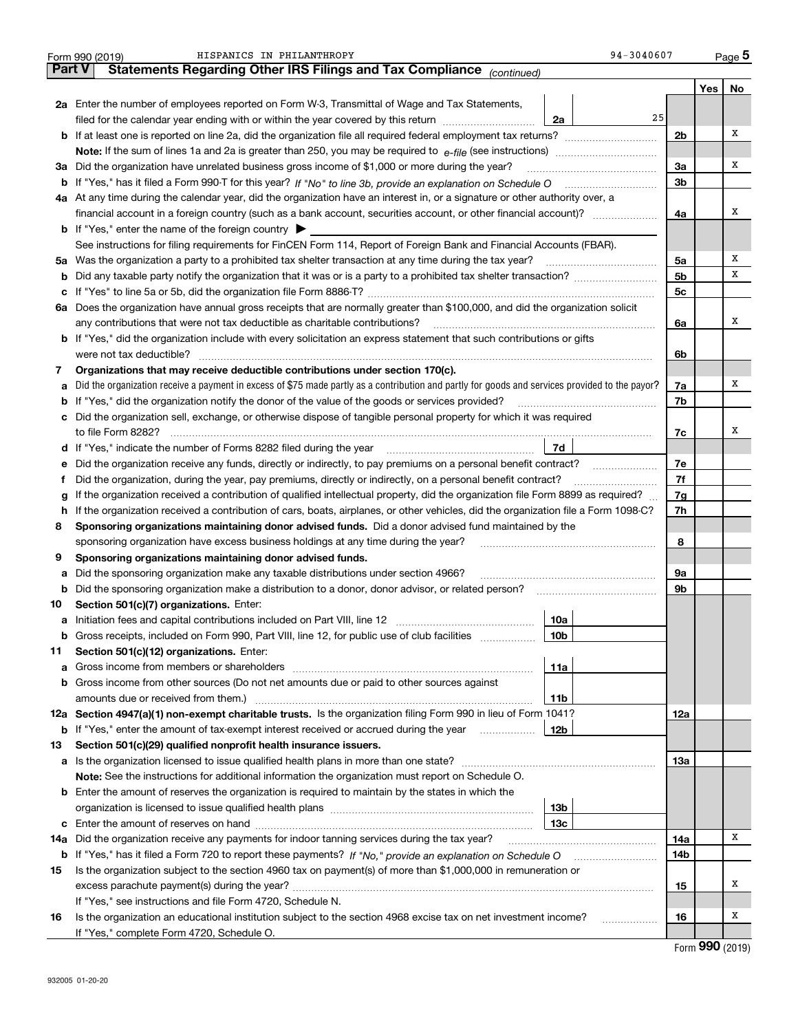|               | 94-3040607<br>HISPANICS IN PHILANTHROPY<br>Form 990 (2019)                                                                                      |                |     | Page 5 |
|---------------|-------------------------------------------------------------------------------------------------------------------------------------------------|----------------|-----|--------|
| <b>Part V</b> | Statements Regarding Other IRS Filings and Tax Compliance (continued)                                                                           |                |     |        |
|               |                                                                                                                                                 |                | Yes | No     |
|               | 2a Enter the number of employees reported on Form W-3, Transmittal of Wage and Tax Statements,                                                  |                |     |        |
|               | 25<br>filed for the calendar year ending with or within the year covered by this return<br>2a                                                   |                |     |        |
|               | <b>b</b> If at least one is reported on line 2a, did the organization file all required federal employment tax returns?                         | 2b             |     | x      |
|               | <b>Note:</b> If the sum of lines 1a and 2a is greater than 250, you may be required to $e$ -file (see instructions) <i>manimummmmmm</i>         |                |     |        |
|               | 3a Did the organization have unrelated business gross income of \$1,000 or more during the year?                                                | 3a             |     | х      |
|               | b If "Yes," has it filed a Form 990-T for this year? If "No" to line 3b, provide an explanation on Schedule O                                   | 3b             |     |        |
|               | 4a At any time during the calendar year, did the organization have an interest in, or a signature or other authority over, a                    |                |     |        |
|               |                                                                                                                                                 | 4a             |     | х      |
|               | <b>b</b> If "Yes," enter the name of the foreign country $\triangleright$                                                                       |                |     |        |
|               | See instructions for filing requirements for FinCEN Form 114, Report of Foreign Bank and Financial Accounts (FBAR).                             |                |     |        |
|               | 5a Was the organization a party to a prohibited tax shelter transaction at any time during the tax year?                                        | 5a             |     | х      |
| b             |                                                                                                                                                 | 5 <sub>b</sub> |     | х      |
| с             |                                                                                                                                                 | 5 <sub>c</sub> |     |        |
|               | 6a Does the organization have annual gross receipts that are normally greater than \$100,000, and did the organization solicit                  |                |     |        |
|               | any contributions that were not tax deductible as charitable contributions?                                                                     | 6a             |     | х      |
|               | <b>b</b> If "Yes," did the organization include with every solicitation an express statement that such contributions or gifts                   |                |     |        |
|               | were not tax deductible?                                                                                                                        | 6b             |     |        |
| 7             | Organizations that may receive deductible contributions under section 170(c).                                                                   |                |     |        |
| a             | Did the organization receive a payment in excess of \$75 made partly as a contribution and partly for goods and services provided to the payor? | 7a             |     | х      |
| b             | If "Yes," did the organization notify the donor of the value of the goods or services provided?                                                 | 7b             |     |        |
| c             | Did the organization sell, exchange, or otherwise dispose of tangible personal property for which it was required                               |                |     |        |
|               | to file Form 8282?                                                                                                                              | 7c             |     | х      |
| d             | 7d                                                                                                                                              |                |     |        |
| е             | Did the organization receive any funds, directly or indirectly, to pay premiums on a personal benefit contract?                                 | 7e             |     |        |
| Ť.            | Did the organization, during the year, pay premiums, directly or indirectly, on a personal benefit contract?                                    | 7f             |     |        |
| g             | If the organization received a contribution of qualified intellectual property, did the organization file Form 8899 as required?                | 7g             |     |        |
| h             | If the organization received a contribution of cars, boats, airplanes, or other vehicles, did the organization file a Form 1098-C?              | 7h             |     |        |
| 8             | Sponsoring organizations maintaining donor advised funds. Did a donor advised fund maintained by the                                            |                |     |        |
|               | sponsoring organization have excess business holdings at any time during the year?                                                              | 8              |     |        |
| 9             | Sponsoring organizations maintaining donor advised funds.                                                                                       |                |     |        |
| а             | Did the sponsoring organization make any taxable distributions under section 4966?                                                              | 9а             |     |        |
| b             | Did the sponsoring organization make a distribution to a donor, donor advisor, or related person?                                               | 9b             |     |        |
| 10            | Section 501(c)(7) organizations. Enter:                                                                                                         |                |     |        |
| а             | 10a                                                                                                                                             |                |     |        |
| b             | Gross receipts, included on Form 990, Part VIII, line 12, for public use of club facilities<br>10b                                              |                |     |        |
| 11            | Section 501(c)(12) organizations. Enter:                                                                                                        |                |     |        |
| а             | 11a                                                                                                                                             |                |     |        |
| b             | Gross income from other sources (Do not net amounts due or paid to other sources against                                                        |                |     |        |
|               | amounts due or received from them.)<br>11b                                                                                                      |                |     |        |
|               | 12a Section 4947(a)(1) non-exempt charitable trusts. Is the organization filing Form 990 in lieu of Form 1041?                                  | 12a            |     |        |
| b             | If "Yes," enter the amount of tax-exempt interest received or accrued during the year<br>12b                                                    |                |     |        |
| 13            | Section 501(c)(29) qualified nonprofit health insurance issuers.                                                                                |                |     |        |
| а             |                                                                                                                                                 | 13а            |     |        |
|               | Note: See the instructions for additional information the organization must report on Schedule O.                                               |                |     |        |
|               | <b>b</b> Enter the amount of reserves the organization is required to maintain by the states in which the                                       |                |     |        |
|               | 13b                                                                                                                                             |                |     |        |
| c             | 13с                                                                                                                                             |                |     |        |
| 14a           | Did the organization receive any payments for indoor tanning services during the tax year?                                                      | 14a            |     | Χ      |
| b             |                                                                                                                                                 | 14b            |     |        |
| 15            | Is the organization subject to the section 4960 tax on payment(s) of more than \$1,000,000 in remuneration or                                   |                |     |        |
|               |                                                                                                                                                 | 15             |     | х      |
|               | If "Yes," see instructions and file Form 4720, Schedule N.                                                                                      |                |     |        |
| 16            | Is the organization an educational institution subject to the section 4968 excise tax on net investment income?<br>.                            | 16             |     | х      |
|               | If "Yes," complete Form 4720, Schedule O.                                                                                                       |                |     |        |

Form (2019) **990**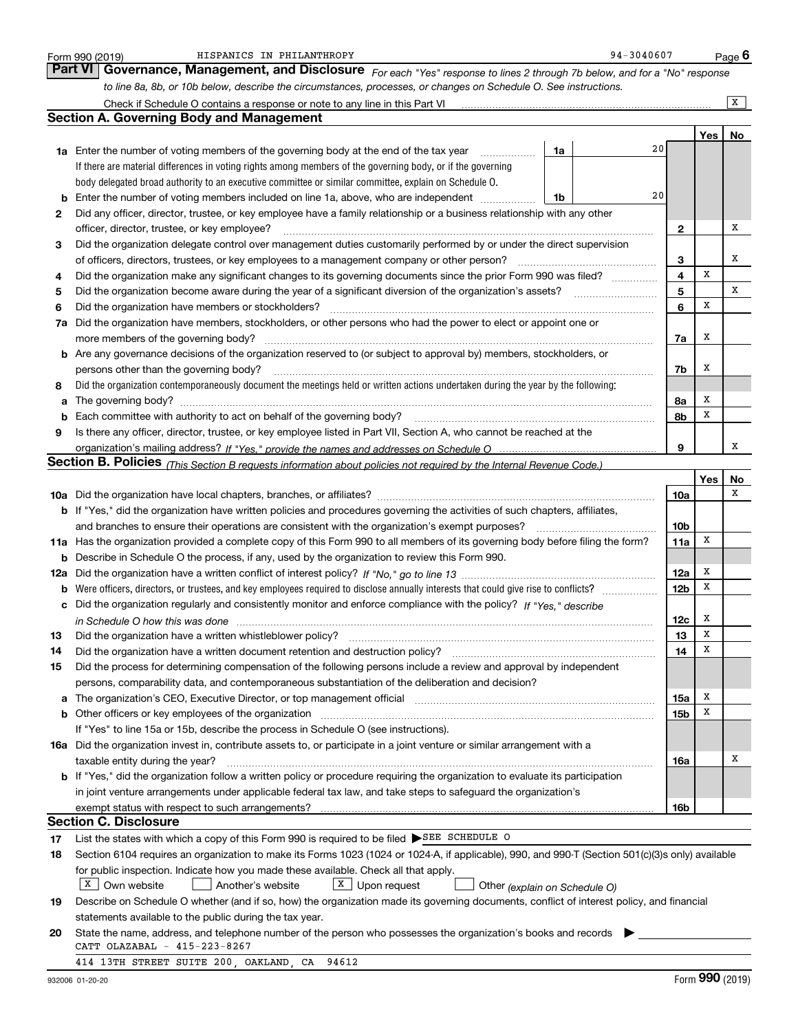|     | HISPANICS IN PHILANTHROPY<br>Form 990 (2019)                                                                                                                          |    | 94-3040607 |                 |     | Page $6$ |
|-----|-----------------------------------------------------------------------------------------------------------------------------------------------------------------------|----|------------|-----------------|-----|----------|
|     | <b>Part VI</b><br>Governance, Management, and Disclosure For each "Yes" response to lines 2 through 7b below, and for a "No" response                                 |    |            |                 |     |          |
|     | to line 8a, 8b, or 10b below, describe the circumstances, processes, or changes on Schedule O. See instructions.                                                      |    |            |                 |     |          |
|     | Check if Schedule O contains a response or note to any line in this Part VI                                                                                           |    |            |                 |     | x        |
|     | <b>Section A. Governing Body and Management</b>                                                                                                                       |    |            |                 |     |          |
|     |                                                                                                                                                                       |    |            |                 | Yes | No       |
|     | <b>1a</b> Enter the number of voting members of the governing body at the end of the tax year                                                                         | 1a | 20         |                 |     |          |
|     | If there are material differences in voting rights among members of the governing body, or if the governing                                                           |    |            |                 |     |          |
|     | body delegated broad authority to an executive committee or similar committee, explain on Schedule O.                                                                 |    |            |                 |     |          |
|     | Enter the number of voting members included on line 1a, above, who are independent                                                                                    | 1b | 20         |                 |     |          |
| 2   | Did any officer, director, trustee, or key employee have a family relationship or a business relationship with any other                                              |    |            |                 |     |          |
|     | officer, director, trustee, or key employee?                                                                                                                          |    |            | $\mathbf{2}$    |     | х        |
| 3   | Did the organization delegate control over management duties customarily performed by or under the direct supervision                                                 |    |            |                 |     |          |
|     | of officers, directors, trustees, or key employees to a management company or other person?                                                                           |    |            | 3               |     | x        |
| 4   | Did the organization make any significant changes to its governing documents since the prior Form 990 was filed?                                                      |    |            | 4               | X   |          |
| 5   | Did the organization become aware during the year of a significant diversion of the organization's assets?                                                            |    |            | 5               |     | х        |
| 6   | Did the organization have members or stockholders?                                                                                                                    |    |            | 6               | X   |          |
| 7a  | Did the organization have members, stockholders, or other persons who had the power to elect or appoint one or                                                        |    |            |                 |     |          |
|     | more members of the governing body?                                                                                                                                   |    |            | 7a              | Х   |          |
| b   | Are any governance decisions of the organization reserved to (or subject to approval by) members, stockholders, or                                                    |    |            |                 |     |          |
|     | persons other than the governing body?                                                                                                                                |    |            | 7b              | Х   |          |
| 8   | Did the organization contemporaneously document the meetings held or written actions undertaken during the year by the following:                                     |    |            |                 |     |          |
| a   |                                                                                                                                                                       |    |            | 8а              | Х   |          |
|     | Each committee with authority to act on behalf of the governing body?                                                                                                 |    |            | 8b              | x   |          |
| 9   | Is there any officer, director, trustee, or key employee listed in Part VII, Section A, who cannot be reached at the                                                  |    |            |                 |     |          |
|     |                                                                                                                                                                       |    |            | 9               |     | х        |
|     | Section B. Policies <sub>(This</sub> Section B requests information about policies not required by the Internal Revenue Code.)                                        |    |            |                 |     |          |
|     |                                                                                                                                                                       |    |            |                 | Yes | No<br>х  |
|     |                                                                                                                                                                       |    |            | <b>10a</b>      |     |          |
|     | <b>b</b> If "Yes," did the organization have written policies and procedures governing the activities of such chapters, affiliates,                                   |    |            |                 |     |          |
|     | and branches to ensure their operations are consistent with the organization's exempt purposes?                                                                       |    |            | 10 <sub>b</sub> | X   |          |
|     | 11a Has the organization provided a complete copy of this Form 990 to all members of its governing body before filing the form?                                       |    |            | 11a             |     |          |
| b   | Describe in Schedule O the process, if any, used by the organization to review this Form 990.                                                                         |    |            | 12a             | х   |          |
| 12a | Were officers, directors, or trustees, and key employees required to disclose annually interests that could give rise to conflicts?                                   |    |            | 12 <sub>b</sub> | x   |          |
| с   | Did the organization regularly and consistently monitor and enforce compliance with the policy? If "Yes," describe                                                    |    |            |                 |     |          |
|     |                                                                                                                                                                       |    |            | 12c             | x   |          |
| 13  | Did the organization have a written whistleblower policy?                                                                                                             |    |            | 13              | Χ   |          |
| 14  | Did the organization have a written document retention and destruction policy?                                                                                        |    |            | 14              | х   |          |
| 15  | Did the process for determining compensation of the following persons include a review and approval by independent                                                    |    |            |                 |     |          |
|     | persons, comparability data, and contemporaneous substantiation of the deliberation and decision?                                                                     |    |            |                 |     |          |
| а   | The organization's CEO, Executive Director, or top management official manufactured content of the organization's CEO, Executive Director, or top management official |    |            | 15a             | х   |          |
| b   | Other officers or key employees of the organization                                                                                                                   |    |            | 15b             | х   |          |
|     | If "Yes" to line 15a or 15b, describe the process in Schedule O (see instructions).                                                                                   |    |            |                 |     |          |
|     | 16a Did the organization invest in, contribute assets to, or participate in a joint venture or similar arrangement with a                                             |    |            |                 |     |          |
|     | taxable entity during the year?                                                                                                                                       |    |            | 16a             |     | х        |
|     | <b>b</b> If "Yes," did the organization follow a written policy or procedure requiring the organization to evaluate its participation                                 |    |            |                 |     |          |
|     | in joint venture arrangements under applicable federal tax law, and take steps to safeguard the organization's                                                        |    |            |                 |     |          |
|     | exempt status with respect to such arrangements?                                                                                                                      |    |            | 16b             |     |          |
|     | <b>Section C. Disclosure</b>                                                                                                                                          |    |            |                 |     |          |
| 17  | List the states with which a copy of this Form 990 is required to be filed SEE SCHEDULE O                                                                             |    |            |                 |     |          |
| 18  | Section 6104 requires an organization to make its Forms 1023 (1024 or 1024-A, if applicable), 990, and 990-T (Section 501(c)(3)s only) available                      |    |            |                 |     |          |
|     | for public inspection. Indicate how you made these available. Check all that apply.                                                                                   |    |            |                 |     |          |
|     | $X$ Own website<br>X Upon request<br>Another's website<br>Other (explain on Schedule O)                                                                               |    |            |                 |     |          |
| 19  | Describe on Schedule O whether (and if so, how) the organization made its governing documents, conflict of interest policy, and financial                             |    |            |                 |     |          |
|     | statements available to the public during the tax year.                                                                                                               |    |            |                 |     |          |
| 20  | State the name, address, and telephone number of the person who possesses the organization's books and records                                                        |    |            |                 |     |          |
|     | CATT OLAZABAL - 415-223-8267                                                                                                                                          |    |            |                 |     |          |
|     | 414 13TH STREET SUITE 200, OAKLAND, CA 94612                                                                                                                          |    |            |                 |     |          |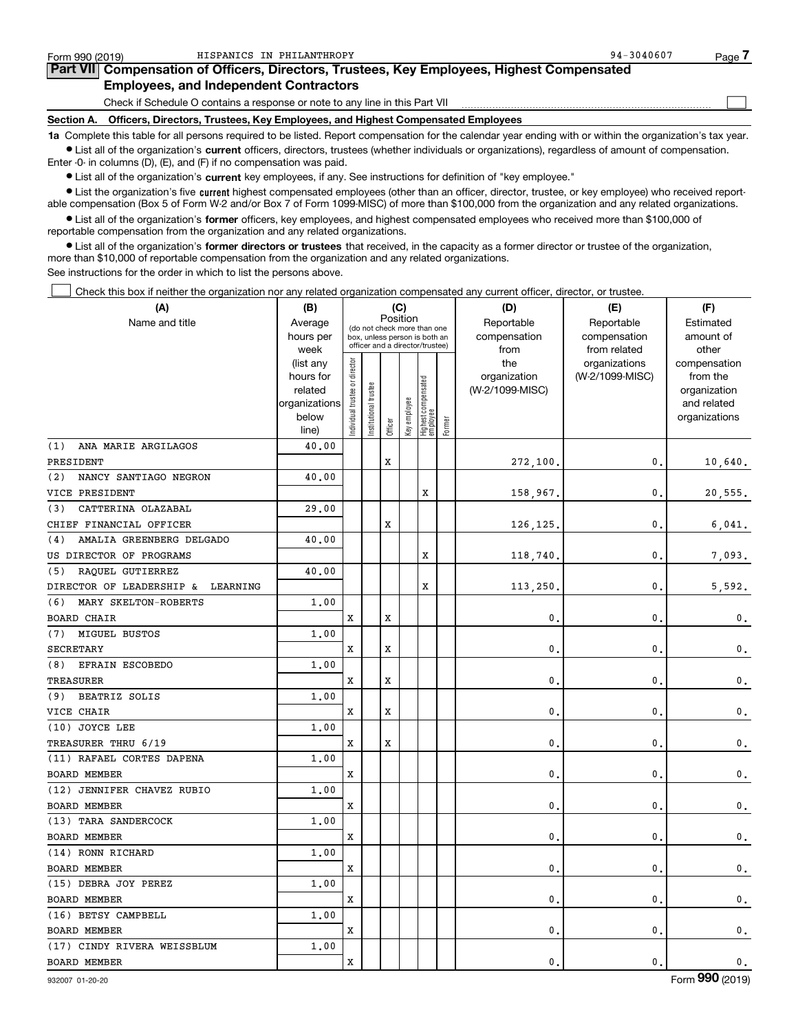| Form 990 (2019) | HISPANICS IN PHILANTHROPY                                                                                                                                  | $94 - 3040607$ | Page - |
|-----------------|------------------------------------------------------------------------------------------------------------------------------------------------------------|----------------|--------|
|                 | Part VII Compensation of Officers, Directors, Trustees, Key Employees, Highest Compensated                                                                 |                |        |
|                 | <b>Employees, and Independent Contractors</b>                                                                                                              |                |        |
|                 | Check if Schedule O contains a response or note to any line in this Part VII                                                                               |                |        |
|                 | Section A. Officers, Directors, Trustees, Key Employees, and Highest Compensated Employees                                                                 |                |        |
|                 | 1a Complete this table for all persons required to be listed. Report compensation for the calendar year ending with or within the organization's tax year. |                |        |

**•** List all of the organization's current officers, directors, trustees (whether individuals or organizations), regardless of amount of compensation. Enter -0- in columns (D), (E), and (F) if no compensation was paid.

 $\bullet$  List all of the organization's  $\,$ current key employees, if any. See instructions for definition of "key employee."

**•** List the organization's five current highest compensated employees (other than an officer, director, trustee, or key employee) who received reportable compensation (Box 5 of Form W-2 and/or Box 7 of Form 1099-MISC) of more than \$100,000 from the organization and any related organizations.

**•** List all of the organization's former officers, key employees, and highest compensated employees who received more than \$100,000 of reportable compensation from the organization and any related organizations.

**former directors or trustees**  ¥ List all of the organization's that received, in the capacity as a former director or trustee of the organization, more than \$10,000 of reportable compensation from the organization and any related organizations.

See instructions for the order in which to list the persons above.

Check this box if neither the organization nor any related organization compensated any current officer, director, or trustee.  $\mathcal{L}^{\text{max}}$ 

| (A)                                  | (C)<br>(B)           |                               |                                                                  | (D)     | (E)          | (F)                             |        |                                 |                 |                          |
|--------------------------------------|----------------------|-------------------------------|------------------------------------------------------------------|---------|--------------|---------------------------------|--------|---------------------------------|-----------------|--------------------------|
| Name and title                       | Average              |                               | (do not check more than one                                      |         | Position     |                                 |        | Reportable                      | Reportable      | Estimated                |
|                                      | hours per            |                               | box, unless person is both an<br>officer and a director/trustee) |         |              |                                 |        | compensation                    | compensation    | amount of                |
|                                      | week                 |                               |                                                                  |         |              |                                 |        | from                            | from related    | other                    |
|                                      | (list any            |                               |                                                                  |         |              |                                 |        | the                             | organizations   | compensation             |
|                                      | hours for<br>related |                               |                                                                  |         |              |                                 |        | organization<br>(W-2/1099-MISC) | (W-2/1099-MISC) | from the<br>organization |
|                                      | organizations        |                               |                                                                  |         |              |                                 |        |                                 |                 | and related              |
|                                      | below                |                               |                                                                  |         |              |                                 |        |                                 |                 | organizations            |
|                                      | line)                | ndividual trustee or director | Institutional trustee                                            | Officer | Key employee | Highest compensated<br>employee | Former |                                 |                 |                          |
| ANA MARIE ARGILAGOS<br>(1)           | 40.00                |                               |                                                                  |         |              |                                 |        |                                 |                 |                          |
| PRESIDENT                            |                      |                               |                                                                  | X       |              |                                 |        | 272,100.                        | 0.              | 10,640.                  |
| NANCY SANTIAGO NEGRON<br>(2)         | 40.00                |                               |                                                                  |         |              |                                 |        |                                 |                 |                          |
| VICE PRESIDENT                       |                      |                               |                                                                  |         |              | X                               |        | 158,967.                        | $\mathbf{0}$    | 20,555.                  |
| (3)<br>CATTERINA OLAZABAL            | 29,00                |                               |                                                                  |         |              |                                 |        |                                 |                 |                          |
| CHIEF FINANCIAL OFFICER              |                      |                               |                                                                  | x       |              |                                 |        | 126,125                         | $\mathbf{0}$    | 6,041.                   |
| AMALIA GREENBERG DELGADO<br>(4)      | 40.00                |                               |                                                                  |         |              |                                 |        |                                 |                 |                          |
| US DIRECTOR OF PROGRAMS              |                      |                               |                                                                  |         |              | X                               |        | 118,740                         | $\mathbf 0$     | 7,093.                   |
| RAQUEL GUTIERREZ<br>(5)              | 40.00                |                               |                                                                  |         |              |                                 |        |                                 |                 |                          |
| DIRECTOR OF LEADERSHIP &<br>LEARNING |                      |                               |                                                                  |         |              | х                               |        | 113,250                         | $\mathbf{0}$    | 5,592.                   |
| (6)<br>MARY SKELTON-ROBERTS          | 1,00                 |                               |                                                                  |         |              |                                 |        |                                 |                 |                          |
| BOARD CHAIR                          |                      | х                             |                                                                  | x       |              |                                 |        | 0                               | $\mathbf 0$     | $\mathbf 0$ .            |
| MIGUEL BUSTOS<br>(7)                 | 1,00                 |                               |                                                                  |         |              |                                 |        |                                 |                 |                          |
| <b>SECRETARY</b>                     |                      | x                             |                                                                  | X       |              |                                 |        | 0                               | $\mathbf{0}$    | $\mathbf 0$ .            |
| (8)<br>EFRAIN ESCOBEDO               | 1,00                 |                               |                                                                  |         |              |                                 |        |                                 |                 |                          |
| TREASURER                            |                      | x                             |                                                                  | X       |              |                                 |        | 0                               | $\mathbf 0$     | $\mathbf 0$ .            |
| BEATRIZ SOLIS<br>(9)                 | 1.00                 |                               |                                                                  |         |              |                                 |        |                                 |                 |                          |
| VICE CHAIR                           |                      | x                             |                                                                  | x       |              |                                 |        | 0                               | $\mathbf{0}$    | $\mathbf 0$ .            |
| (10) JOYCE LEE                       | 1.00                 |                               |                                                                  |         |              |                                 |        |                                 |                 |                          |
| TREASURER THRU 6/19                  |                      | х                             |                                                                  | x       |              |                                 |        | 0                               | $\mathbf 0$     | $\mathbf 0$ .            |
| (11) RAFAEL CORTES DAPENA            | 1,00                 |                               |                                                                  |         |              |                                 |        |                                 |                 |                          |
| <b>BOARD MEMBER</b>                  |                      | x                             |                                                                  |         |              |                                 |        | 0                               | $\mathbf{0}$    | $\mathbf 0$ .            |
| (12) JENNIFER CHAVEZ RUBIO           | 1,00                 |                               |                                                                  |         |              |                                 |        |                                 |                 |                          |
| <b>BOARD MEMBER</b>                  |                      | x                             |                                                                  |         |              |                                 |        | 0                               | $\mathbf{0}$    | $\mathbf 0$ .            |
| (13) TARA SANDERCOCK                 | 1.00                 |                               |                                                                  |         |              |                                 |        |                                 |                 |                          |
| BOARD MEMBER                         |                      | x                             |                                                                  |         |              |                                 |        | 0                               | $\mathbf{0}$    | $\mathbf 0$ .            |
| (14) RONN RICHARD                    | 1.00                 |                               |                                                                  |         |              |                                 |        |                                 |                 |                          |
| BOARD MEMBER                         |                      | х                             |                                                                  |         |              |                                 |        | 0                               | $\mathbf{0}$    | $\mathbf 0$ .            |
| (15) DEBRA JOY PEREZ                 | 1,00                 |                               |                                                                  |         |              |                                 |        |                                 |                 |                          |
| <b>BOARD MEMBER</b>                  |                      | x                             |                                                                  |         |              |                                 |        | 0                               | $\mathbf{0}$    | $\mathbf 0$ .            |
| (16) BETSY CAMPBELL                  | 1.00                 |                               |                                                                  |         |              |                                 |        |                                 |                 |                          |
| BOARD MEMBER                         |                      | x                             |                                                                  |         |              |                                 |        | 0                               | $\mathbf{0}$    | $\mathbf{0}$ .           |
| (17) CINDY RIVERA WEISSBLUM          | 1,00                 |                               |                                                                  |         |              |                                 |        |                                 |                 |                          |
| <b>BOARD MEMBER</b>                  |                      | x                             |                                                                  |         |              |                                 |        | $\mathbf{0}$                    | $\mathbf{0}$ .  | 0.                       |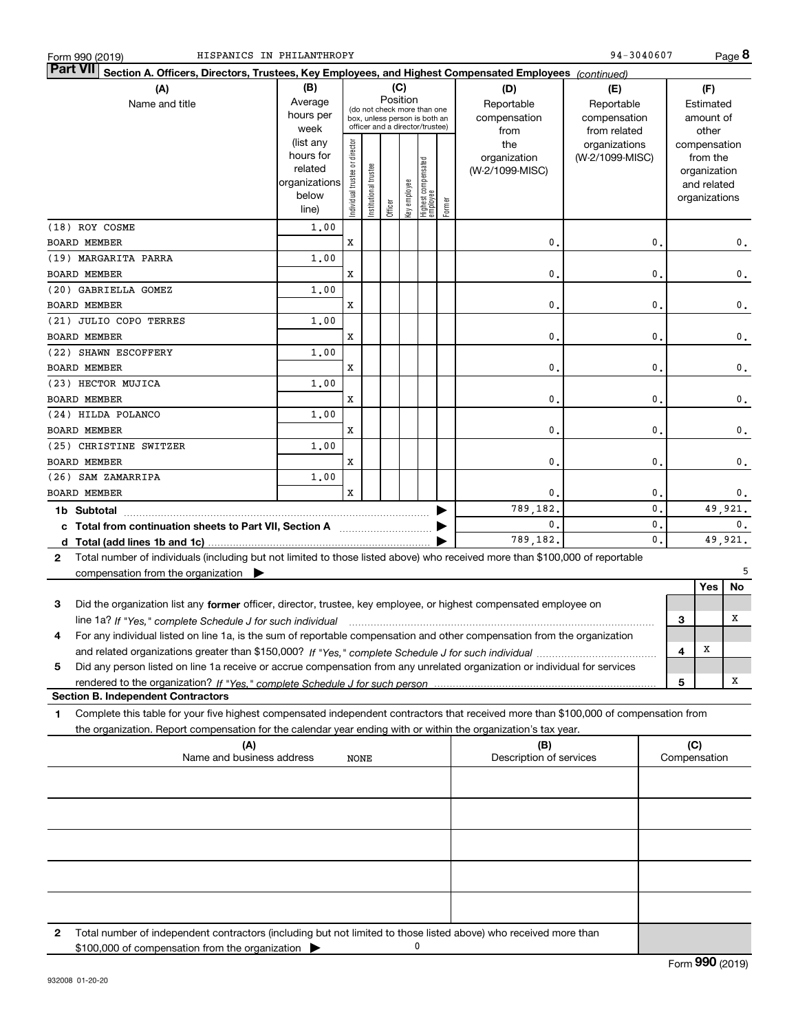| Form 990 (2019 |  |  |
|----------------|--|--|
|                |  |  |

|                 | HISPANICS IN PHILANTHROPY<br>Form 990 (2019)                                                                                                      |                      |                               |                       |          |              |                                   |        |                                | 94-3040607      |                |   |                             | Page 8         |
|-----------------|---------------------------------------------------------------------------------------------------------------------------------------------------|----------------------|-------------------------------|-----------------------|----------|--------------|-----------------------------------|--------|--------------------------------|-----------------|----------------|---|-----------------------------|----------------|
| <b>Part VII</b> | Section A. Officers, Directors, Trustees, Key Employees, and Highest Compensated Employees (continued)                                            |                      |                               |                       |          |              |                                   |        |                                |                 |                |   |                             |                |
|                 | (A)                                                                                                                                               | (B)                  |                               |                       |          | (C)          |                                   |        | (D)                            | (E)             |                |   | (F)                         |                |
|                 | Name and title                                                                                                                                    | Average              |                               |                       | Position |              | (do not check more than one       |        | Reportable                     | Reportable      |                |   | Estimated                   |                |
|                 |                                                                                                                                                   | hours per            |                               |                       |          |              | box, unless person is both an     |        | compensation                   | compensation    |                |   | amount of                   |                |
|                 |                                                                                                                                                   | week                 |                               |                       |          |              | officer and a director/trustee)   |        | from                           | from related    |                |   | other                       |                |
|                 |                                                                                                                                                   | (list any            |                               |                       |          |              |                                   |        | the                            | organizations   |                |   | compensation                |                |
|                 |                                                                                                                                                   | hours for<br>related |                               |                       |          |              |                                   |        | organization                   | (W-2/1099-MISC) |                |   | from the                    |                |
|                 |                                                                                                                                                   | organizations        |                               |                       |          |              |                                   |        | (W-2/1099-MISC)                |                 |                |   | organization<br>and related |                |
|                 |                                                                                                                                                   | below                |                               |                       |          |              |                                   |        |                                |                 |                |   | organizations               |                |
|                 |                                                                                                                                                   | line)                | ndividual trustee or director | Institutional trustee | Officer  | key employee | Highest compensated<br>  employee | Former |                                |                 |                |   |                             |                |
|                 | (18) ROY COSME                                                                                                                                    | 1,00                 |                               |                       |          |              |                                   |        |                                |                 |                |   |                             |                |
|                 | <b>BOARD MEMBER</b>                                                                                                                               |                      | X                             |                       |          |              |                                   |        | $\mathbf 0$                    |                 | $\mathbf{0}$   |   |                             | 0.             |
|                 | (19) MARGARITA PARRA                                                                                                                              | 1,00                 |                               |                       |          |              |                                   |        |                                |                 |                |   |                             |                |
|                 | <b>BOARD MEMBER</b>                                                                                                                               |                      | х                             |                       |          |              |                                   |        | $\mathbf 0$                    |                 | $\mathbf{0}$   |   |                             | $\mathbf 0$ .  |
|                 | (20) GABRIELLA GOMEZ                                                                                                                              | 1,00                 |                               |                       |          |              |                                   |        |                                |                 |                |   |                             |                |
|                 | <b>BOARD MEMBER</b>                                                                                                                               |                      | х                             |                       |          |              |                                   |        | $\mathbf{0}$                   |                 | $\mathbf{0}$   |   |                             | $\mathbf 0$ .  |
|                 | (21) JULIO COPO TERRES                                                                                                                            | 1,00                 |                               |                       |          |              |                                   |        |                                |                 |                |   |                             |                |
|                 | <b>BOARD MEMBER</b>                                                                                                                               |                      | х                             |                       |          |              |                                   |        | $\mathbf{0}$                   |                 | $\mathbf{0}$   |   |                             | $\mathbf 0$ .  |
|                 | (22) SHAWN ESCOFFERY                                                                                                                              | 1,00                 |                               |                       |          |              |                                   |        |                                |                 |                |   |                             |                |
|                 | <b>BOARD MEMBER</b>                                                                                                                               |                      | х                             |                       |          |              |                                   |        | $\mathbf{0}$ .                 |                 | $\mathbf{0}$   |   |                             | $\mathbf 0$ .  |
|                 | (23) HECTOR MUJICA                                                                                                                                | 1,00                 |                               |                       |          |              |                                   |        |                                |                 |                |   |                             |                |
|                 | <b>BOARD MEMBER</b>                                                                                                                               |                      | х                             |                       |          |              |                                   |        | 0.                             |                 | $\mathbf{0}$   |   |                             | $\mathbf 0$ .  |
|                 | (24) HILDA POLANCO                                                                                                                                | 1,00                 |                               |                       |          |              |                                   |        |                                |                 |                |   |                             |                |
|                 | <b>BOARD MEMBER</b>                                                                                                                               |                      | х                             |                       |          |              |                                   |        | 0.                             |                 | $\mathbf{0}$   |   |                             | $\mathbf 0$ .  |
|                 | (25) CHRISTINE SWITZER                                                                                                                            | 1,00                 |                               |                       |          |              |                                   |        |                                |                 |                |   |                             |                |
|                 | <b>BOARD MEMBER</b>                                                                                                                               |                      | х                             |                       |          |              |                                   |        | 0.                             |                 | $\mathbf 0$    |   |                             | $\mathbf 0$ .  |
|                 | (26) SAM ZAMARRIPA                                                                                                                                | 1,00                 |                               |                       |          |              |                                   |        |                                |                 |                |   |                             |                |
|                 | <b>BOARD MEMBER</b>                                                                                                                               |                      | X                             |                       |          |              |                                   |        | 0.                             |                 | 0.             |   |                             | 0.             |
|                 |                                                                                                                                                   |                      |                               |                       |          |              |                                   |        | 789,182.                       |                 | $\mathbf{0}$ . |   |                             | 49,921.        |
|                 | c Total from continuation sheets to Part VII, Section A manufactured by                                                                           |                      |                               |                       |          |              |                                   |        | $\mathbf{0}$ .                 |                 | 0.             |   |                             | $\mathbf{0}$ . |
|                 |                                                                                                                                                   |                      |                               |                       |          |              |                                   |        | 789,182.                       |                 | $\mathbf{0}$ . |   |                             | 49,921.        |
| $\mathbf{2}$    | Total number of individuals (including but not limited to those listed above) who received more than \$100,000 of reportable                      |                      |                               |                       |          |              |                                   |        |                                |                 |                |   |                             |                |
|                 | compensation from the organization $\blacktriangleright$                                                                                          |                      |                               |                       |          |              |                                   |        |                                |                 |                |   |                             | 5              |
|                 |                                                                                                                                                   |                      |                               |                       |          |              |                                   |        |                                |                 |                |   | Yes                         | No             |
| 3               | Did the organization list any former officer, director, trustee, key employee, or highest compensated employee on                                 |                      |                               |                       |          |              |                                   |        |                                |                 |                |   |                             |                |
|                 | line 1a? If "Yes," complete Schedule J for such individual material content content to the content of the complete Schedule J for such individual |                      |                               |                       |          |              |                                   |        |                                |                 |                | З |                             | x              |
|                 | For any individual listed on line 1a, is the sum of reportable compensation and other compensation from the organization                          |                      |                               |                       |          |              |                                   |        |                                |                 |                |   |                             |                |
|                 |                                                                                                                                                   |                      |                               |                       |          |              |                                   |        |                                |                 |                | 4 | X                           |                |
| 5               | Did any person listed on line 1a receive or accrue compensation from any unrelated organization or individual for services                        |                      |                               |                       |          |              |                                   |        |                                |                 |                |   |                             |                |
|                 |                                                                                                                                                   |                      |                               |                       |          |              |                                   |        |                                |                 |                | 5 |                             | x              |
|                 | <b>Section B. Independent Contractors</b>                                                                                                         |                      |                               |                       |          |              |                                   |        |                                |                 |                |   |                             |                |
| 1               | Complete this table for your five highest compensated independent contractors that received more than \$100,000 of compensation from              |                      |                               |                       |          |              |                                   |        |                                |                 |                |   |                             |                |
|                 | the organization. Report compensation for the calendar year ending with or within the organization's tax year.                                    |                      |                               |                       |          |              |                                   |        |                                |                 |                |   |                             |                |
|                 | (A)<br>Name and business address                                                                                                                  |                      |                               |                       |          |              |                                   |        | (B)<br>Description of services |                 |                |   | (C)<br>Compensation         |                |
|                 |                                                                                                                                                   |                      | NONE                          |                       |          |              |                                   |        |                                |                 |                |   |                             |                |
|                 |                                                                                                                                                   |                      |                               |                       |          |              |                                   |        |                                |                 |                |   |                             |                |
|                 |                                                                                                                                                   |                      |                               |                       |          |              |                                   |        |                                |                 |                |   |                             |                |
|                 |                                                                                                                                                   |                      |                               |                       |          |              |                                   |        |                                |                 |                |   |                             |                |
|                 |                                                                                                                                                   |                      |                               |                       |          |              |                                   |        |                                |                 |                |   |                             |                |

**2**Total number of independent contractors (including but not limited to those listed above) who received more than \$100,000 of compensation from the organization 0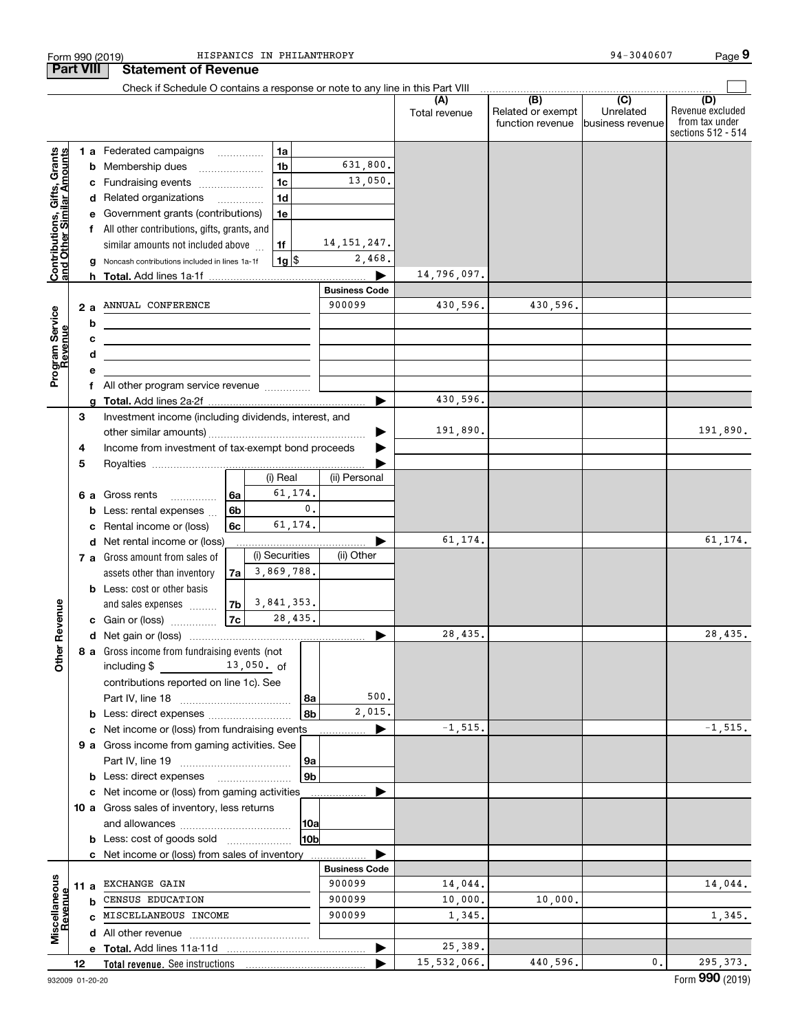|                                                           |    |    | Form 990 (2019)                                                                                                        |                | HISPANICS IN PHILANTHROPY |                 |                                |                      |                                                           | 94-3040607                           | Page 9                                                          |
|-----------------------------------------------------------|----|----|------------------------------------------------------------------------------------------------------------------------|----------------|---------------------------|-----------------|--------------------------------|----------------------|-----------------------------------------------------------|--------------------------------------|-----------------------------------------------------------------|
| <b>Part VIII</b>                                          |    |    | <b>Statement of Revenue</b>                                                                                            |                |                           |                 |                                |                      |                                                           |                                      |                                                                 |
|                                                           |    |    | Check if Schedule O contains a response or note to any line in this Part VIII                                          |                |                           |                 |                                |                      |                                                           |                                      |                                                                 |
|                                                           |    |    |                                                                                                                        |                |                           |                 |                                | (A)<br>Total revenue | $\overline{(B)}$<br>Related or exempt<br>function revenue | (C)<br>Unrelated<br>business revenue | (D)<br>Revenue excluded<br>from tax under<br>sections 512 - 514 |
|                                                           |    |    | 1 a Federated campaigns                                                                                                |                | 1a                        |                 |                                |                      |                                                           |                                      |                                                                 |
|                                                           |    |    | <b>b</b> Membership dues<br>$\overline{\phantom{a}}$                                                                   |                | 1 <sub>b</sub>            |                 | 631,800.                       |                      |                                                           |                                      |                                                                 |
| Contributions, Gifts, Grants<br>and Other Similar Amounts |    |    | c Fundraising events                                                                                                   |                | 1 <sub>c</sub>            |                 | 13,050.                        |                      |                                                           |                                      |                                                                 |
|                                                           |    |    | d Related organizations                                                                                                |                | 1 <sub>d</sub>            |                 |                                |                      |                                                           |                                      |                                                                 |
|                                                           |    |    | e Government grants (contributions)                                                                                    |                | 1e                        |                 |                                |                      |                                                           |                                      |                                                                 |
|                                                           |    |    | f All other contributions, gifts, grants, and                                                                          |                |                           |                 |                                |                      |                                                           |                                      |                                                                 |
|                                                           |    |    | similar amounts not included above                                                                                     |                | 1f                        |                 | 14, 151, 247.                  |                      |                                                           |                                      |                                                                 |
|                                                           |    |    | g Noncash contributions included in lines 1a-1f                                                                        |                | $1g$ $\frac{1}{3}$        |                 | 2,468.                         |                      |                                                           |                                      |                                                                 |
|                                                           |    |    |                                                                                                                        |                |                           |                 |                                | 14,796,097.          |                                                           |                                      |                                                                 |
|                                                           |    |    |                                                                                                                        |                |                           |                 | <b>Business Code</b><br>900099 |                      |                                                           |                                      |                                                                 |
|                                                           |    | 2a | ANNUAL CONFERENCE                                                                                                      |                |                           |                 |                                | 430,596.             | 430,596.                                                  |                                      |                                                                 |
|                                                           |    | b  | <u> 1989 - Johann Stein, mars an dùthchan an t-</u>                                                                    |                |                           |                 |                                |                      |                                                           |                                      |                                                                 |
|                                                           |    | c  | <u> 1989 - Johann Barn, mars ann an t-Amhain ann an t-Amhain an t-Amhain an t-Amhain an t-Amhain an t-Amhain an t-</u> |                |                           |                 |                                |                      |                                                           |                                      |                                                                 |
|                                                           |    | d  | <u> 1980 - Johann John Stein, fransk politik (d. 1980)</u>                                                             |                |                           |                 |                                |                      |                                                           |                                      |                                                                 |
| Program Service<br>Revenue                                |    | е  | f All other program service revenue                                                                                    |                |                           |                 |                                |                      |                                                           |                                      |                                                                 |
|                                                           |    |    |                                                                                                                        |                |                           |                 |                                | 430,596.             |                                                           |                                      |                                                                 |
|                                                           | 3  |    | Investment income (including dividends, interest, and                                                                  |                |                           |                 |                                |                      |                                                           |                                      |                                                                 |
|                                                           |    |    |                                                                                                                        |                |                           |                 | ▶                              | 191,890.             |                                                           |                                      | 191,890.                                                        |
|                                                           | 4  |    | Income from investment of tax-exempt bond proceeds                                                                     |                |                           |                 | ▶                              |                      |                                                           |                                      |                                                                 |
|                                                           | 5  |    |                                                                                                                        |                |                           |                 |                                |                      |                                                           |                                      |                                                                 |
|                                                           |    |    |                                                                                                                        |                | (i) Real                  |                 | (ii) Personal                  |                      |                                                           |                                      |                                                                 |
|                                                           |    |    | 6 a Gross rents<br>.                                                                                                   | 6a             | 61,174.                   |                 |                                |                      |                                                           |                                      |                                                                 |
|                                                           |    |    | <b>b</b> Less: rental expenses                                                                                         | 6 <sub>b</sub> |                           | 0.              |                                |                      |                                                           |                                      |                                                                 |
|                                                           |    |    | c Rental income or (loss)                                                                                              | 6с             | 61,174.                   |                 |                                |                      |                                                           |                                      |                                                                 |
|                                                           |    |    | d Net rental income or (loss)                                                                                          |                |                           |                 |                                | 61,174.              |                                                           |                                      | 61,174.                                                         |
|                                                           |    |    | 7 a Gross amount from sales of                                                                                         |                | (i) Securities            |                 | (ii) Other                     |                      |                                                           |                                      |                                                                 |
|                                                           |    |    | assets other than inventory                                                                                            | 7al            | 3,869,788.                |                 |                                |                      |                                                           |                                      |                                                                 |
|                                                           |    |    | <b>b</b> Less: cost or other basis                                                                                     |                |                           |                 |                                |                      |                                                           |                                      |                                                                 |
| Revenue                                                   |    |    | and sales expenses                                                                                                     | 7b             | 3,841,353.                |                 |                                |                      |                                                           |                                      |                                                                 |
|                                                           |    |    | c Gain or (loss)                                                                                                       | 7c             | 28,435.                   |                 |                                |                      |                                                           |                                      |                                                                 |
|                                                           |    |    |                                                                                                                        |                |                           |                 |                                | 28.435               |                                                           |                                      | 28,435.                                                         |
| Other                                                     |    |    | 8 a Gross income from fundraising events (not                                                                          |                |                           |                 |                                |                      |                                                           |                                      |                                                                 |
|                                                           |    |    | including $$$ 13,050. of                                                                                               |                |                           |                 |                                |                      |                                                           |                                      |                                                                 |
|                                                           |    |    | contributions reported on line 1c). See                                                                                |                |                           |                 | 500.                           |                      |                                                           |                                      |                                                                 |
|                                                           |    |    |                                                                                                                        |                |                           | 8а<br>8b        | 2,015.                         |                      |                                                           |                                      |                                                                 |
|                                                           |    |    | <b>b</b> Less: direct expenses <i>manually contained</i>                                                               |                |                           |                 |                                | $-1, 515.$           |                                                           |                                      | $-1, 515.$                                                      |
|                                                           |    |    | c Net income or (loss) from fundraising events<br>9 a Gross income from gaming activities. See                         |                |                           |                 |                                |                      |                                                           |                                      |                                                                 |
|                                                           |    |    |                                                                                                                        |                |                           | 9а              |                                |                      |                                                           |                                      |                                                                 |
|                                                           |    |    |                                                                                                                        |                |                           | 9 <sub>b</sub>  |                                |                      |                                                           |                                      |                                                                 |
|                                                           |    |    | c Net income or (loss) from gaming activities                                                                          |                |                           |                 |                                |                      |                                                           |                                      |                                                                 |
|                                                           |    |    | 10 a Gross sales of inventory, less returns                                                                            |                |                           |                 |                                |                      |                                                           |                                      |                                                                 |
|                                                           |    |    |                                                                                                                        |                |                           | 10a             |                                |                      |                                                           |                                      |                                                                 |
|                                                           |    |    | <b>b</b> Less: cost of goods sold                                                                                      |                |                           | 10 <sub>b</sub> |                                |                      |                                                           |                                      |                                                                 |
|                                                           |    |    | c Net income or (loss) from sales of inventory                                                                         |                |                           |                 |                                |                      |                                                           |                                      |                                                                 |
|                                                           |    |    |                                                                                                                        |                |                           |                 | <b>Business Code</b>           |                      |                                                           |                                      |                                                                 |
|                                                           |    |    | 11 a EXCHANGE GAIN                                                                                                     |                |                           |                 | 900099                         | 14,044.              |                                                           |                                      | 14,044.                                                         |
|                                                           |    | b  | CENSUS EDUCATION                                                                                                       |                |                           |                 | 900099                         | 10,000.              | 10,000.                                                   |                                      |                                                                 |
| Revenu                                                    |    |    | C MISCELLANEOUS INCOME                                                                                                 |                |                           |                 | 900099                         | 1,345.               |                                                           |                                      | 1,345.                                                          |
| Miscellaneous                                             |    |    |                                                                                                                        |                |                           |                 |                                |                      |                                                           |                                      |                                                                 |
|                                                           |    |    |                                                                                                                        |                |                           |                 |                                | 25,389.              |                                                           |                                      |                                                                 |
|                                                           | 12 |    |                                                                                                                        |                |                           |                 |                                | 15,532,066.          | 440,596.                                                  | 0.                                   | 295, 373.                                                       |

**9**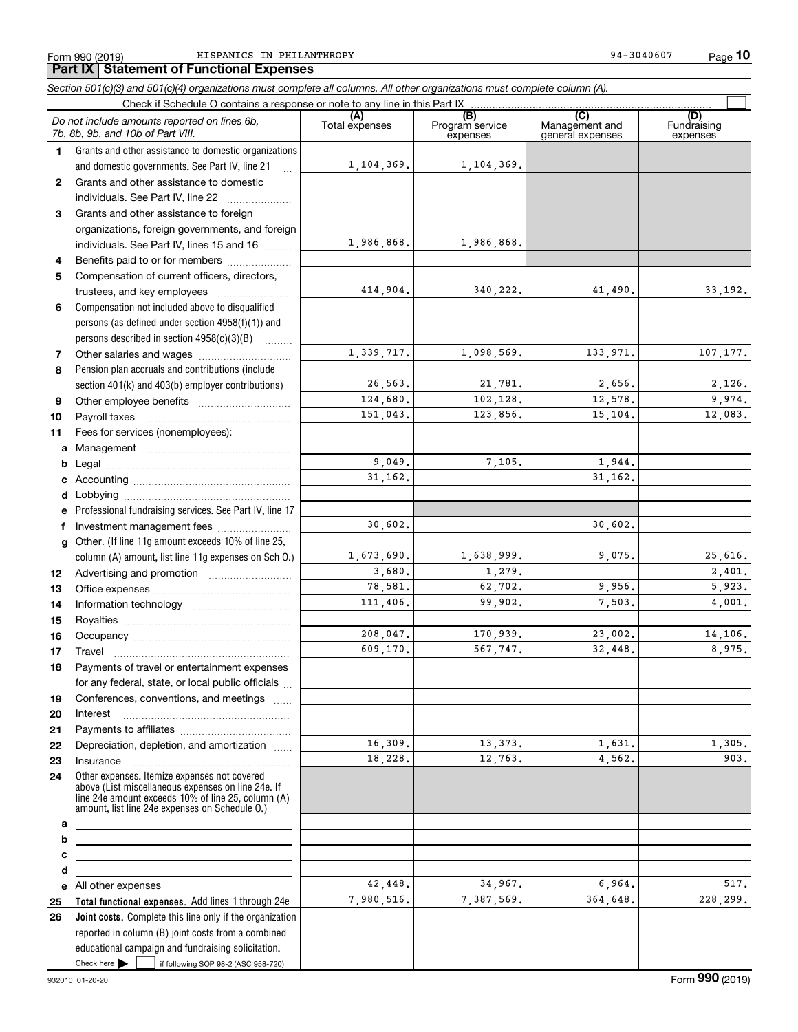Form 990 (2019) Page HISPANICS IN PHILANTHROPY 94-3040607

**10**

#### **Total functional expenses.**  Add lines 1 through 24e **Joint costs.** Complete this line only if the organization **(A)**<br>Total expenses **(C)** (C) (C)<br>
penses Program service Management and Fundrai<br>
expenses general expenses expen **123** Grants and other assistance to foreign **4567891011abcdefg12131415161718192021222324abcde2526***Section 501(c)(3) and 501(c)(4) organizations must complete all columns. All other organizations must complete column (A).* Grants and other assistance to domestic organizations and domestic governments. See Part IV, line 21 Compensation not included above to disqualified persons (as defined under section 4958(f)(1)) and persons described in section 4958(c)(3)(B)  $\quad \ldots \ldots \ldots$ Pension plan accruals and contributions (include section 401(k) and 403(b) employer contributions) Professional fundraising services. See Part IV, line 17 Other. (If line 11g amount exceeds 10% of line 25, column (A) amount, list line 11g expenses on Sch O.) Other expenses. Itemize expenses not covered above (List miscellaneous expenses on line 24e. If line 24e amount exceeds 10% of line 25, column (A) amount, list line 24e expenses on Schedule O.) reported in column (B) joint costs from a combined educational campaign and fundraising solicitation. Check if Schedule O contains a response or note to any line in this Part IX (C) (C) (C) (C) (C) (C) Program service expensesFundraising expensesGrants and other assistance to domestic individuals. See Part IV, line 22 ~~~~~~~ organizations, foreign governments, and foreign individuals. See Part IV, lines 15 and 16  $\ldots$ Benefits paid to or for members .................... Compensation of current officers, directors, trustees, and key employees  $\ldots$   $\ldots$   $\ldots$   $\ldots$   $\ldots$ Other salaries and wages ~~~~~~~~~~ Other employee benefits ~~~~~~~~~~ Payroll taxes ~~~~~~~~~~~~~~~~ Fees for services (nonemployees): Management ~~~~~~~~~~~~~~~~ Legal ~~~~~~~~~~~~~~~~~~~~Accounting ~~~~~~~~~~~~~~~~~ Lobbying ~~~~~~~~~~~~~~~~~~ lnvestment management fees ....................... Advertising and promotion \_\_\_\_\_\_\_\_\_\_\_\_\_\_\_\_\_\_\_ Office expenses ~~~~~~~~~~~~~~~ Information technology ~~~~~~~~~~~ Royalties ~~~~~~~~~~~~~~~~~~ Occupancy ~~~~~~~~~~~~~~~~~ Travel ……………………………………………… Payments of travel or entertainment expenses for any federal, state, or local public officials ... Conferences, conventions, and meetings Interest Payments to affiliates ~~~~~~~~~~~~ Depreciation, depletion, and amortization  $\,\,\ldots\,\,$ InsuranceAll other expenses *Do not include amounts reported on lines 6b, 7b, 8b, 9b, and 10b of Part VIII.*  $\mathcal{L}^{\text{max}}$ 1,104,369. 1,986,868. 414,904. 1,339,717. 26,563. 124,680. 151,043. 9,049. 31,162. 1,673,690. 3,680. 78,581. 111,406. 208,047. 609,170. 16,309. 18,228. 42,448. 7,980,516. 30,602. 1,104,369. 1,986,868. 340,222. 41,490. 33,192. 1,098,569. 133,971. 107,177. 21,781. 2,656. 2,126. 102,128. 12,578. 9,974. 123,856. 15,104. 12,083. 7,105. 1,944. 31,162. 30,602. 1,638,999. 9,075. 25,616. 1,279. 2,401. 62,702. 9,956. 5,923. 99,902. 7,503. 4,001. 170.939. 23.002. 14.106. 567,747. 32,448. 8,975. 13,373. 1,631. 1,305. 12,763. 4,562. 903. 34,967. 6,964. 517. 7,387,569. 364,648. 228,299.

Check here  $\blacktriangleright$ 

Check here  $\bullet$  if following SOP 98-2 (ASC 958-720)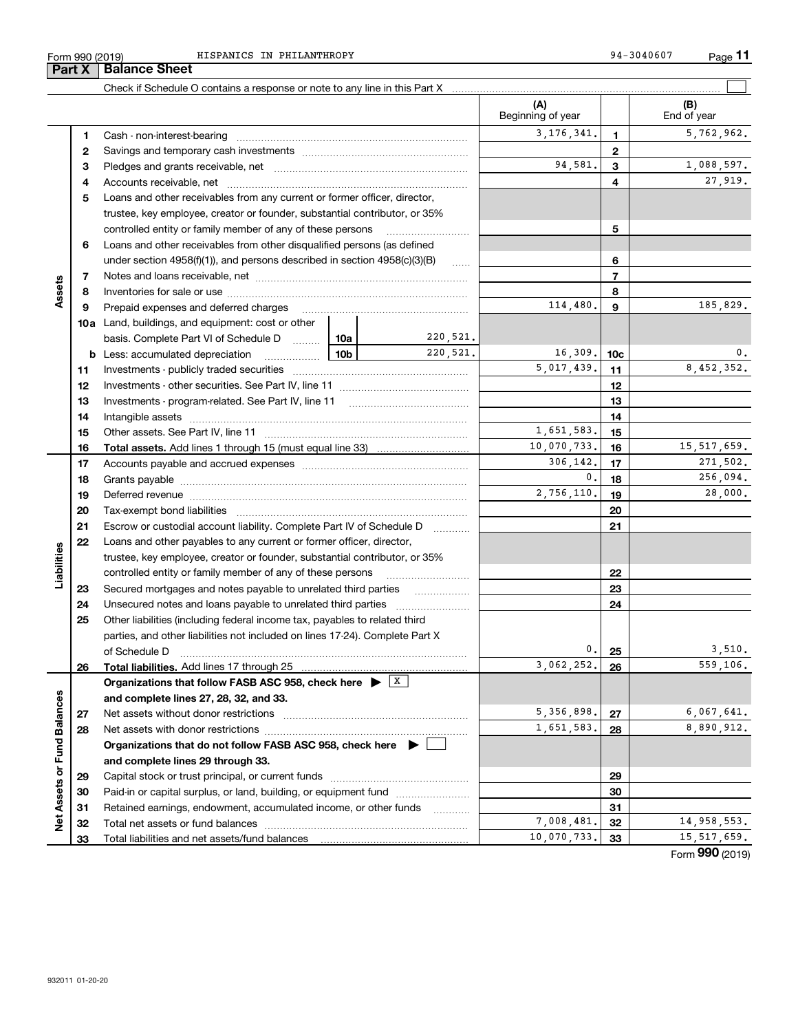|                      | Form 990 (2019)<br>Part X | HISPANICS IN PHILANTHROPY<br><b>Balance Sheet</b>                                            |          |                |                          |                 | 94-3040607<br>Page 11 |
|----------------------|---------------------------|----------------------------------------------------------------------------------------------|----------|----------------|--------------------------|-----------------|-----------------------|
|                      |                           |                                                                                              |          |                |                          |                 |                       |
|                      |                           |                                                                                              |          |                |                          |                 |                       |
|                      |                           |                                                                                              |          |                | (A)<br>Beginning of year |                 | (B)<br>End of year    |
|                      | 1                         |                                                                                              |          |                | 3, 176, 341.             | 1               | 5,762,962.            |
|                      | 2                         |                                                                                              |          |                |                          | $\mathbf{2}$    |                       |
|                      | з                         |                                                                                              |          |                | 94,581.                  | 3               | 1,088,597.            |
|                      | 4                         |                                                                                              |          |                | 4                        | 27,919.         |                       |
|                      |                           |                                                                                              |          |                |                          |                 |                       |
|                      | 5                         | Loans and other receivables from any current or former officer, director,                    |          |                |                          |                 |                       |
|                      |                           | trustee, key employee, creator or founder, substantial contributor, or 35%                   |          |                |                          |                 |                       |
|                      |                           | controlled entity or family member of any of these persons                                   |          |                |                          | 5               |                       |
|                      | 6                         | Loans and other receivables from other disqualified persons (as defined                      |          |                |                          |                 |                       |
|                      |                           | under section 4958(f)(1)), and persons described in section 4958(c)(3)(B)                    |          | 6              |                          |                 |                       |
|                      | 7                         |                                                                                              |          | $\overline{7}$ |                          |                 |                       |
| Assets               | 8                         |                                                                                              |          | 8              |                          |                 |                       |
|                      | 9                         | Prepaid expenses and deferred charges                                                        | 114,480. | 9              | 185,829.                 |                 |                       |
|                      |                           | 10a Land, buildings, and equipment: cost or other                                            |          |                |                          |                 |                       |
|                      |                           | basis. Complete Part VI of Schedule D  10a                                                   |          | 220,521.       |                          |                 |                       |
|                      |                           | 10b<br><b>b</b> Less: accumulated depreciation                                               |          | 220,521.       | 16,309.                  | 10 <sub>c</sub> | 0.                    |
|                      | 11                        |                                                                                              |          |                | 5,017,439.               | 11              | 8,452,352.            |
|                      | 12                        |                                                                                              |          |                |                          | 12              |                       |
|                      | 13                        | Investments - program-related. See Part IV, line 11                                          |          |                |                          | 13              |                       |
|                      | 14                        | Intangible assets                                                                            |          |                |                          | 14              |                       |
|                      |                           |                                                                                              |          |                | 1,651,583.               |                 |                       |
|                      | 15                        |                                                                                              |          |                | 10,070,733.              | 15              | 15, 517, 659.         |
|                      | 16                        | Total assets. Add lines 1 through 15 (must equal line 33)                                    |          |                |                          | 16              |                       |
|                      | 17                        |                                                                                              |          |                | 306,142.                 | 17              | 271,502.              |
|                      | 18                        |                                                                                              |          |                | 0.                       | 18              | 256,094.              |
|                      | 19                        |                                                                                              |          |                | 2,756,110.               | 19              | 28,000.               |
|                      | 20                        |                                                                                              |          |                |                          | 20              |                       |
|                      | 21                        | Escrow or custodial account liability. Complete Part IV of Schedule D                        |          |                |                          | 21              |                       |
|                      | 22                        | Loans and other payables to any current or former officer, director,                         |          |                |                          |                 |                       |
|                      |                           | trustee, key employee, creator or founder, substantial contributor, or 35%                   |          |                |                          |                 |                       |
| Liabilities          |                           | controlled entity or family member of any of these persons                                   |          |                |                          | 22              |                       |
|                      | 23                        | Secured mortgages and notes payable to unrelated third parties                               |          | .              |                          | 23              |                       |
|                      | 24                        |                                                                                              |          |                |                          | 24              |                       |
|                      | 25                        | Other liabilities (including federal income tax, payables to related third                   |          |                |                          |                 |                       |
|                      |                           | parties, and other liabilities not included on lines 17-24). Complete Part X                 |          |                |                          |                 |                       |
|                      |                           | of Schedule D                                                                                |          |                | 0.                       | 25              | 3,510.                |
|                      | 26                        |                                                                                              |          |                | 3,062,252.               | 26              | 559,106.              |
|                      |                           | Organizations that follow FASB ASC 958, check here $\blacktriangleright$ $\lfloor x \rfloor$ |          |                |                          |                 |                       |
|                      |                           | and complete lines 27, 28, 32, and 33.                                                       |          |                |                          |                 |                       |
|                      | 27                        |                                                                                              |          |                | 5, 356, 898.             | 27              | 6,067,641.            |
|                      | 28                        |                                                                                              |          |                | 1,651,583.               | 28              | 8,890,912.            |
|                      |                           | Organizations that do not follow FASB ASC 958, check here ▶ [                                |          |                |                          |                 |                       |
|                      |                           |                                                                                              |          |                |                          |                 |                       |
|                      |                           | and complete lines 29 through 33.                                                            |          |                |                          |                 |                       |
| <b>Fund Balances</b> |                           |                                                                                              |          |                |                          | 29              |                       |
| ৯                    | 29                        |                                                                                              |          |                |                          |                 |                       |
|                      | 30                        | Paid-in or capital surplus, or land, building, or equipment fund                             |          |                |                          | 30              |                       |
| <b>Net Assets</b>    | 31<br>32                  | Retained earnings, endowment, accumulated income, or other funds                             |          | .              | 7,008,481.               | 31<br>32        | 14,958,553.           |

Total liabilities and net assets/fund balances

**2930313233**Capital stock or trust principal, or current funds ~~~~~~~~~~~~~~~ Paid-in or capital surplus, or land, building, or equipment fund www.commun.com Retained earnings, endowment, accumulated income, or other funds we have all the Total net assets or fund balances ~~~~~~~~~~~~~~~~~~~~~~ Form (2019) **990** 7,008,481. 32 14,958,553.  $10,070,733.$  33 15,517,659.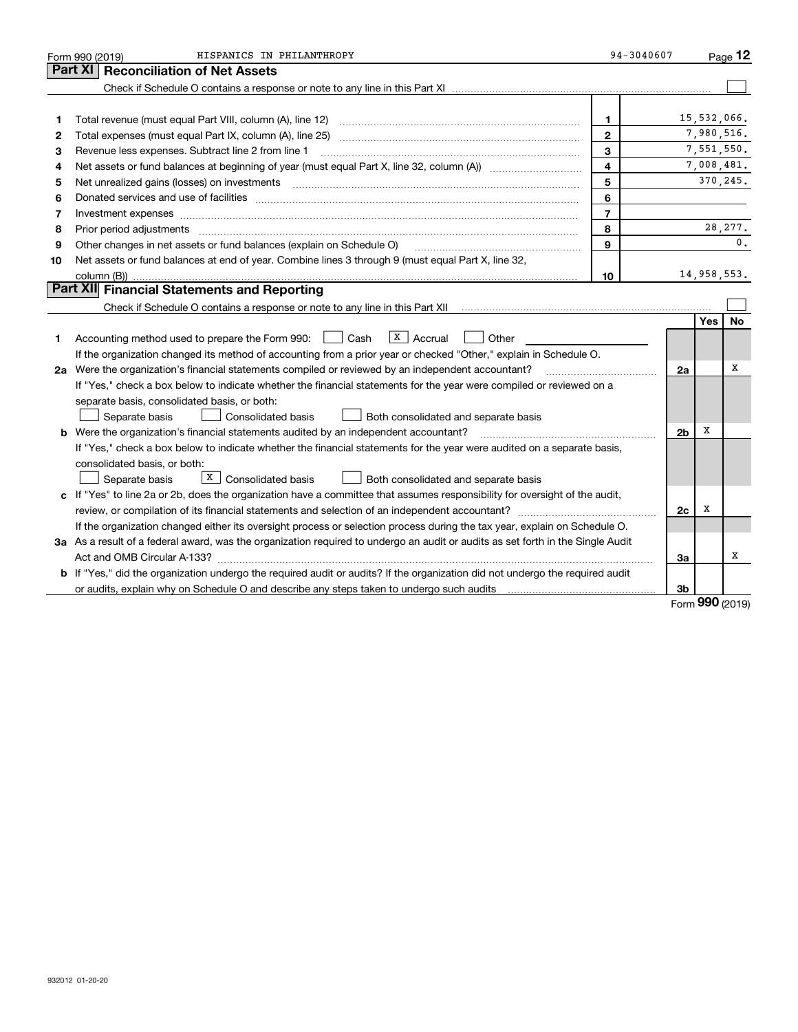|    | HISPANICS IN PHILANTHROPY<br>Form 990 (2019)                                                                                         | $94 - 3040607$ |                |             | $P_{\text{aqe}}$ 12 |
|----|--------------------------------------------------------------------------------------------------------------------------------------|----------------|----------------|-------------|---------------------|
|    | <b>Reconciliation of Net Assets</b><br>Part XI                                                                                       |                |                |             |                     |
|    |                                                                                                                                      |                |                |             |                     |
|    |                                                                                                                                      |                |                |             |                     |
| 1  |                                                                                                                                      | 1              |                | 15,532,066. |                     |
| 2  |                                                                                                                                      | $\mathbf{2}$   |                |             | 7,980,516.          |
| З  | Revenue less expenses. Subtract line 2 from line 1                                                                                   | 3              |                |             | 7,551,550.          |
| 4  |                                                                                                                                      | 4              |                |             | 7,008,481.          |
| 5  |                                                                                                                                      | 5              |                |             | 370,245.            |
| 6  |                                                                                                                                      | 6              |                |             |                     |
| 7  | Investment expenses www.communication.communication.com/www.communication.com/www.communication.com                                  | $\overline{7}$ |                |             |                     |
| 8  | Prior period adjustments                                                                                                             | 8              |                |             | 28, 277.            |
| 9  | Other changes in net assets or fund balances (explain on Schedule O)                                                                 | 9              |                |             | $\mathbf{0}$ .      |
| 10 | Net assets or fund balances at end of year. Combine lines 3 through 9 (must equal Part X, line 32,                                   |                |                |             |                     |
|    |                                                                                                                                      | 10             |                |             | 14,958,553.         |
|    | Part XII Financial Statements and Reporting                                                                                          |                |                |             |                     |
|    |                                                                                                                                      |                |                |             |                     |
|    |                                                                                                                                      |                |                | Yes         | <b>No</b>           |
| 1. | $\lfloor x \rfloor$ Accrual<br>Accounting method used to prepare the Form 990: <u>June</u> Cash<br>Other                             |                |                |             |                     |
|    | If the organization changed its method of accounting from a prior year or checked "Other," explain in Schedule O.                    |                |                |             |                     |
|    | 2a Were the organization's financial statements compiled or reviewed by an independent accountant?                                   |                | 2a             |             | х                   |
|    | If "Yes," check a box below to indicate whether the financial statements for the year were compiled or reviewed on a                 |                |                |             |                     |
|    | separate basis, consolidated basis, or both:                                                                                         |                |                |             |                     |
|    | Separate basis<br><b>Consolidated basis</b><br>Both consolidated and separate basis                                                  |                |                |             |                     |
|    | <b>b</b> Were the organization's financial statements audited by an independent accountant?                                          |                | 2 <sub>b</sub> | х           |                     |
|    | If "Yes," check a box below to indicate whether the financial statements for the year were audited on a separate basis,              |                |                |             |                     |
|    | consolidated basis, or both:                                                                                                         |                |                |             |                     |
|    | $X \mid$ Consolidated basis<br>Separate basis<br>Both consolidated and separate basis                                                |                |                |             |                     |
|    | c If "Yes" to line 2a or 2b, does the organization have a committee that assumes responsibility for oversight of the audit,          |                |                |             |                     |
|    | review, or compilation of its financial statements and selection of an independent accountant?                                       |                | 2c             | x           |                     |
|    | If the organization changed either its oversight process or selection process during the tax year, explain on Schedule O.            |                |                |             |                     |
|    | 3a As a result of a federal award, was the organization required to undergo an audit or audits as set forth in the Single Audit      |                |                |             |                     |
|    |                                                                                                                                      |                | За             |             | х                   |
|    | <b>b</b> If "Yes," did the organization undergo the required audit or audits? If the organization did not undergo the required audit |                |                |             |                     |
|    |                                                                                                                                      |                | 3b             |             |                     |

Form (2019) **990**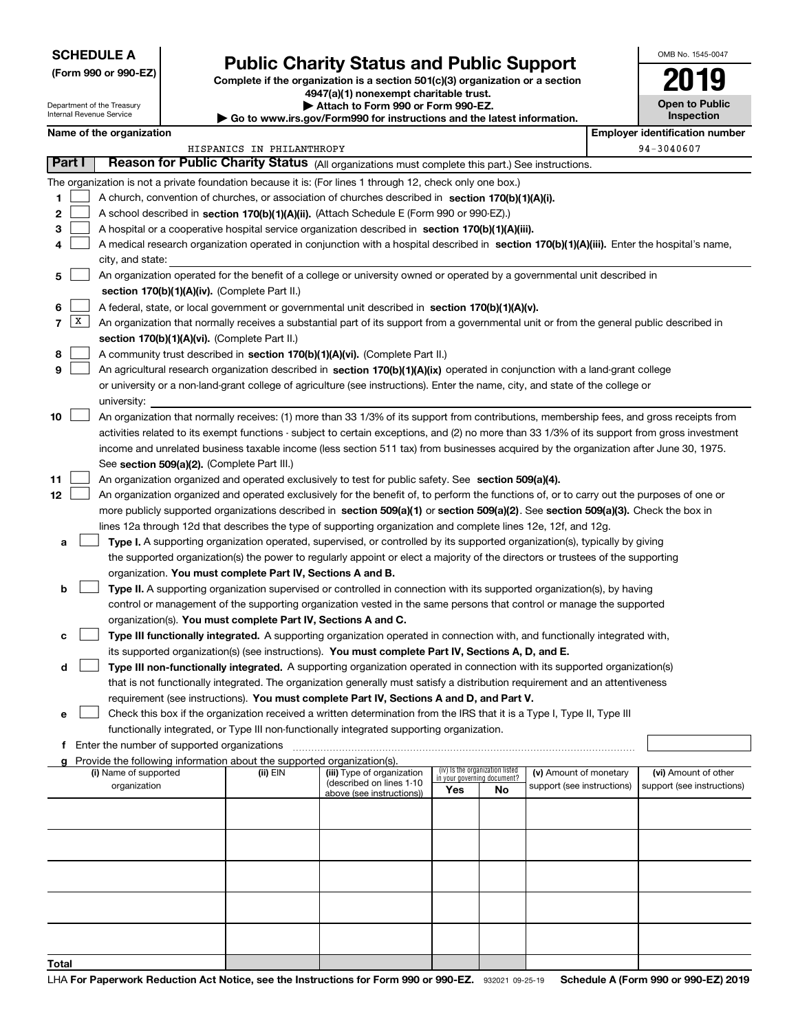## **SCHEDULE A**

Department of the Treasury Internal Revenue Service

**(Form 990 or 990-EZ)**

# **Public Charity Status and Public Support**

**Complete if the organization is a section 501(c)(3) organization or a section 4947(a)(1) nonexempt charitable trust. | Attach to Form 990 or Form 990-EZ.** 

| ▶ Go to www.irs.gov/Form990 for instructions and the latest information. |
|--------------------------------------------------------------------------|

| OMB No. 1545-0047     |
|-----------------------|
| 2019                  |
| <b>Open to Public</b> |

**Inspection**

|       |                 | Name of the organization                                                                                                                      |                           |                                                       |                             |                                 |                            | <b>Employer identification number</b> |
|-------|-----------------|-----------------------------------------------------------------------------------------------------------------------------------------------|---------------------------|-------------------------------------------------------|-----------------------------|---------------------------------|----------------------------|---------------------------------------|
|       |                 |                                                                                                                                               | HISPANICS IN PHILANTHROPY |                                                       |                             |                                 |                            | 94-3040607                            |
|       | Part I          | Reason for Public Charity Status (All organizations must complete this part.) See instructions.                                               |                           |                                                       |                             |                                 |                            |                                       |
|       |                 | The organization is not a private foundation because it is: (For lines 1 through 12, check only one box.)                                     |                           |                                                       |                             |                                 |                            |                                       |
| 1     |                 | A church, convention of churches, or association of churches described in section 170(b)(1)(A)(i).                                            |                           |                                                       |                             |                                 |                            |                                       |
| 2     |                 | A school described in section 170(b)(1)(A)(ii). (Attach Schedule E (Form 990 or 990-EZ).)                                                     |                           |                                                       |                             |                                 |                            |                                       |
| 3     |                 | A hospital or a cooperative hospital service organization described in section 170(b)(1)(A)(iii).                                             |                           |                                                       |                             |                                 |                            |                                       |
| 4     |                 | A medical research organization operated in conjunction with a hospital described in section 170(b)(1)(A)(iii). Enter the hospital's name,    |                           |                                                       |                             |                                 |                            |                                       |
|       |                 | city, and state:                                                                                                                              |                           |                                                       |                             |                                 |                            |                                       |
| 5     |                 | An organization operated for the benefit of a college or university owned or operated by a governmental unit described in                     |                           |                                                       |                             |                                 |                            |                                       |
|       |                 | section 170(b)(1)(A)(iv). (Complete Part II.)                                                                                                 |                           |                                                       |                             |                                 |                            |                                       |
| 6     |                 | A federal, state, or local government or governmental unit described in section 170(b)(1)(A)(v).                                              |                           |                                                       |                             |                                 |                            |                                       |
| 7     | $\vert X \vert$ | An organization that normally receives a substantial part of its support from a governmental unit or from the general public described in     |                           |                                                       |                             |                                 |                            |                                       |
|       |                 | section 170(b)(1)(A)(vi). (Complete Part II.)                                                                                                 |                           |                                                       |                             |                                 |                            |                                       |
| 8     |                 | A community trust described in section 170(b)(1)(A)(vi). (Complete Part II.)                                                                  |                           |                                                       |                             |                                 |                            |                                       |
| 9     |                 | An agricultural research organization described in section 170(b)(1)(A)(ix) operated in conjunction with a land-grant college                 |                           |                                                       |                             |                                 |                            |                                       |
|       |                 | or university or a non-land-grant college of agriculture (see instructions). Enter the name, city, and state of the college or                |                           |                                                       |                             |                                 |                            |                                       |
|       |                 | university:                                                                                                                                   |                           |                                                       |                             |                                 |                            |                                       |
| 10    |                 | An organization that normally receives: (1) more than 33 1/3% of its support from contributions, membership fees, and gross receipts from     |                           |                                                       |                             |                                 |                            |                                       |
|       |                 | activities related to its exempt functions - subject to certain exceptions, and (2) no more than 33 1/3% of its support from gross investment |                           |                                                       |                             |                                 |                            |                                       |
|       |                 | income and unrelated business taxable income (less section 511 tax) from businesses acquired by the organization after June 30, 1975.         |                           |                                                       |                             |                                 |                            |                                       |
|       |                 | See section 509(a)(2). (Complete Part III.)                                                                                                   |                           |                                                       |                             |                                 |                            |                                       |
| 11    |                 | An organization organized and operated exclusively to test for public safety. See section 509(a)(4).                                          |                           |                                                       |                             |                                 |                            |                                       |
| 12    |                 | An organization organized and operated exclusively for the benefit of, to perform the functions of, or to carry out the purposes of one or    |                           |                                                       |                             |                                 |                            |                                       |
|       |                 | more publicly supported organizations described in section 509(a)(1) or section 509(a)(2). See section 509(a)(3). Check the box in            |                           |                                                       |                             |                                 |                            |                                       |
|       |                 | lines 12a through 12d that describes the type of supporting organization and complete lines 12e, 12f, and 12g.                                |                           |                                                       |                             |                                 |                            |                                       |
| а     |                 | Type I. A supporting organization operated, supervised, or controlled by its supported organization(s), typically by giving                   |                           |                                                       |                             |                                 |                            |                                       |
|       |                 | the supported organization(s) the power to regularly appoint or elect a majority of the directors or trustees of the supporting               |                           |                                                       |                             |                                 |                            |                                       |
|       |                 | organization. You must complete Part IV, Sections A and B.                                                                                    |                           |                                                       |                             |                                 |                            |                                       |
| b     |                 | Type II. A supporting organization supervised or controlled in connection with its supported organization(s), by having                       |                           |                                                       |                             |                                 |                            |                                       |
|       |                 | control or management of the supporting organization vested in the same persons that control or manage the supported                          |                           |                                                       |                             |                                 |                            |                                       |
|       |                 | organization(s). You must complete Part IV, Sections A and C.                                                                                 |                           |                                                       |                             |                                 |                            |                                       |
| с     |                 | Type III functionally integrated. A supporting organization operated in connection with, and functionally integrated with,                    |                           |                                                       |                             |                                 |                            |                                       |
|       |                 | its supported organization(s) (see instructions). You must complete Part IV, Sections A, D, and E.                                            |                           |                                                       |                             |                                 |                            |                                       |
| d     |                 | Type III non-functionally integrated. A supporting organization operated in connection with its supported organization(s)                     |                           |                                                       |                             |                                 |                            |                                       |
|       |                 | that is not functionally integrated. The organization generally must satisfy a distribution requirement and an attentiveness                  |                           |                                                       |                             |                                 |                            |                                       |
|       |                 | requirement (see instructions). You must complete Part IV, Sections A and D, and Part V.                                                      |                           |                                                       |                             |                                 |                            |                                       |
|       |                 | Check this box if the organization received a written determination from the IRS that it is a Type I, Type II, Type III                       |                           |                                                       |                             |                                 |                            |                                       |
|       |                 | functionally integrated, or Type III non-functionally integrated supporting organization.                                                     |                           |                                                       |                             |                                 |                            |                                       |
|       |                 | f Enter the number of supported organizations                                                                                                 |                           |                                                       |                             |                                 |                            |                                       |
|       |                 | g Provide the following information about the supported organization(s).                                                                      |                           |                                                       |                             |                                 |                            |                                       |
|       |                 | (i) Name of supported                                                                                                                         | $(ii)$ $EIN$              | (iii) Type of organization                            | in your governing document? | (iv) Is the organization listed | (v) Amount of monetary     | (vi) Amount of other                  |
|       |                 | organization                                                                                                                                  |                           | (described on lines 1-10<br>above (see instructions)) | Yes                         | No                              | support (see instructions) | support (see instructions)            |
|       |                 |                                                                                                                                               |                           |                                                       |                             |                                 |                            |                                       |
|       |                 |                                                                                                                                               |                           |                                                       |                             |                                 |                            |                                       |
|       |                 |                                                                                                                                               |                           |                                                       |                             |                                 |                            |                                       |
|       |                 |                                                                                                                                               |                           |                                                       |                             |                                 |                            |                                       |
|       |                 |                                                                                                                                               |                           |                                                       |                             |                                 |                            |                                       |
|       |                 |                                                                                                                                               |                           |                                                       |                             |                                 |                            |                                       |
|       |                 |                                                                                                                                               |                           |                                                       |                             |                                 |                            |                                       |
|       |                 |                                                                                                                                               |                           |                                                       |                             |                                 |                            |                                       |
|       |                 |                                                                                                                                               |                           |                                                       |                             |                                 |                            |                                       |
|       |                 |                                                                                                                                               |                           |                                                       |                             |                                 |                            |                                       |
| Total |                 |                                                                                                                                               |                           |                                                       |                             |                                 |                            |                                       |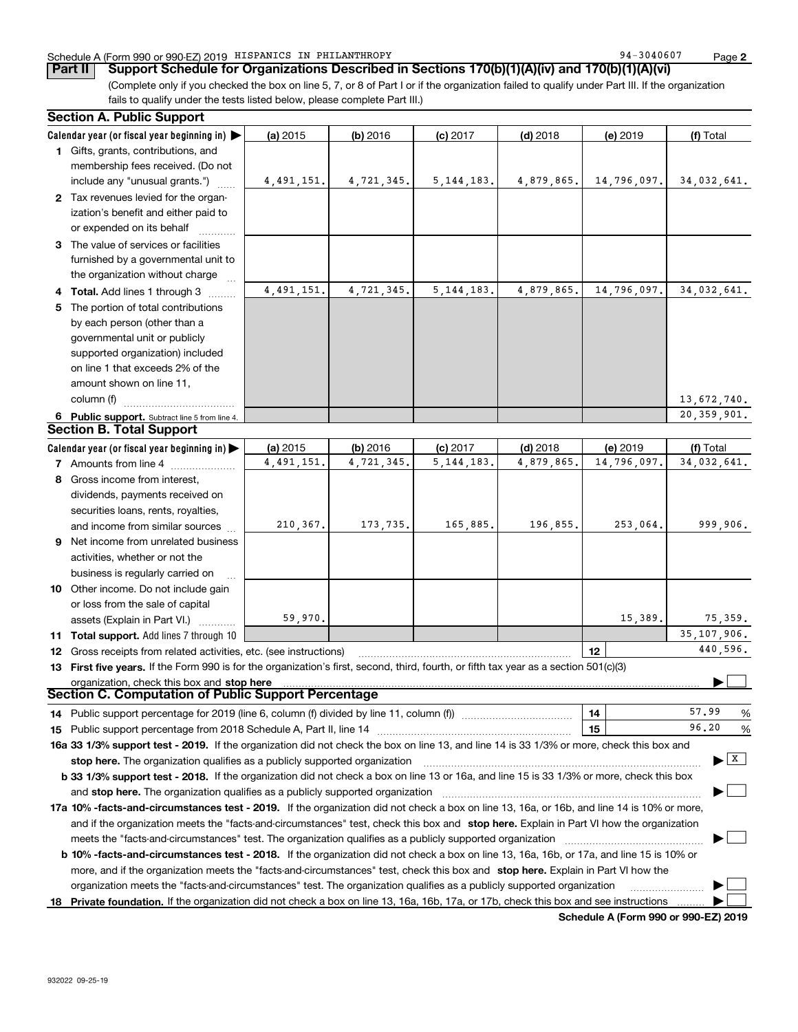## Schedule A (Form 990 or 990-EZ) 2019 Page HISPANICS IN PHILANTHROPY 94-3040607

**Part II** | Support Schedule for Organizations Described in Sections 170(b)(1)(A)(iv) and 170(b)(1)(A)(vi)

(Complete only if you checked the box on line 5, 7, or 8 of Part I or if the organization failed to qualify under Part III. If the organization fails to qualify under the tests listed below, please complete Part III.)

|   | <b>Section A. Public Support</b>                                                                                                                                                                                              |            |            |              |            |                  |                                               |
|---|-------------------------------------------------------------------------------------------------------------------------------------------------------------------------------------------------------------------------------|------------|------------|--------------|------------|------------------|-----------------------------------------------|
|   | Calendar year (or fiscal year beginning in) $\blacktriangleright$                                                                                                                                                             | (a) 2015   | (b) 2016   | $(c)$ 2017   | $(d)$ 2018 | (e) 2019         | (f) Total                                     |
|   | 1 Gifts, grants, contributions, and<br>membership fees received. (Do not                                                                                                                                                      |            |            |              |            |                  |                                               |
|   | include any "unusual grants.")                                                                                                                                                                                                | 4,491,151. | 4,721,345. | 5, 144, 183. | 4,879,865. | 14,796,097.      | 34,032,641.                                   |
|   | 2 Tax revenues levied for the organ-<br>ization's benefit and either paid to<br>or expended on its behalf                                                                                                                     |            |            |              |            |                  |                                               |
|   | 3 The value of services or facilities<br>furnished by a governmental unit to<br>the organization without charge                                                                                                               |            |            |              |            |                  |                                               |
|   | Total. Add lines 1 through 3                                                                                                                                                                                                  | 4,491,151. | 4.721.345. | 5, 144, 183. | 4,879,865. | 14,796,097.      | 34,032,641.                                   |
| 5 | The portion of total contributions                                                                                                                                                                                            |            |            |              |            |                  |                                               |
|   | by each person (other than a                                                                                                                                                                                                  |            |            |              |            |                  |                                               |
|   | governmental unit or publicly                                                                                                                                                                                                 |            |            |              |            |                  |                                               |
|   | supported organization) included                                                                                                                                                                                              |            |            |              |            |                  |                                               |
|   | on line 1 that exceeds 2% of the                                                                                                                                                                                              |            |            |              |            |                  |                                               |
|   | amount shown on line 11,                                                                                                                                                                                                      |            |            |              |            |                  |                                               |
|   | column (f)                                                                                                                                                                                                                    |            |            |              |            |                  | 13,672,740.                                   |
|   | 6 Public support. Subtract line 5 from line 4.                                                                                                                                                                                |            |            |              |            |                  | 20, 359, 901.                                 |
|   | <b>Section B. Total Support</b>                                                                                                                                                                                               |            |            |              |            |                  |                                               |
|   | Calendar year (or fiscal year beginning in)                                                                                                                                                                                   | (a) 2015   | (b) 2016   | $(c)$ 2017   | $(d)$ 2018 | (e) 2019         | (f) Total                                     |
|   | 7 Amounts from line 4                                                                                                                                                                                                         | 4,491,151. | 4,721,345. | 5, 144, 183. | 4,879,865. | 14,796,097.      | 34,032,641.                                   |
|   | 8 Gross income from interest,                                                                                                                                                                                                 |            |            |              |            |                  |                                               |
|   | dividends, payments received on                                                                                                                                                                                               |            |            |              |            |                  |                                               |
|   | securities loans, rents, royalties,                                                                                                                                                                                           |            |            |              |            |                  |                                               |
|   | and income from similar sources                                                                                                                                                                                               | 210, 367.  | 173,735.   | 165,885.     | 196,855.   | 253,064.         | 999,906.                                      |
| 9 | Net income from unrelated business                                                                                                                                                                                            |            |            |              |            |                  |                                               |
|   | activities, whether or not the                                                                                                                                                                                                |            |            |              |            |                  |                                               |
|   | business is regularly carried on                                                                                                                                                                                              |            |            |              |            |                  |                                               |
|   | 10 Other income. Do not include gain                                                                                                                                                                                          |            |            |              |            |                  |                                               |
|   | or loss from the sale of capital                                                                                                                                                                                              |            |            |              |            |                  |                                               |
|   | assets (Explain in Part VI.)                                                                                                                                                                                                  | 59,970.    |            |              |            | 15,389.          | 75,359.<br>35, 107, 906.                      |
|   | 11 Total support. Add lines 7 through 10                                                                                                                                                                                      |            |            |              |            |                  | 440,596.                                      |
|   | 12 Gross receipts from related activities, etc. (see instructions)                                                                                                                                                            |            |            |              |            | 12 <sup>12</sup> |                                               |
|   | 13 First five years. If the Form 990 is for the organization's first, second, third, fourth, or fifth tax year as a section 501(c)(3)<br>organization, check this box and stop here                                           |            |            |              |            |                  |                                               |
|   | Section C. Computation of Public Support Percentage                                                                                                                                                                           |            |            |              |            |                  |                                               |
|   |                                                                                                                                                                                                                               |            |            |              |            | 14               | 57.99<br>%                                    |
|   |                                                                                                                                                                                                                               |            |            |              |            | 15               | 96.20<br>%                                    |
|   | 16a 33 1/3% support test - 2019. If the organization did not check the box on line 13, and line 14 is 33 1/3% or more, check this box and                                                                                     |            |            |              |            |                  |                                               |
|   | stop here. The organization qualifies as a publicly supported organization manufaction manufacture or the organization manufacture or the organization manufacture or the organization of the state of the state of the state |            |            |              |            |                  | $\blacktriangleright$ $\overline{\mathbf{x}}$ |
|   | b 33 1/3% support test - 2018. If the organization did not check a box on line 13 or 16a, and line 15 is 33 1/3% or more, check this box                                                                                      |            |            |              |            |                  |                                               |
|   | and stop here. The organization qualifies as a publicly supported organization                                                                                                                                                |            |            |              |            |                  |                                               |
|   | 17a 10% -facts-and-circumstances test - 2019. If the organization did not check a box on line 13, 16a, or 16b, and line 14 is 10% or more,                                                                                    |            |            |              |            |                  |                                               |
|   | and if the organization meets the "facts-and-circumstances" test, check this box and stop here. Explain in Part VI how the organization                                                                                       |            |            |              |            |                  |                                               |
|   | meets the "facts-and-circumstances" test. The organization qualifies as a publicly supported organization <i>managrammanamention</i>                                                                                          |            |            |              |            |                  |                                               |
|   | <b>b 10% -facts-and-circumstances test - 2018.</b> If the organization did not check a box on line 13, 16a, 16b, or 17a, and line 15 is 10% or                                                                                |            |            |              |            |                  |                                               |
|   | more, and if the organization meets the "facts-and-circumstances" test, check this box and stop here. Explain in Part VI how the                                                                                              |            |            |              |            |                  |                                               |
|   | organization meets the "facts-and-circumstances" test. The organization qualifies as a publicly supported organization                                                                                                        |            |            |              |            |                  |                                               |
|   | 18 Private foundation. If the organization did not check a box on line 13, 16a, 16b, 17a, or 17b, check this box and see instructions                                                                                         |            |            |              |            |                  |                                               |

**Schedule A (Form 990 or 990-EZ) 2019**

**2**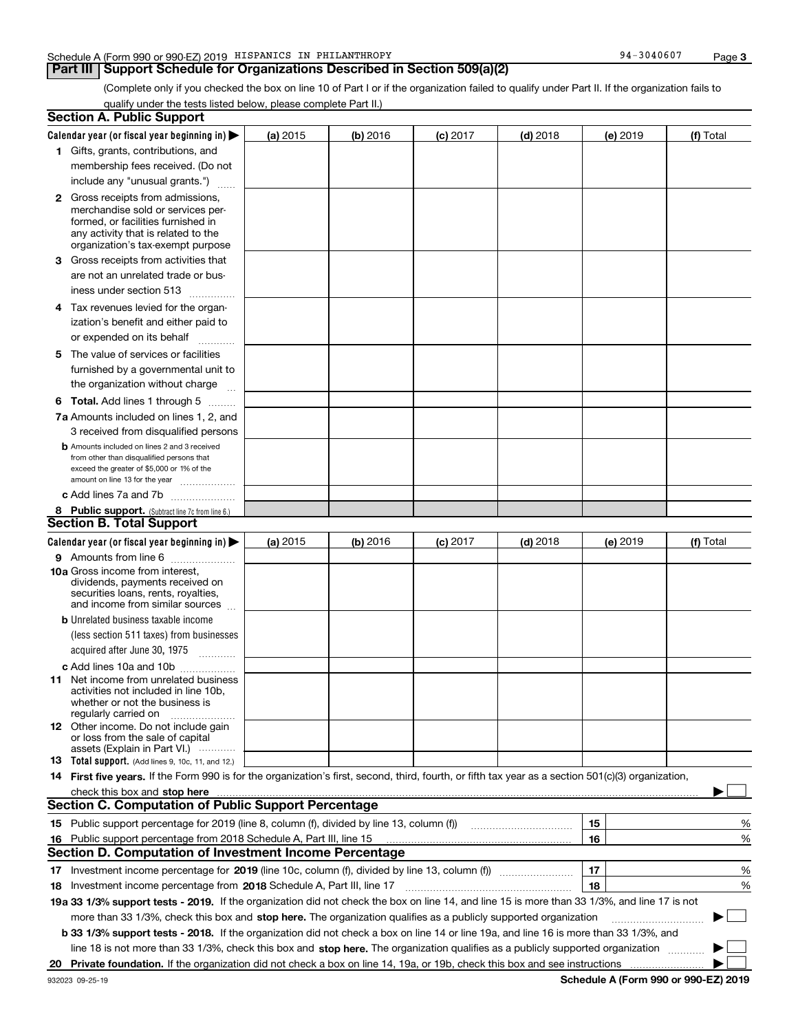## **Part III Support Schedule for Organizations Described in Section 509(a)(2)**

(Complete only if you checked the box on line 10 of Part I or if the organization failed to qualify under Part II. If the organization fails to qualify under the tests listed below, please complete Part II.)

|    | <b>Section A. Public Support</b>                                                                                                                                                                                               |          |          |                 |            |          |           |
|----|--------------------------------------------------------------------------------------------------------------------------------------------------------------------------------------------------------------------------------|----------|----------|-----------------|------------|----------|-----------|
|    | Calendar year (or fiscal year beginning in) $\blacktriangleright$                                                                                                                                                              | (a) 2015 | (b) 2016 | <b>(c)</b> 2017 | $(d)$ 2018 | (e) 2019 | (f) Total |
|    | 1 Gifts, grants, contributions, and                                                                                                                                                                                            |          |          |                 |            |          |           |
|    | membership fees received. (Do not                                                                                                                                                                                              |          |          |                 |            |          |           |
|    | include any "unusual grants.")                                                                                                                                                                                                 |          |          |                 |            |          |           |
|    | <b>2</b> Gross receipts from admissions,                                                                                                                                                                                       |          |          |                 |            |          |           |
|    | merchandise sold or services per-                                                                                                                                                                                              |          |          |                 |            |          |           |
|    | formed, or facilities furnished in                                                                                                                                                                                             |          |          |                 |            |          |           |
|    | any activity that is related to the<br>organization's tax-exempt purpose                                                                                                                                                       |          |          |                 |            |          |           |
|    | 3 Gross receipts from activities that                                                                                                                                                                                          |          |          |                 |            |          |           |
|    | are not an unrelated trade or bus-                                                                                                                                                                                             |          |          |                 |            |          |           |
|    | iness under section 513                                                                                                                                                                                                        |          |          |                 |            |          |           |
|    |                                                                                                                                                                                                                                |          |          |                 |            |          |           |
|    | 4 Tax revenues levied for the organ-                                                                                                                                                                                           |          |          |                 |            |          |           |
|    | ization's benefit and either paid to                                                                                                                                                                                           |          |          |                 |            |          |           |
|    | or expended on its behalf<br>.                                                                                                                                                                                                 |          |          |                 |            |          |           |
|    | 5 The value of services or facilities                                                                                                                                                                                          |          |          |                 |            |          |           |
|    | furnished by a governmental unit to                                                                                                                                                                                            |          |          |                 |            |          |           |
|    | the organization without charge                                                                                                                                                                                                |          |          |                 |            |          |           |
|    | <b>6 Total.</b> Add lines 1 through 5                                                                                                                                                                                          |          |          |                 |            |          |           |
|    | 7a Amounts included on lines 1, 2, and                                                                                                                                                                                         |          |          |                 |            |          |           |
|    | 3 received from disqualified persons                                                                                                                                                                                           |          |          |                 |            |          |           |
|    | <b>b</b> Amounts included on lines 2 and 3 received                                                                                                                                                                            |          |          |                 |            |          |           |
|    | from other than disqualified persons that<br>exceed the greater of \$5,000 or 1% of the                                                                                                                                        |          |          |                 |            |          |           |
|    | amount on line 13 for the year                                                                                                                                                                                                 |          |          |                 |            |          |           |
|    | c Add lines 7a and 7b                                                                                                                                                                                                          |          |          |                 |            |          |           |
|    | 8 Public support. (Subtract line 7c from line 6.)                                                                                                                                                                              |          |          |                 |            |          |           |
|    | <b>Section B. Total Support</b>                                                                                                                                                                                                |          |          |                 |            |          |           |
|    | Calendar year (or fiscal year beginning in)                                                                                                                                                                                    | (a) 2015 | (b) 2016 | $(c)$ 2017      | $(d)$ 2018 | (e) 2019 | (f) Total |
|    | 9 Amounts from line 6                                                                                                                                                                                                          |          |          |                 |            |          |           |
|    | 10a Gross income from interest,                                                                                                                                                                                                |          |          |                 |            |          |           |
|    | dividends, payments received on                                                                                                                                                                                                |          |          |                 |            |          |           |
|    | securities loans, rents, royalties,<br>and income from similar sources                                                                                                                                                         |          |          |                 |            |          |           |
|    | <b>b</b> Unrelated business taxable income                                                                                                                                                                                     |          |          |                 |            |          |           |
|    | (less section 511 taxes) from businesses                                                                                                                                                                                       |          |          |                 |            |          |           |
|    | acquired after June 30, 1975                                                                                                                                                                                                   |          |          |                 |            |          |           |
|    | c Add lines 10a and 10b                                                                                                                                                                                                        |          |          |                 |            |          |           |
|    | 11 Net income from unrelated business                                                                                                                                                                                          |          |          |                 |            |          |           |
|    | activities not included in line 10b,                                                                                                                                                                                           |          |          |                 |            |          |           |
|    | whether or not the business is                                                                                                                                                                                                 |          |          |                 |            |          |           |
|    | regularly carried on<br><b>12</b> Other income. Do not include gain                                                                                                                                                            |          |          |                 |            |          |           |
|    | or loss from the sale of capital                                                                                                                                                                                               |          |          |                 |            |          |           |
|    | assets (Explain in Part VI.)                                                                                                                                                                                                   |          |          |                 |            |          |           |
|    | <b>13</b> Total support. (Add lines 9, 10c, 11, and 12.)                                                                                                                                                                       |          |          |                 |            |          |           |
|    | 14 First five years. If the Form 990 is for the organization's first, second, third, fourth, or fifth tax year as a section 501(c)(3) organization,                                                                            |          |          |                 |            |          |           |
|    | check this box and stop here measurements are all the state of the state of the state of the state of the state of the state of the state of the state of the state of the state of the state of the state of the state of the |          |          |                 |            |          |           |
|    | <b>Section C. Computation of Public Support Percentage</b>                                                                                                                                                                     |          |          |                 |            |          |           |
|    | 15 Public support percentage for 2019 (line 8, column (f), divided by line 13, column (f))                                                                                                                                     |          |          |                 |            | 15       | %         |
|    | 16 Public support percentage from 2018 Schedule A, Part III, line 15                                                                                                                                                           |          |          |                 |            | 16       | %         |
|    | <b>Section D. Computation of Investment Income Percentage</b>                                                                                                                                                                  |          |          |                 |            |          |           |
|    | 17 Investment income percentage for 2019 (line 10c, column (f), divided by line 13, column (f))                                                                                                                                |          |          |                 |            | 17       | %         |
|    | 18 Investment income percentage from 2018 Schedule A, Part III, line 17                                                                                                                                                        |          |          |                 |            | 18       | %         |
|    | 19a 33 1/3% support tests - 2019. If the organization did not check the box on line 14, and line 15 is more than 33 1/3%, and line 17 is not                                                                                   |          |          |                 |            |          |           |
|    | more than 33 1/3%, check this box and stop here. The organization qualifies as a publicly supported organization                                                                                                               |          |          |                 |            |          | $\sim$    |
|    | <b>b 33 1/3% support tests - 2018.</b> If the organization did not check a box on line 14 or line 19a, and line 16 is more than 33 1/3%, and                                                                                   |          |          |                 |            |          |           |
|    | line 18 is not more than 33 1/3%, check this box and stop here. The organization qualifies as a publicly supported organization                                                                                                |          |          |                 |            |          |           |
| 20 |                                                                                                                                                                                                                                |          |          |                 |            |          |           |

**Schedule A (Form 990 or 990-EZ) 2019**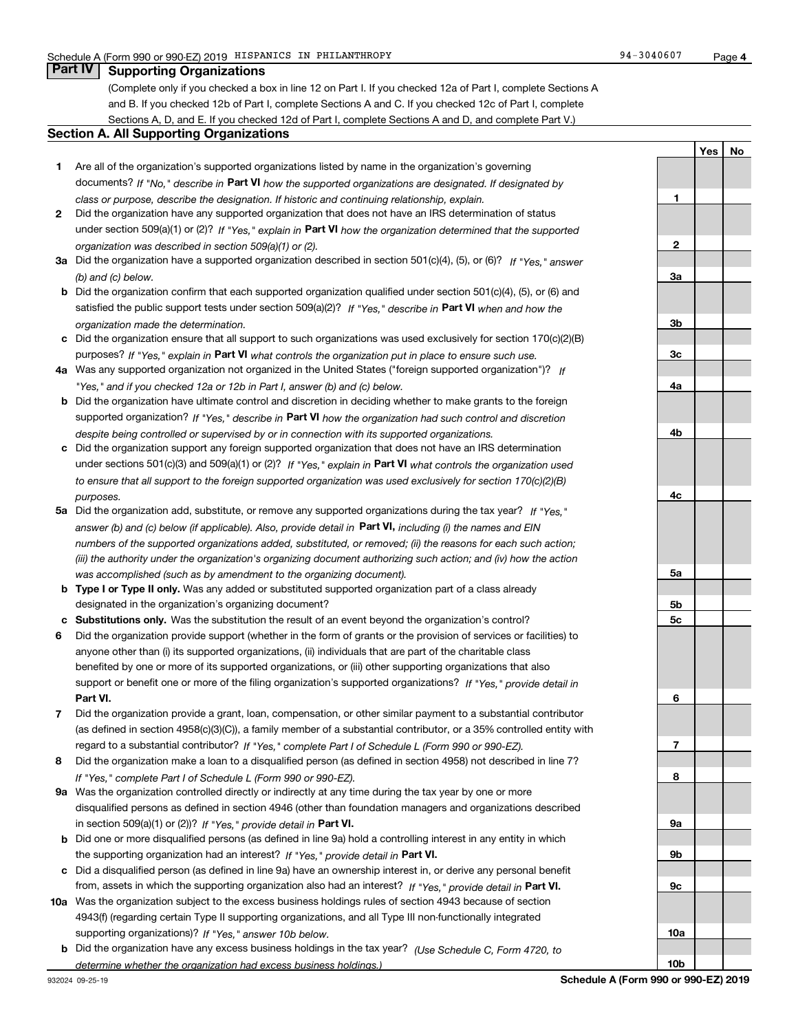**1**

**2**

**3a**

**3b**

**3c**

**4a**

**4b**

**4c**

**5a**

**5b5c**

**6**

**7**

**8**

**9a**

**9b**

**9c**

**10a**

**10b**

**YesNo**

## **Part IV Supporting Organizations**

(Complete only if you checked a box in line 12 on Part I. If you checked 12a of Part I, complete Sections A and B. If you checked 12b of Part I, complete Sections A and C. If you checked 12c of Part I, complete Sections A, D, and E. If you checked 12d of Part I, complete Sections A and D, and complete Part V.)

## **Section A. All Supporting Organizations**

- **1** Are all of the organization's supported organizations listed by name in the organization's governing documents? If "No," describe in **Part VI** how the supported organizations are designated. If designated by *class or purpose, describe the designation. If historic and continuing relationship, explain.*
- **2** Did the organization have any supported organization that does not have an IRS determination of status under section 509(a)(1) or (2)? If "Yes," explain in Part VI how the organization determined that the supported *organization was described in section 509(a)(1) or (2).*
- **3a** Did the organization have a supported organization described in section 501(c)(4), (5), or (6)? If "Yes," answer *(b) and (c) below.*
- **b** Did the organization confirm that each supported organization qualified under section 501(c)(4), (5), or (6) and satisfied the public support tests under section 509(a)(2)? If "Yes," describe in **Part VI** when and how the *organization made the determination.*
- **c**Did the organization ensure that all support to such organizations was used exclusively for section 170(c)(2)(B) purposes? If "Yes," explain in **Part VI** what controls the organization put in place to ensure such use.
- **4a***If* Was any supported organization not organized in the United States ("foreign supported organization")? *"Yes," and if you checked 12a or 12b in Part I, answer (b) and (c) below.*
- **b** Did the organization have ultimate control and discretion in deciding whether to make grants to the foreign supported organization? If "Yes," describe in **Part VI** how the organization had such control and discretion *despite being controlled or supervised by or in connection with its supported organizations.*
- **c** Did the organization support any foreign supported organization that does not have an IRS determination under sections 501(c)(3) and 509(a)(1) or (2)? If "Yes," explain in **Part VI** what controls the organization used *to ensure that all support to the foreign supported organization was used exclusively for section 170(c)(2)(B) purposes.*
- **5a***If "Yes,"* Did the organization add, substitute, or remove any supported organizations during the tax year? answer (b) and (c) below (if applicable). Also, provide detail in **Part VI,** including (i) the names and EIN *numbers of the supported organizations added, substituted, or removed; (ii) the reasons for each such action; (iii) the authority under the organization's organizing document authorizing such action; and (iv) how the action was accomplished (such as by amendment to the organizing document).*
- **b** Type I or Type II only. Was any added or substituted supported organization part of a class already designated in the organization's organizing document?
- **cSubstitutions only.**  Was the substitution the result of an event beyond the organization's control?
- **6** Did the organization provide support (whether in the form of grants or the provision of services or facilities) to **Part VI.** *If "Yes," provide detail in* support or benefit one or more of the filing organization's supported organizations? anyone other than (i) its supported organizations, (ii) individuals that are part of the charitable class benefited by one or more of its supported organizations, or (iii) other supporting organizations that also
- **7**Did the organization provide a grant, loan, compensation, or other similar payment to a substantial contributor *If "Yes," complete Part I of Schedule L (Form 990 or 990-EZ).* regard to a substantial contributor? (as defined in section 4958(c)(3)(C)), a family member of a substantial contributor, or a 35% controlled entity with
- **8** Did the organization make a loan to a disqualified person (as defined in section 4958) not described in line 7? *If "Yes," complete Part I of Schedule L (Form 990 or 990-EZ).*
- **9a** Was the organization controlled directly or indirectly at any time during the tax year by one or more in section 509(a)(1) or (2))? If "Yes," *provide detail in* <code>Part VI.</code> disqualified persons as defined in section 4946 (other than foundation managers and organizations described
- **b** Did one or more disqualified persons (as defined in line 9a) hold a controlling interest in any entity in which the supporting organization had an interest? If "Yes," provide detail in P**art VI**.
- **c**Did a disqualified person (as defined in line 9a) have an ownership interest in, or derive any personal benefit from, assets in which the supporting organization also had an interest? If "Yes," provide detail in P**art VI.**
- **10a** Was the organization subject to the excess business holdings rules of section 4943 because of section supporting organizations)? If "Yes," answer 10b below. 4943(f) (regarding certain Type II supporting organizations, and all Type III non-functionally integrated
- **b** Did the organization have any excess business holdings in the tax year? (Use Schedule C, Form 4720, to *determine whether the organization had excess business holdings.)*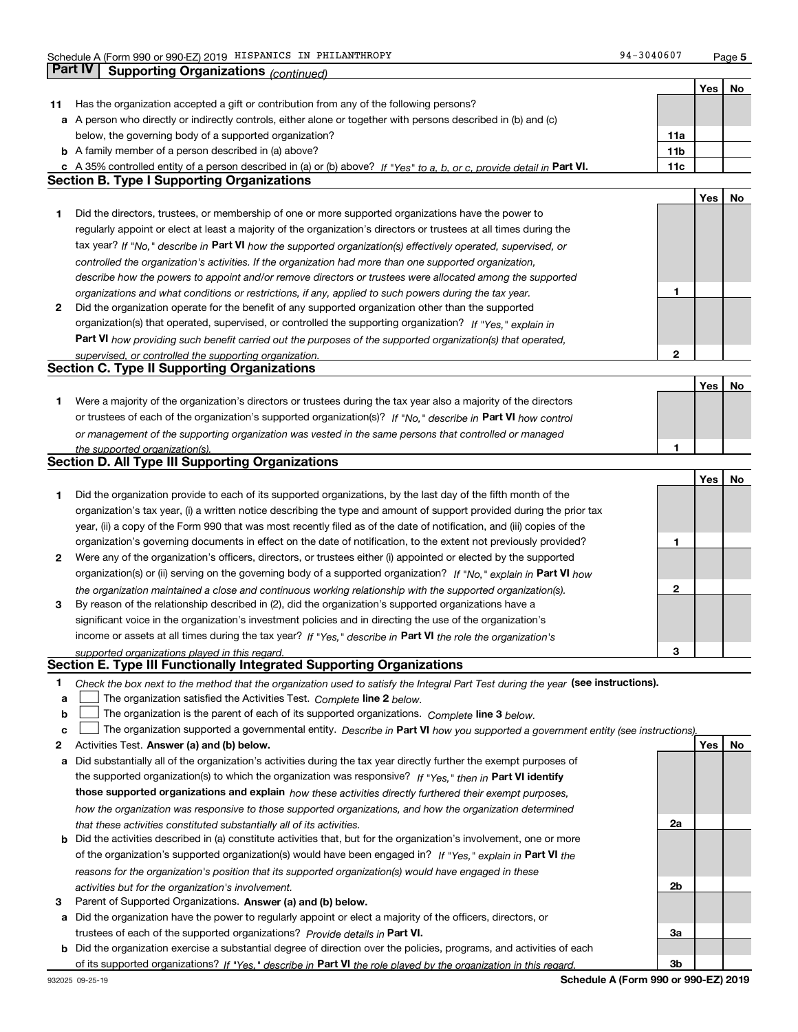**Part IV Supporting Organizations** *(continued)*

**5**

|    |                                                                                                                                                                                                                      |                   | Yes | No |
|----|----------------------------------------------------------------------------------------------------------------------------------------------------------------------------------------------------------------------|-------------------|-----|----|
| 11 | Has the organization accepted a gift or contribution from any of the following persons?                                                                                                                              |                   |     |    |
|    | a A person who directly or indirectly controls, either alone or together with persons described in (b) and (c)                                                                                                       |                   |     |    |
|    | below, the governing body of a supported organization?                                                                                                                                                               | 11a               |     |    |
|    | <b>b</b> A family member of a person described in (a) above?                                                                                                                                                         | 11 <sub>b</sub>   |     |    |
|    | c A 35% controlled entity of a person described in (a) or (b) above? If "Yes" to a, b, or c, provide detail in Part VI.                                                                                              | 11c               |     |    |
|    | <b>Section B. Type I Supporting Organizations</b>                                                                                                                                                                    |                   |     |    |
|    |                                                                                                                                                                                                                      |                   | Yes | No |
| 1  | Did the directors, trustees, or membership of one or more supported organizations have the power to                                                                                                                  |                   |     |    |
|    | regularly appoint or elect at least a majority of the organization's directors or trustees at all times during the                                                                                                   |                   |     |    |
|    | tax year? If "No," describe in Part VI how the supported organization(s) effectively operated, supervised, or                                                                                                        |                   |     |    |
|    | controlled the organization's activities. If the organization had more than one supported organization,                                                                                                              |                   |     |    |
|    | describe how the powers to appoint and/or remove directors or trustees were allocated among the supported                                                                                                            |                   |     |    |
|    | organizations and what conditions or restrictions, if any, applied to such powers during the tax year.                                                                                                               | 1                 |     |    |
| 2  | Did the organization operate for the benefit of any supported organization other than the supported                                                                                                                  |                   |     |    |
|    | organization(s) that operated, supervised, or controlled the supporting organization? If "Yes," explain in                                                                                                           |                   |     |    |
|    | Part VI how providing such benefit carried out the purposes of the supported organization(s) that operated,                                                                                                          |                   |     |    |
|    | supervised, or controlled the supporting organization.                                                                                                                                                               | 2                 |     |    |
|    | <b>Section C. Type II Supporting Organizations</b>                                                                                                                                                                   |                   |     |    |
|    |                                                                                                                                                                                                                      |                   | Yes | No |
| 1. | Were a majority of the organization's directors or trustees during the tax year also a majority of the directors                                                                                                     |                   |     |    |
|    | or trustees of each of the organization's supported organization(s)? If "No," describe in Part VI how control                                                                                                        |                   |     |    |
|    | or management of the supporting organization was vested in the same persons that controlled or managed                                                                                                               | 1                 |     |    |
|    | the supported organization(s).<br>Section D. All Type III Supporting Organizations                                                                                                                                   |                   |     |    |
|    |                                                                                                                                                                                                                      |                   | Yes | No |
| 1  | Did the organization provide to each of its supported organizations, by the last day of the fifth month of the                                                                                                       |                   |     |    |
|    | organization's tax year, (i) a written notice describing the type and amount of support provided during the prior tax                                                                                                |                   |     |    |
|    | year, (ii) a copy of the Form 990 that was most recently filed as of the date of notification, and (iii) copies of the                                                                                               |                   |     |    |
|    | organization's governing documents in effect on the date of notification, to the extent not previously provided?                                                                                                     | 1                 |     |    |
| 2  | Were any of the organization's officers, directors, or trustees either (i) appointed or elected by the supported                                                                                                     |                   |     |    |
|    | organization(s) or (ii) serving on the governing body of a supported organization? If "No," explain in Part VI how                                                                                                   |                   |     |    |
|    |                                                                                                                                                                                                                      | 2                 |     |    |
| 3  | the organization maintained a close and continuous working relationship with the supported organization(s).<br>By reason of the relationship described in (2), did the organization's supported organizations have a |                   |     |    |
|    | significant voice in the organization's investment policies and in directing the use of the organization's                                                                                                           |                   |     |    |
|    | income or assets at all times during the tax year? If "Yes," describe in Part VI the role the organization's                                                                                                         |                   |     |    |
|    | supported organizations played in this regard.                                                                                                                                                                       | 3                 |     |    |
|    | Section E. Type III Functionally Integrated Supporting Organizations                                                                                                                                                 |                   |     |    |
| 1  | Check the box next to the method that the organization used to satisfy the Integral Part Test during the year (see instructions).                                                                                    |                   |     |    |
| а  | The organization satisfied the Activities Test. Complete line 2 below.                                                                                                                                               |                   |     |    |
| b  | The organization is the parent of each of its supported organizations. Complete line 3 below.                                                                                                                        |                   |     |    |
| c  | The organization supported a governmental entity. Describe in Part VI how you supported a government entity (see instructions)                                                                                       |                   |     |    |
| 2  | Activities Test. Answer (a) and (b) below.                                                                                                                                                                           |                   | Yes | No |
| а  | Did substantially all of the organization's activities during the tax year directly further the exempt purposes of                                                                                                   |                   |     |    |
|    | the supported organization(s) to which the organization was responsive? If "Yes," then in Part VI identify                                                                                                           |                   |     |    |
|    | those supported organizations and explain how these activities directly furthered their exempt purposes,                                                                                                             |                   |     |    |
|    | how the organization was responsive to those supported organizations, and how the organization determined                                                                                                            |                   |     |    |
|    | that these activities constituted substantially all of its activities.                                                                                                                                               | 2a                |     |    |
|    | <b>b</b> Did the activities described in (a) constitute activities that, but for the organization's involvement, one or more                                                                                         |                   |     |    |
|    | of the organization's supported organization(s) would have been engaged in? If "Yes," explain in Part VI the                                                                                                         |                   |     |    |
|    | reasons for the organization's position that its supported organization(s) would have engaged in these                                                                                                               |                   |     |    |
|    | activities but for the organization's involvement.                                                                                                                                                                   | 2b                |     |    |
| 3  | Parent of Supported Organizations. Answer (a) and (b) below.                                                                                                                                                         |                   |     |    |
| а  | Did the organization have the power to regularly appoint or elect a majority of the officers, directors, or                                                                                                          |                   |     |    |
|    | trustees of each of the supported organizations? Provide details in Part VI.                                                                                                                                         | За                |     |    |
|    | <b>b</b> Did the organization exercise a substantial degree of direction over the policies, programs, and activities of each                                                                                         |                   |     |    |
|    | of its supported organizations? If "Yes," describe in Part VI the role played by the organization in this regard.                                                                                                    | 3b                |     |    |
|    |                                                                                                                                                                                                                      | $000 \approx 000$ |     |    |

**Schedule A (Form 990 or 990-EZ) 2019**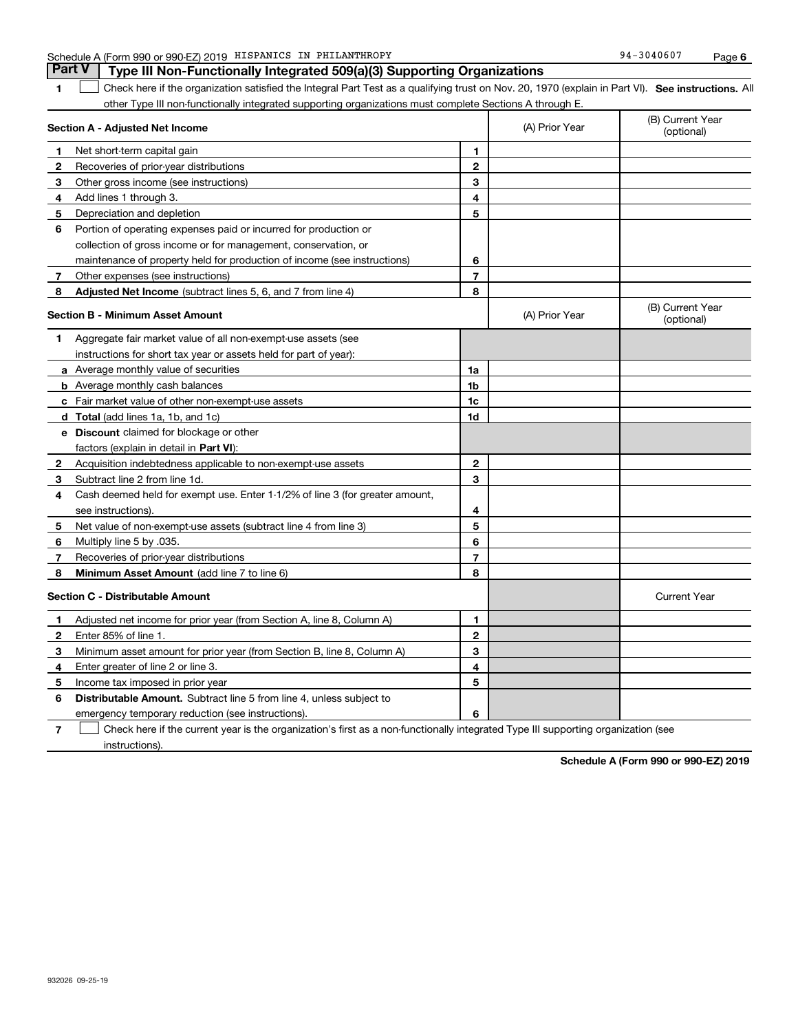|   | Schedule A (Form 990 or 990-EZ) 2019 HISPANICS IN PHILANTHROPY                                                                                    |                |                | 94-3040607                     | Page 6 |
|---|---------------------------------------------------------------------------------------------------------------------------------------------------|----------------|----------------|--------------------------------|--------|
|   | <b>Part V</b><br>Type III Non-Functionally Integrated 509(a)(3) Supporting Organizations                                                          |                |                |                                |        |
| 1 | Check here if the organization satisfied the Integral Part Test as a qualifying trust on Nov. 20, 1970 (explain in Part VI). See instructions. Al |                |                |                                |        |
|   | other Type III non-functionally integrated supporting organizations must complete Sections A through E.                                           |                |                |                                |        |
|   | <b>Section A - Adjusted Net Income</b>                                                                                                            |                | (A) Prior Year | (B) Current Year<br>(optional) |        |
| 1 | Net short-term capital gain                                                                                                                       | 1              |                |                                |        |
| 2 | Recoveries of prior-year distributions                                                                                                            | $\overline{2}$ |                |                                |        |
| 3 | Other gross income (see instructions)                                                                                                             | 3              |                |                                |        |
| 4 | Add lines 1 through 3.                                                                                                                            | 4              |                |                                |        |
| 5 | Depreciation and depletion                                                                                                                        | 5              |                |                                |        |
| 6 | Portion of operating expenses paid or incurred for production or                                                                                  |                |                |                                |        |
|   | collection of gross income or for management, conservation, or                                                                                    |                |                |                                |        |
|   | maintenance of property held for production of income (see instructions)                                                                          | 6              |                |                                |        |
| 7 | Other expenses (see instructions)                                                                                                                 | 7              |                |                                |        |
| 8 | Adjusted Net Income (subtract lines 5, 6, and 7 from line 4)                                                                                      | 8              |                |                                |        |
|   | <b>Section B - Minimum Asset Amount</b>                                                                                                           |                | (A) Prior Year | (B) Current Year<br>(optional) |        |
| 1 | Aggregate fair market value of all non-exempt-use assets (see                                                                                     |                |                |                                |        |
|   | instructions for short tax year or assets held for part of year):                                                                                 |                |                |                                |        |
|   | a Average monthly value of securities                                                                                                             | 1a             |                |                                |        |
|   | <b>b</b> Average monthly cash balances                                                                                                            | 1 <sub>b</sub> |                |                                |        |
| c | Fair market value of other non-exempt-use assets                                                                                                  | 1c             |                |                                |        |
|   | d Total (add lines 1a, 1b, and 1c)                                                                                                                | 1d             |                |                                |        |
|   | e Discount claimed for blockage or other                                                                                                          |                |                |                                |        |
|   | factors (explain in detail in Part VI):                                                                                                           |                |                |                                |        |

|                | collection of gross income or for management, conservation, or                                                                    |                |                |                                |
|----------------|-----------------------------------------------------------------------------------------------------------------------------------|----------------|----------------|--------------------------------|
|                | maintenance of property held for production of income (see instructions)                                                          | 6              |                |                                |
| 7              | Other expenses (see instructions)                                                                                                 | 7              |                |                                |
| 8              | Adjusted Net Income (subtract lines 5, 6, and 7 from line 4)                                                                      | 8              |                |                                |
|                | Section B - Minimum Asset Amount                                                                                                  |                | (A) Prior Year | (B) Current Year<br>(optional) |
|                | Aggregate fair market value of all non-exempt-use assets (see                                                                     |                |                |                                |
|                | instructions for short tax year or assets held for part of year):                                                                 |                |                |                                |
|                | a Average monthly value of securities                                                                                             | 1a             |                |                                |
|                | <b>b</b> Average monthly cash balances                                                                                            | 1 <sub>b</sub> |                |                                |
|                | c Fair market value of other non-exempt-use assets                                                                                | 1c             |                |                                |
|                | d Total (add lines 1a, 1b, and 1c)                                                                                                | 1d             |                |                                |
|                | e Discount claimed for blockage or other                                                                                          |                |                |                                |
|                | factors (explain in detail in Part VI):                                                                                           |                |                |                                |
| $\mathbf{2}$   | Acquisition indebtedness applicable to non-exempt-use assets                                                                      | $\mathbf{2}$   |                |                                |
| 3.             | Subtract line 2 from line 1d.                                                                                                     | 3              |                |                                |
| 4              | Cash deemed held for exempt use. Enter 1-1/2% of line 3 (for greater amount,                                                      |                |                |                                |
|                | see instructions).                                                                                                                | 4              |                |                                |
| 5              | Net value of non-exempt-use assets (subtract line 4 from line 3)                                                                  | 5              |                |                                |
| 6              | Multiply line 5 by .035.                                                                                                          | 6              |                |                                |
| 7              | Recoveries of prior-year distributions                                                                                            | 7              |                |                                |
| 8              | Minimum Asset Amount (add line 7 to line 6)                                                                                       | 8              |                |                                |
|                | Section C - Distributable Amount                                                                                                  |                |                | <b>Current Year</b>            |
| 1.             | Adjusted net income for prior year (from Section A, line 8, Column A)                                                             | 1.             |                |                                |
| $\mathbf{2}$   | Enter 85% of line 1.                                                                                                              | $\mathbf{2}$   |                |                                |
| 3              | Minimum asset amount for prior year (from Section B, line 8, Column A)                                                            | 3              |                |                                |
| 4              | Enter greater of line 2 or line 3.                                                                                                | 4              |                |                                |
| 5              | Income tax imposed in prior year                                                                                                  | 5              |                |                                |
| 6              | <b>Distributable Amount.</b> Subtract line 5 from line 4, unless subject to                                                       |                |                |                                |
|                | emergency temporary reduction (see instructions)                                                                                  | 6              |                |                                |
| $\overline{7}$ | Check here if the current year is the organization's first as a non-functionally integrated Type III supporting organization (see |                |                |                                |

instructions).

**Schedule A (Form 990 or 990-EZ) 2019**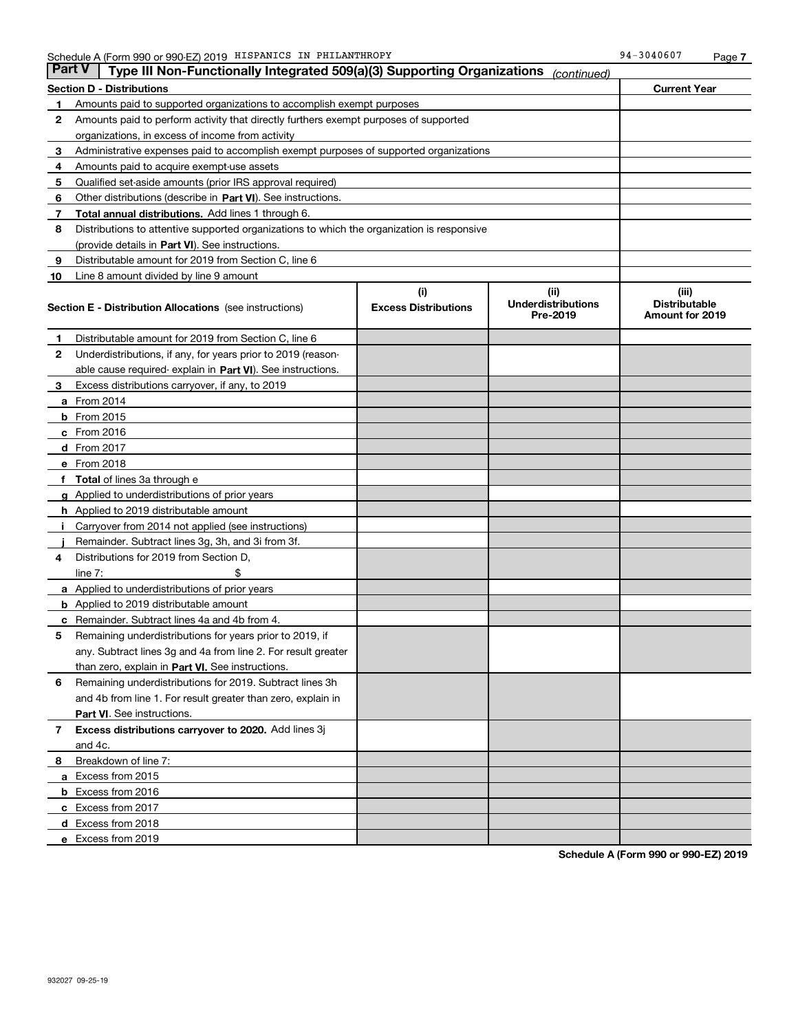| Part V | Type III Non-Functionally Integrated 509(a)(3) Supporting Organizations                    |                             | (continued)                           |                                                |  |  |  |  |  |
|--------|--------------------------------------------------------------------------------------------|-----------------------------|---------------------------------------|------------------------------------------------|--|--|--|--|--|
|        | <b>Section D - Distributions</b>                                                           |                             |                                       | <b>Current Year</b>                            |  |  |  |  |  |
| 1      | Amounts paid to supported organizations to accomplish exempt purposes                      |                             |                                       |                                                |  |  |  |  |  |
| 2      | Amounts paid to perform activity that directly furthers exempt purposes of supported       |                             |                                       |                                                |  |  |  |  |  |
|        | organizations, in excess of income from activity                                           |                             |                                       |                                                |  |  |  |  |  |
| 3      | Administrative expenses paid to accomplish exempt purposes of supported organizations      |                             |                                       |                                                |  |  |  |  |  |
| 4      | Amounts paid to acquire exempt-use assets                                                  |                             |                                       |                                                |  |  |  |  |  |
| 5      | Qualified set-aside amounts (prior IRS approval required)                                  |                             |                                       |                                                |  |  |  |  |  |
| 6      | Other distributions (describe in Part VI). See instructions.                               |                             |                                       |                                                |  |  |  |  |  |
| 7      | Total annual distributions. Add lines 1 through 6.                                         |                             |                                       |                                                |  |  |  |  |  |
| 8      | Distributions to attentive supported organizations to which the organization is responsive |                             |                                       |                                                |  |  |  |  |  |
|        | (provide details in Part VI). See instructions.                                            |                             |                                       |                                                |  |  |  |  |  |
| 9      | Distributable amount for 2019 from Section C, line 6                                       |                             |                                       |                                                |  |  |  |  |  |
| 10     | Line 8 amount divided by line 9 amount                                                     |                             |                                       |                                                |  |  |  |  |  |
|        |                                                                                            | (i)                         | (iii)                                 | (iii)                                          |  |  |  |  |  |
|        | <b>Section E - Distribution Allocations</b> (see instructions)                             | <b>Excess Distributions</b> | <b>Underdistributions</b><br>Pre-2019 | <b>Distributable</b><br><b>Amount for 2019</b> |  |  |  |  |  |
| 1      | Distributable amount for 2019 from Section C, line 6                                       |                             |                                       |                                                |  |  |  |  |  |
| 2      | Underdistributions, if any, for years prior to 2019 (reason-                               |                             |                                       |                                                |  |  |  |  |  |
|        | able cause required- explain in Part VI). See instructions.                                |                             |                                       |                                                |  |  |  |  |  |
| з      | Excess distributions carryover, if any, to 2019                                            |                             |                                       |                                                |  |  |  |  |  |
|        | <b>a</b> From 2014                                                                         |                             |                                       |                                                |  |  |  |  |  |
|        | <b>b</b> From 2015                                                                         |                             |                                       |                                                |  |  |  |  |  |
|        | $c$ From 2016                                                                              |                             |                                       |                                                |  |  |  |  |  |
|        | <b>d</b> From 2017                                                                         |                             |                                       |                                                |  |  |  |  |  |
|        | e From 2018                                                                                |                             |                                       |                                                |  |  |  |  |  |
|        | <b>Total</b> of lines 3a through e                                                         |                             |                                       |                                                |  |  |  |  |  |
|        | <b>g</b> Applied to underdistributions of prior years                                      |                             |                                       |                                                |  |  |  |  |  |
|        | <b>h</b> Applied to 2019 distributable amount                                              |                             |                                       |                                                |  |  |  |  |  |
|        | Carryover from 2014 not applied (see instructions)                                         |                             |                                       |                                                |  |  |  |  |  |
|        | Remainder. Subtract lines 3g, 3h, and 3i from 3f.                                          |                             |                                       |                                                |  |  |  |  |  |
| 4      | Distributions for 2019 from Section D,                                                     |                             |                                       |                                                |  |  |  |  |  |
|        | line $7:$                                                                                  |                             |                                       |                                                |  |  |  |  |  |
|        | <b>a</b> Applied to underdistributions of prior years                                      |                             |                                       |                                                |  |  |  |  |  |
|        | <b>b</b> Applied to 2019 distributable amount                                              |                             |                                       |                                                |  |  |  |  |  |
|        | Remainder. Subtract lines 4a and 4b from 4.                                                |                             |                                       |                                                |  |  |  |  |  |
| 5      | Remaining underdistributions for years prior to 2019, if                                   |                             |                                       |                                                |  |  |  |  |  |
|        | any. Subtract lines 3g and 4a from line 2. For result greater                              |                             |                                       |                                                |  |  |  |  |  |
|        | than zero, explain in Part VI. See instructions.                                           |                             |                                       |                                                |  |  |  |  |  |
| 6      | Remaining underdistributions for 2019. Subtract lines 3h                                   |                             |                                       |                                                |  |  |  |  |  |
|        | and 4b from line 1. For result greater than zero, explain in                               |                             |                                       |                                                |  |  |  |  |  |
|        | Part VI. See instructions.                                                                 |                             |                                       |                                                |  |  |  |  |  |
| 7      | Excess distributions carryover to 2020. Add lines 3j                                       |                             |                                       |                                                |  |  |  |  |  |
|        | and 4c.                                                                                    |                             |                                       |                                                |  |  |  |  |  |
| 8      | Breakdown of line 7:                                                                       |                             |                                       |                                                |  |  |  |  |  |
|        | a Excess from 2015                                                                         |                             |                                       |                                                |  |  |  |  |  |
|        | <b>b</b> Excess from 2016                                                                  |                             |                                       |                                                |  |  |  |  |  |
|        | c Excess from 2017                                                                         |                             |                                       |                                                |  |  |  |  |  |
|        | d Excess from 2018                                                                         |                             |                                       |                                                |  |  |  |  |  |
|        | e Excess from 2019                                                                         |                             |                                       |                                                |  |  |  |  |  |

**Schedule A (Form 990 or 990-EZ) 2019**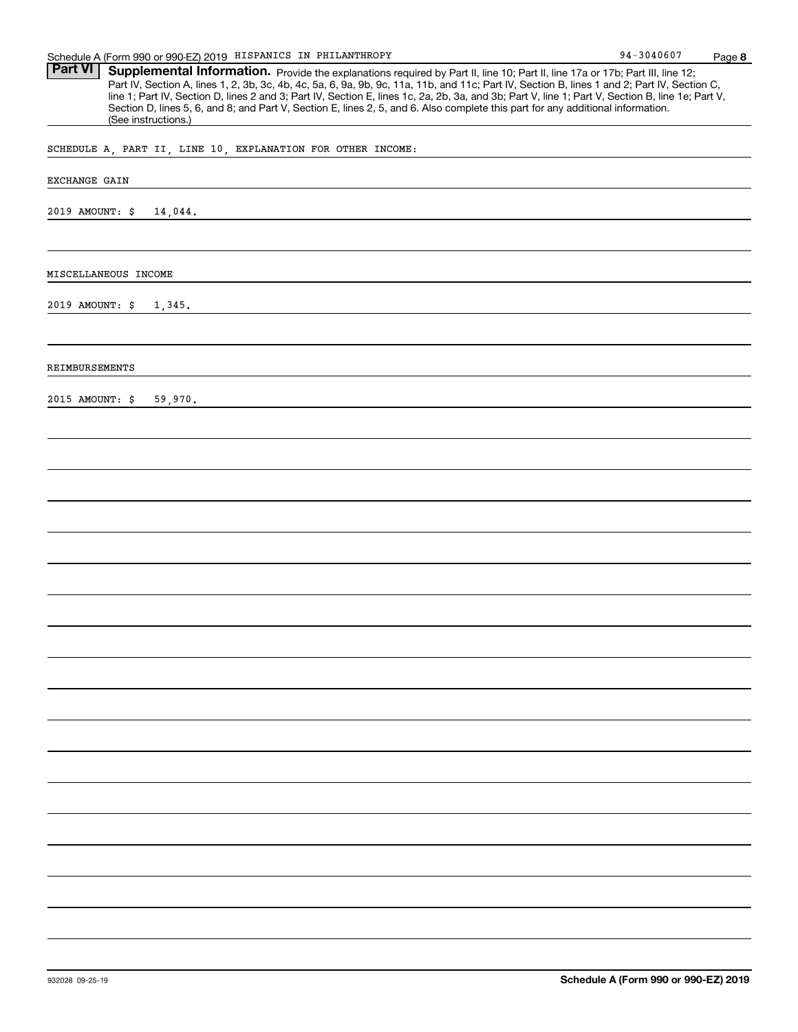| Schedule A (Form 990 or 990-EZ) 2019 HISPANICS IN PHILANTHROPY                                                                                                                                                                                                                                                                                                                                                                                                                                                                                                                                                | 94-3040607 | Page 8 |
|---------------------------------------------------------------------------------------------------------------------------------------------------------------------------------------------------------------------------------------------------------------------------------------------------------------------------------------------------------------------------------------------------------------------------------------------------------------------------------------------------------------------------------------------------------------------------------------------------------------|------------|--------|
| <b>Part VI</b><br>Supplemental Information. Provide the explanations required by Part II, line 10; Part II, line 17a or 17b; Part III, line 12;<br>Part IV, Section A, lines 1, 2, 3b, 3c, 4b, 4c, 5a, 6, 9a, 9b, 9c, 11a, 11b, and 11c; Part IV, Section B, lines 1 and 2; Part IV, Section C,<br>line 1; Part IV, Section D, lines 2 and 3; Part IV, Section E, lines 1c, 2a, 2b, 3a, and 3b; Part V, line 1; Part V, Section B, line 1e; Part V,<br>Section D, lines 5, 6, and 8; and Part V, Section E, lines 2, 5, and 6. Also complete this part for any additional information.<br>(See instructions.) |            |        |
| SCHEDULE A, PART II, LINE 10, EXPLANATION FOR OTHER INCOME:                                                                                                                                                                                                                                                                                                                                                                                                                                                                                                                                                   |            |        |
| EXCHANGE GAIN                                                                                                                                                                                                                                                                                                                                                                                                                                                                                                                                                                                                 |            |        |
| 2019 AMOUNT: \$<br>14,044.                                                                                                                                                                                                                                                                                                                                                                                                                                                                                                                                                                                    |            |        |
| MISCELLANEOUS INCOME                                                                                                                                                                                                                                                                                                                                                                                                                                                                                                                                                                                          |            |        |
| 2019 AMOUNT: \$<br>1,345.                                                                                                                                                                                                                                                                                                                                                                                                                                                                                                                                                                                     |            |        |
| REIMBURSEMENTS                                                                                                                                                                                                                                                                                                                                                                                                                                                                                                                                                                                                |            |        |
| 2015 AMOUNT: \$<br>59,970.                                                                                                                                                                                                                                                                                                                                                                                                                                                                                                                                                                                    |            |        |
|                                                                                                                                                                                                                                                                                                                                                                                                                                                                                                                                                                                                               |            |        |
|                                                                                                                                                                                                                                                                                                                                                                                                                                                                                                                                                                                                               |            |        |
|                                                                                                                                                                                                                                                                                                                                                                                                                                                                                                                                                                                                               |            |        |
|                                                                                                                                                                                                                                                                                                                                                                                                                                                                                                                                                                                                               |            |        |
|                                                                                                                                                                                                                                                                                                                                                                                                                                                                                                                                                                                                               |            |        |
|                                                                                                                                                                                                                                                                                                                                                                                                                                                                                                                                                                                                               |            |        |
|                                                                                                                                                                                                                                                                                                                                                                                                                                                                                                                                                                                                               |            |        |
|                                                                                                                                                                                                                                                                                                                                                                                                                                                                                                                                                                                                               |            |        |
|                                                                                                                                                                                                                                                                                                                                                                                                                                                                                                                                                                                                               |            |        |
|                                                                                                                                                                                                                                                                                                                                                                                                                                                                                                                                                                                                               |            |        |
|                                                                                                                                                                                                                                                                                                                                                                                                                                                                                                                                                                                                               |            |        |
|                                                                                                                                                                                                                                                                                                                                                                                                                                                                                                                                                                                                               |            |        |
|                                                                                                                                                                                                                                                                                                                                                                                                                                                                                                                                                                                                               |            |        |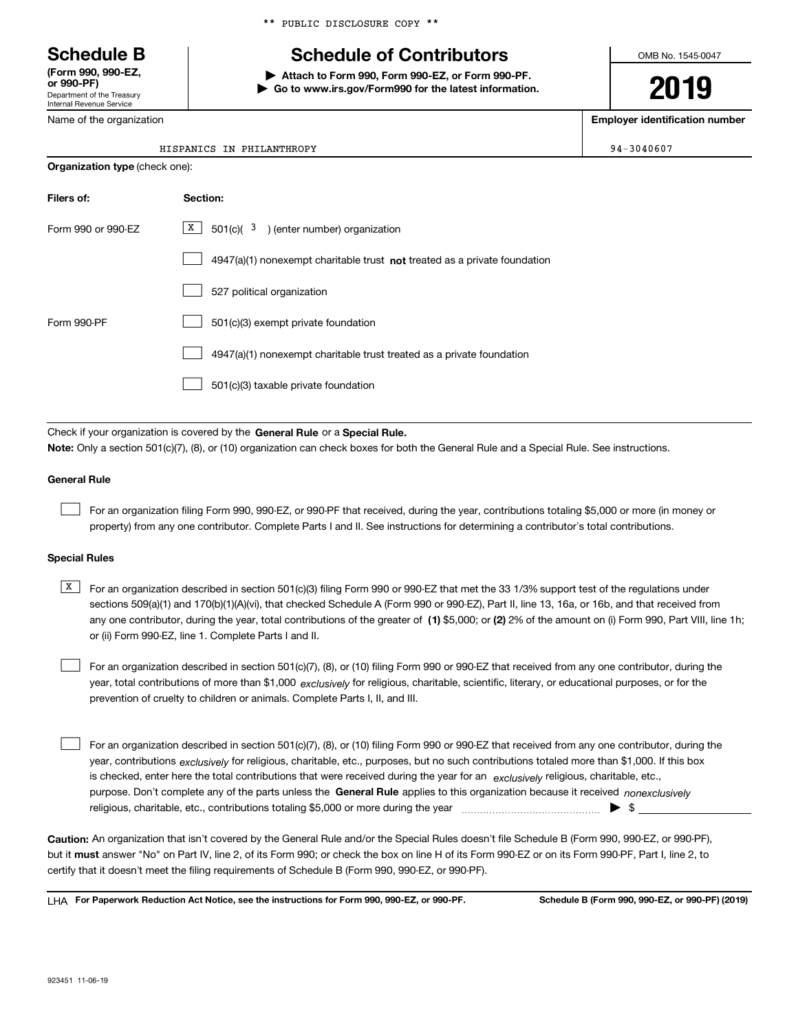Department of the Treasury Internal Revenue Service **(Form 990, 990-EZ, or 990-PF)**

Name of the organization

\*\* PUBLIC DISCLOSURE COPY \*\*

# **Schedule B Schedule of Contributors**

**| Attach to Form 990, Form 990-EZ, or Form 990-PF. | Go to www.irs.gov/Form990 for the latest information.** OMB No. 1545-0047

**2019**

**Employer identification number**

 $94 - 3040607$ 

|  | HISPANICS IN PHILANTHROPY |
|--|---------------------------|
|  |                           |

| <b>Organization type (check one):</b> |                                                                             |  |  |  |  |  |  |
|---------------------------------------|-----------------------------------------------------------------------------|--|--|--|--|--|--|
| Filers of:<br>Section:                |                                                                             |  |  |  |  |  |  |
| Form 990 or 990-EZ                    | X  <br>$501(c)$ ( $3$ ) (enter number) organization                         |  |  |  |  |  |  |
|                                       | $4947(a)(1)$ nonexempt charitable trust not treated as a private foundation |  |  |  |  |  |  |
|                                       | 527 political organization                                                  |  |  |  |  |  |  |
| Form 990-PF                           | 501(c)(3) exempt private foundation                                         |  |  |  |  |  |  |
|                                       | 4947(a)(1) nonexempt charitable trust treated as a private foundation       |  |  |  |  |  |  |
|                                       | 501(c)(3) taxable private foundation                                        |  |  |  |  |  |  |
|                                       |                                                                             |  |  |  |  |  |  |

Check if your organization is covered by the **General Rule** or a **Special Rule. Note:**  Only a section 501(c)(7), (8), or (10) organization can check boxes for both the General Rule and a Special Rule. See instructions.

## **General Rule**

 $\mathcal{L}^{\text{max}}$ 

For an organization filing Form 990, 990-EZ, or 990-PF that received, during the year, contributions totaling \$5,000 or more (in money or property) from any one contributor. Complete Parts I and II. See instructions for determining a contributor's total contributions.

## **Special Rules**

any one contributor, during the year, total contributions of the greater of  $\,$  (1) \$5,000; or **(2)** 2% of the amount on (i) Form 990, Part VIII, line 1h;  $\overline{X}$  For an organization described in section 501(c)(3) filing Form 990 or 990-EZ that met the 33 1/3% support test of the regulations under sections 509(a)(1) and 170(b)(1)(A)(vi), that checked Schedule A (Form 990 or 990-EZ), Part II, line 13, 16a, or 16b, and that received from or (ii) Form 990-EZ, line 1. Complete Parts I and II.

year, total contributions of more than \$1,000 *exclusively* for religious, charitable, scientific, literary, or educational purposes, or for the For an organization described in section 501(c)(7), (8), or (10) filing Form 990 or 990-EZ that received from any one contributor, during the prevention of cruelty to children or animals. Complete Parts I, II, and III.  $\mathcal{L}^{\text{max}}$ 

purpose. Don't complete any of the parts unless the **General Rule** applies to this organization because it received *nonexclusively* year, contributions <sub>exclusively</sub> for religious, charitable, etc., purposes, but no such contributions totaled more than \$1,000. If this box is checked, enter here the total contributions that were received during the year for an  $\;$ exclusively religious, charitable, etc., For an organization described in section 501(c)(7), (8), or (10) filing Form 990 or 990-EZ that received from any one contributor, during the religious, charitable, etc., contributions totaling \$5,000 or more during the year  $\Box$ — $\Box$   $\Box$  $\mathcal{L}^{\text{max}}$ 

**Caution:**  An organization that isn't covered by the General Rule and/or the Special Rules doesn't file Schedule B (Form 990, 990-EZ, or 990-PF),  **must** but it answer "No" on Part IV, line 2, of its Form 990; or check the box on line H of its Form 990-EZ or on its Form 990-PF, Part I, line 2, to certify that it doesn't meet the filing requirements of Schedule B (Form 990, 990-EZ, or 990-PF).

**For Paperwork Reduction Act Notice, see the instructions for Form 990, 990-EZ, or 990-PF. Schedule B (Form 990, 990-EZ, or 990-PF) (2019)** LHA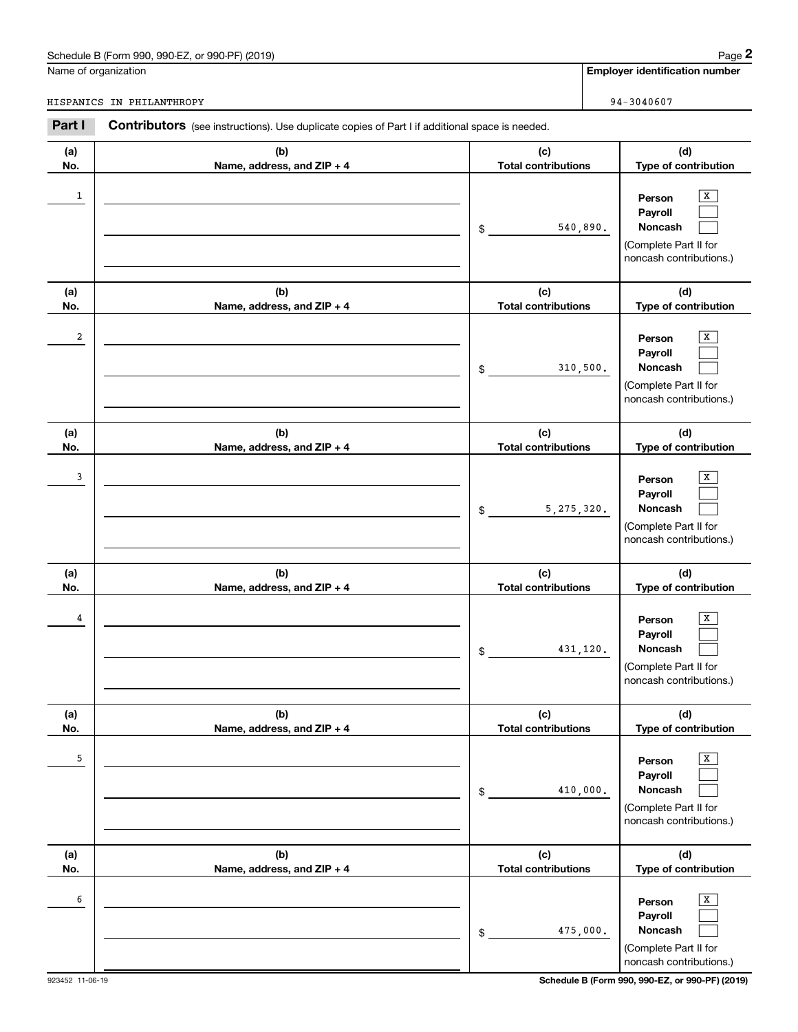# Schedule B (Form 990, 990-EZ, or 990-PF) (2019) Page 2

|              | Schedule B (Form 990, 990-EZ, or 990-PF) (2019)                                                |                                   |              | Page 2                                                                                                        |  |  |
|--------------|------------------------------------------------------------------------------------------------|-----------------------------------|--------------|---------------------------------------------------------------------------------------------------------------|--|--|
|              | Name of organization                                                                           |                                   |              | <b>Employer identification number</b>                                                                         |  |  |
|              | HISPANICS IN PHILANTHROPY                                                                      |                                   |              | 94-3040607                                                                                                    |  |  |
| Part I       | Contributors (see instructions). Use duplicate copies of Part I if additional space is needed. |                                   |              |                                                                                                               |  |  |
| (a)<br>No.   | (b)<br>Name, address, and ZIP + 4                                                              | (c)<br><b>Total contributions</b> |              | (d)<br>Type of contribution                                                                                   |  |  |
| $\mathbf{1}$ |                                                                                                | \$                                | 540,890.     | х<br>Person<br>Payroll<br>Noncash<br>(Complete Part II for<br>noncash contributions.)                         |  |  |
| (a)          | (b)                                                                                            | (c)                               |              | (d)                                                                                                           |  |  |
| No.<br>2     | Name, address, and ZIP + 4                                                                     | <b>Total contributions</b><br>\$  | 310,500.     | Type of contribution<br>X<br>Person<br>Payroll<br>Noncash<br>(Complete Part II for<br>noncash contributions.) |  |  |
| (a)<br>No.   | (b)<br>Name, address, and ZIP + 4                                                              | (c)<br><b>Total contributions</b> |              | (d)<br>Type of contribution                                                                                   |  |  |
| 3            |                                                                                                | \$                                | 5, 275, 320. | х<br>Person<br>Payroll<br>Noncash<br>(Complete Part II for<br>noncash contributions.)                         |  |  |
| (a)<br>No.   | (b)<br>Name, address, and ZIP + 4                                                              | (c)<br><b>Total contributions</b> |              | (d)<br>Type of contribution                                                                                   |  |  |
| 4            |                                                                                                | \$                                | 431,120.     | х<br>Person<br>Payroll<br>Noncash<br>(Complete Part II for<br>noncash contributions.)                         |  |  |
| (a)<br>No.   | (b)<br>Name, address, and ZIP + 4                                                              | (c)<br><b>Total contributions</b> |              | (d)<br>Type of contribution                                                                                   |  |  |
| 5            |                                                                                                | \$                                | 410,000.     | Х<br>Person<br>Payroll<br>Noncash<br>(Complete Part II for<br>noncash contributions.)                         |  |  |
| (a)<br>No.   | (b)<br>Name, address, and ZIP + 4                                                              | (c)<br><b>Total contributions</b> |              | (d)<br>Type of contribution                                                                                   |  |  |
| 6            |                                                                                                | \$                                | 475,000.     | Х<br>Person<br>Payroll<br>Noncash<br>(Complete Part II for<br>noncash contributions.)                         |  |  |

923452 11-06-19 **Schedule B (Form 990, 990-EZ, or 990-PF) (2019)**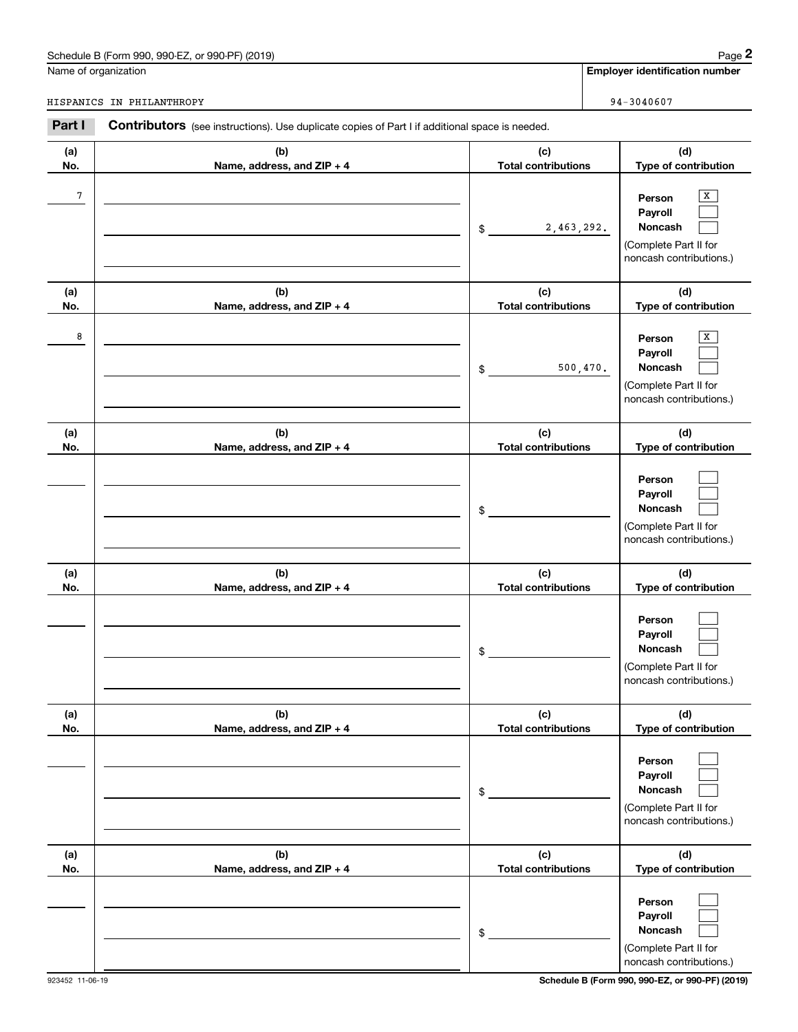# Schedule B (Form 990, 990-EZ, or 990-PF) (2019) Page 2

|            | Schedule B (Form 990, 990-EZ, or 990-PF) (2019)                                                       |                                   | Page 2                                                                                |  |  |
|------------|-------------------------------------------------------------------------------------------------------|-----------------------------------|---------------------------------------------------------------------------------------|--|--|
|            | Name of organization                                                                                  |                                   | <b>Employer identification number</b>                                                 |  |  |
|            | HISPANICS IN PHILANTHROPY                                                                             |                                   | 94-3040607                                                                            |  |  |
| Part I     | <b>Contributors</b> (see instructions). Use duplicate copies of Part I if additional space is needed. |                                   |                                                                                       |  |  |
| (a)<br>No. | (b)<br>Name, address, and ZIP + 4                                                                     | (c)<br><b>Total contributions</b> | (d)<br>Type of contribution                                                           |  |  |
| 7          |                                                                                                       | 2,463,292.<br>\$                  | X<br>Person<br>Payroll<br>Noncash<br>(Complete Part II for<br>noncash contributions.) |  |  |
| (a)<br>No. | (b)<br>Name, address, and ZIP + 4                                                                     | (c)<br><b>Total contributions</b> | (d)<br>Type of contribution                                                           |  |  |
| 8          |                                                                                                       | 500, 470.<br>\$                   | Х<br>Person<br>Payroll<br>Noncash<br>(Complete Part II for<br>noncash contributions.) |  |  |
| (a)<br>No. | (b)<br>Name, address, and ZIP + 4                                                                     | (c)<br><b>Total contributions</b> | (d)<br>Type of contribution                                                           |  |  |
|            |                                                                                                       | \$                                | Person<br>Payroll<br>Noncash<br>(Complete Part II for<br>noncash contributions.)      |  |  |
| (a)<br>No. | (b)<br>Name, address, and ZIP + 4                                                                     | (c)<br><b>Total contributions</b> | (d)<br>Type of contribution                                                           |  |  |
|            |                                                                                                       | \$                                | Person<br>Payroll<br>Noncash<br>(Complete Part II for<br>noncash contributions.)      |  |  |
| (a)<br>No. | (b)<br>Name, address, and ZIP + 4                                                                     | (c)<br><b>Total contributions</b> | (d)<br>Type of contribution                                                           |  |  |
|            |                                                                                                       | \$                                | Person<br>Payroll<br>Noncash<br>(Complete Part II for<br>noncash contributions.)      |  |  |
| (a)<br>No. | (b)<br>Name, address, and ZIP + 4                                                                     | (c)<br><b>Total contributions</b> | (d)<br>Type of contribution                                                           |  |  |
|            |                                                                                                       | \$                                | Person<br>Payroll<br>Noncash<br>(Complete Part II for<br>noncash contributions.)      |  |  |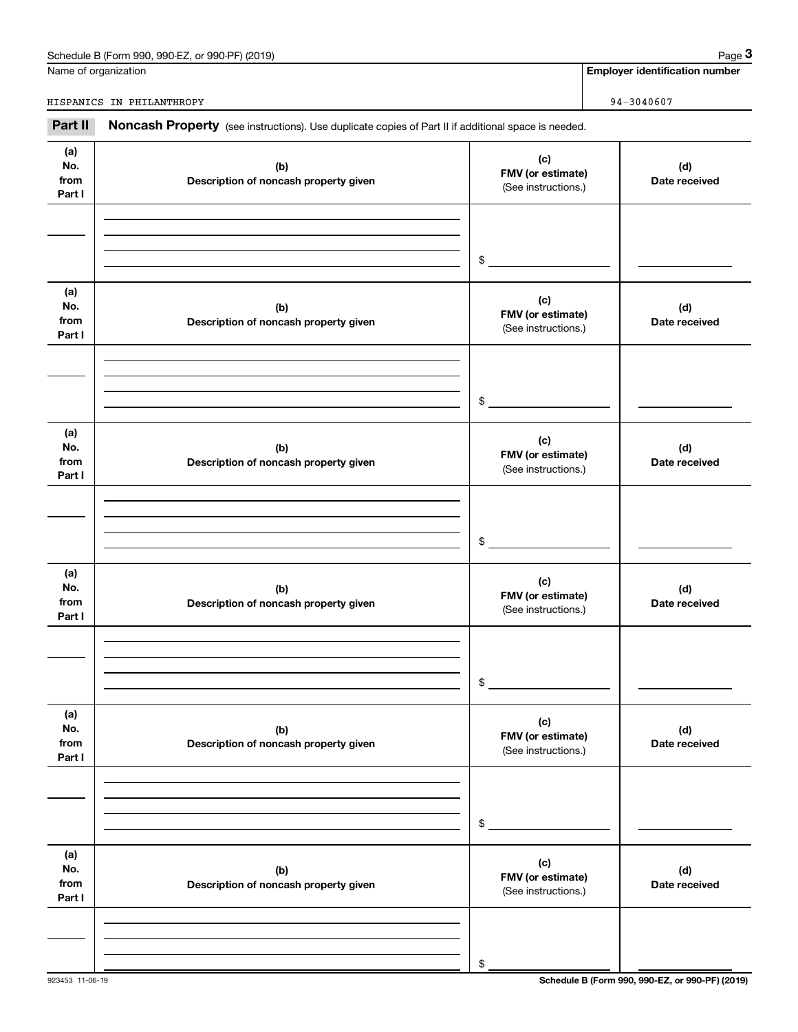| or 990-PF) (2019)<br>990-EZ<br>Schedule B (Form 990, | Paɑe |
|------------------------------------------------------|------|
|                                                      |      |

|                              | Schedule B (Form 990, 990-EZ, or 990-PF) (2019)                                                     |                                                 | Page 3                                |
|------------------------------|-----------------------------------------------------------------------------------------------------|-------------------------------------------------|---------------------------------------|
|                              | Name of organization                                                                                |                                                 | <b>Employer identification number</b> |
|                              | HISPANICS IN PHILANTHROPY                                                                           |                                                 | $94 - 3040607$                        |
| Part II                      | Noncash Property (see instructions). Use duplicate copies of Part II if additional space is needed. |                                                 |                                       |
| (a)<br>No.<br>from<br>Part I | (b)<br>Description of noncash property given                                                        | (c)<br>FMV (or estimate)<br>(See instructions.) | (d)<br>Date received                  |
|                              |                                                                                                     | \$                                              |                                       |
| (a)<br>No.<br>from<br>Part I | (b)<br>Description of noncash property given                                                        | (c)<br>FMV (or estimate)<br>(See instructions.) | (d)<br>Date received                  |
|                              |                                                                                                     | \$                                              |                                       |
| (a)<br>No.<br>from<br>Part I | (b)<br>Description of noncash property given                                                        | (c)<br>FMV (or estimate)<br>(See instructions.) | (d)<br>Date received                  |
|                              |                                                                                                     | \$                                              |                                       |
| (a)<br>No.<br>from<br>Part I | (b)<br>Description of noncash property given                                                        | (c)<br>FMV (or estimate)<br>(See instructions.) | (d)<br>Date received                  |
|                              |                                                                                                     | \$                                              |                                       |
| (a)<br>No.<br>from<br>Part I | (b)<br>Description of noncash property given                                                        | (c)<br>FMV (or estimate)<br>(See instructions.) | (d)<br>Date received                  |
|                              |                                                                                                     | \$                                              |                                       |
| (a)<br>No.<br>from<br>Part I | (b)<br>Description of noncash property given                                                        | (c)<br>FMV (or estimate)<br>(See instructions.) | (d)<br>Date received                  |
|                              |                                                                                                     | \$                                              |                                       |

923453 11-06-19 **Schedule B (Form 990, 990-EZ, or 990-PF) (2019)**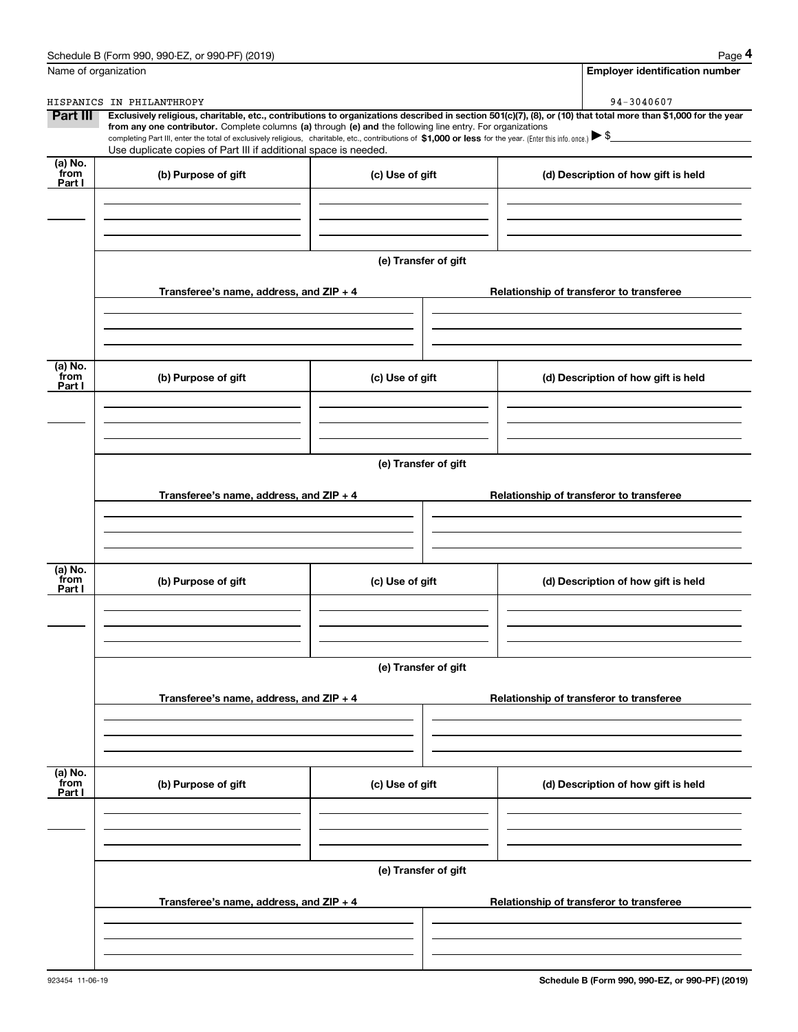|                             | Schedule B (Form 990, 990-EZ, or 990-PF) (2019)                                                                                                                                                                                 |                      | Page 4                                                                                                                                                         |  |  |  |  |  |
|-----------------------------|---------------------------------------------------------------------------------------------------------------------------------------------------------------------------------------------------------------------------------|----------------------|----------------------------------------------------------------------------------------------------------------------------------------------------------------|--|--|--|--|--|
| Name of organization        |                                                                                                                                                                                                                                 |                      | <b>Employer identification number</b>                                                                                                                          |  |  |  |  |  |
|                             | HISPANICS IN PHILANTHROPY                                                                                                                                                                                                       |                      | 94-3040607                                                                                                                                                     |  |  |  |  |  |
| Part III                    | from any one contributor. Complete columns (a) through (e) and the following line entry. For organizations                                                                                                                      |                      | Exclusively religious, charitable, etc., contributions to organizations described in section 501(c)(7), (8), or (10) that total more than \$1,000 for the year |  |  |  |  |  |
|                             | completing Part III, enter the total of exclusively religious, charitable, etc., contributions of \$1,000 or less for the year. (Enter this info. once.) \\$<br>Use duplicate copies of Part III if additional space is needed. |                      |                                                                                                                                                                |  |  |  |  |  |
| $(a)$ No.<br>from<br>Part I | (b) Purpose of gift                                                                                                                                                                                                             | (c) Use of gift      | (d) Description of how gift is held                                                                                                                            |  |  |  |  |  |
|                             |                                                                                                                                                                                                                                 |                      |                                                                                                                                                                |  |  |  |  |  |
|                             |                                                                                                                                                                                                                                 |                      |                                                                                                                                                                |  |  |  |  |  |
|                             |                                                                                                                                                                                                                                 | (e) Transfer of gift |                                                                                                                                                                |  |  |  |  |  |
|                             | Transferee's name, address, and ZIP + 4                                                                                                                                                                                         |                      | Relationship of transferor to transferee                                                                                                                       |  |  |  |  |  |
|                             |                                                                                                                                                                                                                                 |                      |                                                                                                                                                                |  |  |  |  |  |
| (a) No.<br>from<br>Part I   | (b) Purpose of gift                                                                                                                                                                                                             | (c) Use of gift      | (d) Description of how gift is held                                                                                                                            |  |  |  |  |  |
|                             |                                                                                                                                                                                                                                 |                      |                                                                                                                                                                |  |  |  |  |  |
|                             |                                                                                                                                                                                                                                 |                      |                                                                                                                                                                |  |  |  |  |  |
|                             | (e) Transfer of gift                                                                                                                                                                                                            |                      |                                                                                                                                                                |  |  |  |  |  |
|                             | Transferee's name, address, and ZIP + 4                                                                                                                                                                                         |                      | Relationship of transferor to transferee                                                                                                                       |  |  |  |  |  |
|                             |                                                                                                                                                                                                                                 |                      |                                                                                                                                                                |  |  |  |  |  |
| (a) No.<br>from<br>Part I   | (b) Purpose of gift                                                                                                                                                                                                             | (c) Use of gift      | (d) Description of how gift is held                                                                                                                            |  |  |  |  |  |
|                             |                                                                                                                                                                                                                                 |                      |                                                                                                                                                                |  |  |  |  |  |
|                             |                                                                                                                                                                                                                                 | (e) Transfer of gift |                                                                                                                                                                |  |  |  |  |  |
|                             | Transferee's name, address, and ZIP + 4                                                                                                                                                                                         |                      | Relationship of transferor to transferee                                                                                                                       |  |  |  |  |  |
|                             |                                                                                                                                                                                                                                 |                      |                                                                                                                                                                |  |  |  |  |  |
| (a) No.<br>from<br>Part I   | (b) Purpose of gift                                                                                                                                                                                                             | (c) Use of gift      | (d) Description of how gift is held                                                                                                                            |  |  |  |  |  |
|                             |                                                                                                                                                                                                                                 |                      |                                                                                                                                                                |  |  |  |  |  |
|                             |                                                                                                                                                                                                                                 | (e) Transfer of gift |                                                                                                                                                                |  |  |  |  |  |
|                             | Transferee's name, address, and ZIP + 4                                                                                                                                                                                         |                      | Relationship of transferor to transferee                                                                                                                       |  |  |  |  |  |
|                             |                                                                                                                                                                                                                                 |                      |                                                                                                                                                                |  |  |  |  |  |
|                             |                                                                                                                                                                                                                                 |                      |                                                                                                                                                                |  |  |  |  |  |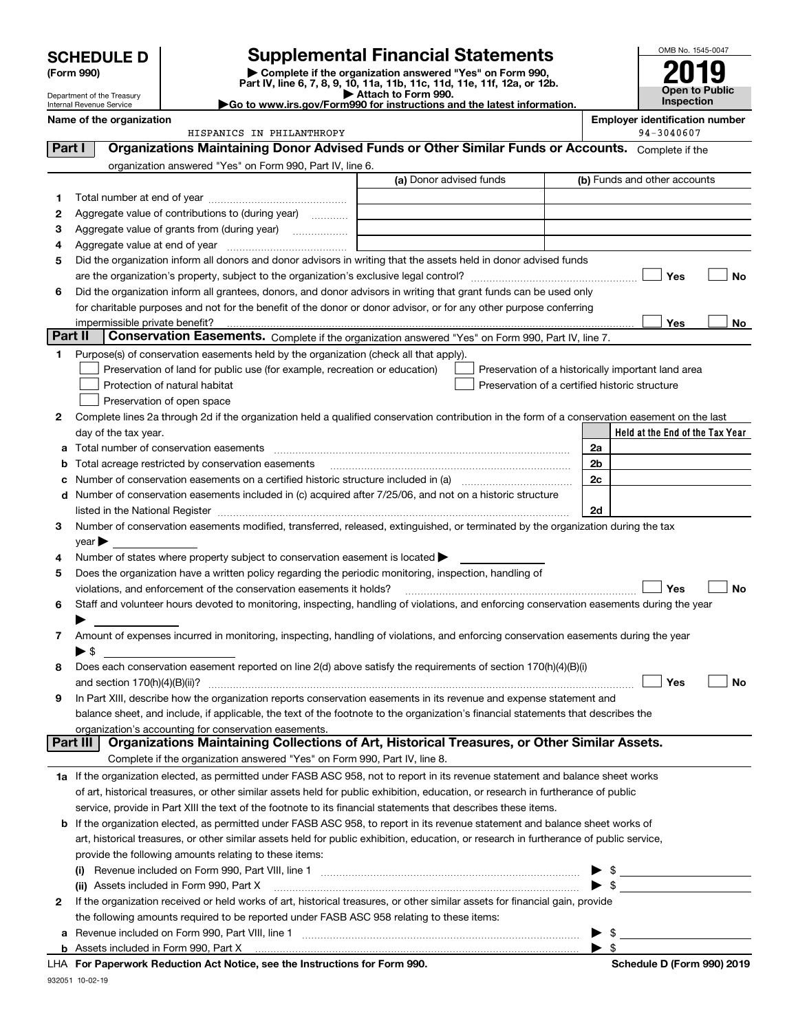| <b>HEDULE D</b> | Supplen                             |
|-----------------|-------------------------------------|
| m 990)          | Complete if<br><b>B.A.M.</b> B.A.M. |

Department of the Treasury Internal Revenue Service

# **SCHEDULE D Supplemental Financial Statements**

(Form 990)<br>
Pepartment of the Treasury<br>
Department of the Treasury<br>
Department of the Treasury<br>
Department of the Treasury<br> **Co to www.irs.gov/Form990 for instructions and the latest information.**<br> **Co to www.irs.gov/Form9** 



|          | Name of the organization<br>HISPANICS IN PHILANTHROPY                                                                                                                                                                                                                |                         |  | <b>Employer identification number</b><br>94-3040607 |
|----------|----------------------------------------------------------------------------------------------------------------------------------------------------------------------------------------------------------------------------------------------------------------------|-------------------------|--|-----------------------------------------------------|
| Part I   | Organizations Maintaining Donor Advised Funds or Other Similar Funds or Accounts. Complete if the                                                                                                                                                                    |                         |  |                                                     |
|          |                                                                                                                                                                                                                                                                      |                         |  |                                                     |
|          | organization answered "Yes" on Form 990, Part IV, line 6.                                                                                                                                                                                                            | (a) Donor advised funds |  | (b) Funds and other accounts                        |
|          |                                                                                                                                                                                                                                                                      |                         |  |                                                     |
| 1        |                                                                                                                                                                                                                                                                      |                         |  |                                                     |
| 2        | Aggregate value of contributions to (during year)                                                                                                                                                                                                                    |                         |  |                                                     |
| з        |                                                                                                                                                                                                                                                                      |                         |  |                                                     |
| 4        |                                                                                                                                                                                                                                                                      |                         |  |                                                     |
| 5        | Did the organization inform all donors and donor advisors in writing that the assets held in donor advised funds                                                                                                                                                     |                         |  |                                                     |
|          |                                                                                                                                                                                                                                                                      |                         |  | Yes<br>No                                           |
| 6        | Did the organization inform all grantees, donors, and donor advisors in writing that grant funds can be used only<br>for charitable purposes and not for the benefit of the donor or donor advisor, or for any other purpose conferring                              |                         |  |                                                     |
|          | impermissible private benefit?                                                                                                                                                                                                                                       |                         |  | Yes<br>No                                           |
| Part II  | Conservation Easements. Complete if the organization answered "Yes" on Form 990, Part IV, line 7.                                                                                                                                                                    |                         |  |                                                     |
| 1.       | Purpose(s) of conservation easements held by the organization (check all that apply).                                                                                                                                                                                |                         |  |                                                     |
|          | Preservation of land for public use (for example, recreation or education)                                                                                                                                                                                           |                         |  | Preservation of a historically important land area  |
|          | Protection of natural habitat                                                                                                                                                                                                                                        |                         |  | Preservation of a certified historic structure      |
|          | Preservation of open space                                                                                                                                                                                                                                           |                         |  |                                                     |
| 2        | Complete lines 2a through 2d if the organization held a qualified conservation contribution in the form of a conservation easement on the last                                                                                                                       |                         |  |                                                     |
|          | day of the tax year.                                                                                                                                                                                                                                                 |                         |  | Held at the End of the Tax Year                     |
| а        |                                                                                                                                                                                                                                                                      |                         |  | 2a                                                  |
| b        | Total acreage restricted by conservation easements                                                                                                                                                                                                                   |                         |  | 2 <sub>b</sub>                                      |
| с        |                                                                                                                                                                                                                                                                      |                         |  | 2c                                                  |
|          | d Number of conservation easements included in (c) acquired after 7/25/06, and not on a historic structure                                                                                                                                                           |                         |  |                                                     |
|          |                                                                                                                                                                                                                                                                      |                         |  | 2d                                                  |
| 3        | Number of conservation easements modified, transferred, released, extinguished, or terminated by the organization during the tax                                                                                                                                     |                         |  |                                                     |
|          | year                                                                                                                                                                                                                                                                 |                         |  |                                                     |
| 4        | Number of states where property subject to conservation easement is located >                                                                                                                                                                                        |                         |  |                                                     |
| 5        | Does the organization have a written policy regarding the periodic monitoring, inspection, handling of                                                                                                                                                               |                         |  |                                                     |
|          | violations, and enforcement of the conservation easements it holds?                                                                                                                                                                                                  |                         |  | Yes<br>No                                           |
| 6        | Staff and volunteer hours devoted to monitoring, inspecting, handling of violations, and enforcing conservation easements during the year                                                                                                                            |                         |  |                                                     |
|          |                                                                                                                                                                                                                                                                      |                         |  |                                                     |
| 7        | Amount of expenses incurred in monitoring, inspecting, handling of violations, and enforcing conservation easements during the year                                                                                                                                  |                         |  |                                                     |
|          | $\blacktriangleright$ s                                                                                                                                                                                                                                              |                         |  |                                                     |
| 8        | Does each conservation easement reported on line 2(d) above satisfy the requirements of section 170(h)(4)(B)(i)                                                                                                                                                      |                         |  |                                                     |
|          |                                                                                                                                                                                                                                                                      |                         |  | Yes<br>No                                           |
|          | In Part XIII, describe how the organization reports conservation easements in its revenue and expense statement and                                                                                                                                                  |                         |  |                                                     |
|          | balance sheet, and include, if applicable, the text of the footnote to the organization's financial statements that describes the                                                                                                                                    |                         |  |                                                     |
| Part III | organization's accounting for conservation easements.<br>Organizations Maintaining Collections of Art, Historical Treasures, or Other Similar Assets.                                                                                                                |                         |  |                                                     |
|          | Complete if the organization answered "Yes" on Form 990, Part IV, line 8.                                                                                                                                                                                            |                         |  |                                                     |
|          |                                                                                                                                                                                                                                                                      |                         |  |                                                     |
|          | 1a If the organization elected, as permitted under FASB ASC 958, not to report in its revenue statement and balance sheet works<br>of art, historical treasures, or other similar assets held for public exhibition, education, or research in furtherance of public |                         |  |                                                     |
|          | service, provide in Part XIII the text of the footnote to its financial statements that describes these items.                                                                                                                                                       |                         |  |                                                     |
|          | <b>b</b> If the organization elected, as permitted under FASB ASC 958, to report in its revenue statement and balance sheet works of                                                                                                                                 |                         |  |                                                     |
|          | art, historical treasures, or other similar assets held for public exhibition, education, or research in furtherance of public service,                                                                                                                              |                         |  |                                                     |
|          | provide the following amounts relating to these items:                                                                                                                                                                                                               |                         |  |                                                     |
|          |                                                                                                                                                                                                                                                                      |                         |  | \$                                                  |
|          | (i)<br>(ii) Assets included in Form 990, Part X                                                                                                                                                                                                                      |                         |  | ▶<br>$\blacktriangleright$ \$                       |
| 2        | If the organization received or held works of art, historical treasures, or other similar assets for financial gain, provide                                                                                                                                         |                         |  |                                                     |
|          | the following amounts required to be reported under FASB ASC 958 relating to these items:                                                                                                                                                                            |                         |  |                                                     |
| а        |                                                                                                                                                                                                                                                                      |                         |  | - \$<br>▶                                           |
|          |                                                                                                                                                                                                                                                                      |                         |  | $\blacktriangleright$ \$                            |
|          | LHA For Paperwork Reduction Act Notice, see the Instructions for Form 990.                                                                                                                                                                                           |                         |  | Schedule D (Form 990) 2019                          |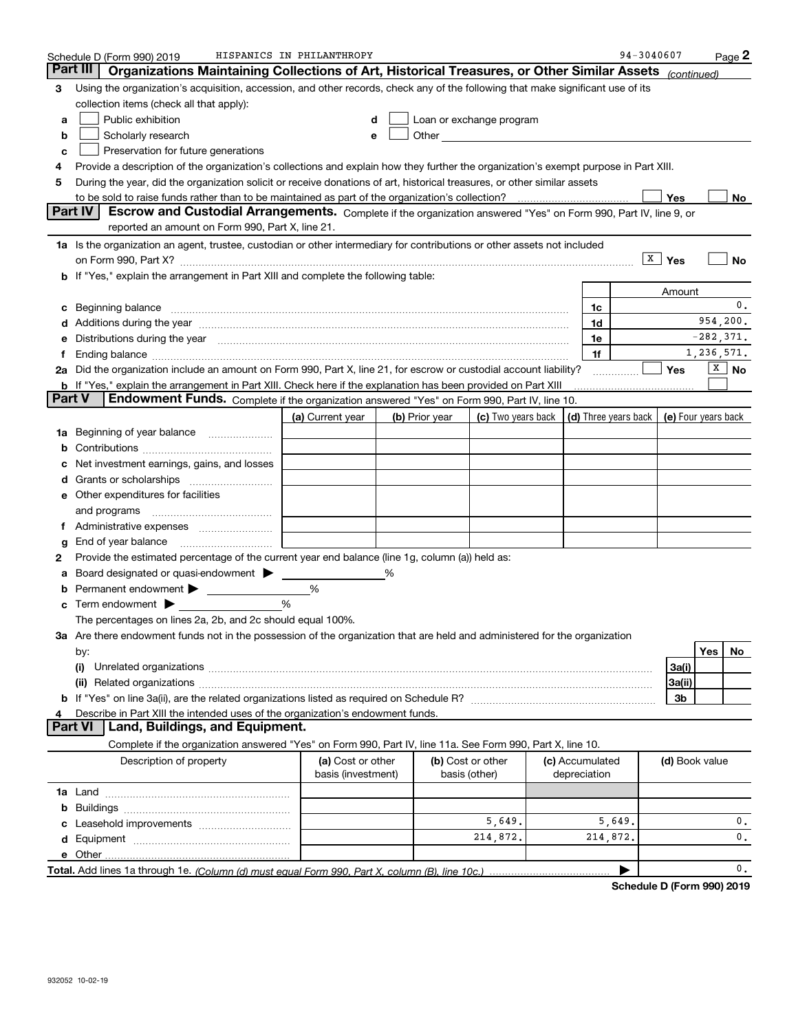|        | Schedule D (Form 990) 2019                                                                                                                                                                                                                                                                                                                           | HISPANICS IN PHILANTHROPY               |   |                |                                                                             |                                 | 94-3040607 |                         |                          | Page <sup>2</sup>     |
|--------|------------------------------------------------------------------------------------------------------------------------------------------------------------------------------------------------------------------------------------------------------------------------------------------------------------------------------------------------------|-----------------------------------------|---|----------------|-----------------------------------------------------------------------------|---------------------------------|------------|-------------------------|--------------------------|-----------------------|
|        | Part III<br>Organizations Maintaining Collections of Art, Historical Treasures, or Other Similar Assets (continued)                                                                                                                                                                                                                                  |                                         |   |                |                                                                             |                                 |            |                         |                          |                       |
| 3      | Using the organization's acquisition, accession, and other records, check any of the following that make significant use of its                                                                                                                                                                                                                      |                                         |   |                |                                                                             |                                 |            |                         |                          |                       |
|        | collection items (check all that apply):                                                                                                                                                                                                                                                                                                             |                                         |   |                |                                                                             |                                 |            |                         |                          |                       |
| a      | Public exhibition                                                                                                                                                                                                                                                                                                                                    |                                         |   |                | Loan or exchange program                                                    |                                 |            |                         |                          |                       |
| b      | Scholarly research                                                                                                                                                                                                                                                                                                                                   |                                         |   |                |                                                                             |                                 |            |                         |                          |                       |
| c      | Preservation for future generations                                                                                                                                                                                                                                                                                                                  |                                         |   |                |                                                                             |                                 |            |                         |                          |                       |
| 4      | Provide a description of the organization's collections and explain how they further the organization's exempt purpose in Part XIII.                                                                                                                                                                                                                 |                                         |   |                |                                                                             |                                 |            |                         |                          |                       |
| 5      | During the year, did the organization solicit or receive donations of art, historical treasures, or other similar assets                                                                                                                                                                                                                             |                                         |   |                |                                                                             |                                 |            |                         |                          |                       |
|        |                                                                                                                                                                                                                                                                                                                                                      |                                         |   |                |                                                                             |                                 |            | Yes                     |                          | No                    |
|        | <b>Part IV</b><br>Escrow and Custodial Arrangements. Complete if the organization answered "Yes" on Form 990, Part IV, line 9, or                                                                                                                                                                                                                    |                                         |   |                |                                                                             |                                 |            |                         |                          |                       |
|        | reported an amount on Form 990, Part X, line 21.                                                                                                                                                                                                                                                                                                     |                                         |   |                |                                                                             |                                 |            |                         |                          |                       |
|        | 1a Is the organization an agent, trustee, custodian or other intermediary for contributions or other assets not included                                                                                                                                                                                                                             |                                         |   |                |                                                                             |                                 |            |                         |                          |                       |
|        |                                                                                                                                                                                                                                                                                                                                                      |                                         |   |                |                                                                             |                                 |            | $\sqrt{\mathbf{x}}$ Yes |                          | No                    |
|        | b If "Yes," explain the arrangement in Part XIII and complete the following table:                                                                                                                                                                                                                                                                   |                                         |   |                |                                                                             |                                 |            |                         |                          |                       |
|        |                                                                                                                                                                                                                                                                                                                                                      |                                         |   |                |                                                                             |                                 |            | Amount                  |                          |                       |
|        | Beginning balance <b>contract to the contract of the contract of the contract of the contract of the contract of the contract of the contract of the contract of the contract of the contract of the contract of the contract of</b>                                                                                                                 |                                         |   |                |                                                                             | 1c                              |            |                         |                          | 0.                    |
|        | Additions during the year manufactured and contain an account of the year manufactured and account of the year                                                                                                                                                                                                                                       |                                         |   |                |                                                                             | 1d                              |            |                         | 954,200.<br>$-282, 371.$ |                       |
|        | Distributions during the year manufactured and continuum and the year manufactured and the year manufactured and the year manufactured and the year manufactured and the year manufactured and the year manufactured and the y                                                                                                                       |                                         |   |                |                                                                             | 1e                              |            |                         | 1,236,571.               |                       |
|        | Ending balance manufactured and contact the contract of the contract of the contract of the contract of the contract of the contract of the contract of the contract of the contract of the contract of the contract of the co<br>2a Did the organization include an amount on Form 990, Part X, line 21, for escrow or custodial account liability? |                                         |   |                |                                                                             | 1f                              |            | Yes                     |                          | $\boxed{\text{X}}$ No |
|        | b If "Yes," explain the arrangement in Part XIII. Check here if the explanation has been provided on Part XIII                                                                                                                                                                                                                                       |                                         |   |                |                                                                             |                                 |            |                         |                          |                       |
| Part V | <b>Endowment Funds.</b> Complete if the organization answered "Yes" on Form 990, Part IV, line 10.                                                                                                                                                                                                                                                   |                                         |   |                |                                                                             |                                 |            |                         |                          |                       |
|        |                                                                                                                                                                                                                                                                                                                                                      | (a) Current year                        |   | (b) Prior year | (c) Two years back $\vert$ (d) Three years back $\vert$ (e) Four years back |                                 |            |                         |                          |                       |
| 1a     | Beginning of year balance                                                                                                                                                                                                                                                                                                                            |                                         |   |                |                                                                             |                                 |            |                         |                          |                       |
|        |                                                                                                                                                                                                                                                                                                                                                      |                                         |   |                |                                                                             |                                 |            |                         |                          |                       |
|        | Net investment earnings, gains, and losses                                                                                                                                                                                                                                                                                                           |                                         |   |                |                                                                             |                                 |            |                         |                          |                       |
|        |                                                                                                                                                                                                                                                                                                                                                      |                                         |   |                |                                                                             |                                 |            |                         |                          |                       |
|        | e Other expenditures for facilities                                                                                                                                                                                                                                                                                                                  |                                         |   |                |                                                                             |                                 |            |                         |                          |                       |
|        |                                                                                                                                                                                                                                                                                                                                                      |                                         |   |                |                                                                             |                                 |            |                         |                          |                       |
|        | Administrative expenses                                                                                                                                                                                                                                                                                                                              |                                         |   |                |                                                                             |                                 |            |                         |                          |                       |
| g      | End of year balance                                                                                                                                                                                                                                                                                                                                  |                                         |   |                |                                                                             |                                 |            |                         |                          |                       |
| 2      | Provide the estimated percentage of the current year end balance (line 1g, column (a)) held as:                                                                                                                                                                                                                                                      |                                         |   |                |                                                                             |                                 |            |                         |                          |                       |
|        | Board designated or quasi-endowment                                                                                                                                                                                                                                                                                                                  |                                         | % |                |                                                                             |                                 |            |                         |                          |                       |
|        | Permanent endowment >                                                                                                                                                                                                                                                                                                                                | %                                       |   |                |                                                                             |                                 |            |                         |                          |                       |
| с      | Term endowment >                                                                                                                                                                                                                                                                                                                                     | %                                       |   |                |                                                                             |                                 |            |                         |                          |                       |
|        | The percentages on lines 2a, 2b, and 2c should equal 100%.                                                                                                                                                                                                                                                                                           |                                         |   |                |                                                                             |                                 |            |                         |                          |                       |
|        | 3a Are there endowment funds not in the possession of the organization that are held and administered for the organization                                                                                                                                                                                                                           |                                         |   |                |                                                                             |                                 |            |                         |                          |                       |
|        | by:                                                                                                                                                                                                                                                                                                                                                  |                                         |   |                |                                                                             |                                 |            |                         | Yes                      | No                    |
|        | (i)                                                                                                                                                                                                                                                                                                                                                  |                                         |   |                |                                                                             |                                 |            | 3a(i)                   |                          |                       |
|        |                                                                                                                                                                                                                                                                                                                                                      |                                         |   |                |                                                                             |                                 |            | 3a(ii)                  |                          |                       |
|        |                                                                                                                                                                                                                                                                                                                                                      |                                         |   |                |                                                                             |                                 |            | 3b                      |                          |                       |
|        | Describe in Part XIII the intended uses of the organization's endowment funds.                                                                                                                                                                                                                                                                       |                                         |   |                |                                                                             |                                 |            |                         |                          |                       |
|        | Land, Buildings, and Equipment.<br>Part VI                                                                                                                                                                                                                                                                                                           |                                         |   |                |                                                                             |                                 |            |                         |                          |                       |
|        | Complete if the organization answered "Yes" on Form 990, Part IV, line 11a. See Form 990, Part X, line 10.                                                                                                                                                                                                                                           |                                         |   |                |                                                                             |                                 |            |                         |                          |                       |
|        | Description of property                                                                                                                                                                                                                                                                                                                              | (a) Cost or other<br>basis (investment) |   |                | (b) Cost or other<br>basis (other)                                          | (c) Accumulated<br>depreciation |            | (d) Book value          |                          |                       |
|        |                                                                                                                                                                                                                                                                                                                                                      |                                         |   |                |                                                                             |                                 |            |                         |                          |                       |
| b      |                                                                                                                                                                                                                                                                                                                                                      |                                         |   |                |                                                                             |                                 |            |                         |                          |                       |
|        |                                                                                                                                                                                                                                                                                                                                                      |                                         |   |                | 5,649.                                                                      |                                 | 5,649.     |                         |                          | 0.                    |
| d      |                                                                                                                                                                                                                                                                                                                                                      |                                         |   |                | 214,872.                                                                    | 214,872.                        |            |                         |                          | $\mathbf{0}$ .        |
|        |                                                                                                                                                                                                                                                                                                                                                      |                                         |   |                |                                                                             |                                 |            |                         |                          |                       |
|        |                                                                                                                                                                                                                                                                                                                                                      |                                         |   |                |                                                                             |                                 |            |                         |                          | 0.                    |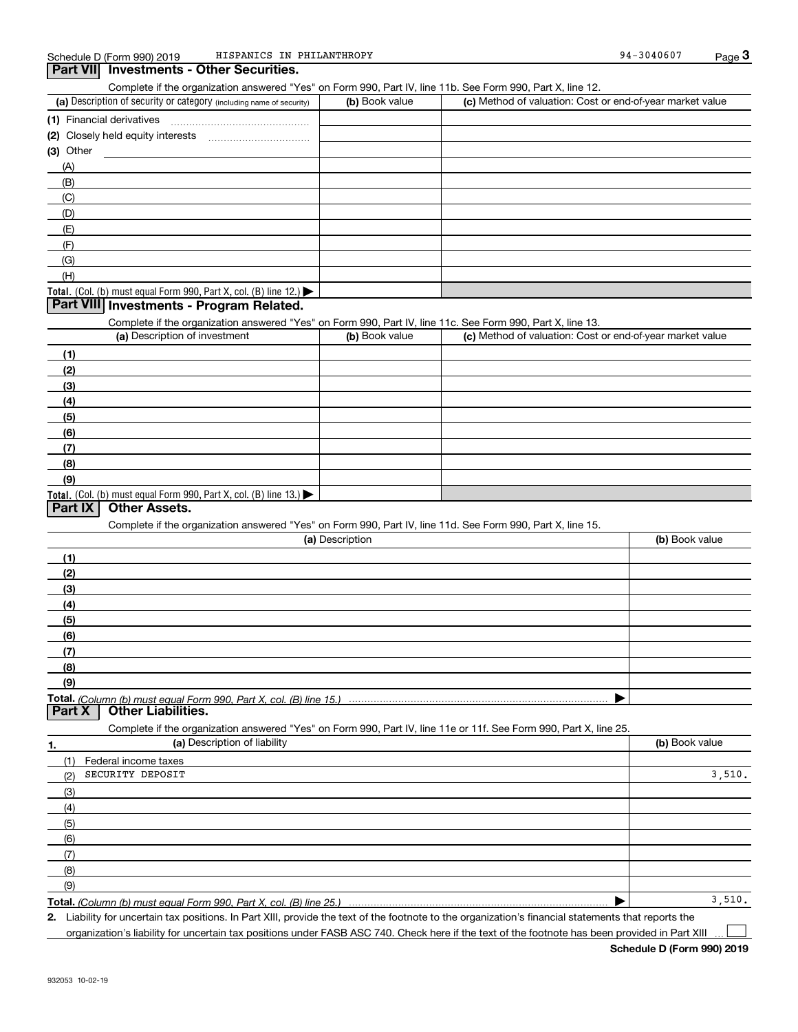| Complete if the organization answered "Yes" on Form 990, Part IV, line 11b. See Form 990, Part X, line 12.        |                 |                                                           |                |
|-------------------------------------------------------------------------------------------------------------------|-----------------|-----------------------------------------------------------|----------------|
| (a) Description of security or category (including name of security)                                              | (b) Book value  | (c) Method of valuation: Cost or end-of-year market value |                |
|                                                                                                                   |                 |                                                           |                |
|                                                                                                                   |                 |                                                           |                |
|                                                                                                                   |                 |                                                           |                |
| (A)                                                                                                               |                 |                                                           |                |
| (B)                                                                                                               |                 |                                                           |                |
| (C)                                                                                                               |                 |                                                           |                |
| (D)                                                                                                               |                 |                                                           |                |
| (E)                                                                                                               |                 |                                                           |                |
| (F)                                                                                                               |                 |                                                           |                |
| (G)                                                                                                               |                 |                                                           |                |
| (H)                                                                                                               |                 |                                                           |                |
| Total. (Col. (b) must equal Form 990, Part X, col. (B) line 12.)                                                  |                 |                                                           |                |
| Part VIII Investments - Program Related.                                                                          |                 |                                                           |                |
| Complete if the organization answered "Yes" on Form 990, Part IV, line 11c. See Form 990, Part X, line 13.        |                 |                                                           |                |
| (a) Description of investment                                                                                     | (b) Book value  | (c) Method of valuation: Cost or end-of-year market value |                |
|                                                                                                                   |                 |                                                           |                |
| (1)                                                                                                               |                 |                                                           |                |
| (2)                                                                                                               |                 |                                                           |                |
| (3)                                                                                                               |                 |                                                           |                |
| (4)                                                                                                               |                 |                                                           |                |
| (5)                                                                                                               |                 |                                                           |                |
| (6)                                                                                                               |                 |                                                           |                |
| (7)                                                                                                               |                 |                                                           |                |
| (8)                                                                                                               |                 |                                                           |                |
| (9)                                                                                                               |                 |                                                           |                |
| Total. (Col. (b) must equal Form 990, Part X, col. (B) line 13.)                                                  |                 |                                                           |                |
| Part IX   Other Assets.                                                                                           |                 |                                                           |                |
| Complete if the organization answered "Yes" on Form 990, Part IV, line 11d. See Form 990, Part X, line 15.        |                 |                                                           |                |
|                                                                                                                   | (a) Description |                                                           | (b) Book value |
| (1)                                                                                                               |                 |                                                           |                |
| (2)                                                                                                               |                 |                                                           |                |
| (3)                                                                                                               |                 |                                                           |                |
| (4)                                                                                                               |                 |                                                           |                |
| (5)                                                                                                               |                 |                                                           |                |
| (6)                                                                                                               |                 |                                                           |                |
| (7)                                                                                                               |                 |                                                           |                |
| (8)                                                                                                               |                 |                                                           |                |
| (9)                                                                                                               |                 |                                                           |                |
|                                                                                                                   |                 |                                                           |                |
| <b>Other Liabilities.</b><br>Part X                                                                               |                 |                                                           |                |
| Complete if the organization answered "Yes" on Form 990, Part IV, line 11e or 11f. See Form 990, Part X, line 25. |                 |                                                           |                |
| (a) Description of liability<br>1.                                                                                |                 |                                                           | (b) Book value |
| (1)<br>Federal income taxes                                                                                       |                 |                                                           |                |
| SECURITY DEPOSIT<br>(2)                                                                                           |                 |                                                           | 3,510.         |
|                                                                                                                   |                 |                                                           |                |
| (3)                                                                                                               |                 |                                                           |                |
| (4)                                                                                                               |                 |                                                           |                |
| (5)                                                                                                               |                 |                                                           |                |
| (6)                                                                                                               |                 |                                                           |                |
| (7)                                                                                                               |                 |                                                           |                |
| (8)                                                                                                               |                 |                                                           |                |
| (9)                                                                                                               |                 |                                                           |                |

**Total.**  *(Column (b) must equal Form 990, Part X, col. (B) line 25.)*

**2.** Liability for uncertain tax positions. In Part XIII, provide the text of the footnote to the organization's financial statements that reports the

organization's liability for uncertain tax positions under FASB ASC 740. Check here if the text of the footnote has been provided in Part XIII

 $\mathcal{L}^{\text{max}}$ 

 $3,510.$ 

 $\blacktriangleright$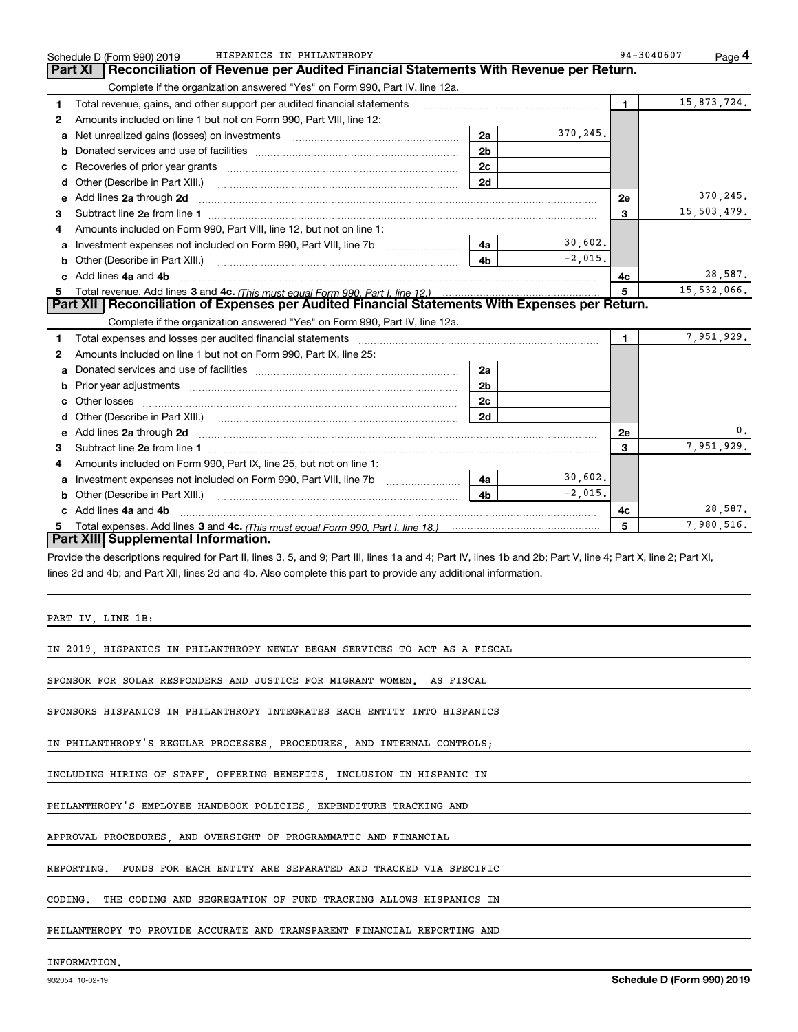|   | HISPANICS IN PHILANTHROPY<br>Schedule D (Form 990) 2019                                                                                                                                                                                             | 94-3040607     | Page 4      |
|---|-----------------------------------------------------------------------------------------------------------------------------------------------------------------------------------------------------------------------------------------------------|----------------|-------------|
|   | Reconciliation of Revenue per Audited Financial Statements With Revenue per Return.<br><b>Part XI</b>                                                                                                                                               |                |             |
|   | Complete if the organization answered "Yes" on Form 990, Part IV, line 12a.                                                                                                                                                                         |                |             |
| 1 | Total revenue, gains, and other support per audited financial statements                                                                                                                                                                            | $\blacksquare$ | 15,873,724. |
| 2 | Amounts included on line 1 but not on Form 990, Part VIII, line 12:                                                                                                                                                                                 |                |             |
| a | 370,245.<br>Net unrealized gains (losses) on investments [11] matter contracts and the unrealized gains (losses) on investments<br>2a                                                                                                               |                |             |
| b | 2 <sub>b</sub>                                                                                                                                                                                                                                      |                |             |
| c | 2c<br>Recoveries of prior year grants [111] Recoveries of prior year grants [11] Masseum Marchantel Marchantel March                                                                                                                                |                |             |
| d | 2d<br>Other (Describe in Part XIII.) <b>COLOGIST: (2014)</b> (2014) <b>COLOGIST: (2014)</b> (2014) <b>COLOGIST: (2014)</b> (2014) (2014) (2014) (2014) (2014) (2014) (2014) (2014) (2014) (2014) (2014) (2014) (2014) (2014) (2014) (2014) (2014) ( |                |             |
| е | Add lines 2a through 2d <b>continuum contract and all contract and all contract and all contract and all contract and all contract and all contract and all contract and all contract and all contract and all contract and all </b>                | <b>2e</b>      | 370,245.    |
| 3 |                                                                                                                                                                                                                                                     | 3              | 15,503,479. |
| 4 | Amounts included on Form 990, Part VIII, line 12, but not on line 1:                                                                                                                                                                                |                |             |
| a | 30,602.<br>4a                                                                                                                                                                                                                                       |                |             |
| b | $-2,015$ .<br>4 <sub>b</sub><br>Other (Describe in Part XIII.) (2000) (2000) (2000) (2010) (2010) (2010) (2010) (2010) (2010) (2010) (2010) (20                                                                                                     |                |             |
|   | Add lines 4a and 4b                                                                                                                                                                                                                                 | 4с             | 28,587.     |
| 5 |                                                                                                                                                                                                                                                     | 5              | 15,532,066. |
|   | Part XII   Reconciliation of Expenses per Audited Financial Statements With Expenses per Return.                                                                                                                                                    |                |             |
|   | Complete if the organization answered "Yes" on Form 990, Part IV, line 12a.                                                                                                                                                                         |                |             |
| 1 |                                                                                                                                                                                                                                                     | $\blacksquare$ | 7,951,929.  |
| 2 | Amounts included on line 1 but not on Form 990, Part IX, line 25:                                                                                                                                                                                   |                |             |
| a | 2a                                                                                                                                                                                                                                                  |                |             |
| b | 2 <sub>b</sub>                                                                                                                                                                                                                                      |                |             |
|   | 2c                                                                                                                                                                                                                                                  |                |             |
|   | 2d                                                                                                                                                                                                                                                  |                |             |
|   |                                                                                                                                                                                                                                                     | 2e             | 0.          |
| 3 |                                                                                                                                                                                                                                                     | 3              | 7,951,929.  |
| 4 | Amounts included on Form 990, Part IX, line 25, but not on line 1:                                                                                                                                                                                  |                |             |
| a | 30,602.<br>Investment expenses not included on Form 990, Part VIII, line 7b [1000000000000000000000000000000000<br>4a                                                                                                                               |                |             |
|   | $-2.015.$<br>4 <sub>b</sub><br>Other (Describe in Part XIII.)                                                                                                                                                                                       |                |             |
|   | c Add lines 4a and 4b                                                                                                                                                                                                                               | 4c             | 28,587.     |
| 5 |                                                                                                                                                                                                                                                     | 5              | 7,980,516.  |
|   | Part XIII Supplemental Information.                                                                                                                                                                                                                 |                |             |

Provide the descriptions required for Part II, lines 3, 5, and 9; Part III, lines 1a and 4; Part IV, lines 1b and 2b; Part V, line 4; Part X, line 2; Part XI, lines 2d and 4b; and Part XII, lines 2d and 4b. Also complete this part to provide any additional information.

PART IV, LINE 1B:

IN 2019, HISPANICS IN PHILANTHROPY NEWLY BEGAN SERVICES TO ACT AS A FISCAL

SPONSOR FOR SOLAR RESPONDERS AND JUSTICE FOR MIGRANT WOMEN. AS FISCAL

SPONSORS HISPANICS IN PHILANTHROPY INTEGRATES EACH ENTITY INTO HISPANICS

IN PHILANTHROPY'S REGULAR PROCESSES, PROCEDURES, AND INTERNAL CONTROLS;

INCLUDING HIRING OF STAFF, OFFERING BENEFITS, INCLUSION IN HISPANIC IN

PHILANTHROPY'S EMPLOYEE HANDBOOK POLICIES, EXPENDITURE TRACKING AND

APPROVAL PROCEDURES, AND OVERSIGHT OF PROGRAMMATIC AND FINANCIAL

REPORTING. FUNDS FOR EACH ENTITY ARE SEPARATED AND TRACKED VIA SPECIFIC

CODING. THE CODING AND SEGREGATION OF FUND TRACKING ALLOWS HISPANICS IN

PHILANTHROPY TO PROVIDE ACCURATE AND TRANSPARENT FINANCIAL REPORTING AND

INFORMATION.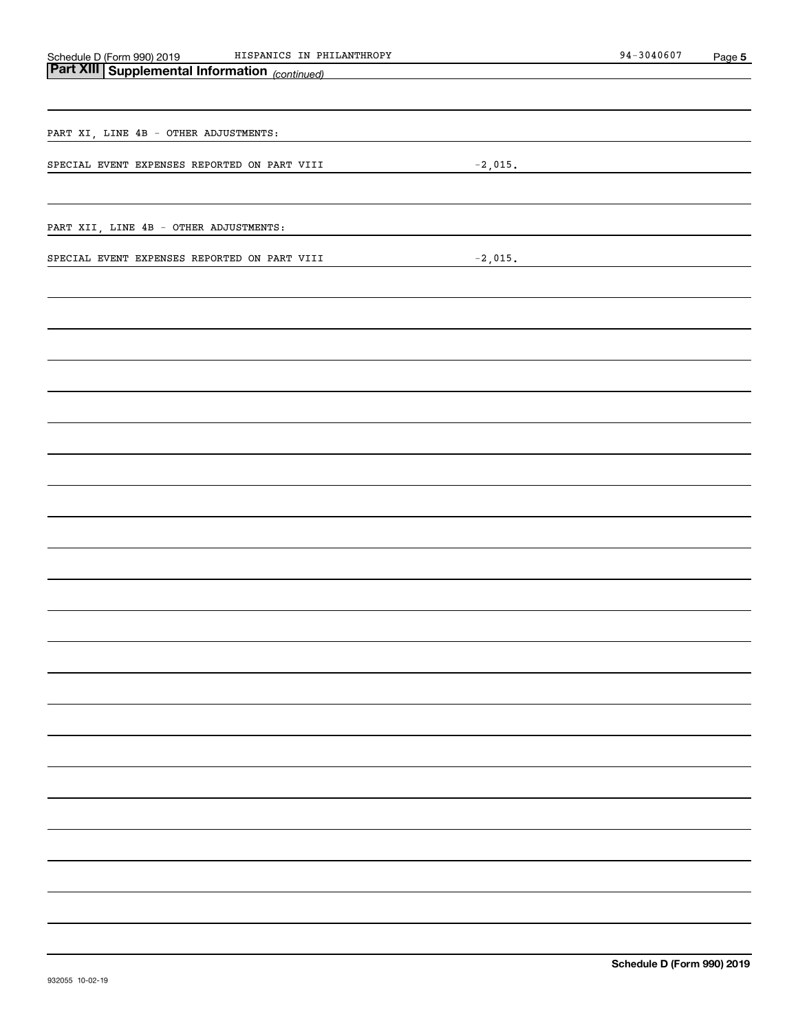| HISPANICS IN PHILANTHROPY                                                                    | $94 - 3040607$ | Page 5 |
|----------------------------------------------------------------------------------------------|----------------|--------|
| Schedule D (Form 990) 2019 HISPANICS IN PH<br>Part XIII Supplemental Information (continued) |                |        |
|                                                                                              |                |        |
|                                                                                              |                |        |
| PART XI, LINE 4B - OTHER ADJUSTMENTS:                                                        |                |        |
|                                                                                              |                |        |
| SPECIAL EVENT EXPENSES REPORTED ON PART VIII<br>$-2$ ,015.                                   |                |        |
|                                                                                              |                |        |
|                                                                                              |                |        |
| PART XII, LINE 4B - OTHER ADJUSTMENTS:                                                       |                |        |
| $-2$ ,015.<br>SPECIAL EVENT EXPENSES REPORTED ON PART VIII                                   |                |        |
|                                                                                              |                |        |
|                                                                                              |                |        |
|                                                                                              |                |        |
|                                                                                              |                |        |
|                                                                                              |                |        |
|                                                                                              |                |        |
|                                                                                              |                |        |
|                                                                                              |                |        |
|                                                                                              |                |        |
|                                                                                              |                |        |
|                                                                                              |                |        |
|                                                                                              |                |        |
|                                                                                              |                |        |
|                                                                                              |                |        |
|                                                                                              |                |        |
|                                                                                              |                |        |
|                                                                                              |                |        |
|                                                                                              |                |        |
|                                                                                              |                |        |
|                                                                                              |                |        |
|                                                                                              |                |        |
|                                                                                              |                |        |
|                                                                                              |                |        |
|                                                                                              |                |        |
|                                                                                              |                |        |
|                                                                                              |                |        |
|                                                                                              |                |        |
|                                                                                              |                |        |
|                                                                                              |                |        |
|                                                                                              |                |        |
|                                                                                              |                |        |
|                                                                                              |                |        |
|                                                                                              |                |        |
|                                                                                              |                |        |
|                                                                                              |                |        |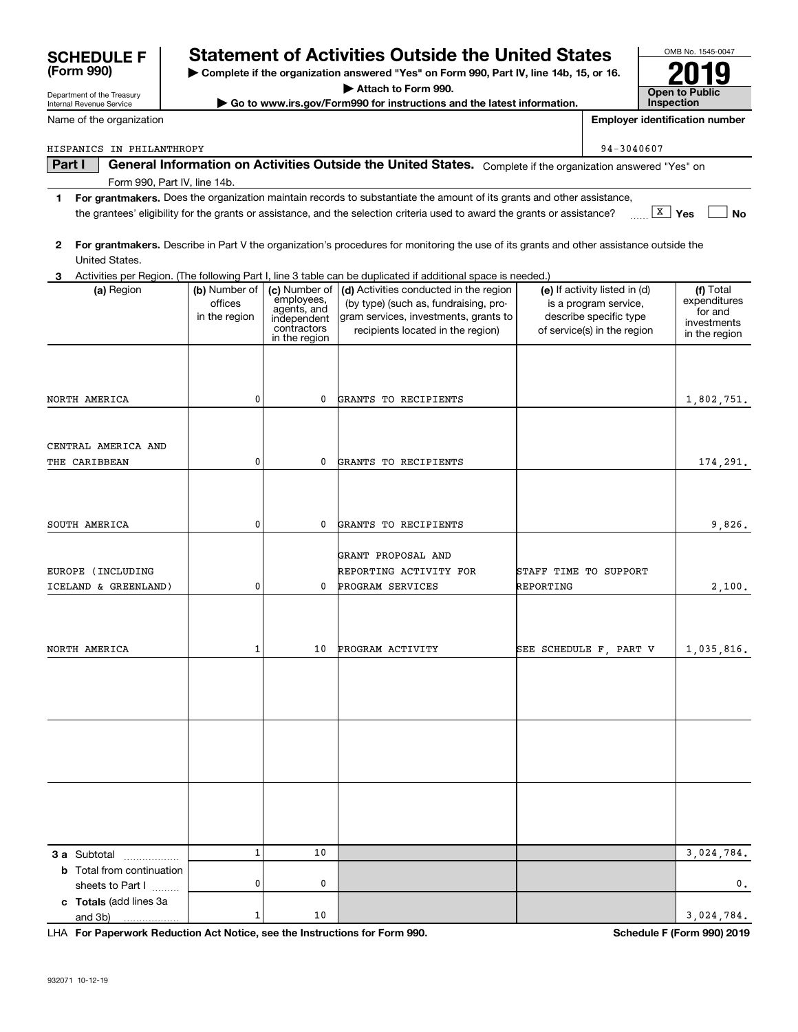| HISPANICS IN PHILANTHROPY        |               |                            |                                                                                                                                         |                       | 94-3040607                    |                         |
|----------------------------------|---------------|----------------------------|-----------------------------------------------------------------------------------------------------------------------------------------|-----------------------|-------------------------------|-------------------------|
| Part I                           |               |                            | General Information on Activities Outside the United States. Complete if the organization answered "Yes" on                             |                       |                               |                         |
| Form 990, Part IV, line 14b.     |               |                            |                                                                                                                                         |                       |                               |                         |
| 1                                |               |                            | For grantmakers. Does the organization maintain records to substantiate the amount of its grants and other assistance,                  |                       |                               |                         |
|                                  |               |                            | the grantees' eligibility for the grants or assistance, and the selection criteria used to award the grants or assistance?              |                       |                               | $\sqrt{X}$ Yes<br>No    |
|                                  |               |                            |                                                                                                                                         |                       |                               |                         |
| 2                                |               |                            | For grantmakers. Describe in Part V the organization's procedures for monitoring the use of its grants and other assistance outside the |                       |                               |                         |
| United States.                   |               |                            |                                                                                                                                         |                       |                               |                         |
| З                                |               |                            | Activities per Region. (The following Part I, line 3 table can be duplicated if additional space is needed.)                            |                       |                               |                         |
| (a) Region                       | (b) Number of | (c) Number of              | (d) Activities conducted in the region                                                                                                  |                       | (e) If activity listed in (d) | (f) Total               |
|                                  | offices       | employees,<br>agents, and  | (by type) (such as, fundraising, pro-                                                                                                   |                       | is a program service,         | expenditures<br>for and |
|                                  | in the region | independent<br>contractors | gram services, investments, grants to                                                                                                   |                       | describe specific type        | investments             |
|                                  |               | in the region              | recipients located in the region)                                                                                                       |                       | of service(s) in the region   | in the region           |
|                                  |               |                            |                                                                                                                                         |                       |                               |                         |
|                                  |               |                            |                                                                                                                                         |                       |                               |                         |
|                                  |               |                            |                                                                                                                                         |                       |                               |                         |
| NORTH AMERICA                    | 0             | 0                          | GRANTS TO RECIPIENTS                                                                                                                    |                       |                               | 1,802,751.              |
|                                  |               |                            |                                                                                                                                         |                       |                               |                         |
|                                  |               |                            |                                                                                                                                         |                       |                               |                         |
| CENTRAL AMERICA AND              |               |                            |                                                                                                                                         |                       |                               |                         |
| THE CARIBBEAN                    | 0             | 0                          | GRANTS TO RECIPIENTS                                                                                                                    |                       |                               | 174,291.                |
|                                  |               |                            |                                                                                                                                         |                       |                               |                         |
|                                  |               |                            |                                                                                                                                         |                       |                               |                         |
|                                  |               |                            |                                                                                                                                         |                       |                               |                         |
| SOUTH AMERICA                    | 0             | 0                          | GRANTS TO RECIPIENTS                                                                                                                    |                       |                               | 9,826,                  |
|                                  |               |                            |                                                                                                                                         |                       |                               |                         |
|                                  |               |                            | GRANT PROPOSAL AND                                                                                                                      |                       |                               |                         |
| EUROPE (INCLUDING                |               |                            | REPORTING ACTIVITY FOR                                                                                                                  | STAFF TIME TO SUPPORT |                               |                         |
| ICELAND & GREENLAND)             | 0             | 0                          | PROGRAM SERVICES                                                                                                                        | REPORTING             |                               | 2,100.                  |
|                                  |               |                            |                                                                                                                                         |                       |                               |                         |
|                                  |               |                            |                                                                                                                                         |                       |                               |                         |
|                                  |               |                            |                                                                                                                                         |                       |                               |                         |
| NORTH AMERICA                    | 1             | 10                         | PROGRAM ACTIVITY                                                                                                                        |                       | SEE SCHEDULE F, PART V        | 1,035,816.              |
|                                  |               |                            |                                                                                                                                         |                       |                               |                         |
|                                  |               |                            |                                                                                                                                         |                       |                               |                         |
|                                  |               |                            |                                                                                                                                         |                       |                               |                         |
|                                  |               |                            |                                                                                                                                         |                       |                               |                         |
|                                  |               |                            |                                                                                                                                         |                       |                               |                         |
|                                  |               |                            |                                                                                                                                         |                       |                               |                         |
|                                  |               |                            |                                                                                                                                         |                       |                               |                         |
|                                  |               |                            |                                                                                                                                         |                       |                               |                         |
|                                  |               |                            |                                                                                                                                         |                       |                               |                         |
|                                  |               |                            |                                                                                                                                         |                       |                               |                         |
|                                  |               |                            |                                                                                                                                         |                       |                               |                         |
|                                  |               |                            |                                                                                                                                         |                       |                               |                         |
| <b>3 a</b> Subtotal              | $\mathbf{1}$  | 10                         |                                                                                                                                         |                       |                               | 3,024,784.              |
| <b>b</b> Total from continuation |               |                            |                                                                                                                                         |                       |                               |                         |
| sheets to Part I                 | 0             | 0                          |                                                                                                                                         |                       |                               | 0,                      |
| c Totals (add lines 3a           |               |                            |                                                                                                                                         |                       |                               |                         |
| and 3b)                          | 1             | 10                         |                                                                                                                                         |                       |                               | 3,024,784.              |
|                                  |               |                            |                                                                                                                                         |                       |                               |                         |

**| Complete if the organization answered "Yes" on Form 990, Part IV, line 14b, 15, or 16. | Attach to Form 990. | Go to www.irs.gov/Form990 for instructions and the latest information.**

**Statement of Activities Outside the United States** 

**For Paperwork Reduction Act Notice, see the Instructions for Form 990. Schedule F (Form 990) 2019** LHA

OMB No. 1545-0047

**2019**

**Open to Public InspectionEmployer identification number**

Department of the Treasury Internal Revenue Service

**(Form 990)**

Name of the organization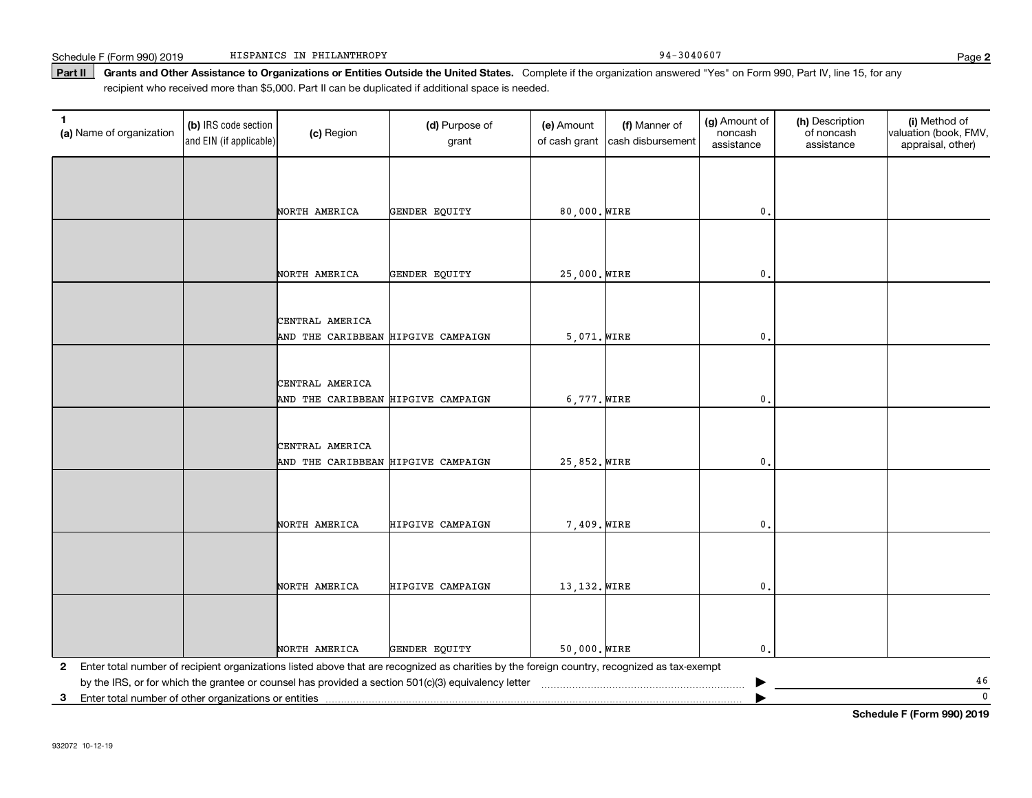Part II | Grants and Other Assistance to Organizations or Entities Outside the United States. Complete if the organization answered "Yes" on Form 990, Part IV, line 15, for any recipient who received more than \$5,000. Part II can be duplicated if additional space is needed.

| $\mathbf{1}$<br>(a) Name of organization                | (b) IRS code section<br>and EIN (if applicable) | (c) Region                                            | (d) Purpose of<br>grant                                                                                                                        | (e) Amount<br>of cash grant | (f) Manner of<br>cash disbursement | (g) Amount of<br>noncash<br>assistance | (h) Description<br>of noncash<br>assistance | (i) Method of<br>valuation (book, FMV,<br>appraisal, other) |
|---------------------------------------------------------|-------------------------------------------------|-------------------------------------------------------|------------------------------------------------------------------------------------------------------------------------------------------------|-----------------------------|------------------------------------|----------------------------------------|---------------------------------------------|-------------------------------------------------------------|
|                                                         |                                                 |                                                       |                                                                                                                                                |                             |                                    |                                        |                                             |                                                             |
|                                                         |                                                 | NORTH AMERICA                                         | GENDER EQUITY                                                                                                                                  | 80,000. WIRE                |                                    | 0.                                     |                                             |                                                             |
|                                                         |                                                 |                                                       |                                                                                                                                                |                             |                                    |                                        |                                             |                                                             |
|                                                         |                                                 |                                                       |                                                                                                                                                |                             |                                    |                                        |                                             |                                                             |
|                                                         |                                                 | NORTH AMERICA                                         | GENDER EQUITY                                                                                                                                  | 25,000. WIRE                |                                    | 0.                                     |                                             |                                                             |
|                                                         |                                                 |                                                       |                                                                                                                                                |                             |                                    |                                        |                                             |                                                             |
|                                                         |                                                 | CENTRAL AMERICA<br>AND THE CARIBBEAN HIPGIVE CAMPAIGN |                                                                                                                                                | 5,071. WIRE                 |                                    | $\mathbf{0}$ .                         |                                             |                                                             |
|                                                         |                                                 |                                                       |                                                                                                                                                |                             |                                    |                                        |                                             |                                                             |
|                                                         |                                                 | CENTRAL AMERICA                                       |                                                                                                                                                |                             |                                    |                                        |                                             |                                                             |
|                                                         |                                                 | AND THE CARIBBEAN HIPGIVE CAMPAIGN                    |                                                                                                                                                | 6,777. WIRE                 |                                    | $\mathbf{0}$ .                         |                                             |                                                             |
|                                                         |                                                 |                                                       |                                                                                                                                                |                             |                                    |                                        |                                             |                                                             |
|                                                         |                                                 | CENTRAL AMERICA                                       |                                                                                                                                                |                             |                                    |                                        |                                             |                                                             |
|                                                         |                                                 | AND THE CARIBBEAN HIPGIVE CAMPAIGN                    |                                                                                                                                                | 25,852. WIRE                |                                    | $\mathbf 0$ .                          |                                             |                                                             |
|                                                         |                                                 |                                                       |                                                                                                                                                |                             |                                    |                                        |                                             |                                                             |
|                                                         |                                                 | NORTH AMERICA                                         | HIPGIVE CAMPAIGN                                                                                                                               | 7,409. WIRE                 |                                    | $\mathfrak{o}$ .                       |                                             |                                                             |
|                                                         |                                                 |                                                       |                                                                                                                                                |                             |                                    |                                        |                                             |                                                             |
|                                                         |                                                 |                                                       |                                                                                                                                                |                             |                                    |                                        |                                             |                                                             |
|                                                         |                                                 | NORTH AMERICA                                         | HIPGIVE CAMPAIGN                                                                                                                               | 13, 132. WIRE               |                                    | $\mathbf{0}$ .                         |                                             |                                                             |
|                                                         |                                                 |                                                       |                                                                                                                                                |                             |                                    |                                        |                                             |                                                             |
|                                                         |                                                 | NORTH AMERICA                                         | GENDER EQUITY                                                                                                                                  | 50,000. WIRE                |                                    | 0.                                     |                                             |                                                             |
|                                                         |                                                 |                                                       | 2 Enter total number of recipient organizations listed above that are recognized as charities by the foreign country, recognized as tax-exempt |                             |                                    |                                        |                                             |                                                             |
|                                                         |                                                 |                                                       | by the IRS, or for which the grantee or counsel has provided a section 501(c)(3) equivalency letter                                            |                             |                                    |                                        |                                             | 46                                                          |
| 3 Enter total number of other organizations or entities |                                                 |                                                       |                                                                                                                                                |                             |                                    |                                        |                                             | $\mathbf 0$                                                 |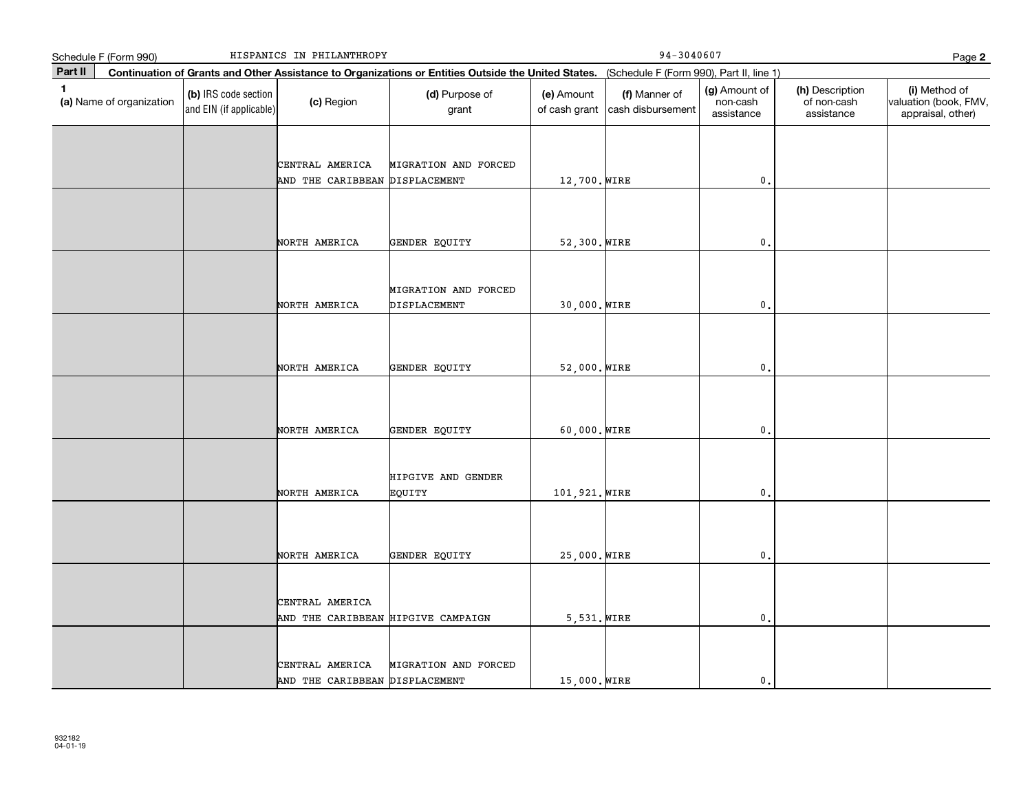|              | Schedule F (Form 990)    |                                                 | HISPANICS IN PHILANTHROPY                             |                                                                                                                                              | $94 - 3040607$<br>Page 2    |                                    |                                         |                                              |                                                             |
|--------------|--------------------------|-------------------------------------------------|-------------------------------------------------------|----------------------------------------------------------------------------------------------------------------------------------------------|-----------------------------|------------------------------------|-----------------------------------------|----------------------------------------------|-------------------------------------------------------------|
| Part II      |                          |                                                 |                                                       | Continuation of Grants and Other Assistance to Organizations or Entities Outside the United States. (Schedule F (Form 990), Part II, line 1) |                             |                                    |                                         |                                              |                                                             |
| $\mathbf{1}$ | (a) Name of organization | (b) IRS code section<br>and EIN (if applicable) | (c) Region                                            | (d) Purpose of<br>grant                                                                                                                      | (e) Amount<br>of cash grant | (f) Manner of<br>cash disbursement | (g) Amount of<br>non-cash<br>assistance | (h) Description<br>of non-cash<br>assistance | (i) Method of<br>valuation (book, FMV,<br>appraisal, other) |
|              |                          |                                                 | CENTRAL AMERICA<br>AND THE CARIBBEAN DISPLACEMENT     | MIGRATION AND FORCED                                                                                                                         | 12,700. WIRE                |                                    | $\mathfrak o$ .                         |                                              |                                                             |
|              |                          |                                                 | NORTH AMERICA                                         | GENDER EQUITY                                                                                                                                | 52,300. WIRE                |                                    | $\mathbf{0}$                            |                                              |                                                             |
|              |                          |                                                 | NORTH AMERICA                                         | MIGRATION AND FORCED<br>DISPLACEMENT                                                                                                         | 30,000. WIRE                |                                    | $\mathbf{0}$                            |                                              |                                                             |
|              |                          |                                                 | NORTH AMERICA                                         | GENDER EQUITY                                                                                                                                | 52,000. WIRE                |                                    | $\mathbf{0}$                            |                                              |                                                             |
|              |                          |                                                 | NORTH AMERICA                                         | GENDER EQUITY                                                                                                                                | 60,000. WIRE                |                                    | $\mathbf 0$ .                           |                                              |                                                             |
|              |                          |                                                 | NORTH AMERICA                                         | HIPGIVE AND GENDER<br>EQUITY                                                                                                                 | 101,921. WIRE               |                                    | $\mathbf 0$ .                           |                                              |                                                             |
|              |                          |                                                 | NORTH AMERICA                                         | GENDER EQUITY                                                                                                                                | 25,000. WIRE                |                                    | $\mathbf{0}$                            |                                              |                                                             |
|              |                          |                                                 | CENTRAL AMERICA<br>AND THE CARIBBEAN HIPGIVE CAMPAIGN |                                                                                                                                              | 5,531. WIRE                 |                                    | 0.                                      |                                              |                                                             |
|              |                          |                                                 | CENTRAL AMERICA<br>AND THE CARIBBEAN DISPLACEMENT     | MIGRATION AND FORCED                                                                                                                         | 15,000. WIRE                |                                    | $\mathbf{0}$ .                          |                                              |                                                             |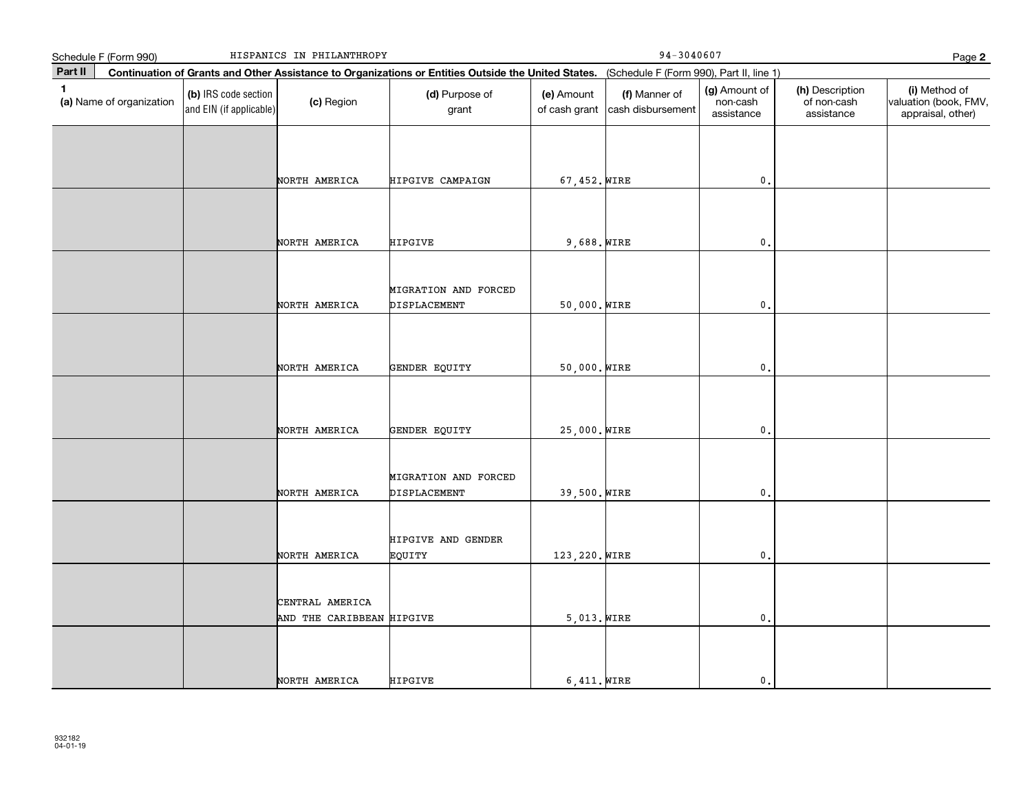|              | Schedule F (Form 990)    |                                                 | HISPANICS IN PHILANTHROPY                    |                                                                                                                                              | $94 - 3040607$<br>Page 2    |                                    |                                         |                                              |                                                             |
|--------------|--------------------------|-------------------------------------------------|----------------------------------------------|----------------------------------------------------------------------------------------------------------------------------------------------|-----------------------------|------------------------------------|-----------------------------------------|----------------------------------------------|-------------------------------------------------------------|
| Part II      |                          |                                                 |                                              | Continuation of Grants and Other Assistance to Organizations or Entities Outside the United States. (Schedule F (Form 990), Part II, line 1) |                             |                                    |                                         |                                              |                                                             |
| $\mathbf{1}$ | (a) Name of organization | (b) IRS code section<br>and EIN (if applicable) | (c) Region                                   | (d) Purpose of<br>grant                                                                                                                      | (e) Amount<br>of cash grant | (f) Manner of<br>cash disbursement | (g) Amount of<br>non-cash<br>assistance | (h) Description<br>of non-cash<br>assistance | (i) Method of<br>valuation (book, FMV,<br>appraisal, other) |
|              |                          |                                                 | NORTH AMERICA                                | HIPGIVE CAMPAIGN                                                                                                                             | 67,452. WIRE                |                                    | $\mathfrak o$ .                         |                                              |                                                             |
|              |                          |                                                 | NORTH AMERICA                                | <b>HIPGIVE</b>                                                                                                                               | 9,688. WIRE                 |                                    | $\mathbf 0$ .                           |                                              |                                                             |
|              |                          |                                                 | NORTH AMERICA                                | MIGRATION AND FORCED<br>DISPLACEMENT                                                                                                         | 50,000. WIRE                |                                    | $\mathbf{0}$                            |                                              |                                                             |
|              |                          |                                                 | NORTH AMERICA                                | GENDER EQUITY                                                                                                                                | 50,000. WIRE                |                                    | $\mathbf 0$ .                           |                                              |                                                             |
|              |                          |                                                 | NORTH AMERICA                                | GENDER EQUITY                                                                                                                                | 25,000. WIRE                |                                    | 0.                                      |                                              |                                                             |
|              |                          |                                                 | NORTH AMERICA                                | MIGRATION AND FORCED<br>DISPLACEMENT                                                                                                         | 39,500. WIRE                |                                    | $\mathbf 0$ .                           |                                              |                                                             |
|              |                          |                                                 | NORTH AMERICA                                | HIPGIVE AND GENDER<br>EQUITY                                                                                                                 | 123, 220. WIRE              |                                    | $\mathbf{0}$ .                          |                                              |                                                             |
|              |                          |                                                 | CENTRAL AMERICA<br>AND THE CARIBBEAN HIPGIVE |                                                                                                                                              | $5,013.$ WIRE               |                                    | $\mathfrak o$ .                         |                                              |                                                             |
|              |                          |                                                 | NORTH AMERICA                                | HIPGIVE                                                                                                                                      | $6,411.$ WIRE               |                                    | $\mathbf{0}$ .                          |                                              |                                                             |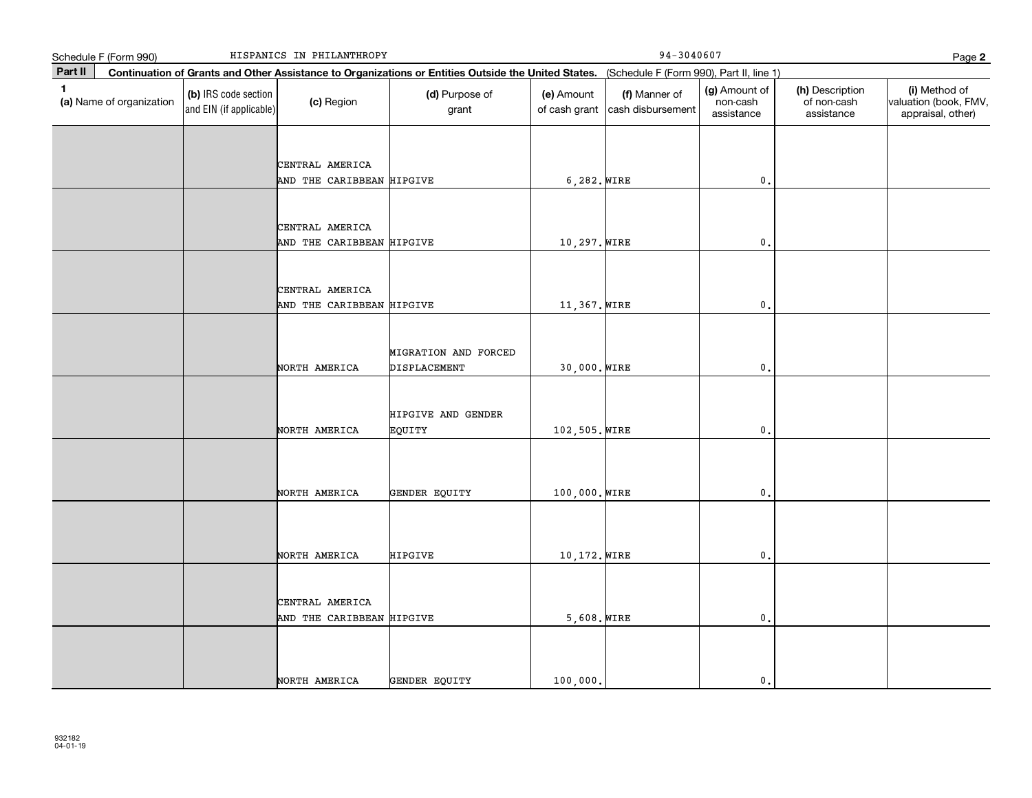|         | Schedule F (Form 990)    |                                                 | HISPANICS IN PHILANTHROPY                    |                                                                                                                                              | $94 - 3040607$<br>Page 2    |                                    |                                         |                                              |                                                             |
|---------|--------------------------|-------------------------------------------------|----------------------------------------------|----------------------------------------------------------------------------------------------------------------------------------------------|-----------------------------|------------------------------------|-----------------------------------------|----------------------------------------------|-------------------------------------------------------------|
| Part II |                          |                                                 |                                              | Continuation of Grants and Other Assistance to Organizations or Entities Outside the United States. (Schedule F (Form 990), Part II, line 1) |                             |                                    |                                         |                                              |                                                             |
| 1       | (a) Name of organization | (b) IRS code section<br>and EIN (if applicable) | (c) Region                                   | (d) Purpose of<br>grant                                                                                                                      | (e) Amount<br>of cash grant | (f) Manner of<br>cash disbursement | (g) Amount of<br>non-cash<br>assistance | (h) Description<br>of non-cash<br>assistance | (i) Method of<br>valuation (book, FMV,<br>appraisal, other) |
|         |                          |                                                 | CENTRAL AMERICA<br>AND THE CARIBBEAN HIPGIVE |                                                                                                                                              | $6,282.$ WIRE               |                                    | $\mathsf{0}$ .                          |                                              |                                                             |
|         |                          |                                                 | CENTRAL AMERICA<br>AND THE CARIBBEAN HIPGIVE |                                                                                                                                              | 10,297. WIRE                |                                    | $\mathbf 0$ .                           |                                              |                                                             |
|         |                          |                                                 | CENTRAL AMERICA<br>AND THE CARIBBEAN HIPGIVE |                                                                                                                                              | 11,367. WIRE                |                                    | $\mathbf{0}$ .                          |                                              |                                                             |
|         |                          |                                                 | NORTH AMERICA                                | MIGRATION AND FORCED<br>DISPLACEMENT                                                                                                         | 30,000. WIRE                |                                    | $\mathbf{0}$                            |                                              |                                                             |
|         |                          |                                                 | NORTH AMERICA                                | HIPGIVE AND GENDER<br>EQUITY                                                                                                                 | 102,505. WIRE               |                                    | $\mathbf{0}$                            |                                              |                                                             |
|         |                          |                                                 | NORTH AMERICA                                | GENDER EQUITY                                                                                                                                | 100,000. WIRE               |                                    | $\mathbf 0$ .                           |                                              |                                                             |
|         |                          |                                                 | NORTH AMERICA                                | HIPGIVE                                                                                                                                      | 10,172. WIRE                |                                    | $\mathbf{0}$ .                          |                                              |                                                             |
|         |                          |                                                 | CENTRAL AMERICA<br>AND THE CARIBBEAN HIPGIVE |                                                                                                                                              | $5,608.$ WIRE               |                                    | $\mathbf{0}$ .                          |                                              |                                                             |
|         |                          |                                                 | NORTH AMERICA                                | GENDER EQUITY                                                                                                                                | 100,000.                    |                                    | $\mathbf{0}$ .                          |                                              |                                                             |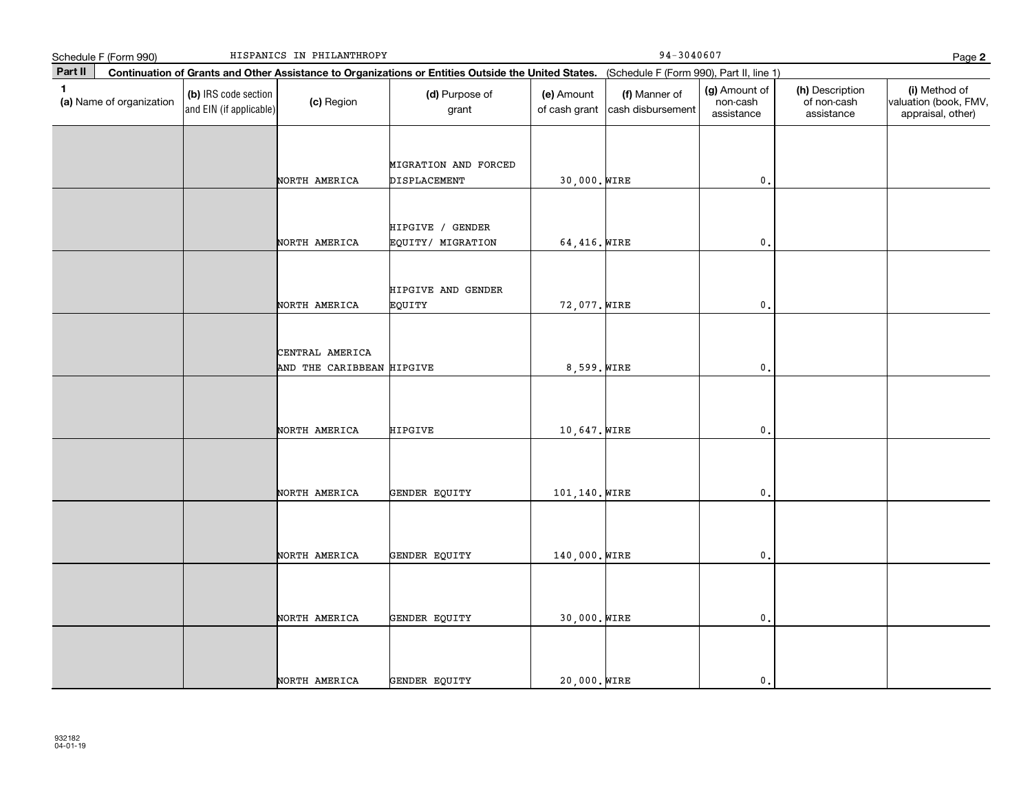|              | Schedule F (Form 990)    |                                                 | HISPANICS IN PHILANTHROPY                    |                                                                                                                                              |                             | $94 - 3040607$                     |                                         |                                              | Page 2                                                      |
|--------------|--------------------------|-------------------------------------------------|----------------------------------------------|----------------------------------------------------------------------------------------------------------------------------------------------|-----------------------------|------------------------------------|-----------------------------------------|----------------------------------------------|-------------------------------------------------------------|
| Part II      |                          |                                                 |                                              | Continuation of Grants and Other Assistance to Organizations or Entities Outside the United States. (Schedule F (Form 990), Part II, line 1) |                             |                                    |                                         |                                              |                                                             |
| $\mathbf{1}$ | (a) Name of organization | (b) IRS code section<br>and EIN (if applicable) | (c) Region                                   | (d) Purpose of<br>grant                                                                                                                      | (e) Amount<br>of cash grant | (f) Manner of<br>cash disbursement | (g) Amount of<br>non-cash<br>assistance | (h) Description<br>of non-cash<br>assistance | (i) Method of<br>valuation (book, FMV,<br>appraisal, other) |
|              |                          |                                                 | NORTH AMERICA                                | MIGRATION AND FORCED<br>DISPLACEMENT                                                                                                         | 30,000. WIRE                |                                    | $\mathbf{0}$ .                          |                                              |                                                             |
|              |                          |                                                 | NORTH AMERICA                                | HIPGIVE / GENDER<br>EQUITY/ MIGRATION                                                                                                        | 64,416. WIRE                |                                    | $\mathbf{0}$                            |                                              |                                                             |
|              |                          |                                                 | NORTH AMERICA                                | HIPGIVE AND GENDER<br>EQUITY                                                                                                                 | 72,077. WIRE                |                                    | $\mathbf{0}$ .                          |                                              |                                                             |
|              |                          |                                                 | CENTRAL AMERICA<br>AND THE CARIBBEAN HIPGIVE |                                                                                                                                              | 8,599. WIRE                 |                                    | $\mathsf{0}$ .                          |                                              |                                                             |
|              |                          |                                                 | NORTH AMERICA                                | HIPGIVE                                                                                                                                      | 10,647. WIRE                |                                    | $\mathbf 0$ .                           |                                              |                                                             |
|              |                          |                                                 | NORTH AMERICA                                | GENDER EQUITY                                                                                                                                | 101,140. WIRE               |                                    | $\mathfrak o$ .                         |                                              |                                                             |
|              |                          |                                                 | NORTH AMERICA                                | GENDER EQUITY                                                                                                                                | 140,000. WIRE               |                                    | $\mathfrak o$ .                         |                                              |                                                             |
|              |                          |                                                 | NORTH AMERICA                                | GENDER EQUITY                                                                                                                                | 30,000. WIRE                |                                    | $\mathsf{0}$ .                          |                                              |                                                             |
|              |                          |                                                 | NORTH AMERICA                                | GENDER EQUITY                                                                                                                                | 20,000. WIRE                |                                    | $\mathbf{0}$ .                          |                                              |                                                             |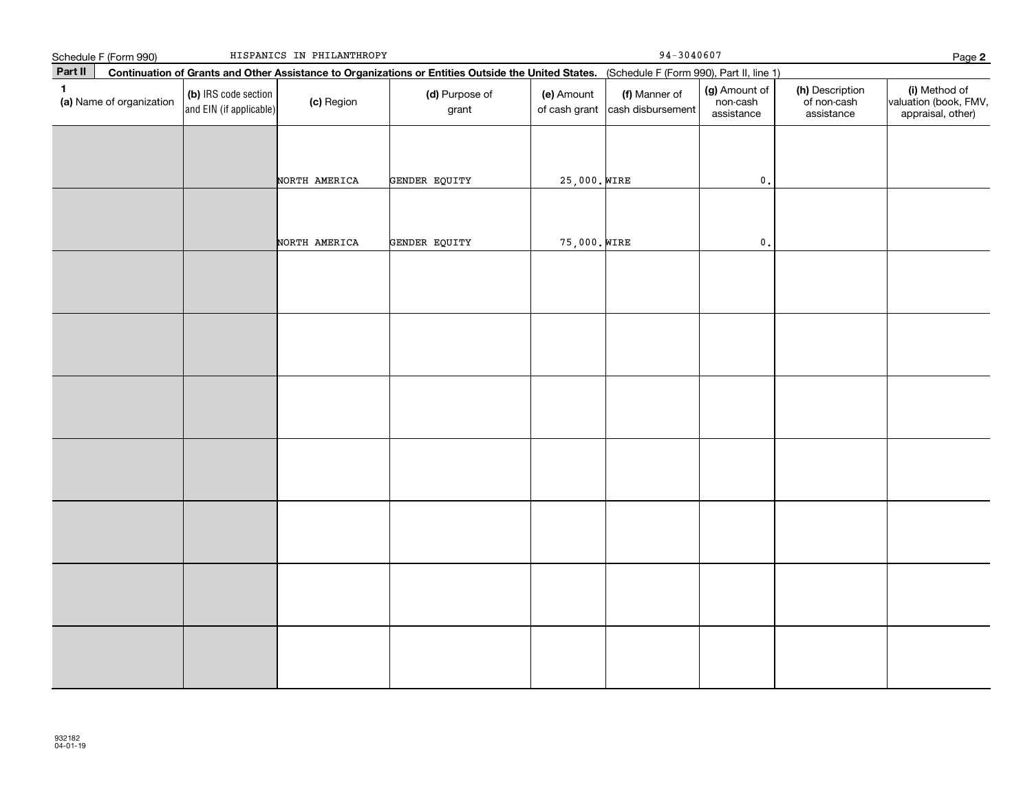|              | Schedule F (Form 990)    |                                                 | HISPANICS IN PHILANTHROPY |                                                                                                                                              | $94 - 3040607$<br>Page 2    |                                    |                                         |                                              |                                                             |
|--------------|--------------------------|-------------------------------------------------|---------------------------|----------------------------------------------------------------------------------------------------------------------------------------------|-----------------------------|------------------------------------|-----------------------------------------|----------------------------------------------|-------------------------------------------------------------|
| Part II      |                          |                                                 |                           | Continuation of Grants and Other Assistance to Organizations or Entities Outside the United States. (Schedule F (Form 990), Part II, line 1) |                             |                                    |                                         |                                              |                                                             |
| $\mathbf{1}$ | (a) Name of organization | (b) IRS code section<br>and EIN (if applicable) | (c) Region                | (d) Purpose of<br>grant                                                                                                                      | (e) Amount<br>of cash grant | (f) Manner of<br>cash disbursement | (g) Amount of<br>non-cash<br>assistance | (h) Description<br>of non-cash<br>assistance | (i) Method of<br>valuation (book, FMV,<br>appraisal, other) |
|              |                          |                                                 | NORTH AMERICA             | GENDER EQUITY                                                                                                                                | 25,000. WIRE                |                                    | $\mathfrak o$ .                         |                                              |                                                             |
|              |                          |                                                 |                           |                                                                                                                                              |                             |                                    |                                         |                                              |                                                             |
|              |                          |                                                 | NORTH AMERICA             | GENDER EQUITY                                                                                                                                | 75,000. WIRE                |                                    | $\mathfrak o$ .                         |                                              |                                                             |
|              |                          |                                                 |                           |                                                                                                                                              |                             |                                    |                                         |                                              |                                                             |
|              |                          |                                                 |                           |                                                                                                                                              |                             |                                    |                                         |                                              |                                                             |
|              |                          |                                                 |                           |                                                                                                                                              |                             |                                    |                                         |                                              |                                                             |
|              |                          |                                                 |                           |                                                                                                                                              |                             |                                    |                                         |                                              |                                                             |
|              |                          |                                                 |                           |                                                                                                                                              |                             |                                    |                                         |                                              |                                                             |
|              |                          |                                                 |                           |                                                                                                                                              |                             |                                    |                                         |                                              |                                                             |
|              |                          |                                                 |                           |                                                                                                                                              |                             |                                    |                                         |                                              |                                                             |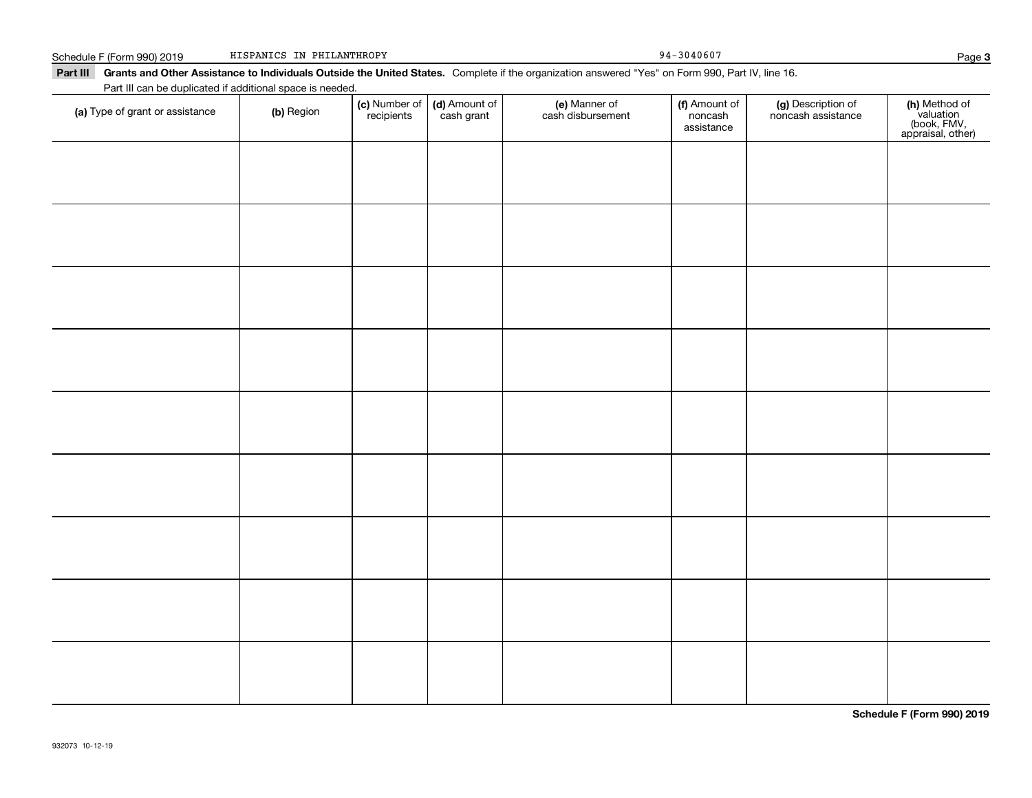Schedule F (Form 990) 2019 TISPANICS IN PHILANTHROPY PAGE 2014 0607 HISPANICS IN PHILANTHROPY

Part III Grants and Other Assistance to Individuals Outside the United States. Complete if the organization answered "Yes" on Form 990, Part IV, line 16.

| Part III can be duplicated if additional space is needed. |            |                             |                             |                                    |                                        |                                          |                                                                |
|-----------------------------------------------------------|------------|-----------------------------|-----------------------------|------------------------------------|----------------------------------------|------------------------------------------|----------------------------------------------------------------|
| (a) Type of grant or assistance                           | (b) Region | (c) Number of<br>recipients | (d) Amount of<br>cash grant | (e) Manner of<br>cash disbursement | (f) Amount of<br>noncash<br>assistance | (g) Description of<br>noncash assistance | (h) Method of<br>valuation<br>(book, FMV,<br>appraisal, other) |
|                                                           |            |                             |                             |                                    |                                        |                                          |                                                                |
|                                                           |            |                             |                             |                                    |                                        |                                          |                                                                |
|                                                           |            |                             |                             |                                    |                                        |                                          |                                                                |
|                                                           |            |                             |                             |                                    |                                        |                                          |                                                                |
|                                                           |            |                             |                             |                                    |                                        |                                          |                                                                |
|                                                           |            |                             |                             |                                    |                                        |                                          |                                                                |
|                                                           |            |                             |                             |                                    |                                        |                                          |                                                                |
|                                                           |            |                             |                             |                                    |                                        |                                          |                                                                |
|                                                           |            |                             |                             |                                    |                                        |                                          |                                                                |
|                                                           |            |                             |                             |                                    |                                        |                                          |                                                                |
|                                                           |            |                             |                             |                                    |                                        |                                          |                                                                |
|                                                           |            |                             |                             |                                    |                                        |                                          |                                                                |
|                                                           |            |                             |                             |                                    |                                        |                                          |                                                                |
|                                                           |            |                             |                             |                                    |                                        |                                          |                                                                |
|                                                           |            |                             |                             |                                    |                                        |                                          |                                                                |
|                                                           |            |                             |                             |                                    |                                        |                                          |                                                                |
|                                                           |            |                             |                             |                                    |                                        |                                          |                                                                |
|                                                           |            |                             |                             |                                    |                                        |                                          |                                                                |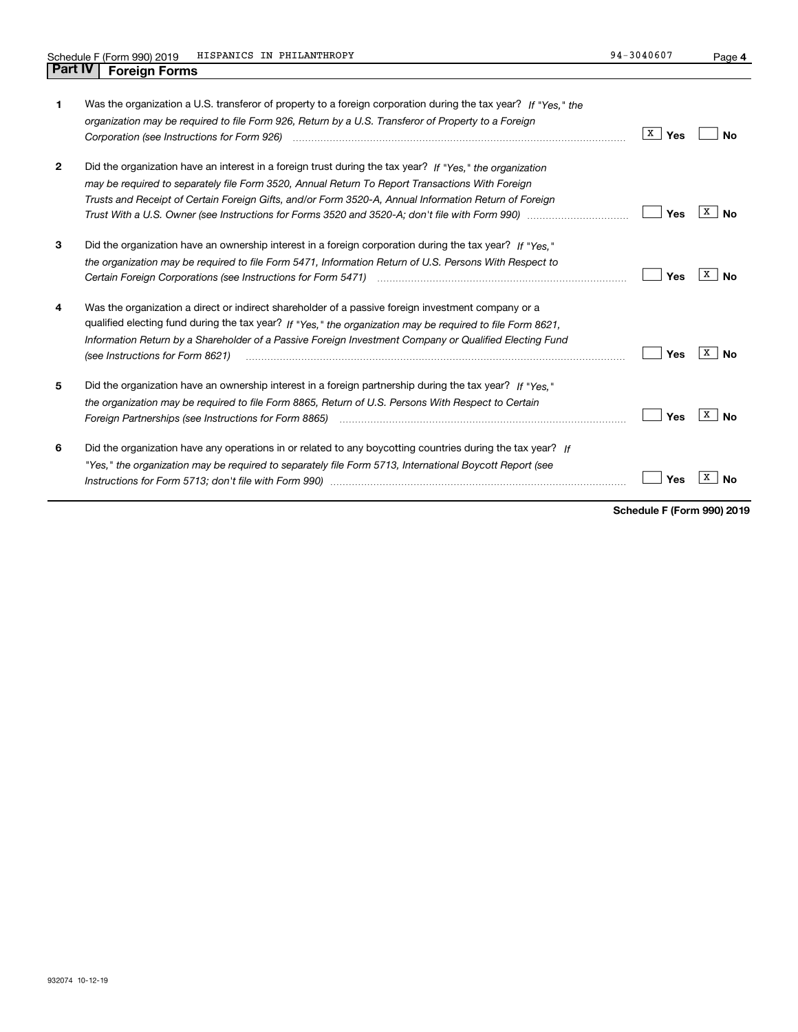**4**

| 1              | Was the organization a U.S. transferor of property to a foreign corporation during the tax year? If "Yes." the<br>organization may be required to file Form 926, Return by a U.S. Transferor of Property to a Foreign                                                                                                                                                                                                                          | X<br>Yes | Nο      |
|----------------|------------------------------------------------------------------------------------------------------------------------------------------------------------------------------------------------------------------------------------------------------------------------------------------------------------------------------------------------------------------------------------------------------------------------------------------------|----------|---------|
| $\overline{2}$ | Did the organization have an interest in a foreign trust during the tax year? If "Yes." the organization<br>may be required to separately file Form 3520, Annual Return To Report Transactions With Foreign<br>Trusts and Receipt of Certain Foreign Gifts, and/or Form 3520-A, Annual Information Return of Foreign                                                                                                                           | Yes      | х<br>Nο |
| 3              | Did the organization have an ownership interest in a foreign corporation during the tax year? If "Yes."<br>the organization may be required to file Form 5471, Information Return of U.S. Persons With Respect to                                                                                                                                                                                                                              | Yes      | х<br>Nο |
| 4              | Was the organization a direct or indirect shareholder of a passive foreign investment company or a<br>qualified electing fund during the tax year? If "Yes," the organization may be required to file Form 8621.<br>Information Return by a Shareholder of a Passive Foreign Investment Company or Qualified Electing Fund<br>(see Instructions for Form 8621)                                                                                 | Yes      | х<br>N٥ |
| 5              | Did the organization have an ownership interest in a foreign partnership during the tax year? If "Yes."<br>the organization may be required to file Form 8865, Return of U.S. Persons With Respect to Certain<br>Foreign Partnerships (see Instructions for Form 8865) manufactured contain the content of the content of the content of the content of the content of the content of the content of the content of the content of the content | Yes      | x<br>Nο |
| 6              | Did the organization have any operations in or related to any boycotting countries during the tax year? If<br>"Yes," the organization may be required to separately file Form 5713, International Boycott Report (see                                                                                                                                                                                                                          | Yes      |         |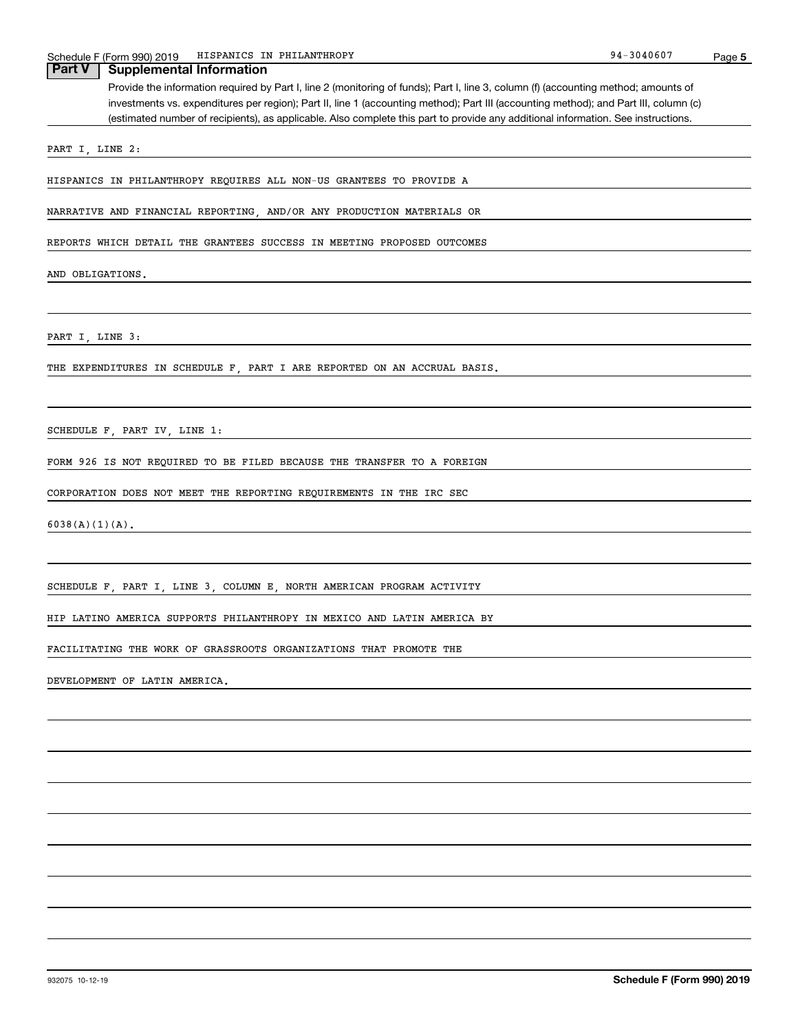|                   | HISPANICS IN PHILANTHROPY<br>Schedule F (Form 990) 2019                                                                               | 94-3040607 | Page 5 |
|-------------------|---------------------------------------------------------------------------------------------------------------------------------------|------------|--------|
| <b>Part V</b>     | <b>Supplemental Information</b>                                                                                                       |            |        |
|                   | Provide the information required by Part I, line 2 (monitoring of funds); Part I, line 3, column (f) (accounting method; amounts of   |            |        |
|                   | investments vs. expenditures per region); Part II, line 1 (accounting method); Part III (accounting method); and Part III, column (c) |            |        |
|                   | (estimated number of recipients), as applicable. Also complete this part to provide any additional information. See instructions.     |            |        |
|                   | PART I, LINE 2:                                                                                                                       |            |        |
|                   |                                                                                                                                       |            |        |
|                   | HISPANICS IN PHILANTHROPY REQUIRES ALL NON-US GRANTEES TO PROVIDE A                                                                   |            |        |
|                   | NARRATIVE AND FINANCIAL REPORTING, AND/OR ANY PRODUCTION MATERIALS OR                                                                 |            |        |
|                   | REPORTS WHICH DETAIL THE GRANTEES SUCCESS IN MEETING PROPOSED OUTCOMES                                                                |            |        |
|                   | AND OBLIGATIONS.                                                                                                                      |            |        |
|                   |                                                                                                                                       |            |        |
|                   | PART I, LINE 3:                                                                                                                       |            |        |
|                   | THE EXPENDITURES IN SCHEDULE F PART I ARE REPORTED ON AN ACCRUAL BASIS.                                                               |            |        |
|                   |                                                                                                                                       |            |        |
|                   | SCHEDULE F, PART IV, LINE 1:                                                                                                          |            |        |
|                   | FORM 926 IS NOT REQUIRED TO BE FILED BECAUSE THE TRANSFER TO A FOREIGN                                                                |            |        |
|                   | CORPORATION DOES NOT MEET THE REPORTING REQUIREMENTS IN THE IRC SEC                                                                   |            |        |
| $6038(A)(1)(A)$ . |                                                                                                                                       |            |        |
|                   |                                                                                                                                       |            |        |
|                   | SCHEDULE F, PART I, LINE 3, COLUMN E, NORTH AMERICAN PROGRAM ACTIVITY                                                                 |            |        |

HIP LATINO AMERICA SUPPORTS PHILANTHROPY IN MEXICO AND LATIN AMERICA BY

FACILITATING THE WORK OF GRASSROOTS ORGANIZATIONS THAT PROMOTE THE

DEVELOPMENT OF LATIN AMERICA.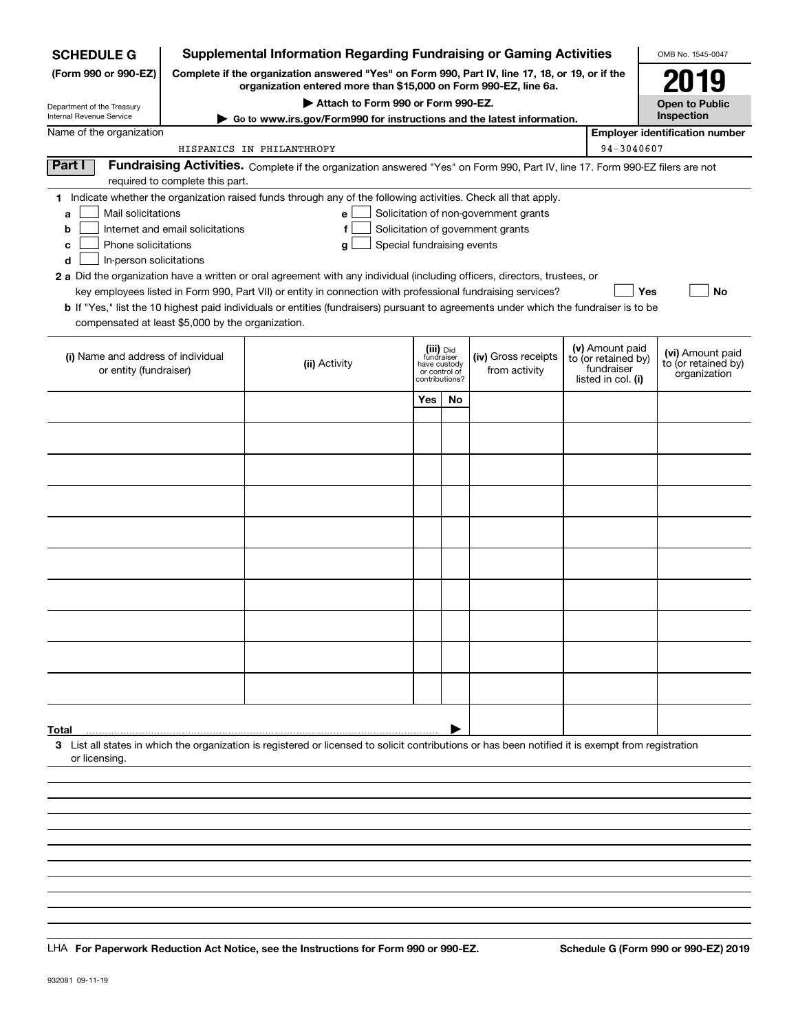| <b>SCHEDULE G</b>                                 |                                                             | <b>Supplemental Information Regarding Fundraising or Gaming Activities</b>                                                                                          |                                                 |           |                                       |  |                                  | OMB No. 1545-0047                       |  |
|---------------------------------------------------|-------------------------------------------------------------|---------------------------------------------------------------------------------------------------------------------------------------------------------------------|-------------------------------------------------|-----------|---------------------------------------|--|----------------------------------|-----------------------------------------|--|
| (Form 990 or 990-EZ)                              |                                                             | Complete if the organization answered "Yes" on Form 990, Part IV, line 17, 18, or 19, or if the<br>organization entered more than \$15,000 on Form 990-EZ, line 6a. |                                                 |           |                                       |  |                                  | 2019                                    |  |
| Department of the Treasury                        | Attach to Form 990 or Form 990-EZ.<br><b>Open to Public</b> |                                                                                                                                                                     |                                                 |           |                                       |  |                                  |                                         |  |
| Internal Revenue Service                          |                                                             | Go to www.irs.gov/Form990 for instructions and the latest information.                                                                                              |                                                 |           |                                       |  |                                  | Inspection                              |  |
| Name of the organization                          |                                                             |                                                                                                                                                                     |                                                 |           |                                       |  |                                  | <b>Employer identification number</b>   |  |
| Part I                                            |                                                             | HISPANICS IN PHILANTHROPY                                                                                                                                           |                                                 |           |                                       |  | 94-3040607                       |                                         |  |
|                                                   | required to complete this part.                             | Fundraising Activities. Complete if the organization answered "Yes" on Form 990, Part IV, line 17. Form 990-EZ filers are not                                       |                                                 |           |                                       |  |                                  |                                         |  |
|                                                   |                                                             | 1 Indicate whether the organization raised funds through any of the following activities. Check all that apply.                                                     |                                                 |           |                                       |  |                                  |                                         |  |
| Mail solicitations<br>a                           |                                                             | е                                                                                                                                                                   |                                                 |           | Solicitation of non-government grants |  |                                  |                                         |  |
| b                                                 | Internet and email solicitations                            | f                                                                                                                                                                   |                                                 |           | Solicitation of government grants     |  |                                  |                                         |  |
| Phone solicitations<br>с                          |                                                             | Special fundraising events<br>g                                                                                                                                     |                                                 |           |                                       |  |                                  |                                         |  |
| In-person solicitations<br>d                      |                                                             |                                                                                                                                                                     |                                                 |           |                                       |  |                                  |                                         |  |
|                                                   |                                                             | 2 a Did the organization have a written or oral agreement with any individual (including officers, directors, trustees, or                                          |                                                 |           |                                       |  |                                  |                                         |  |
|                                                   |                                                             | key employees listed in Form 990, Part VII) or entity in connection with professional fundraising services?                                                         |                                                 |           |                                       |  | Yes                              | <b>No</b>                               |  |
|                                                   |                                                             | <b>b</b> If "Yes," list the 10 highest paid individuals or entities (fundraisers) pursuant to agreements under which the fundraiser is to be                        |                                                 |           |                                       |  |                                  |                                         |  |
| compensated at least \$5,000 by the organization. |                                                             |                                                                                                                                                                     |                                                 |           |                                       |  |                                  |                                         |  |
|                                                   |                                                             |                                                                                                                                                                     |                                                 | (iii) Did |                                       |  | (v) Amount paid                  |                                         |  |
| (i) Name and address of individual                |                                                             | (ii) Activity                                                                                                                                                       | fundraiser                                      |           | (iv) Gross receipts                   |  | to (or retained by)              | (vi) Amount paid<br>to (or retained by) |  |
| or entity (fundraiser)                            |                                                             |                                                                                                                                                                     | have custody<br>or control of<br>contributions? |           | from activity                         |  | fundraiser<br>listed in col. (i) | organization                            |  |
|                                                   |                                                             |                                                                                                                                                                     |                                                 |           |                                       |  |                                  |                                         |  |
|                                                   |                                                             |                                                                                                                                                                     | Yes                                             | No        |                                       |  |                                  |                                         |  |
|                                                   |                                                             |                                                                                                                                                                     |                                                 |           |                                       |  |                                  |                                         |  |
|                                                   |                                                             |                                                                                                                                                                     |                                                 |           |                                       |  |                                  |                                         |  |
|                                                   |                                                             |                                                                                                                                                                     |                                                 |           |                                       |  |                                  |                                         |  |
|                                                   |                                                             |                                                                                                                                                                     |                                                 |           |                                       |  |                                  |                                         |  |
|                                                   |                                                             |                                                                                                                                                                     |                                                 |           |                                       |  |                                  |                                         |  |
|                                                   |                                                             |                                                                                                                                                                     |                                                 |           |                                       |  |                                  |                                         |  |
|                                                   |                                                             |                                                                                                                                                                     |                                                 |           |                                       |  |                                  |                                         |  |
|                                                   |                                                             |                                                                                                                                                                     |                                                 |           |                                       |  |                                  |                                         |  |
|                                                   |                                                             |                                                                                                                                                                     |                                                 |           |                                       |  |                                  |                                         |  |
|                                                   |                                                             |                                                                                                                                                                     |                                                 |           |                                       |  |                                  |                                         |  |
|                                                   |                                                             |                                                                                                                                                                     |                                                 |           |                                       |  |                                  |                                         |  |
|                                                   |                                                             |                                                                                                                                                                     |                                                 |           |                                       |  |                                  |                                         |  |
|                                                   |                                                             |                                                                                                                                                                     |                                                 |           |                                       |  |                                  |                                         |  |
|                                                   |                                                             |                                                                                                                                                                     |                                                 |           |                                       |  |                                  |                                         |  |
|                                                   |                                                             |                                                                                                                                                                     |                                                 |           |                                       |  |                                  |                                         |  |
|                                                   |                                                             |                                                                                                                                                                     |                                                 |           |                                       |  |                                  |                                         |  |
|                                                   |                                                             |                                                                                                                                                                     |                                                 |           |                                       |  |                                  |                                         |  |
|                                                   |                                                             |                                                                                                                                                                     |                                                 |           |                                       |  |                                  |                                         |  |
| Total                                             |                                                             |                                                                                                                                                                     |                                                 |           |                                       |  |                                  |                                         |  |
| or licensing.                                     |                                                             | 3 List all states in which the organization is registered or licensed to solicit contributions or has been notified it is exempt from registration                  |                                                 |           |                                       |  |                                  |                                         |  |
|                                                   |                                                             |                                                                                                                                                                     |                                                 |           |                                       |  |                                  |                                         |  |
|                                                   |                                                             |                                                                                                                                                                     |                                                 |           |                                       |  |                                  |                                         |  |
|                                                   |                                                             |                                                                                                                                                                     |                                                 |           |                                       |  |                                  |                                         |  |
|                                                   |                                                             |                                                                                                                                                                     |                                                 |           |                                       |  |                                  |                                         |  |
|                                                   |                                                             |                                                                                                                                                                     |                                                 |           |                                       |  |                                  |                                         |  |

LHA For Paperwork Reduction Act Notice, see the Instructions for Form 990 or 990-EZ. Schedule G (Form 990 or 990-EZ) 2019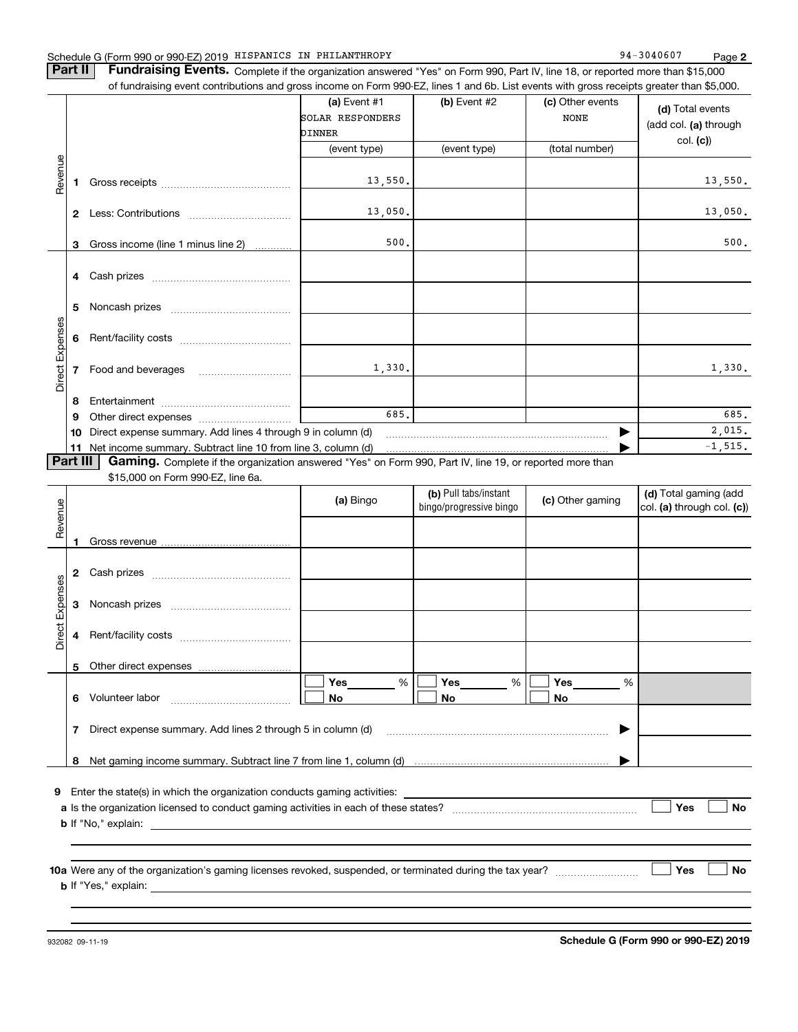### Schedule G (Form 990 or 990-EZ) 2019 Page HISPANICS IN PHILANTHROPY 94-3040607

**Part II** | Fundraising Events. Complete if the organization answered "Yes" on Form 990, Part IV, line 18, or reported more than \$15,000

|                 |              | of fundraising event contributions and gross income on Form 990-EZ, lines 1 and 6b. List events with gross receipts greater than \$5,000.     |                                            |                                                  |                                 |                                                       |
|-----------------|--------------|-----------------------------------------------------------------------------------------------------------------------------------------------|--------------------------------------------|--------------------------------------------------|---------------------------------|-------------------------------------------------------|
|                 |              |                                                                                                                                               | (a) Event #1<br>SOLAR RESPONDERS<br>DINNER | (b) Event #2                                     | (c) Other events<br><b>NONE</b> | (d) Total events<br>(add col. (a) through<br>col. (c) |
|                 |              |                                                                                                                                               | (event type)                               | (event type)                                     | (total number)                  |                                                       |
| Revenue         | 1            |                                                                                                                                               | 13,550.                                    |                                                  |                                 | 13,550.                                               |
|                 | $\mathbf{2}$ |                                                                                                                                               | 13,050.                                    |                                                  |                                 | 13,050.                                               |
|                 | 3            | Gross income (line 1 minus line 2)                                                                                                            | 500.                                       |                                                  |                                 | 500.                                                  |
|                 |              |                                                                                                                                               |                                            |                                                  |                                 |                                                       |
|                 | 5            |                                                                                                                                               |                                            |                                                  |                                 |                                                       |
|                 | 6            |                                                                                                                                               |                                            |                                                  |                                 |                                                       |
| Direct Expenses | 7            | Food and beverages                                                                                                                            | 1,330.                                     |                                                  |                                 | 1,330.                                                |
|                 | 8            |                                                                                                                                               |                                            |                                                  |                                 |                                                       |
|                 | 9            |                                                                                                                                               | 685.                                       |                                                  |                                 | 685.                                                  |
|                 |              | 10 Direct expense summary. Add lines 4 through 9 in column (d)                                                                                |                                            |                                                  |                                 | 2,015.                                                |
|                 | 11           | Net income summary. Subtract line 10 from line 3, column (d)                                                                                  |                                            |                                                  |                                 | $-1, 515.$                                            |
| <b>Part III</b> |              | Gaming. Complete if the organization answered "Yes" on Form 990, Part IV, line 19, or reported more than<br>\$15,000 on Form 990-EZ, line 6a. |                                            |                                                  |                                 |                                                       |
| Revenue         |              |                                                                                                                                               | (a) Bingo                                  | (b) Pull tabs/instant<br>bingo/progressive bingo | (c) Other gaming                | (d) Total gaming (add<br>col. (a) through col. (c))   |
|                 | 1            |                                                                                                                                               |                                            |                                                  |                                 |                                                       |
|                 |              |                                                                                                                                               |                                            |                                                  |                                 |                                                       |
| Expenses        | 3            |                                                                                                                                               |                                            |                                                  |                                 |                                                       |
| Direct          | 4            |                                                                                                                                               |                                            |                                                  |                                 |                                                       |
|                 | 5            |                                                                                                                                               |                                            |                                                  |                                 |                                                       |
|                 |              | 6 Volunteer labor                                                                                                                             | Yes<br>$\%$<br>No                          | $\%$<br>Yes<br>No                                | Yes<br>%<br>No                  |                                                       |

| Direct expense summary. Add lines 2 through 5 in column (d)              |                                                                                             |
|--------------------------------------------------------------------------|---------------------------------------------------------------------------------------------|
|                                                                          |                                                                                             |
| Net gaming income summary. Subtract line 7 from line 1, column (d)       |                                                                                             |
|                                                                          |                                                                                             |
| Enter the state(s) in which the organization conducts gaming activities: |                                                                                             |
|                                                                          |                                                                                             |
|                                                                          | a Is the organization licensed to conduct gaming activities in each of these states?<br>Yes |

**b**If "No," explain:

**10 a Yes No** Were any of the organization's gaming licenses revoked, suspended, or terminated during the tax year? ~~~~~~~~~ **b** If "Yes," explain:

**No**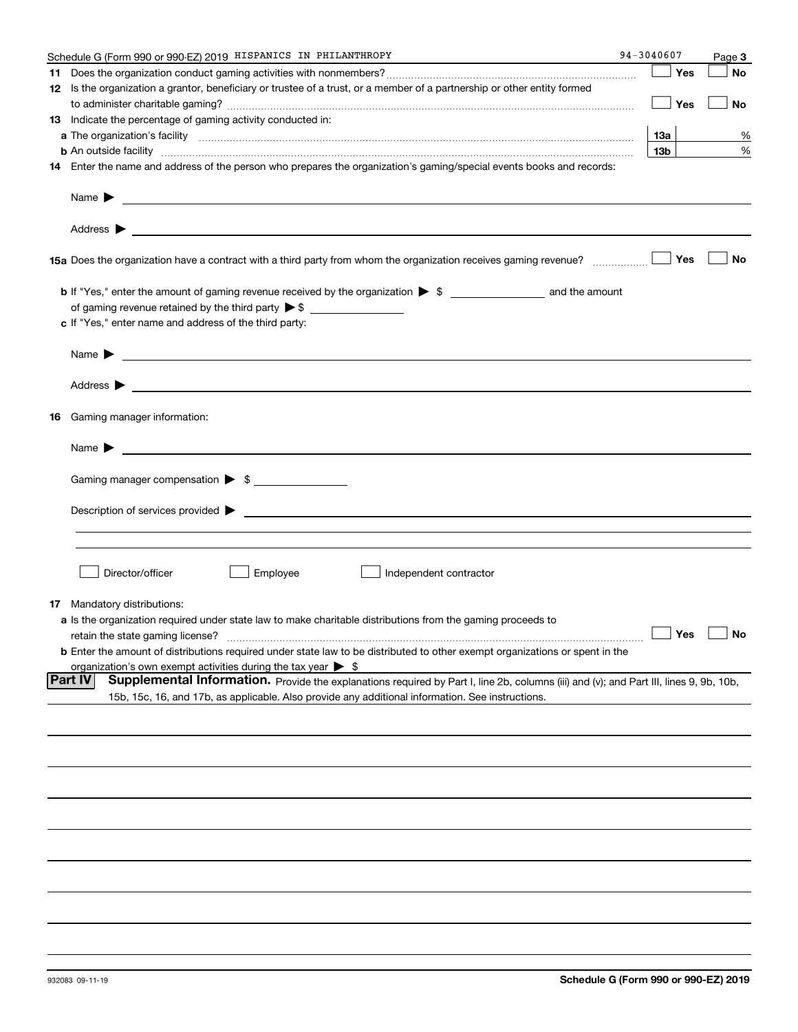| Schedule G (Form 990 or 990-EZ) 2019 HISPANICS IN PHILANTHROPY                                                                                                                                                                                                                                                                                                    | 94-3040607      | Page 3               |
|-------------------------------------------------------------------------------------------------------------------------------------------------------------------------------------------------------------------------------------------------------------------------------------------------------------------------------------------------------------------|-----------------|----------------------|
|                                                                                                                                                                                                                                                                                                                                                                   | Yes             | No                   |
| 12 Is the organization a grantor, beneficiary or trustee of a trust, or a member of a partnership or other entity formed                                                                                                                                                                                                                                          |                 |                      |
|                                                                                                                                                                                                                                                                                                                                                                   | Yes             | No                   |
| 13 Indicate the percentage of gaming activity conducted in:                                                                                                                                                                                                                                                                                                       |                 |                      |
|                                                                                                                                                                                                                                                                                                                                                                   | 13а             | %                    |
|                                                                                                                                                                                                                                                                                                                                                                   | 13 <sub>b</sub> | %                    |
| <b>b</b> An outside facility <i>www.communicality communicality communicality communicality communicality communicality communically communically communically communically communically communically communically communically commu</i><br>14 Enter the name and address of the person who prepares the organization's gaming/special events books and records: |                 |                      |
|                                                                                                                                                                                                                                                                                                                                                                   |                 |                      |
| Name $\blacktriangleright$<br><u>and the state of the state of the state of the state of the state of the state of the state of the state of</u>                                                                                                                                                                                                                  |                 |                      |
|                                                                                                                                                                                                                                                                                                                                                                   |                 |                      |
| 15a Does the organization have a contract with a third party from whom the organization receives gaming revenue?                                                                                                                                                                                                                                                  | Yes             | No                   |
|                                                                                                                                                                                                                                                                                                                                                                   |                 |                      |
|                                                                                                                                                                                                                                                                                                                                                                   |                 |                      |
| c If "Yes," enter name and address of the third party:                                                                                                                                                                                                                                                                                                            |                 |                      |
|                                                                                                                                                                                                                                                                                                                                                                   |                 |                      |
| <u> 1989 - Johann Barbara, martxa alemaniar a</u><br>Name $\blacktriangleright$                                                                                                                                                                                                                                                                                   |                 |                      |
| Address $\blacktriangleright$                                                                                                                                                                                                                                                                                                                                     |                 |                      |
| <b>16</b> Gaming manager information:                                                                                                                                                                                                                                                                                                                             |                 |                      |
| Name $\blacktriangleright$                                                                                                                                                                                                                                                                                                                                        |                 |                      |
|                                                                                                                                                                                                                                                                                                                                                                   |                 |                      |
| Gaming manager compensation > \$                                                                                                                                                                                                                                                                                                                                  |                 |                      |
| $Description of services provided$ $\triangleright$                                                                                                                                                                                                                                                                                                               |                 |                      |
|                                                                                                                                                                                                                                                                                                                                                                   |                 |                      |
|                                                                                                                                                                                                                                                                                                                                                                   |                 |                      |
|                                                                                                                                                                                                                                                                                                                                                                   |                 |                      |
| Employee<br>Director/officer<br>Independent contractor                                                                                                                                                                                                                                                                                                            |                 |                      |
| <b>17</b> Mandatory distributions:                                                                                                                                                                                                                                                                                                                                |                 |                      |
| <b>a</b> Is the organization required under state law to make charitable distributions from the gaming proceeds to                                                                                                                                                                                                                                                |                 |                      |
| retain the state gaming license?                                                                                                                                                                                                                                                                                                                                  |                 | $\Box$ Yes $\Box$ No |
| <b>b</b> Enter the amount of distributions required under state law to be distributed to other exempt organizations or spent in the                                                                                                                                                                                                                               |                 |                      |
|                                                                                                                                                                                                                                                                                                                                                                   |                 |                      |
| organization's own exempt activities during the tax year $\triangleright$ \$<br><b>Part IV</b><br>Supplemental Information. Provide the explanations required by Part I, line 2b, columns (iii) and (v); and Part III, lines 9, 9b, 10b,                                                                                                                          |                 |                      |
| 15b, 15c, 16, and 17b, as applicable. Also provide any additional information. See instructions.                                                                                                                                                                                                                                                                  |                 |                      |
|                                                                                                                                                                                                                                                                                                                                                                   |                 |                      |
|                                                                                                                                                                                                                                                                                                                                                                   |                 |                      |
|                                                                                                                                                                                                                                                                                                                                                                   |                 |                      |
|                                                                                                                                                                                                                                                                                                                                                                   |                 |                      |
|                                                                                                                                                                                                                                                                                                                                                                   |                 |                      |
|                                                                                                                                                                                                                                                                                                                                                                   |                 |                      |
|                                                                                                                                                                                                                                                                                                                                                                   |                 |                      |
|                                                                                                                                                                                                                                                                                                                                                                   |                 |                      |
|                                                                                                                                                                                                                                                                                                                                                                   |                 |                      |
|                                                                                                                                                                                                                                                                                                                                                                   |                 |                      |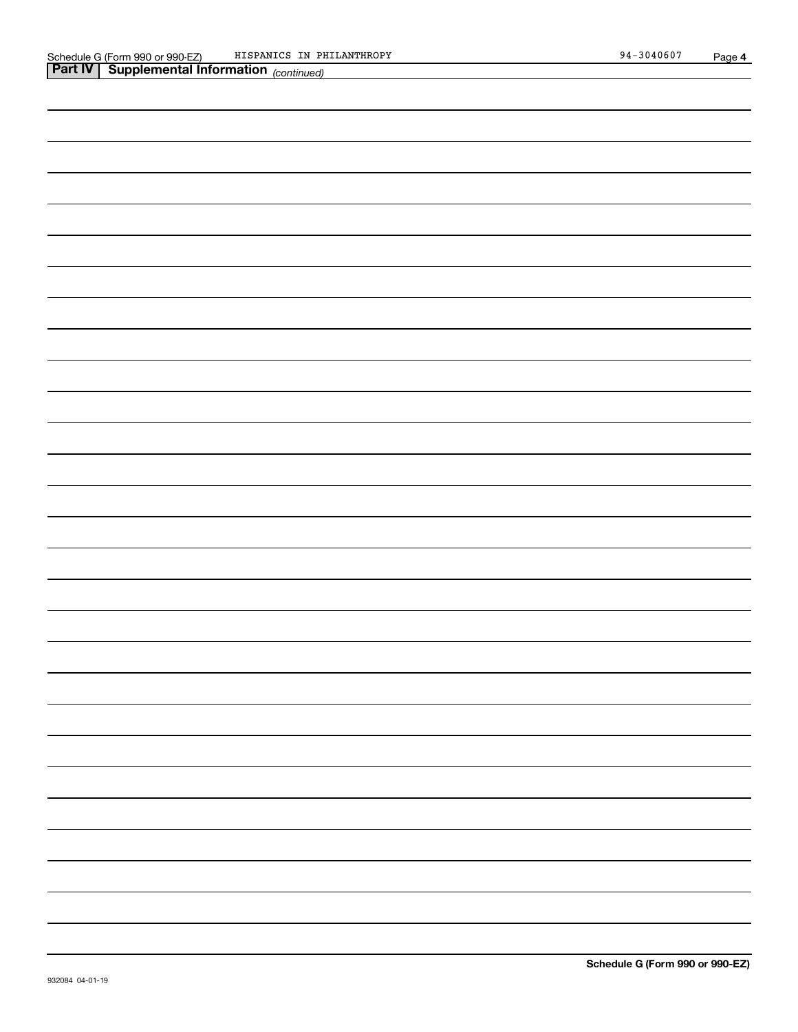| <b>Part IV   Supplemental Information</b> (continued) |
|-------------------------------------------------------|
|                                                       |
|                                                       |
|                                                       |
|                                                       |
|                                                       |
|                                                       |
|                                                       |
|                                                       |
|                                                       |
|                                                       |
|                                                       |
|                                                       |
|                                                       |
|                                                       |
|                                                       |
|                                                       |
|                                                       |
|                                                       |
|                                                       |
|                                                       |
|                                                       |
|                                                       |
|                                                       |
|                                                       |
|                                                       |
|                                                       |
|                                                       |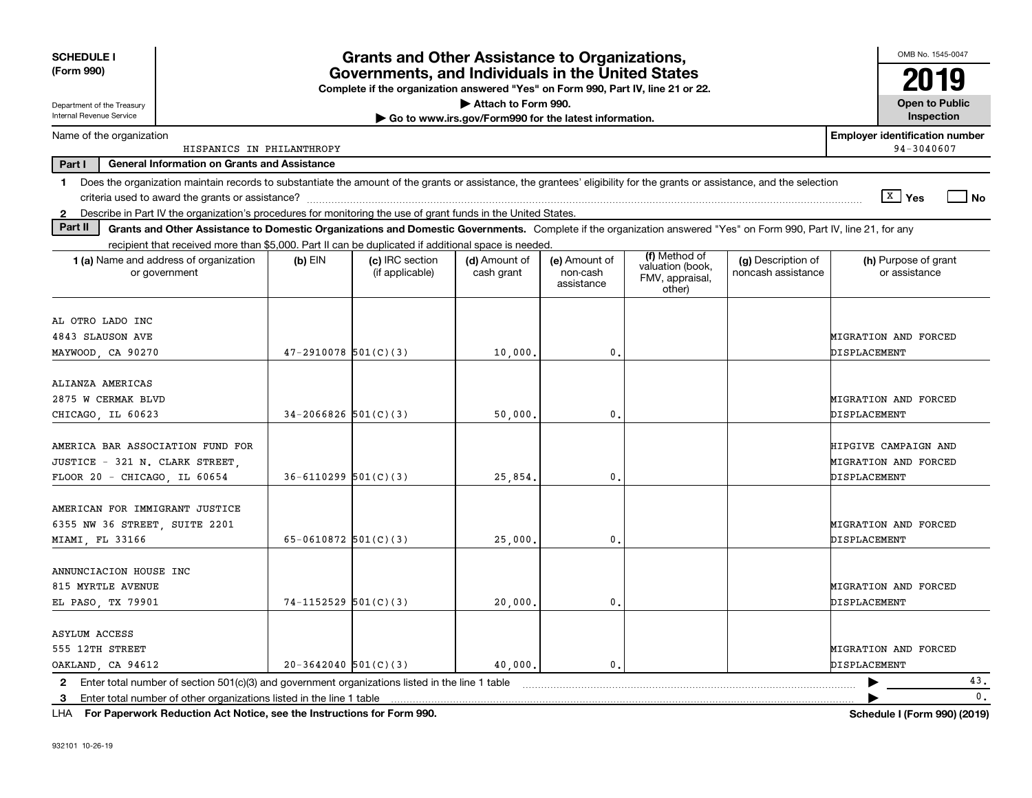| <b>SCHEDULE I</b><br>(Form 990)                                                                                                                                                         |                          | <b>Grants and Other Assistance to Organizations,</b><br>Governments, and Individuals in the United States<br>Complete if the organization answered "Yes" on Form 990, Part IV, line 21 or 22. |                                                       |                                         |                                                                |                                          | OMB No. 1545-0047<br>2019                           |
|-----------------------------------------------------------------------------------------------------------------------------------------------------------------------------------------|--------------------------|-----------------------------------------------------------------------------------------------------------------------------------------------------------------------------------------------|-------------------------------------------------------|-----------------------------------------|----------------------------------------------------------------|------------------------------------------|-----------------------------------------------------|
| Department of the Treasury<br>Internal Revenue Service                                                                                                                                  |                          |                                                                                                                                                                                               | Attach to Form 990.                                   |                                         |                                                                |                                          | <b>Open to Public</b>                               |
|                                                                                                                                                                                         |                          |                                                                                                                                                                                               | Go to www.irs.gov/Form990 for the latest information. |                                         |                                                                |                                          | Inspection                                          |
| Name of the organization<br>HISPANICS IN PHILANTHROPY                                                                                                                                   |                          |                                                                                                                                                                                               |                                                       |                                         |                                                                |                                          | <b>Employer identification number</b><br>94-3040607 |
| Part I<br><b>General Information on Grants and Assistance</b>                                                                                                                           |                          |                                                                                                                                                                                               |                                                       |                                         |                                                                |                                          |                                                     |
| Does the organization maintain records to substantiate the amount of the grants or assistance, the grantees' eligibility for the grants or assistance, and the selection<br>$\mathbf 1$ |                          |                                                                                                                                                                                               |                                                       |                                         |                                                                |                                          | $\sqrt{X}$ Yes                                      |
| 2 Describe in Part IV the organization's procedures for monitoring the use of grant funds in the United States.                                                                         |                          |                                                                                                                                                                                               |                                                       |                                         |                                                                |                                          | No                                                  |
| Part II<br>Grants and Other Assistance to Domestic Organizations and Domestic Governments. Complete if the organization answered "Yes" on Form 990, Part IV, line 21, for any           |                          |                                                                                                                                                                                               |                                                       |                                         |                                                                |                                          |                                                     |
| recipient that received more than \$5,000. Part II can be duplicated if additional space is needed.                                                                                     |                          |                                                                                                                                                                                               |                                                       |                                         |                                                                |                                          |                                                     |
| 1 (a) Name and address of organization<br>or government                                                                                                                                 | $(b)$ EIN                | (c) IRC section<br>(if applicable)                                                                                                                                                            | (d) Amount of<br>cash grant                           | (e) Amount of<br>non-cash<br>assistance | (f) Method of<br>valuation (book,<br>FMV, appraisal,<br>other) | (g) Description of<br>noncash assistance | (h) Purpose of grant<br>or assistance               |
| AL OTRO LADO INC                                                                                                                                                                        |                          |                                                                                                                                                                                               |                                                       |                                         |                                                                |                                          |                                                     |
| 4843 SLAUSON AVE                                                                                                                                                                        |                          |                                                                                                                                                                                               |                                                       |                                         |                                                                |                                          | MIGRATION AND FORCED                                |
| MAYWOOD, CA 90270                                                                                                                                                                       | $47 - 2910078$ 501(C)(3) |                                                                                                                                                                                               | 10,000,                                               | 0.                                      |                                                                |                                          | DISPLACEMENT                                        |
|                                                                                                                                                                                         |                          |                                                                                                                                                                                               |                                                       |                                         |                                                                |                                          |                                                     |
| ALIANZA AMERICAS                                                                                                                                                                        |                          |                                                                                                                                                                                               |                                                       |                                         |                                                                |                                          |                                                     |
| 2875 W CERMAK BLVD                                                                                                                                                                      |                          |                                                                                                                                                                                               |                                                       |                                         |                                                                |                                          | MIGRATION AND FORCED                                |
| CHICAGO, IL 60623                                                                                                                                                                       | $34-2066826$ 501(C)(3)   |                                                                                                                                                                                               | 50,000                                                | $\mathbf{0}$ .                          |                                                                |                                          | DISPLACEMENT                                        |
| AMERICA BAR ASSOCIATION FUND FOR                                                                                                                                                        |                          |                                                                                                                                                                                               |                                                       |                                         |                                                                |                                          | HIPGIVE CAMPAIGN AND                                |
| JUSTICE - 321 N. CLARK STREET,                                                                                                                                                          |                          |                                                                                                                                                                                               |                                                       |                                         |                                                                |                                          | MIGRATION AND FORCED                                |
| FLOOR 20 - CHICAGO IL 60654                                                                                                                                                             | $36-6110299$ 501(C)(3)   |                                                                                                                                                                                               | 25,854                                                | 0.                                      |                                                                |                                          | DISPLACEMENT                                        |
|                                                                                                                                                                                         |                          |                                                                                                                                                                                               |                                                       |                                         |                                                                |                                          |                                                     |
| AMERICAN FOR IMMIGRANT JUSTICE                                                                                                                                                          |                          |                                                                                                                                                                                               |                                                       |                                         |                                                                |                                          |                                                     |
| 6355 NW 36 STREET, SUITE 2201                                                                                                                                                           |                          |                                                                                                                                                                                               |                                                       |                                         |                                                                |                                          | MIGRATION AND FORCED                                |
| MIAMI, FL 33166                                                                                                                                                                         | 65-0610872 $501(C)(3)$   |                                                                                                                                                                                               | 25,000                                                | 0.                                      |                                                                |                                          | DISPLACEMENT                                        |
|                                                                                                                                                                                         |                          |                                                                                                                                                                                               |                                                       |                                         |                                                                |                                          |                                                     |
| ANNUNCIACION HOUSE INC<br>815 MYRTLE AVENUE                                                                                                                                             |                          |                                                                                                                                                                                               |                                                       |                                         |                                                                |                                          | MIGRATION AND FORCED                                |
| EL PASO, TX 79901                                                                                                                                                                       | $74-1152529$ 501(C)(3)   |                                                                                                                                                                                               | 20,000,                                               | 0.                                      |                                                                |                                          | DISPLACEMENT                                        |
|                                                                                                                                                                                         |                          |                                                                                                                                                                                               |                                                       |                                         |                                                                |                                          |                                                     |
| <b>ASYLUM ACCESS</b>                                                                                                                                                                    |                          |                                                                                                                                                                                               |                                                       |                                         |                                                                |                                          |                                                     |
| 555 12TH STREET                                                                                                                                                                         |                          |                                                                                                                                                                                               |                                                       |                                         |                                                                |                                          | MIGRATION AND FORCED                                |
| OAKLAND, CA 94612                                                                                                                                                                       | $20-3642040$ 501(C)(3)   |                                                                                                                                                                                               | 40,000,                                               | 0.                                      |                                                                |                                          | DISPLACEMENT                                        |
| 2 Enter total number of section 501(c)(3) and government organizations listed in the line 1 table                                                                                       |                          |                                                                                                                                                                                               |                                                       |                                         |                                                                |                                          | 43.                                                 |
| 3 Enter total number of other organizations listed in the line 1 table                                                                                                                  |                          |                                                                                                                                                                                               |                                                       |                                         |                                                                |                                          | $\mathbf{0}$ .                                      |

**For Paperwork Reduction Act Notice, see the Instructions for Form 990. Schedule I (Form 990) (2019)** LHA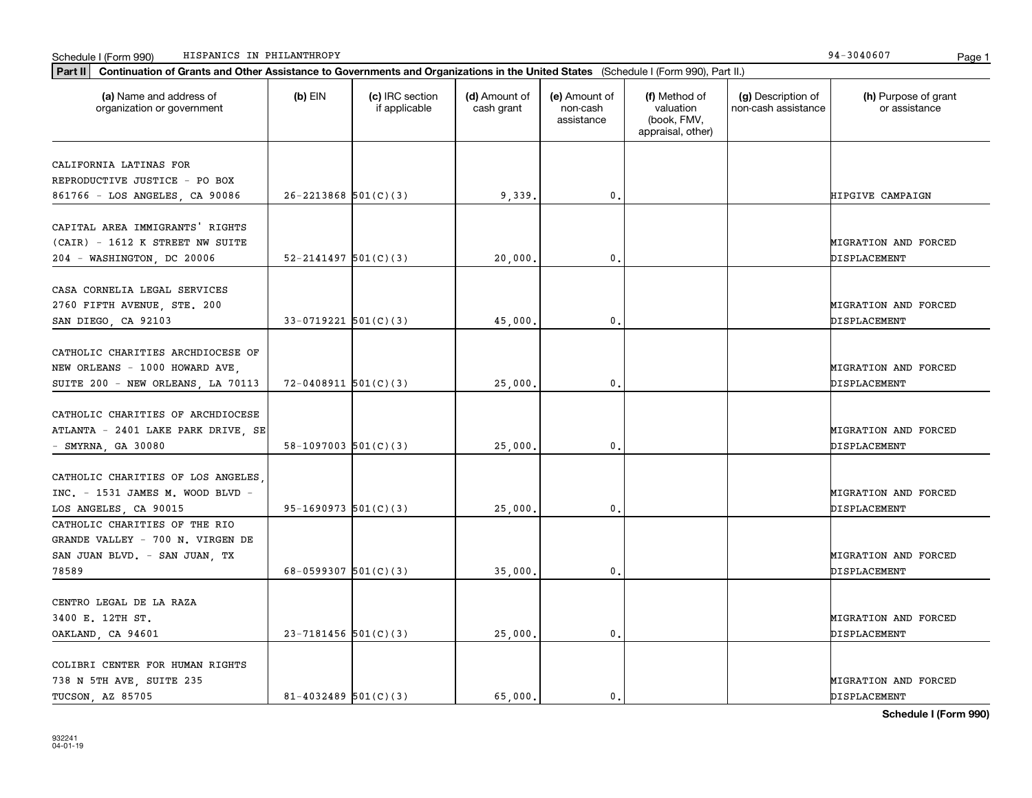|  | Schedule I (Form 990) | IN PHILANTHROPY<br>HISPANICS | 304060<br>94 | Page |  |
|--|-----------------------|------------------------------|--------------|------|--|
|--|-----------------------|------------------------------|--------------|------|--|

| (a) Name and address of<br>organization or government | $(b)$ EIN                  | (c) IRC section<br>if applicable | (d) Amount of<br>cash grant | (e) Amount of<br>non-cash<br>assistance | (f) Method of<br>valuation<br>(book, FMV,<br>appraisal, other) | (g) Description of<br>non-cash assistance | (h) Purpose of grant<br>or assistance |
|-------------------------------------------------------|----------------------------|----------------------------------|-----------------------------|-----------------------------------------|----------------------------------------------------------------|-------------------------------------------|---------------------------------------|
| CALIFORNIA LATINAS FOR                                |                            |                                  |                             |                                         |                                                                |                                           |                                       |
| REPRODUCTIVE JUSTICE - PO BOX                         |                            |                                  |                             |                                         |                                                                |                                           |                                       |
| 861766 - LOS ANGELES, CA 90086                        | $26 - 2213868$ 501(C)(3)   |                                  | 9,339.                      | 0.                                      |                                                                |                                           | HIPGIVE CAMPAIGN                      |
|                                                       |                            |                                  |                             |                                         |                                                                |                                           |                                       |
| CAPITAL AREA IMMIGRANTS' RIGHTS                       |                            |                                  |                             |                                         |                                                                |                                           |                                       |
| (CAIR) - 1612 K STREET NW SUITE                       |                            |                                  |                             |                                         |                                                                |                                           | MIGRATION AND FORCED                  |
| 204 - WASHINGTON, DC 20006                            | $52 - 2141497$ $501(C)(3)$ |                                  | 20,000                      | 0.                                      |                                                                |                                           | DISPLACEMENT                          |
|                                                       |                            |                                  |                             |                                         |                                                                |                                           |                                       |
| CASA CORNELIA LEGAL SERVICES                          |                            |                                  |                             |                                         |                                                                |                                           |                                       |
| 2760 FIFTH AVENUE, STE. 200                           |                            |                                  |                             |                                         |                                                                |                                           | MIGRATION AND FORCED                  |
| SAN DIEGO, CA 92103                                   | $33-0719221$ 501(C)(3)     |                                  | 45,000                      | $\mathbf{0}$ .                          |                                                                |                                           | DISPLACEMENT                          |
|                                                       |                            |                                  |                             |                                         |                                                                |                                           |                                       |
| CATHOLIC CHARITIES ARCHDIOCESE OF                     |                            |                                  |                             |                                         |                                                                |                                           |                                       |
| NEW ORLEANS - 1000 HOWARD AVE,                        |                            |                                  |                             |                                         |                                                                |                                           | MIGRATION AND FORCED                  |
| SUITE 200 - NEW ORLEANS, LA 70113                     | $72 - 0408911$ 501(C)(3)   |                                  | 25,000.                     | $\mathbf{0}$ .                          |                                                                |                                           | DISPLACEMENT                          |
|                                                       |                            |                                  |                             |                                         |                                                                |                                           |                                       |
| CATHOLIC CHARITIES OF ARCHDIOCESE                     |                            |                                  |                             |                                         |                                                                |                                           |                                       |
| ATLANTA - 2401 LAKE PARK DRIVE, SE                    | $58-1097003$ $501(C)(3)$   |                                  | 25,000.                     | 0.                                      |                                                                |                                           | MIGRATION AND FORCED<br>DISPLACEMENT  |
| $-$ SMYRNA, GA 30080                                  |                            |                                  |                             |                                         |                                                                |                                           |                                       |
| CATHOLIC CHARITIES OF LOS ANGELES                     |                            |                                  |                             |                                         |                                                                |                                           |                                       |
| INC. - 1531 JAMES M. WOOD BLVD -                      |                            |                                  |                             |                                         |                                                                |                                           | MIGRATION AND FORCED                  |
| LOS ANGELES, CA 90015                                 | $95-1690973$ $501(C)(3)$   |                                  | 25,000,                     | 0.                                      |                                                                |                                           | DISPLACEMENT                          |
| CATHOLIC CHARITIES OF THE RIO                         |                            |                                  |                             |                                         |                                                                |                                           |                                       |
| GRANDE VALLEY - 700 N. VIRGEN DE                      |                            |                                  |                             |                                         |                                                                |                                           |                                       |
| SAN JUAN BLVD. - SAN JUAN, TX                         |                            |                                  |                             |                                         |                                                                |                                           | MIGRATION AND FORCED                  |
| 78589                                                 | 68-0599307 $501(C)(3)$     |                                  | 35,000,                     | 0.                                      |                                                                |                                           | DISPLACEMENT                          |
|                                                       |                            |                                  |                             |                                         |                                                                |                                           |                                       |
| CENTRO LEGAL DE LA RAZA                               |                            |                                  |                             |                                         |                                                                |                                           |                                       |
| 3400 E. 12TH ST.                                      |                            |                                  |                             |                                         |                                                                |                                           | MIGRATION AND FORCED                  |
| OAKLAND, CA 94601                                     | $23 - 7181456$ 501(C)(3)   |                                  | 25,000.                     | 0.                                      |                                                                |                                           | DISPLACEMENT                          |
|                                                       |                            |                                  |                             |                                         |                                                                |                                           |                                       |
| COLIBRI CENTER FOR HUMAN RIGHTS                       |                            |                                  |                             |                                         |                                                                |                                           |                                       |
| 738 N 5TH AVE, SUITE 235                              |                            |                                  |                             |                                         |                                                                |                                           | MIGRATION AND FORCED                  |
| TUCSON, AZ 85705                                      | $81 - 4032489$ 501(C)(3)   |                                  | 65.000.                     | 0.                                      |                                                                |                                           | DISPLACEMENT                          |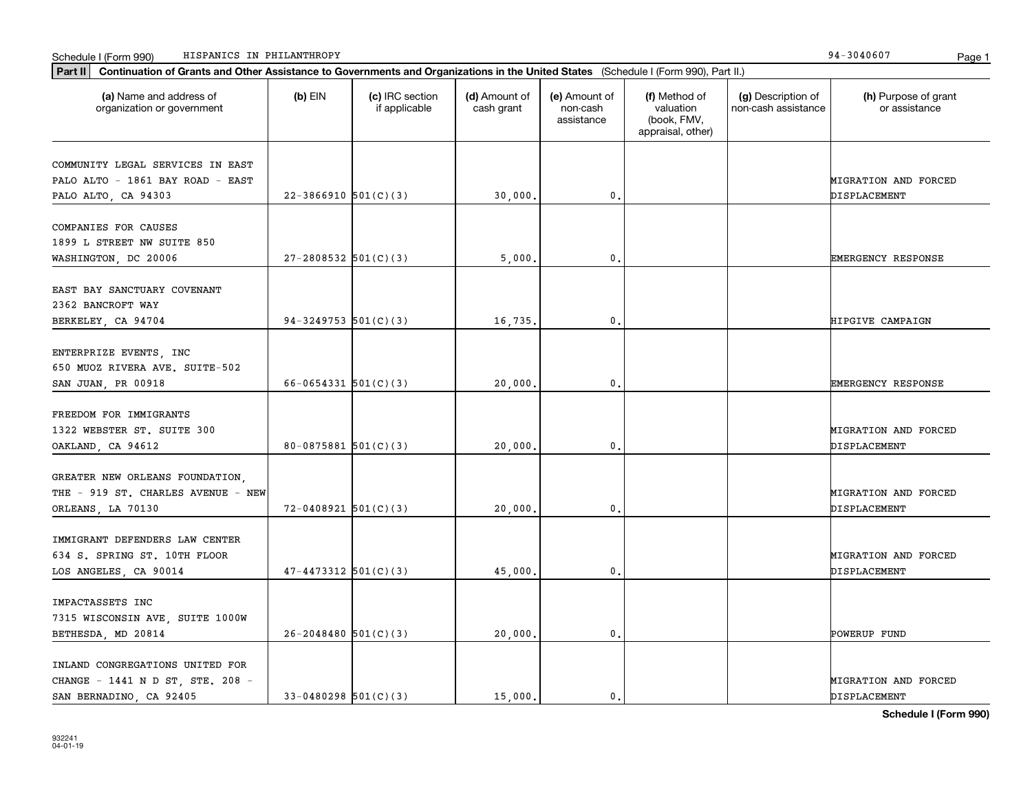|  | Schedule I (Form 990) | IN PHILANTHROPY<br>HISPANICS | 304060<br>94 | Page |  |
|--|-----------------------|------------------------------|--------------|------|--|
|--|-----------------------|------------------------------|--------------|------|--|

| (a) Name and address of<br>organization or government | $(b)$ EIN                  | (c) IRC section<br>if applicable | (d) Amount of<br>cash grant | (e) Amount of<br>non-cash<br>assistance | (f) Method of<br>valuation<br>(book, FMV,<br>appraisal, other) | (g) Description of<br>non-cash assistance | (h) Purpose of grant<br>or assistance |
|-------------------------------------------------------|----------------------------|----------------------------------|-----------------------------|-----------------------------------------|----------------------------------------------------------------|-------------------------------------------|---------------------------------------|
| COMMUNITY LEGAL SERVICES IN EAST                      |                            |                                  |                             |                                         |                                                                |                                           |                                       |
| PALO ALTO - 1861 BAY ROAD - EAST                      |                            |                                  |                             |                                         |                                                                |                                           | MIGRATION AND FORCED                  |
| PALO ALTO, CA 94303                                   | $22 - 3866910$ 501(C)(3)   |                                  | 30,000.                     | 0.                                      |                                                                |                                           | DISPLACEMENT                          |
| COMPANIES FOR CAUSES                                  |                            |                                  |                             |                                         |                                                                |                                           |                                       |
| 1899 L STREET NW SUITE 850                            |                            |                                  |                             |                                         |                                                                |                                           |                                       |
| WASHINGTON, DC 20006                                  | $27 - 2808532$ 501(C)(3)   |                                  | 5,000                       | 0.                                      |                                                                |                                           | EMERGENCY RESPONSE                    |
| EAST BAY SANCTUARY COVENANT                           |                            |                                  |                             |                                         |                                                                |                                           |                                       |
| 2362 BANCROFT WAY                                     |                            |                                  |                             |                                         |                                                                |                                           |                                       |
|                                                       | $94-3249753$ 501(C)(3)     |                                  | 16,735.                     | 0.                                      |                                                                |                                           | HIPGIVE CAMPAIGN                      |
| BERKELEY, CA 94704                                    |                            |                                  |                             |                                         |                                                                |                                           |                                       |
| ENTERPRIZE EVENTS, INC                                |                            |                                  |                             |                                         |                                                                |                                           |                                       |
| 650 MUOZ RIVERA AVE. SUITE-502                        |                            |                                  |                             |                                         |                                                                |                                           |                                       |
| SAN JUAN, PR 00918                                    | $66 - 0654331$ $501(C)(3)$ |                                  | 20,000,                     | 0.                                      |                                                                |                                           | EMERGENCY RESPONSE                    |
|                                                       |                            |                                  |                             |                                         |                                                                |                                           |                                       |
| FREEDOM FOR IMMIGRANTS                                |                            |                                  |                             |                                         |                                                                |                                           |                                       |
| 1322 WEBSTER ST. SUITE 300                            |                            |                                  |                             |                                         |                                                                |                                           | MIGRATION AND FORCED                  |
| OAKLAND, CA 94612                                     | $80 - 0875881$ 501(C)(3)   |                                  | 20,000.                     | 0.                                      |                                                                |                                           | DISPLACEMENT                          |
|                                                       |                            |                                  |                             |                                         |                                                                |                                           |                                       |
| GREATER NEW ORLEANS FOUNDATION,                       |                            |                                  |                             |                                         |                                                                |                                           |                                       |
| THE - 919 ST. CHARLES AVENUE - NEW                    |                            |                                  |                             |                                         |                                                                |                                           | MIGRATION AND FORCED                  |
| ORLEANS, LA 70130                                     | $72 - 0408921$ 501(C)(3)   |                                  | 20,000,                     | 0.                                      |                                                                |                                           | DISPLACEMENT                          |
| IMMIGRANT DEFENDERS LAW CENTER                        |                            |                                  |                             |                                         |                                                                |                                           |                                       |
| 634 S. SPRING ST. 10TH FLOOR                          |                            |                                  |                             |                                         |                                                                |                                           | MIGRATION AND FORCED                  |
| LOS ANGELES, CA 90014                                 | $47 - 4473312$ $501(C)(3)$ |                                  | 45,000.                     | $\mathbf{0}$ .                          |                                                                |                                           | DISPLACEMENT                          |
|                                                       |                            |                                  |                             |                                         |                                                                |                                           |                                       |
| IMPACTASSETS INC                                      |                            |                                  |                             |                                         |                                                                |                                           |                                       |
| 7315 WISCONSIN AVE, SUITE 1000W                       |                            |                                  |                             |                                         |                                                                |                                           |                                       |
| BETHESDA, MD 20814                                    | $26 - 2048480$ 501(C)(3)   |                                  | 20,000.                     | 0.                                      |                                                                |                                           | POWERUP FUND                          |
|                                                       |                            |                                  |                             |                                         |                                                                |                                           |                                       |
| INLAND CONGREGATIONS UNITED FOR                       |                            |                                  |                             |                                         |                                                                |                                           |                                       |
| CHANGE - 1441 N D ST, STE. 208 -                      |                            |                                  |                             |                                         |                                                                |                                           | MIGRATION AND FORCED                  |
| SAN BERNADINO, CA 92405                               | $33-0480298$ 501(C)(3)     |                                  | 15,000.                     | $\mathbf{0}$ .                          |                                                                |                                           | DISPLACEMENT                          |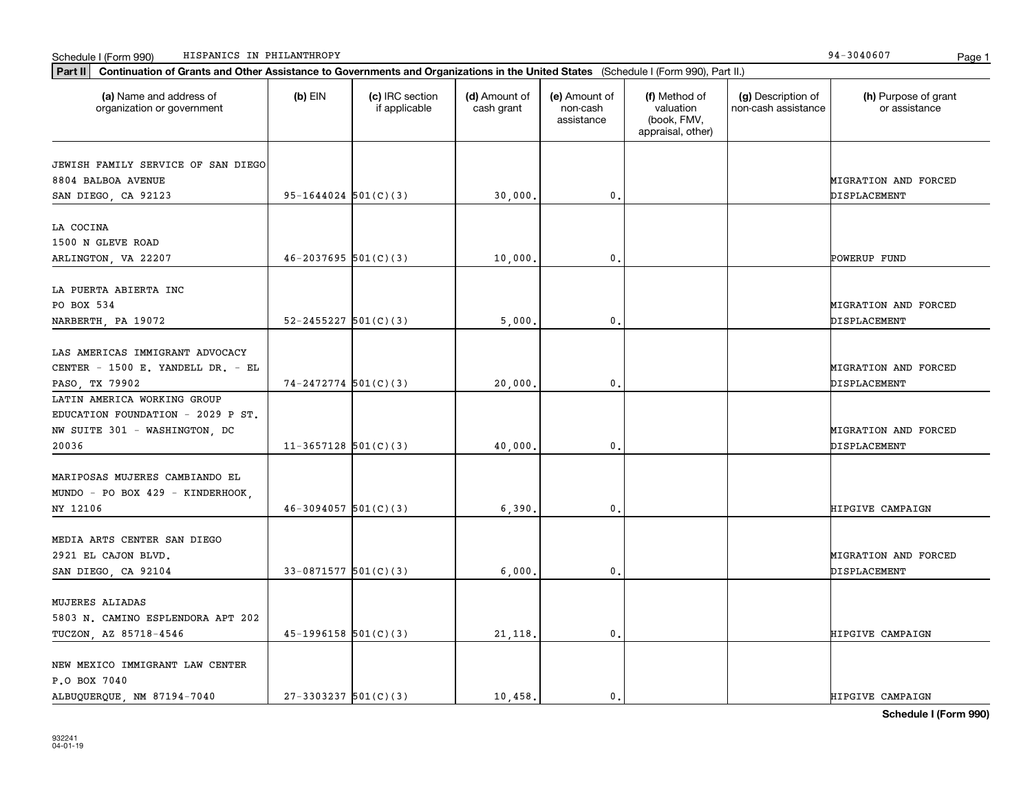P.O BOX 7040

NEW MEXICO IMMIGRANT LAW CENTER

| organization or government                                                                                 |                            | if applicable | cash grant | non-cash<br>assistance | valuation<br>(book, FMV,<br>appraisal, other) | non-cash assistance | or assistance                               |
|------------------------------------------------------------------------------------------------------------|----------------------------|---------------|------------|------------------------|-----------------------------------------------|---------------------|---------------------------------------------|
| JEWISH FAMILY SERVICE OF SAN DIEGO<br>8804 BALBOA AVENUE                                                   |                            |               |            |                        |                                               |                     | MIGRATION AND FORCED                        |
| SAN DIEGO, CA 92123                                                                                        | $95 - 1644024$ 501(C)(3)   |               | 30,000.    | 0.                     |                                               |                     | DISPLACEMENT                                |
| LA COCINA<br>1500 N GLEVE ROAD                                                                             |                            |               |            |                        |                                               |                     |                                             |
| ARLINGTON, VA 22207                                                                                        | $46 - 2037695$ 501(C)(3)   |               | 10,000.    | $\mathbf 0$ .          |                                               |                     | POWERUP FUND                                |
| LA PUERTA ABIERTA INC<br>PO BOX 534<br>NARBERTH, PA 19072                                                  | $52 - 2455227$ $501(C)(3)$ |               | 5,000.     | 0.                     |                                               |                     | MIGRATION AND FORCED<br>DISPLACEMENT        |
| LAS AMERICAS IMMIGRANT ADVOCACY<br>CENTER - 1500 E. YANDELL DR. - EL<br>PASO, TX 79902                     | $74 - 2472774$ 501(C)(3)   |               | 20,000.    | 0.                     |                                               |                     | MIGRATION AND FORCED<br>DISPLACEMENT        |
| LATIN AMERICA WORKING GROUP<br>EDUCATION FOUNDATION - 2029 P ST.<br>NW SUITE 301 - WASHINGTON, DC<br>20036 | $11-3657128$ $501(C)(3)$   |               | 40,000.    | 0.                     |                                               |                     | MIGRATION AND FORCED<br>DISPLACEMENT        |
| MARIPOSAS MUJERES CAMBIANDO EL<br>MUNDO - PO BOX 429 - KINDERHOOK,<br>NY 12106                             | $46-3094057$ 501(C)(3)     |               | 6,390.     | 0.                     |                                               |                     | HIPGIVE CAMPAIGN                            |
| MEDIA ARTS CENTER SAN DIEGO<br>2921 EL CAJON BLVD.<br>SAN DIEGO, CA 92104                                  | $33-0871577$ 501(C)(3)     |               | 6,000.     | $\mathbf 0$ .          |                                               |                     | <b>MIGRATION AND FORCED</b><br>DISPLACEMENT |
| MUJERES ALIADAS<br>5803 N. CAMINO ESPLENDORA APT 202<br>TUCZON, AZ 85718-4546                              | $45-1996158$ $501(C)(3)$   |               | 21, 118.   | 0.                     |                                               |                     | HIPGIVE CAMPAIGN                            |
|                                                                                                            |                            |               |            |                        |                                               |                     |                                             |

ALBUQUERQUE, NM 87194-7040 27-3303237 501(C)(3) 10,458. 0. 0.

**(a) (b) (c) (d) (e) (f) (g) (h)** Name and address of

(d) Amount of

(e) Amount of

(f) Method of

(g) Description of

**Part II Continuation of Grants and Other Assistance to Governments and Organizations in the United States**  (Schedule I (Form 990), Part II.)

 $(b)$  EIN  $(c)$  IRC section

Schedule I (Form 990) Page 1 HISPANICS IN PHILANTHROPY 94-3040607

(h) Purpose of grant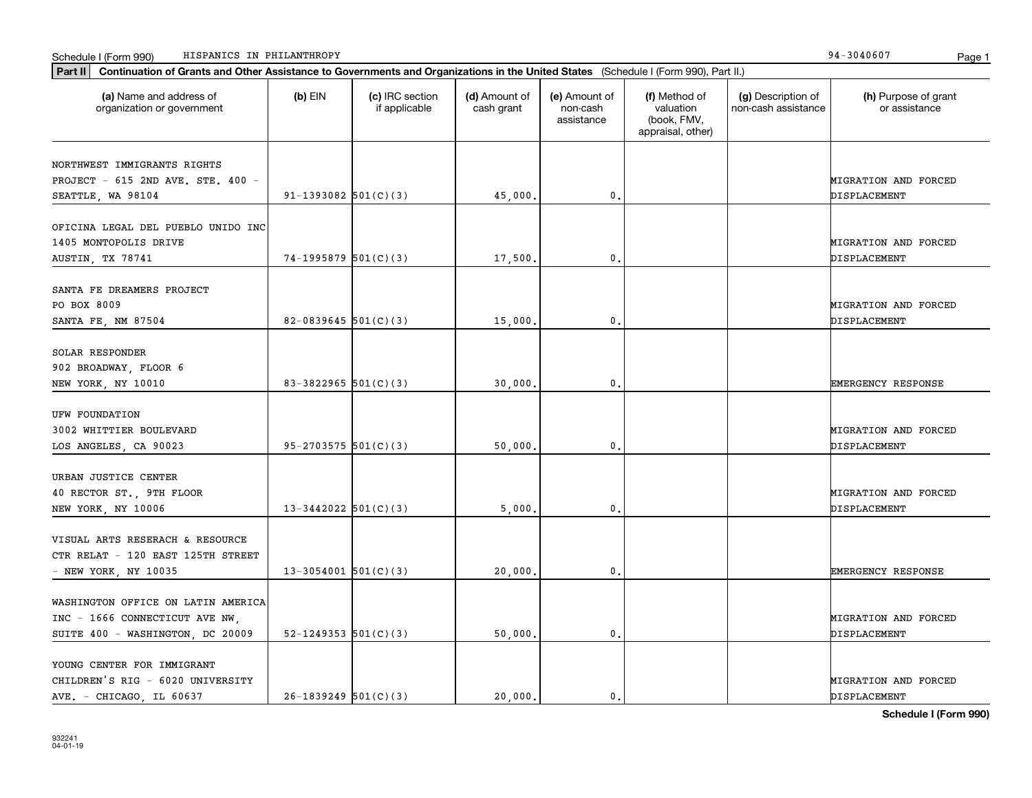| Schedule I (Form 990) |  | HISPANICS IN PHILANTHROPY | $\sim$<br>- 304060.<br>-94 | Page |  |
|-----------------------|--|---------------------------|----------------------------|------|--|
|-----------------------|--|---------------------------|----------------------------|------|--|

| Part II   Continuation of Grants and Other Assistance to Governments and Organizations in the United States (Schedule I (Form 990), Part II.) |                          |                                  |                             |                                         |                                                                |                                           |                                       |
|-----------------------------------------------------------------------------------------------------------------------------------------------|--------------------------|----------------------------------|-----------------------------|-----------------------------------------|----------------------------------------------------------------|-------------------------------------------|---------------------------------------|
| (a) Name and address of<br>organization or government                                                                                         | $(b)$ EIN                | (c) IRC section<br>if applicable | (d) Amount of<br>cash grant | (e) Amount of<br>non-cash<br>assistance | (f) Method of<br>valuation<br>(book, FMV,<br>appraisal, other) | (g) Description of<br>non-cash assistance | (h) Purpose of grant<br>or assistance |
| NORTHWEST IMMIGRANTS RIGHTS                                                                                                                   |                          |                                  |                             |                                         |                                                                |                                           |                                       |
| PROJECT - 615 2ND AVE. STE. 400 -                                                                                                             |                          |                                  |                             |                                         |                                                                |                                           | <b>MIGRATION AND FORCED</b>           |
| SEATTLE, WA 98104                                                                                                                             | $91-1393082$ 501(C)(3)   |                                  | 45,000                      | 0.                                      |                                                                |                                           | DISPLACEMENT                          |
|                                                                                                                                               |                          |                                  |                             |                                         |                                                                |                                           |                                       |
| OFICINA LEGAL DEL PUEBLO UNIDO INC                                                                                                            |                          |                                  |                             |                                         |                                                                |                                           |                                       |
| 1405 MONTOPOLIS DRIVE                                                                                                                         |                          |                                  |                             |                                         |                                                                |                                           | <b>MIGRATION AND FORCED</b>           |
| <b>AUSTIN, TX 78741</b>                                                                                                                       | $74-1995879$ 501(C)(3)   |                                  | 17,500                      | 0.                                      |                                                                |                                           | DISPLACEMENT                          |
| SANTA FE DREAMERS PROJECT                                                                                                                     |                          |                                  |                             |                                         |                                                                |                                           |                                       |
| PO BOX 8009                                                                                                                                   |                          |                                  |                             |                                         |                                                                |                                           | MIGRATION AND FORCED                  |
| SANTA FE, NM 87504                                                                                                                            | 82-0839645 $501(C)(3)$   |                                  | 15,000                      | 0.                                      |                                                                |                                           | DISPLACEMENT                          |
|                                                                                                                                               |                          |                                  |                             |                                         |                                                                |                                           |                                       |
| SOLAR RESPONDER                                                                                                                               |                          |                                  |                             |                                         |                                                                |                                           |                                       |
| 902 BROADWAY, FLOOR 6                                                                                                                         |                          |                                  |                             |                                         |                                                                |                                           |                                       |
| NEW YORK, NY 10010                                                                                                                            | 83-3822965 $501(C)(3)$   |                                  | 30,000                      | 0.                                      |                                                                |                                           | <b>EMERGENCY RESPONSE</b>             |
|                                                                                                                                               |                          |                                  |                             |                                         |                                                                |                                           |                                       |
| UFW FOUNDATION                                                                                                                                |                          |                                  |                             |                                         |                                                                |                                           |                                       |
| 3002 WHITTIER BOULEVARD                                                                                                                       |                          |                                  |                             |                                         |                                                                |                                           | MIGRATION AND FORCED                  |
| LOS ANGELES, CA 90023                                                                                                                         | 95-2703575 $501(C)(3)$   |                                  | 50,000                      | 0.                                      |                                                                |                                           | DISPLACEMENT                          |
|                                                                                                                                               |                          |                                  |                             |                                         |                                                                |                                           |                                       |
| URBAN JUSTICE CENTER                                                                                                                          |                          |                                  |                             |                                         |                                                                |                                           |                                       |
| 40 RECTOR ST., 9TH FLOOR                                                                                                                      |                          |                                  |                             |                                         |                                                                |                                           | MIGRATION AND FORCED                  |
| NEW YORK, NY 10006                                                                                                                            | $13 - 3442022$ 501(C)(3) |                                  | 5,000                       | $\mathbf 0$ .                           |                                                                |                                           | DISPLACEMENT                          |
| VISUAL ARTS RESERACH & RESOURCE                                                                                                               |                          |                                  |                             |                                         |                                                                |                                           |                                       |
| CTR RELAT - 120 EAST 125TH STREET                                                                                                             |                          |                                  |                             |                                         |                                                                |                                           |                                       |
| - NEW YORK, NY 10035                                                                                                                          | $13 - 3054001$ 501(C)(3) |                                  | 20,000                      | 0.                                      |                                                                |                                           | <b>EMERGENCY RESPONSE</b>             |
|                                                                                                                                               |                          |                                  |                             |                                         |                                                                |                                           |                                       |
| WASHINGTON OFFICE ON LATIN AMERICA                                                                                                            |                          |                                  |                             |                                         |                                                                |                                           |                                       |
| INC - 1666 CONNECTICUT AVE NW.                                                                                                                |                          |                                  |                             |                                         |                                                                |                                           | MIGRATION AND FORCED                  |
| SUITE 400 - WASHINGTON, DC 20009                                                                                                              | 52-1249353 $501(C)(3)$   |                                  | 50,000                      | 0.                                      |                                                                |                                           | DISPLACEMENT                          |
|                                                                                                                                               |                          |                                  |                             |                                         |                                                                |                                           |                                       |
| YOUNG CENTER FOR IMMIGRANT                                                                                                                    |                          |                                  |                             |                                         |                                                                |                                           |                                       |
| CHILDREN'S RIG - 6020 UNIVERSITY                                                                                                              |                          |                                  |                             |                                         |                                                                |                                           | MIGRATION AND FORCED                  |
| AVE. - CHICAGO, IL 60637                                                                                                                      | $26-1839249$ 501(C)(3)   |                                  | 20,000.                     | 0.                                      |                                                                |                                           | DISPLACEMENT                          |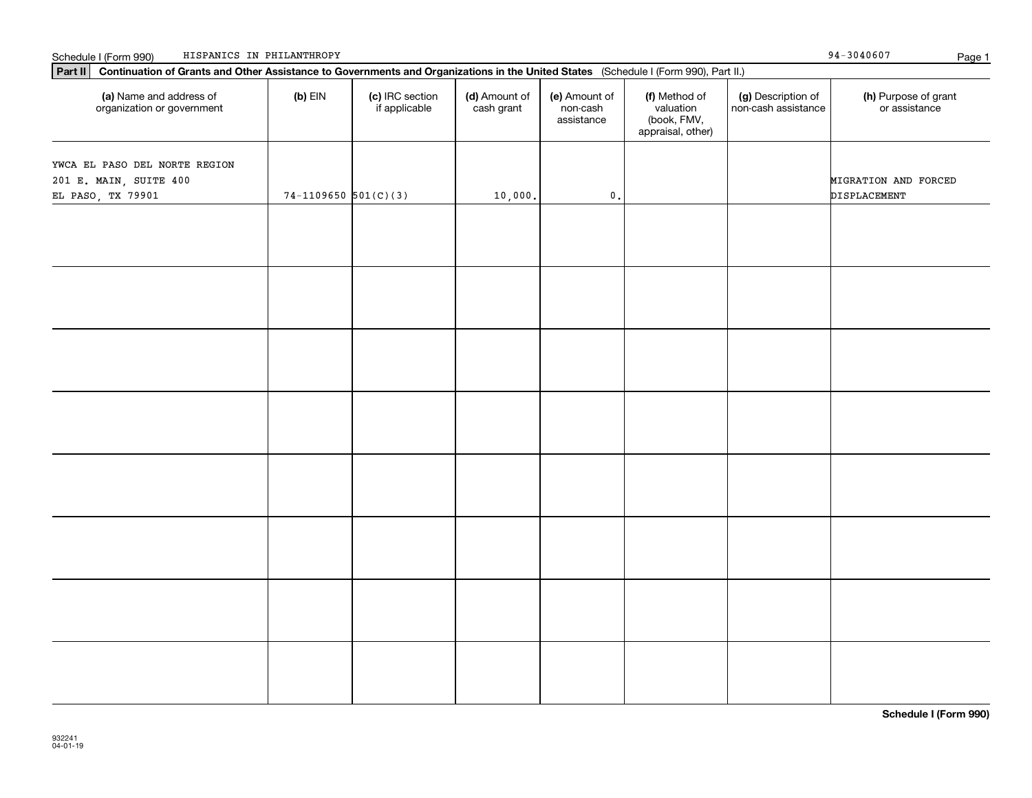| Continuation of Grants and Other Assistance to Governments and Organizations in the United States (Schedule I (Form 990), Part II.)<br>Part II |                        |                                  |                             |                                         |                                                                |                                           |                                       |  |  |
|------------------------------------------------------------------------------------------------------------------------------------------------|------------------------|----------------------------------|-----------------------------|-----------------------------------------|----------------------------------------------------------------|-------------------------------------------|---------------------------------------|--|--|
| (a) Name and address of<br>organization or government                                                                                          | $(b)$ EIN              | (c) IRC section<br>if applicable | (d) Amount of<br>cash grant | (e) Amount of<br>non-cash<br>assistance | (f) Method of<br>valuation<br>(book, FMV,<br>appraisal, other) | (g) Description of<br>non-cash assistance | (h) Purpose of grant<br>or assistance |  |  |
| YWCA EL PASO DEL NORTE REGION<br>201 E. MAIN, SUITE 400<br>EL PASO, TX 79901                                                                   | $74-1109650$ 501(C)(3) |                                  | 10,000.                     | $\mathbf 0$ .                           |                                                                |                                           | MIGRATION AND FORCED<br>DISPLACEMENT  |  |  |
|                                                                                                                                                |                        |                                  |                             |                                         |                                                                |                                           |                                       |  |  |
|                                                                                                                                                |                        |                                  |                             |                                         |                                                                |                                           |                                       |  |  |
|                                                                                                                                                |                        |                                  |                             |                                         |                                                                |                                           |                                       |  |  |
|                                                                                                                                                |                        |                                  |                             |                                         |                                                                |                                           |                                       |  |  |
|                                                                                                                                                |                        |                                  |                             |                                         |                                                                |                                           |                                       |  |  |
|                                                                                                                                                |                        |                                  |                             |                                         |                                                                |                                           |                                       |  |  |
|                                                                                                                                                |                        |                                  |                             |                                         |                                                                |                                           |                                       |  |  |
|                                                                                                                                                |                        |                                  |                             |                                         |                                                                |                                           |                                       |  |  |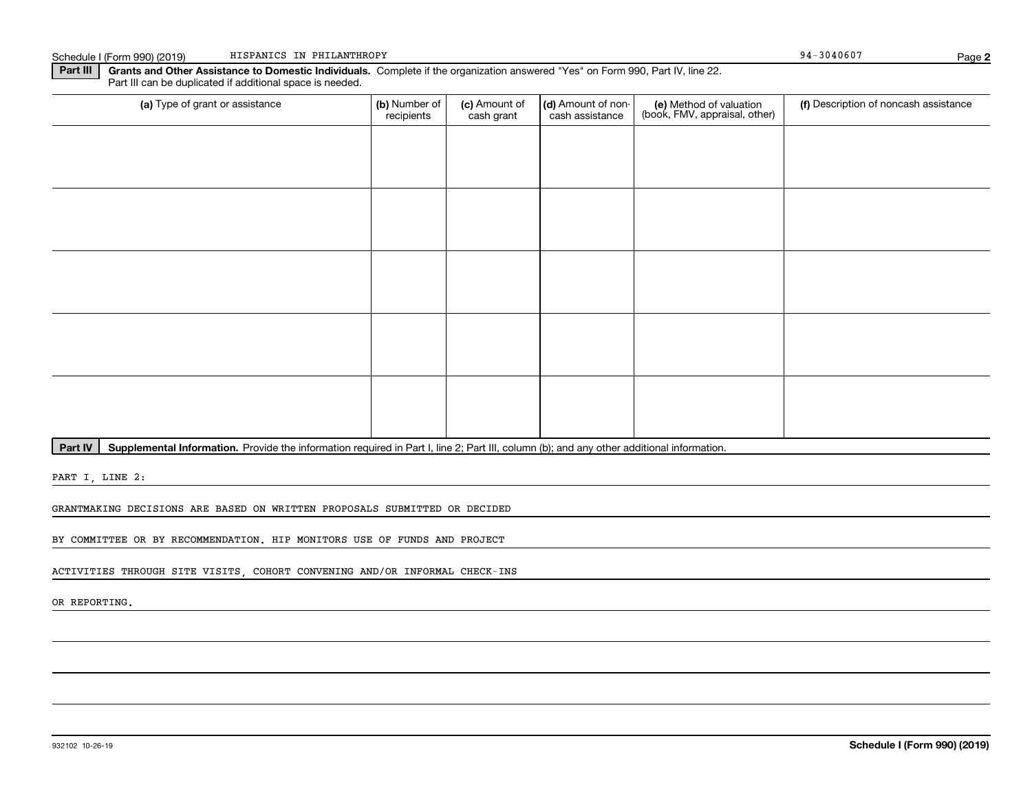**Part III | Grants and Other Assistance to Domestic Individuals. Complete if the organization answered "Yes" on Form 990, Part IV, line 22.** Part III can be duplicated if additional space is needed.

| (a) Type of grant or assistance | (b) Number of<br>recipients | (c) Amount of<br>cash grant | (d) Amount of non-<br>cash assistance | (e) Method of valuation<br>(book, FMV, appraisal, other) | (f) Description of noncash assistance |
|---------------------------------|-----------------------------|-----------------------------|---------------------------------------|----------------------------------------------------------|---------------------------------------|
|                                 |                             |                             |                                       |                                                          |                                       |
|                                 |                             |                             |                                       |                                                          |                                       |
|                                 |                             |                             |                                       |                                                          |                                       |
|                                 |                             |                             |                                       |                                                          |                                       |
|                                 |                             |                             |                                       |                                                          |                                       |
|                                 |                             |                             |                                       |                                                          |                                       |
|                                 |                             |                             |                                       |                                                          |                                       |
|                                 |                             |                             |                                       |                                                          |                                       |
|                                 |                             |                             |                                       |                                                          |                                       |
|                                 |                             |                             |                                       |                                                          |                                       |

Part IV | Supplemental Information. Provide the information required in Part I, line 2; Part III, column (b); and any other additional information.

PART I, LINE 2:

GRANTMAKING DECISIONS ARE BASED ON WRITTEN PROPOSALS SUBMITTED OR DECIDED

BY COMMITTEE OR BY RECOMMENDATION. HIP MONITORS USE OF FUNDS AND PROJECT

ACTIVITIES THROUGH SITE VISITS, COHORT CONVENING AND/OR INFORMAL CHECK-INS

OR REPORTING.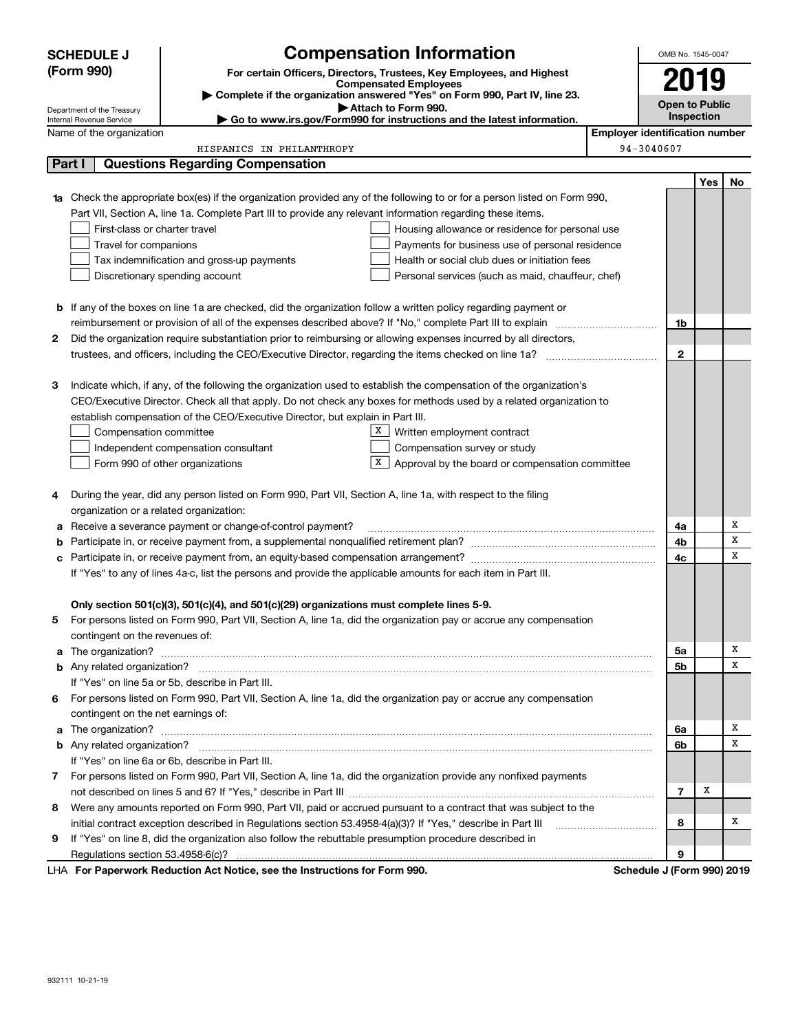|        | <b>SCHEDULE J</b>                                            |                                                                                                               | <b>Compensation Information</b>                                                                                                  |                                       | OMB No. 1545-0047          |     |    |  |
|--------|--------------------------------------------------------------|---------------------------------------------------------------------------------------------------------------|----------------------------------------------------------------------------------------------------------------------------------|---------------------------------------|----------------------------|-----|----|--|
|        | (Form 990)                                                   |                                                                                                               | For certain Officers, Directors, Trustees, Key Employees, and Highest                                                            |                                       |                            |     |    |  |
|        |                                                              |                                                                                                               | 2019                                                                                                                             |                                       |                            |     |    |  |
|        | Department of the Treasury                                   |                                                                                                               | Complete if the organization answered "Yes" on Form 990, Part IV, line 23.<br>Attach to Form 990.                                |                                       | <b>Open to Public</b>      |     |    |  |
|        | Internal Revenue Service                                     |                                                                                                               | Go to www.irs.gov/Form990 for instructions and the latest information.                                                           |                                       | Inspection                 |     |    |  |
|        | Name of the organization                                     |                                                                                                               |                                                                                                                                  | <b>Employer identification number</b> |                            |     |    |  |
|        |                                                              | HISPANICS IN PHILANTHROPY                                                                                     |                                                                                                                                  | 94-3040607                            |                            |     |    |  |
| Part I |                                                              | <b>Questions Regarding Compensation</b>                                                                       |                                                                                                                                  |                                       |                            |     |    |  |
|        |                                                              |                                                                                                               |                                                                                                                                  |                                       |                            | Yes | No |  |
|        |                                                              |                                                                                                               | <b>1a</b> Check the appropriate box(es) if the organization provided any of the following to or for a person listed on Form 990, |                                       |                            |     |    |  |
|        |                                                              | Part VII, Section A, line 1a. Complete Part III to provide any relevant information regarding these items.    |                                                                                                                                  |                                       |                            |     |    |  |
|        | First-class or charter travel                                |                                                                                                               | Housing allowance or residence for personal use                                                                                  |                                       |                            |     |    |  |
|        | Travel for companions                                        |                                                                                                               | Payments for business use of personal residence                                                                                  |                                       |                            |     |    |  |
|        |                                                              | Tax indemnification and gross-up payments                                                                     | Health or social club dues or initiation fees                                                                                    |                                       |                            |     |    |  |
|        |                                                              | Discretionary spending account                                                                                | Personal services (such as maid, chauffeur, chef)                                                                                |                                       |                            |     |    |  |
|        |                                                              |                                                                                                               |                                                                                                                                  |                                       |                            |     |    |  |
|        |                                                              |                                                                                                               | <b>b</b> If any of the boxes on line 1a are checked, did the organization follow a written policy regarding payment or           |                                       |                            |     |    |  |
|        |                                                              |                                                                                                               |                                                                                                                                  |                                       | 1b                         |     |    |  |
| 2      |                                                              |                                                                                                               | Did the organization require substantiation prior to reimbursing or allowing expenses incurred by all directors,                 |                                       |                            |     |    |  |
|        |                                                              |                                                                                                               |                                                                                                                                  |                                       | $\mathbf{2}$               |     |    |  |
|        |                                                              |                                                                                                               |                                                                                                                                  |                                       |                            |     |    |  |
| З      |                                                              |                                                                                                               | Indicate which, if any, of the following the organization used to establish the compensation of the organization's               |                                       |                            |     |    |  |
|        |                                                              |                                                                                                               | CEO/Executive Director. Check all that apply. Do not check any boxes for methods used by a related organization to               |                                       |                            |     |    |  |
|        |                                                              | establish compensation of the CEO/Executive Director, but explain in Part III.                                |                                                                                                                                  |                                       |                            |     |    |  |
|        | Compensation committee<br>X  <br>Written employment contract |                                                                                                               |                                                                                                                                  |                                       |                            |     |    |  |
|        |                                                              | Independent compensation consultant                                                                           | Compensation survey or study                                                                                                     |                                       |                            |     |    |  |
|        |                                                              | Form 990 of other organizations                                                                               | X  <br>Approval by the board or compensation committee                                                                           |                                       |                            |     |    |  |
| 4      |                                                              | During the year, did any person listed on Form 990, Part VII, Section A, line 1a, with respect to the filing  |                                                                                                                                  |                                       |                            |     |    |  |
|        | organization or a related organization:                      |                                                                                                               |                                                                                                                                  |                                       |                            |     |    |  |
|        |                                                              | Receive a severance payment or change-of-control payment?                                                     |                                                                                                                                  |                                       | 4a                         |     | х  |  |
| b      |                                                              |                                                                                                               |                                                                                                                                  |                                       | 4b                         |     | X  |  |
| c      |                                                              |                                                                                                               |                                                                                                                                  |                                       | 4c                         |     | X  |  |
|        |                                                              | If "Yes" to any of lines 4a-c, list the persons and provide the applicable amounts for each item in Part III. |                                                                                                                                  |                                       |                            |     |    |  |
|        |                                                              |                                                                                                               |                                                                                                                                  |                                       |                            |     |    |  |
|        |                                                              | Only section 501(c)(3), 501(c)(4), and 501(c)(29) organizations must complete lines 5-9.                      |                                                                                                                                  |                                       |                            |     |    |  |
|        |                                                              |                                                                                                               | For persons listed on Form 990, Part VII, Section A, line 1a, did the organization pay or accrue any compensation                |                                       |                            |     |    |  |
|        | contingent on the revenues of:                               |                                                                                                               |                                                                                                                                  |                                       |                            |     |    |  |
|        |                                                              |                                                                                                               |                                                                                                                                  |                                       | 5a                         |     | х  |  |
|        |                                                              |                                                                                                               |                                                                                                                                  |                                       | 5b                         |     | x  |  |
|        |                                                              | If "Yes" on line 5a or 5b, describe in Part III.                                                              |                                                                                                                                  |                                       |                            |     |    |  |
| 6.     |                                                              |                                                                                                               | For persons listed on Form 990, Part VII, Section A, line 1a, did the organization pay or accrue any compensation                |                                       |                            |     |    |  |
|        | contingent on the net earnings of:                           |                                                                                                               |                                                                                                                                  |                                       |                            |     |    |  |
|        |                                                              |                                                                                                               |                                                                                                                                  |                                       | 6a                         |     | x  |  |
|        | <b>b</b> Any related organization?                           |                                                                                                               |                                                                                                                                  |                                       | 6b                         |     | x  |  |
|        |                                                              | If "Yes" on line 6a or 6b, describe in Part III.                                                              |                                                                                                                                  |                                       |                            |     |    |  |
|        |                                                              |                                                                                                               | 7 For persons listed on Form 990, Part VII, Section A, line 1a, did the organization provide any nonfixed payments               |                                       |                            |     |    |  |
|        |                                                              |                                                                                                               |                                                                                                                                  |                                       | $\overline{7}$             | х   |    |  |
| 8      |                                                              |                                                                                                               | Were any amounts reported on Form 990, Part VII, paid or accrued pursuant to a contract that was subject to the                  |                                       |                            |     |    |  |
|        |                                                              | initial contract exception described in Regulations section 53.4958-4(a)(3)? If "Yes," describe in Part III   |                                                                                                                                  |                                       | 8                          |     | х  |  |
| 9      |                                                              | If "Yes" on line 8, did the organization also follow the rebuttable presumption procedure described in        |                                                                                                                                  |                                       |                            |     |    |  |
|        | Regulations section 53.4958-6(c)?                            |                                                                                                               |                                                                                                                                  |                                       | 9                          |     |    |  |
|        |                                                              | LHA For Paperwork Reduction Act Notice, see the Instructions for Form 990.                                    |                                                                                                                                  |                                       | Schedule J (Form 990) 2019 |     |    |  |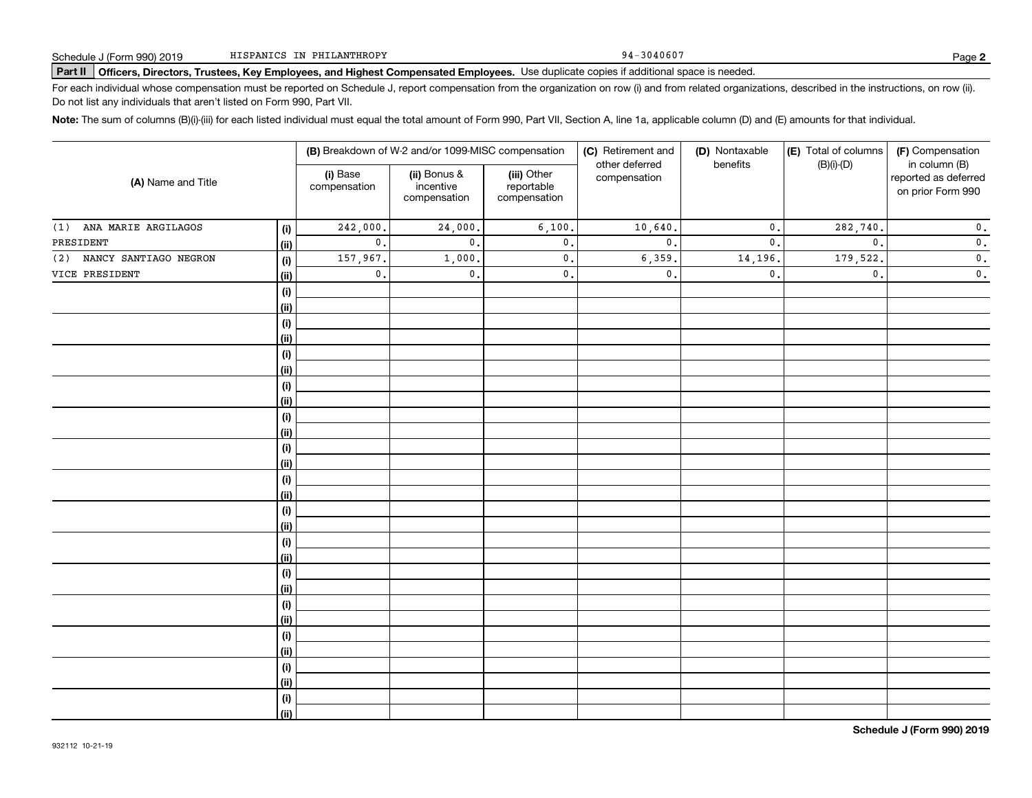94-3040607

# **Part II Officers, Directors, Trustees, Key Employees, and Highest Compensated Employees.**  Schedule J (Form 990) 2019 Page Use duplicate copies if additional space is needed.

For each individual whose compensation must be reported on Schedule J, report compensation from the organization on row (i) and from related organizations, described in the instructions, on row (ii). Do not list any individuals that aren't listed on Form 990, Part VII.

**Note:**  The sum of columns (B)(i)-(iii) for each listed individual must equal the total amount of Form 990, Part VII, Section A, line 1a, applicable column (D) and (E) amounts for that individual.

|                              |            |                          | (B) Breakdown of W-2 and/or 1099-MISC compensation |                                           | (C) Retirement and<br>other deferred | (D) Nontaxable<br>benefits | (E) Total of columns | (F) Compensation<br>in column (B)         |  |
|------------------------------|------------|--------------------------|----------------------------------------------------|-------------------------------------------|--------------------------------------|----------------------------|----------------------|-------------------------------------------|--|
| (A) Name and Title           |            | (i) Base<br>compensation | (ii) Bonus &<br>incentive<br>compensation          | (iii) Other<br>reportable<br>compensation | compensation                         |                            | $(B)(i)-(D)$         | reported as deferred<br>on prior Form 990 |  |
| ANA MARIE ARGILAGOS<br>(1)   | (i)        | $\overline{242}$ , 000.  | 24,000.                                            | 6,100.                                    | 10,640.                              | $\mathbf{0}$ .             | 282,740.             | $\mathbf 0$ .                             |  |
| PRESIDENT                    | (ii)       | $\mathbf 0$ .            | $\mathbf{0}$ .                                     | $\mathsf{0}$ .                            | $\mathbf{0}$ .                       | $\mathbf{0}$ .             | $\mathbf{0}$ .       | $\mathbf 0$ .                             |  |
| NANCY SANTIAGO NEGRON<br>(2) | (i)        | 157,967.                 | 1,000,                                             | $\mathbf 0$ .                             | 6,359.                               | 14,196.                    | 179,522.             | $\overline{\mathbf{0}}$ .                 |  |
| VICE PRESIDENT               | (ii)       | $\mathfrak o$ .          | $\mathsf{0}\,.$                                    | $\mathbf 0$ .                             | $\mathsf{0}$ .                       | $\mathbf{0}$               | $\mathfrak o$ .      | $\mathbf 0$ .                             |  |
|                              | $(\sf{i})$ |                          |                                                    |                                           |                                      |                            |                      |                                           |  |
|                              | (ii)       |                          |                                                    |                                           |                                      |                            |                      |                                           |  |
|                              | (i)        |                          |                                                    |                                           |                                      |                            |                      |                                           |  |
|                              | (ii)       |                          |                                                    |                                           |                                      |                            |                      |                                           |  |
|                              | (i)        |                          |                                                    |                                           |                                      |                            |                      |                                           |  |
|                              | (ii)       |                          |                                                    |                                           |                                      |                            |                      |                                           |  |
|                              | (i)        |                          |                                                    |                                           |                                      |                            |                      |                                           |  |
|                              | (ii)       |                          |                                                    |                                           |                                      |                            |                      |                                           |  |
|                              | (i)        |                          |                                                    |                                           |                                      |                            |                      |                                           |  |
|                              | (ii)       |                          |                                                    |                                           |                                      |                            |                      |                                           |  |
|                              | (i)        |                          |                                                    |                                           |                                      |                            |                      |                                           |  |
|                              | (ii)       |                          |                                                    |                                           |                                      |                            |                      |                                           |  |
|                              | (i)        |                          |                                                    |                                           |                                      |                            |                      |                                           |  |
|                              | (ii)       |                          |                                                    |                                           |                                      |                            |                      |                                           |  |
|                              | $(\sf{i})$ |                          |                                                    |                                           |                                      |                            |                      |                                           |  |
|                              | (ii)       |                          |                                                    |                                           |                                      |                            |                      |                                           |  |
|                              | (i)        |                          |                                                    |                                           |                                      |                            |                      |                                           |  |
|                              | (ii)       |                          |                                                    |                                           |                                      |                            |                      |                                           |  |
|                              | (i)        |                          |                                                    |                                           |                                      |                            |                      |                                           |  |
|                              | (ii)       |                          |                                                    |                                           |                                      |                            |                      |                                           |  |
|                              | (i)        |                          |                                                    |                                           |                                      |                            |                      |                                           |  |
|                              | (ii)       |                          |                                                    |                                           |                                      |                            |                      |                                           |  |
|                              | (i)        |                          |                                                    |                                           |                                      |                            |                      |                                           |  |
|                              | (ii)       |                          |                                                    |                                           |                                      |                            |                      |                                           |  |
|                              | (i)        |                          |                                                    |                                           |                                      |                            |                      |                                           |  |
|                              | (ii)       |                          |                                                    |                                           |                                      |                            |                      |                                           |  |
|                              | (i)        |                          |                                                    |                                           |                                      |                            |                      |                                           |  |
|                              | (ii)       |                          |                                                    |                                           |                                      |                            |                      |                                           |  |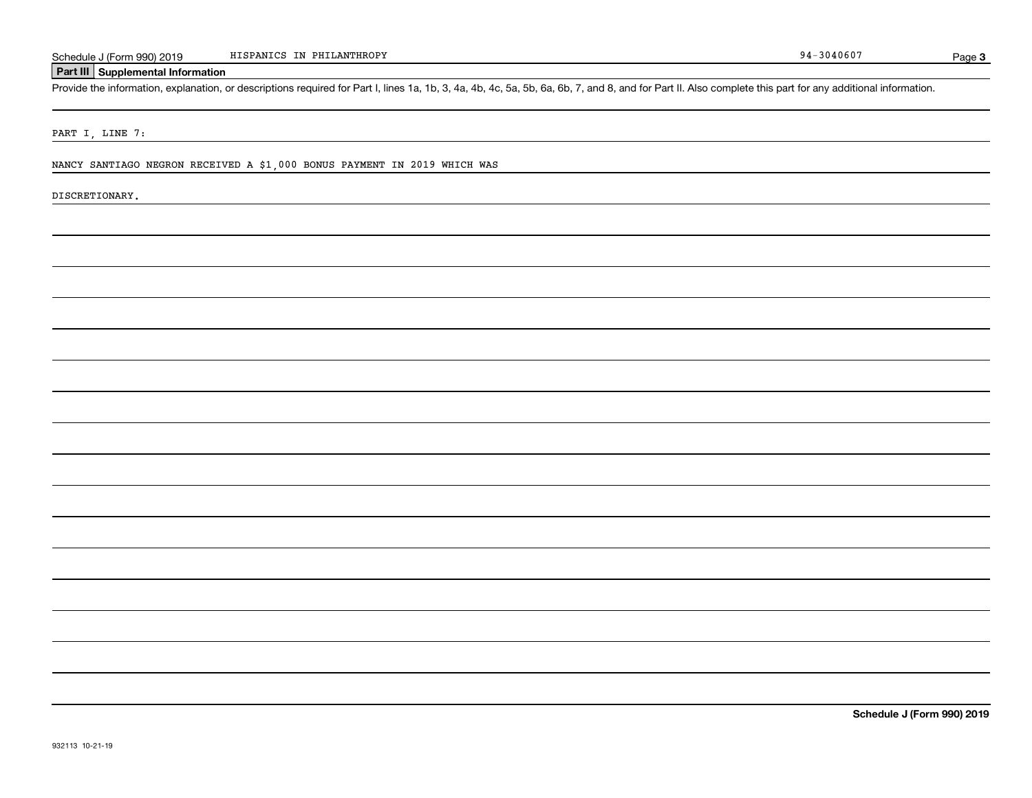Page 3

Schedule J (Form 990) 2019 HISPANICS IN PHILANTHROPY<br>Part III Supplemental Information<br>Provide the information, explanation, or descriptions required for Part I, lines 1a, 1b, 3, 4a, 4b, 4c, 5a, 5b, 6a, 6b, 7, and 8, and f

PART I, LINE 7:

NANCY SANTIAGO NEGRON RECEIVED A \$1,000 BONUS PAYMENT IN 2019 WHICH WAS

DISCRETIONARY.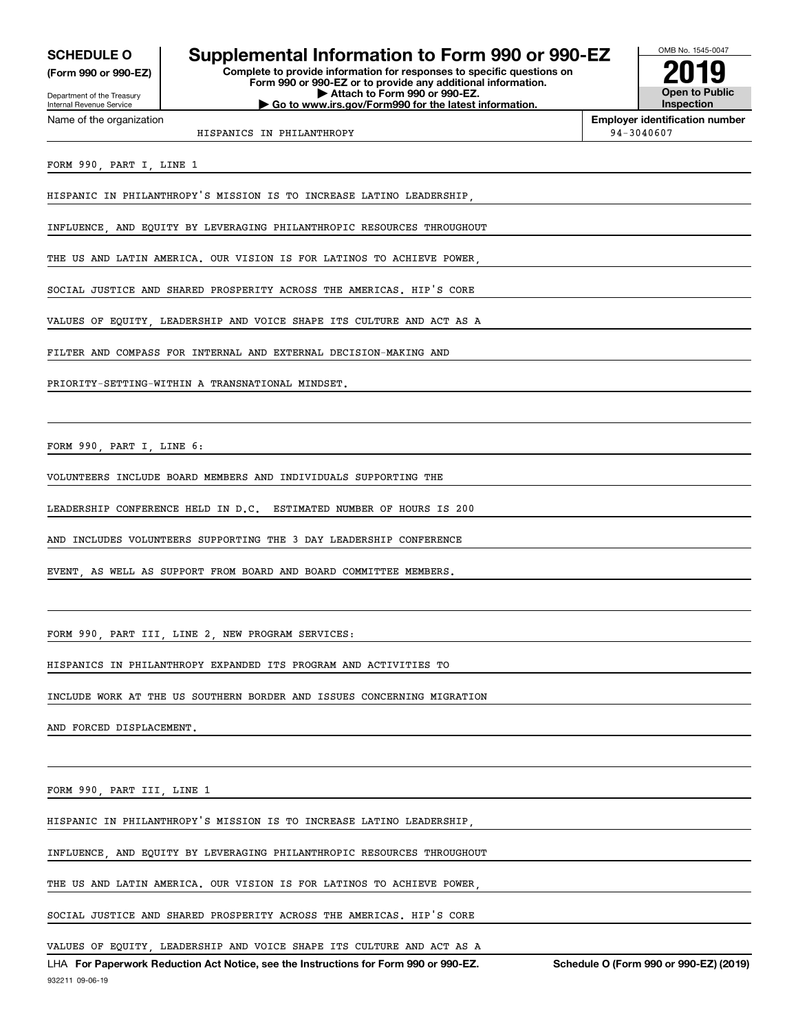**(Form 990 or 990-EZ)**

Department of the Treasury Internal Revenue Service

Name of the organization

## **SCHEDULE O Supplemental Information to Form 990 or 990-EZ**

**Complete to provide information for responses to specific questions on Form 990 or 990-EZ or to provide any additional information. | Attach to Form 990 or 990-EZ. | Go to www.irs.gov/Form990 for the latest information.**



**Employer identification number**

HISPANICS IN PHILANTHROPY 94-3040607

FORM 990, PART I, LINE 1

HISPANIC IN PHILANTHROPY'S MISSION IS TO INCREASE LATINO LEADERSHIP,

INFLUENCE, AND EQUITY BY LEVERAGING PHILANTHROPIC RESOURCES THROUGHOUT

THE US AND LATIN AMERICA. OUR VISION IS FOR LATINOS TO ACHIEVE POWER

SOCIAL JUSTICE AND SHARED PROSPERITY ACROSS THE AMERICAS. HIP'S CORE

VALUES OF EQUITY, LEADERSHIP AND VOICE SHAPE ITS CULTURE AND ACT AS A

FILTER AND COMPASS FOR INTERNAL AND EXTERNAL DECISION-MAKING AND

PRIORITY-SETTING-WITHIN A TRANSNATIONAL MINDSET.

FORM 990, PART I, LINE 6:

VOLUNTEERS INCLUDE BOARD MEMBERS AND INDIVIDUALS SUPPORTING THE

LEADERSHIP CONFERENCE HELD IN D.C. ESTIMATED NUMBER OF HOURS IS 200

AND INCLUDES VOLUNTEERS SUPPORTING THE 3 DAY LEADERSHIP CONFERENCE

EVENT, AS WELL AS SUPPORT FROM BOARD AND BOARD COMMITTEE MEMBERS.

FORM 990, PART III, LINE 2, NEW PROGRAM SERVICES:

HISPANICS IN PHILANTHROPY EXPANDED ITS PROGRAM AND ACTIVITIES TO

INCLUDE WORK AT THE US SOUTHERN BORDER AND ISSUES CONCERNING MIGRATION

AND FORCED DISPLACEMENT.

FORM 990, PART III, LINE 1

HISPANIC IN PHILANTHROPY'S MISSION IS TO INCREASE LATINO LEADERSHIP,

INFLUENCE, AND EQUITY BY LEVERAGING PHILANTHROPIC RESOURCES THROUGHOUT

THE US AND LATIN AMERICA. OUR VISION IS FOR LATINOS TO ACHIEVE POWER

SOCIAL JUSTICE AND SHARED PROSPERITY ACROSS THE AMERICAS. HIP'S CORE

VALUES OF EQUITY, LEADERSHIP AND VOICE SHAPE ITS CULTURE AND ACT AS A

932211 09-06-19 LHA For Paperwork Reduction Act Notice, see the Instructions for Form 990 or 990-EZ. Schedule O (Form 990 or 990-EZ) (2019)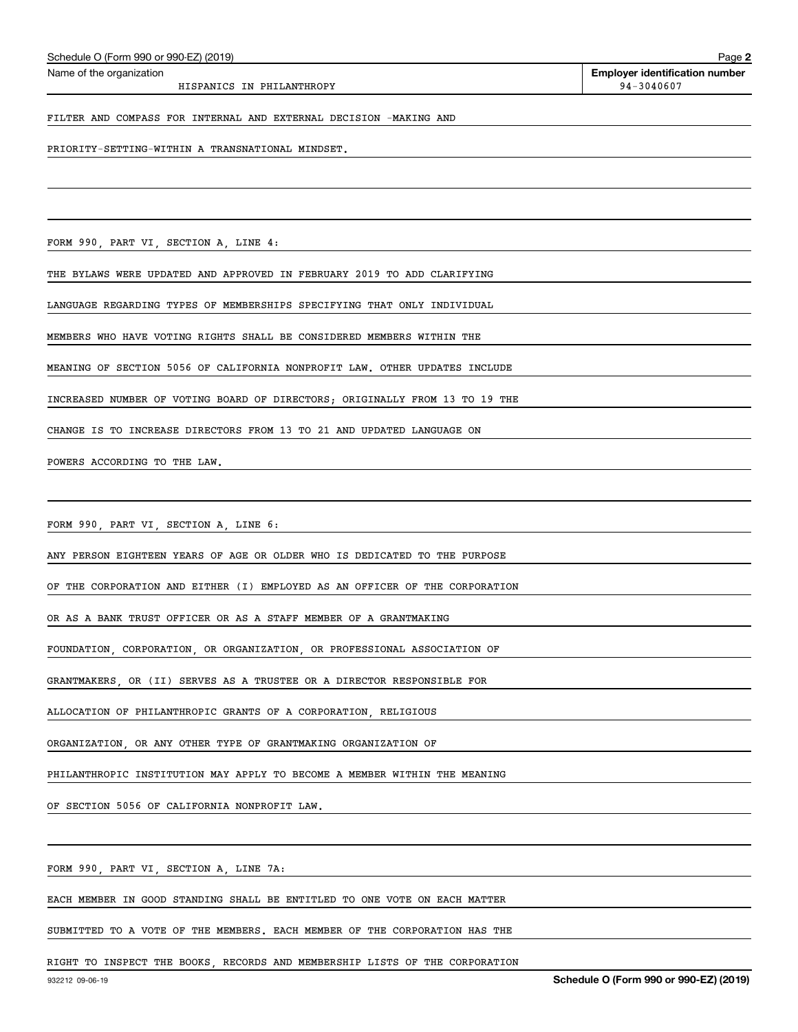| FILTER AND COMPASS FOR INTERNAL AND EXTERNAL DECISION -MAKING AND           |
|-----------------------------------------------------------------------------|
| PRIORITY-SETTING-WITHIN A TRANSNATIONAL MINDSET.                            |
|                                                                             |
|                                                                             |
| FORM 990, PART VI, SECTION A, LINE 4:                                       |
| THE BYLAWS WERE UPDATED AND APPROVED IN FEBRUARY 2019 TO ADD CLARIFYING     |
| LANGUAGE REGARDING TYPES OF MEMBERSHIPS SPECIFYING THAT ONLY INDIVIDUAL     |
| MEMBERS WHO HAVE VOTING RIGHTS SHALL BE CONSIDERED MEMBERS WITHIN THE       |
| MEANING OF SECTION 5056 OF CALIFORNIA NONPROFIT LAW. OTHER UPDATES INCLUDE  |
| INCREASED NUMBER OF VOTING BOARD OF DIRECTORS; ORIGINALLY FROM 13 TO 19 THE |
| CHANGE IS TO INCREASE DIRECTORS FROM 13 TO 21 AND UPDATED LANGUAGE ON       |
| POWERS ACCORDING TO THE LAW.                                                |
|                                                                             |
| FORM 990, PART VI, SECTION A, LINE 6:                                       |
| ANY PERSON EIGHTEEN YEARS OF AGE OR OLDER WHO IS DEDICATED TO THE PURPOSE   |
| OF THE CORPORATION AND EITHER (I) EMPLOYED AS AN OFFICER OF THE CORPORATION |
| OR AS A BANK TRUST OFFICER OR AS A STAFF MEMBER OF A GRANTMAKING            |
| FOUNDATION, CORPORATION, OR ORGANIZATION, OR PROFESSIONAL ASSOCIATION OF    |
| GRANTMAKERS, OR (II) SERVES AS A TRUSTEE OR A DIRECTOR RESPONSIBLE FOR      |
| ALLOCATION OF PHILANTHROPIC GRANTS OF A CORPORATION, RELIGIOUS              |
| ORGANIZATION, OR ANY OTHER TYPE OF GRANTMAKING ORGANIZATION OF              |
| PHILANTHROPIC INSTITUTION MAY APPLY TO BECOME A MEMBER WITHIN THE MEANING   |
| OF SECTION 5056 OF CALIFORNIA NONPROFIT LAW.                                |
|                                                                             |
| FORM 990, PART VI, SECTION A, LINE 7A:                                      |
| EACH MEMBER IN GOOD STANDING SHALL BE ENTITLED TO ONE VOTE ON EACH MATTER   |
| SUBMITTED TO A VOTE OF THE MEMBERS. EACH MEMBER OF THE CORPORATION HAS THE  |
|                                                                             |

HISPANICS IN PHILANTHROPY 94-3040607

 $\overline{\phantom{a}}$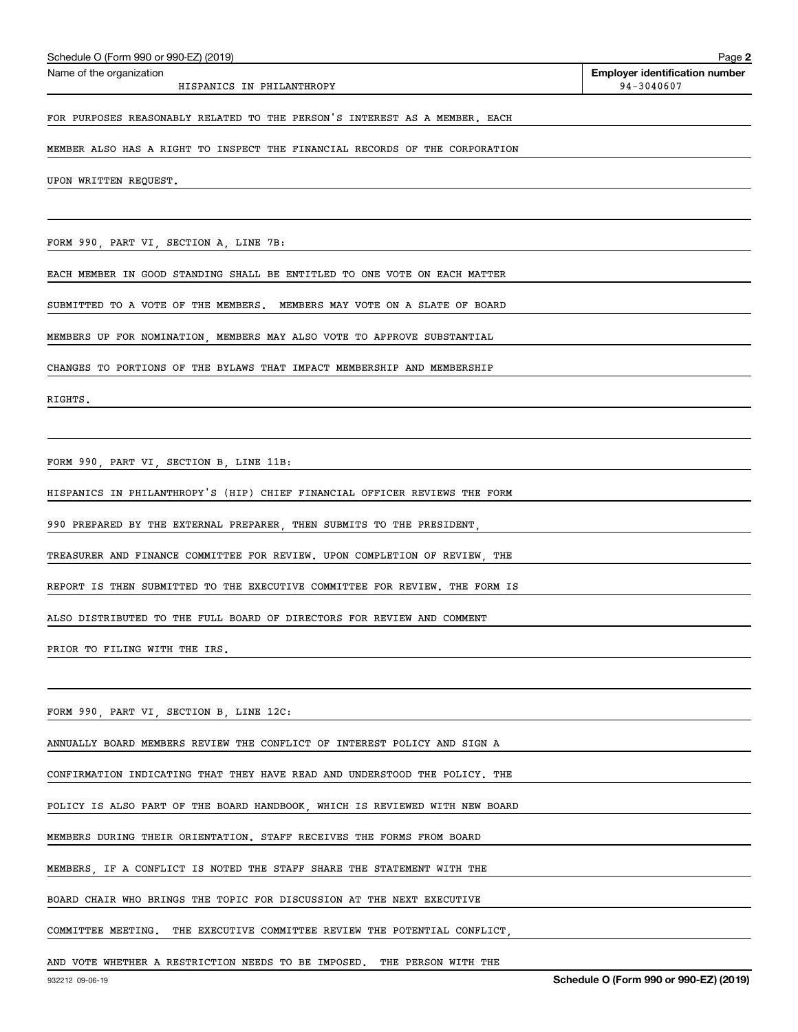| Schedule O (Form 990 or 990-EZ) (2019)                                      | Page                                                |
|-----------------------------------------------------------------------------|-----------------------------------------------------|
| Name of the organization<br>HISPANICS IN PHILANTHROPY                       | <b>Employer identification number</b><br>94-3040607 |
| FOR PURPOSES REASONABLY RELATED TO THE PERSON'S INTEREST AS A MEMBER. EACH  |                                                     |
| MEMBER ALSO HAS A RIGHT TO INSPECT THE FINANCIAL RECORDS OF THE CORPORATION |                                                     |
| UPON WRITTEN REQUEST.                                                       |                                                     |
|                                                                             |                                                     |
| FORM 990, PART VI, SECTION A, LINE 7B:                                      |                                                     |
| EACH MEMBER IN GOOD STANDING SHALL BE ENTITLED TO ONE VOTE ON EACH MATTER   |                                                     |
| SUBMITTED TO A VOTE OF THE MEMBERS. MEMBERS MAY VOTE ON A SLATE OF BOARD    |                                                     |
| MEMBERS UP FOR NOMINATION, MEMBERS MAY ALSO VOTE TO APPROVE SUBSTANTIAL     |                                                     |
| CHANGES TO PORTIONS OF THE BYLAWS THAT IMPACT MEMBERSHIP AND MEMBERSHIP     |                                                     |
| RIGHTS.                                                                     |                                                     |
|                                                                             |                                                     |
| FORM 990, PART VI, SECTION B, LINE 11B:                                     |                                                     |
| HISPANICS IN PHILANTHROPY'S (HIP) CHIEF FINANCIAL OFFICER REVIEWS THE FORM  |                                                     |
| 990 PREPARED BY THE EXTERNAL PREPARER, THEN SUBMITS TO THE PRESIDENT,       |                                                     |
| TREASURER AND FINANCE COMMITTEE FOR REVIEW. UPON COMPLETION OF REVIEW, THE  |                                                     |
| REPORT IS THEN SUBMITTED TO THE EXECUTIVE COMMITTEE FOR REVIEW. THE FORM IS |                                                     |
| ALSO DISTRIBUTED TO THE FULL BOARD OF DIRECTORS FOR REVIEW AND COMMENT      |                                                     |
| PRIOR TO FILING WITH THE IRS.                                               |                                                     |
|                                                                             |                                                     |
| FORM 990, PART VI, SECTION B, LINE 12C:                                     |                                                     |
| ANNUALLY BOARD MEMBERS REVIEW THE CONFLICT OF INTEREST POLICY AND SIGN A    |                                                     |
| CONFIRMATION INDICATING THAT THEY HAVE READ AND UNDERSTOOD THE POLICY. THE  |                                                     |
| POLICY IS ALSO PART OF THE BOARD HANDBOOK, WHICH IS REVIEWED WITH NEW BOARD |                                                     |
| MEMBERS DURING THEIR ORIENTATION. STAFF RECEIVES THE FORMS FROM BOARD       |                                                     |
| MEMBERS, IF A CONFLICT IS NOTED THE STAFF SHARE THE STATEMENT WITH THE      |                                                     |

BOARD CHAIR WHO BRINGS THE TOPIC FOR DISCUSSION AT THE NEXT EXECUTIVE

COMMITTEE MEETING. THE EXECUTIVE COMMITTEE REVIEW THE POTENTIAL CONFLICT,

AND VOTE WHETHER A RESTRICTION NEEDS TO BE IMPOSED. THE PERSON WITH THE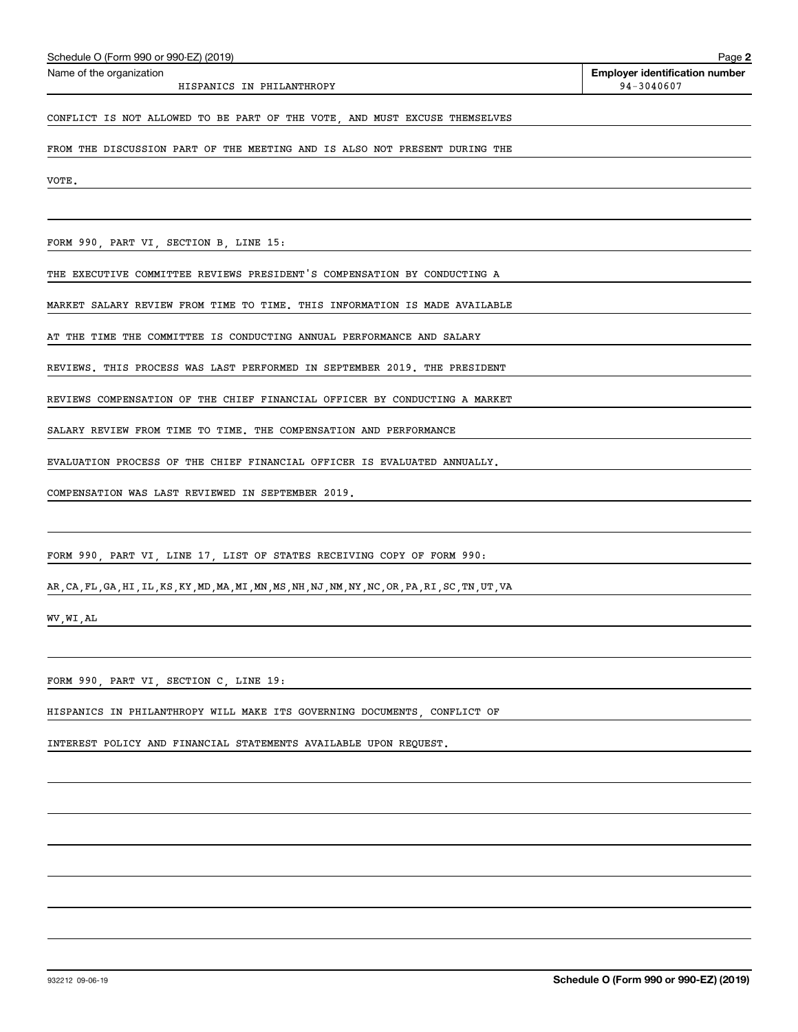| Schedule O (Form 990 or 990-EZ) (2019)                                     | Page 2                                |
|----------------------------------------------------------------------------|---------------------------------------|
| Name of the organization                                                   | <b>Employer identification number</b> |
| HISPANICS IN PHILANTHROPY                                                  | 94-3040607                            |
|                                                                            |                                       |
| CONFLICT IS NOT ALLOWED TO BE PART OF THE VOTE, AND MUST EXCUSE THEMSELVES |                                       |
|                                                                            |                                       |
| FROM THE DISCUSSION PART OF THE MEETING AND IS ALSO NOT PRESENT DURING THE |                                       |
|                                                                            |                                       |
| VOTE.                                                                      |                                       |
|                                                                            |                                       |
|                                                                            |                                       |

FORM 990, PART VI, SECTION B, LINE 15:

THE EXECUTIVE COMMITTEE REVIEWS PRESIDENT'S COMPENSATION BY CONDUCTING A

MARKET SALARY REVIEW FROM TIME TO TIME. THIS INFORMATION IS MADE AVAILABLE

AT THE TIME THE COMMITTEE IS CONDUCTING ANNUAL PERFORMANCE AND SALARY

REVIEWS. THIS PROCESS WAS LAST PERFORMED IN SEPTEMBER 2019. THE PRESIDENT

REVIEWS COMPENSATION OF THE CHIEF FINANCIAL OFFICER BY CONDUCTING A MARKET

SALARY REVIEW FROM TIME TO TIME. THE COMPENSATION AND PERFORMANCE

EVALUATION PROCESS OF THE CHIEF FINANCIAL OFFICER IS EVALUATED ANNUALLY.

COMPENSATION WAS LAST REVIEWED IN SEPTEMBER 2019.

FORM 990, PART VI, LINE 17, LIST OF STATES RECEIVING COPY OF FORM 990:

AR,CA,FL,GA,HI,IL,KS,KY,MD,MA,MI,MN,MS,NH,NJ,NM,NY,NC,OR,PA,RI,SC,TN,UT,VA

WV,WI,AL

FORM 990, PART VI, SECTION C, LINE 19:

HISPANICS IN PHILANTHROPY WILL MAKE ITS GOVERNING DOCUMENTS, CONFLICT OF

INTEREST POLICY AND FINANCIAL STATEMENTS AVAILABLE UPON REQUEST.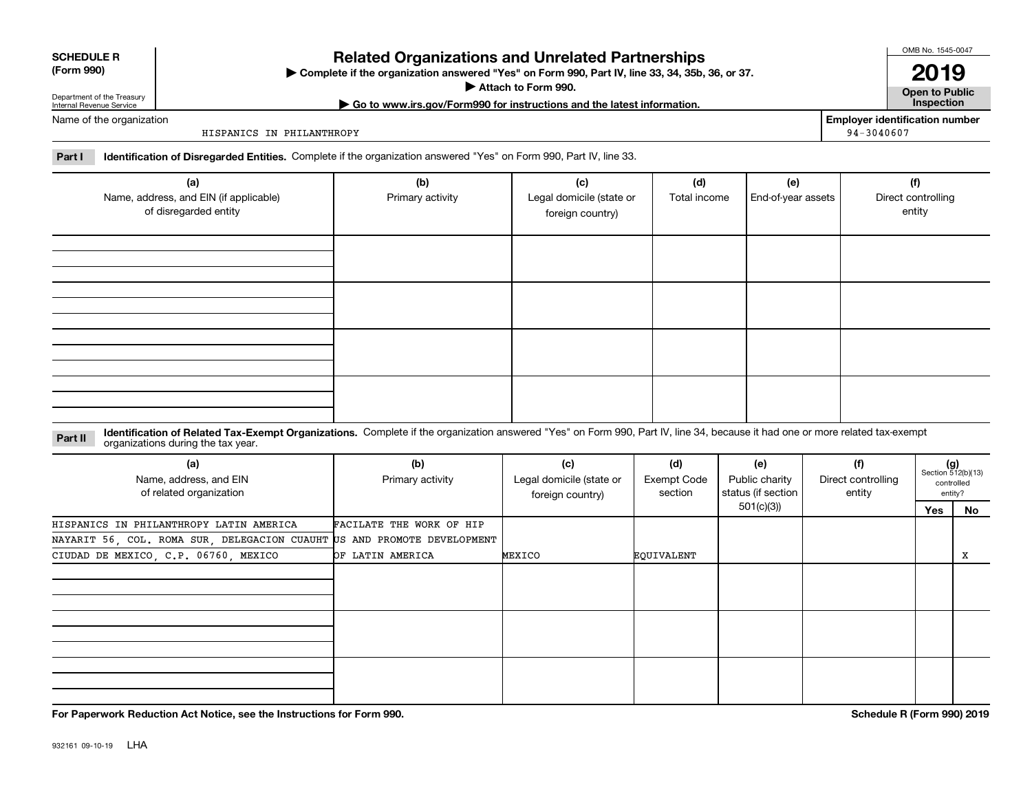| <b>SCHEDULE R</b>                          |  |
|--------------------------------------------|--|
| $\mathbf{r}$ , $\mathbf{r}$ , $\mathbf{r}$ |  |

### **(Form 990)**

## **Related Organizations and Unrelated Partnerships**

**Complete if the organization answered "Yes" on Form 990, Part IV, line 33, 34, 35b, 36, or 37.** |

**Attach to Form 990.**  |

**| Go to www.irs.gov/Form990 for instructions and the latest information. Inspection**

Department of the Treasury Internal Revenue Service Name of the organization

HISPANICS IN PHILANTHROPY

**Employer identification number** 94-3040607

OMB No. 1545-0047

**2019**

**Open to Public**

**Part I Identification of Disregarded Entities.**  Complete if the organization answered "Yes" on Form 990, Part IV, line 33.

| (a)<br>Name, address, and EIN (if applicable)<br>of disregarded entity | (b)<br>Primary activity | (c)<br>Legal domicile (state or<br>foreign country) | (d)<br>Total income | (e)<br>End-of-year assets | (f)<br>Direct controlling<br>entity |
|------------------------------------------------------------------------|-------------------------|-----------------------------------------------------|---------------------|---------------------------|-------------------------------------|
|                                                                        |                         |                                                     |                     |                           |                                     |
|                                                                        |                         |                                                     |                     |                           |                                     |
|                                                                        |                         |                                                     |                     |                           |                                     |
|                                                                        |                         |                                                     |                     |                           |                                     |

**Identification of Related Tax-Exempt Organizations.** Complete if the organization answered "Yes" on Form 990, Part IV, line 34, because it had one or more related tax-exempt **Part II** organizations during the tax year.

| (a)<br>Name, address, and EIN<br>of related organization                | (b)<br>Primary activity  | (c)<br>Legal domicile (state or<br>foreign country) | (d)<br>Exempt Code<br>section | (e)<br>Public charity<br>status (if section | (f)<br>Direct controlling<br>entity | $(g)$<br>Section 512(b)(13) | controlled<br>entity? |
|-------------------------------------------------------------------------|--------------------------|-----------------------------------------------------|-------------------------------|---------------------------------------------|-------------------------------------|-----------------------------|-----------------------|
|                                                                         |                          |                                                     |                               | 501(c)(3))                                  |                                     | Yes                         | No                    |
| HISPANICS IN PHILANTHROPY LATIN AMERICA                                 | FACILATE THE WORK OF HIP |                                                     |                               |                                             |                                     |                             |                       |
| NAYARIT 56, COL. ROMA SUR, DELEGACION CUAUHT US AND PROMOTE DEVELOPMENT |                          |                                                     |                               |                                             |                                     |                             |                       |
| CIUDAD DE MEXICO, C.P. 06760, MEXICO                                    | OF LATIN AMERICA         | MEXICO                                              | EQUIVALENT                    |                                             |                                     |                             | x                     |
|                                                                         |                          |                                                     |                               |                                             |                                     |                             |                       |
|                                                                         |                          |                                                     |                               |                                             |                                     |                             |                       |
|                                                                         |                          |                                                     |                               |                                             |                                     |                             |                       |
|                                                                         |                          |                                                     |                               |                                             |                                     |                             |                       |
|                                                                         |                          |                                                     |                               |                                             |                                     |                             |                       |
|                                                                         |                          |                                                     |                               |                                             |                                     |                             |                       |

**For Paperwork Reduction Act Notice, see the Instructions for Form 990. Schedule R (Form 990) 2019**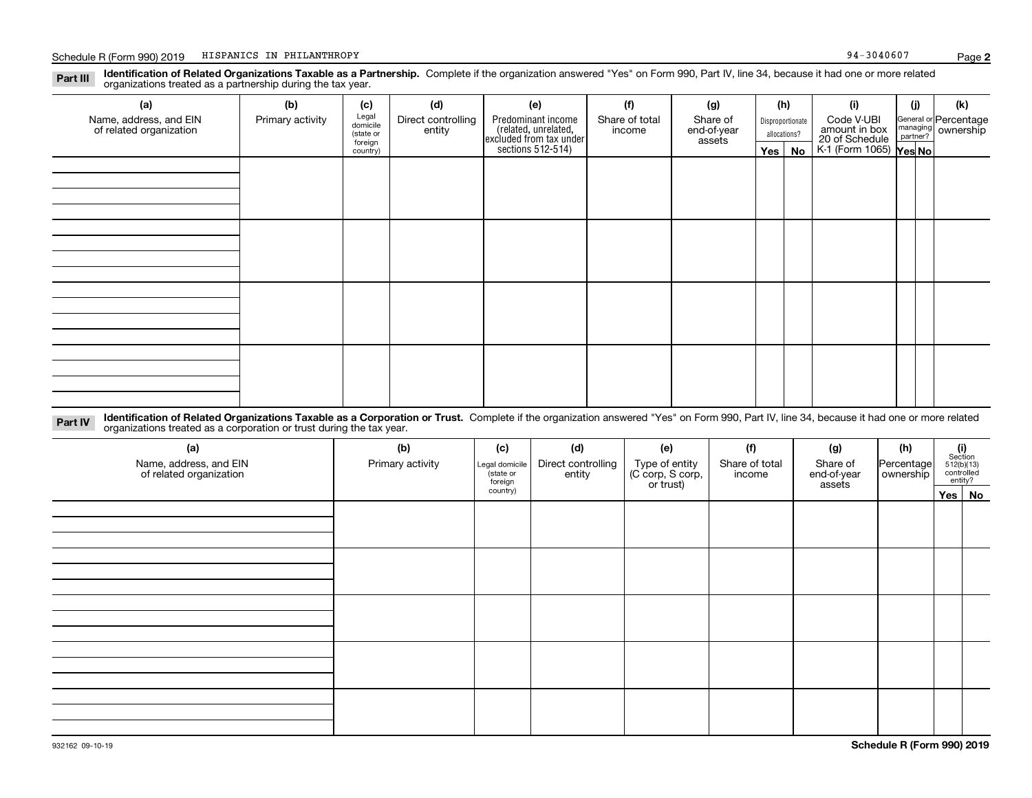### **Identification of Related Organizations Taxable as a Partnership.** Complete if the organization answered "Yes" on Form 990, Part IV, line 34, because it had one or more related **Part III** organizations treated as a partnership during the tax year.

| (a)                                               | (b)              | (c)                  | (d)                | (e)                                                                                        | (f)                      | (g)                               |                                  | (h) | (i)                                                                     | (j) | (k)                                                     |
|---------------------------------------------------|------------------|----------------------|--------------------|--------------------------------------------------------------------------------------------|--------------------------|-----------------------------------|----------------------------------|-----|-------------------------------------------------------------------------|-----|---------------------------------------------------------|
| Name, address, and EIN<br>of related organization | Primary activity | Legal<br>domicile    | Direct controlling | Predominant income<br>(related, unrelated,<br>excluded from tax under<br>sections 512-514) | Share of total<br>income | Share of<br>end-of-year<br>assets | Disproportionate<br>allocations? |     | Code V-UBI<br>amount in box<br>20 of Schedule<br>K-1 (Form 1065) Yes No |     | General or Percentage<br>managing ownership<br>partner? |
|                                                   |                  | (state or<br>foreign | entity             |                                                                                            |                          |                                   |                                  |     |                                                                         |     |                                                         |
|                                                   |                  | country)             |                    |                                                                                            |                          |                                   | Yes                              | No  |                                                                         |     |                                                         |
|                                                   |                  |                      |                    |                                                                                            |                          |                                   |                                  |     |                                                                         |     |                                                         |
|                                                   |                  |                      |                    |                                                                                            |                          |                                   |                                  |     |                                                                         |     |                                                         |
|                                                   |                  |                      |                    |                                                                                            |                          |                                   |                                  |     |                                                                         |     |                                                         |
|                                                   |                  |                      |                    |                                                                                            |                          |                                   |                                  |     |                                                                         |     |                                                         |
|                                                   |                  |                      |                    |                                                                                            |                          |                                   |                                  |     |                                                                         |     |                                                         |
|                                                   |                  |                      |                    |                                                                                            |                          |                                   |                                  |     |                                                                         |     |                                                         |
|                                                   |                  |                      |                    |                                                                                            |                          |                                   |                                  |     |                                                                         |     |                                                         |
|                                                   |                  |                      |                    |                                                                                            |                          |                                   |                                  |     |                                                                         |     |                                                         |
|                                                   |                  |                      |                    |                                                                                            |                          |                                   |                                  |     |                                                                         |     |                                                         |
|                                                   |                  |                      |                    |                                                                                            |                          |                                   |                                  |     |                                                                         |     |                                                         |
|                                                   |                  |                      |                    |                                                                                            |                          |                                   |                                  |     |                                                                         |     |                                                         |
|                                                   |                  |                      |                    |                                                                                            |                          |                                   |                                  |     |                                                                         |     |                                                         |
|                                                   |                  |                      |                    |                                                                                            |                          |                                   |                                  |     |                                                                         |     |                                                         |
|                                                   |                  |                      |                    |                                                                                            |                          |                                   |                                  |     |                                                                         |     |                                                         |
|                                                   |                  |                      |                    |                                                                                            |                          |                                   |                                  |     |                                                                         |     |                                                         |
|                                                   |                  |                      |                    |                                                                                            |                          |                                   |                                  |     |                                                                         |     |                                                         |
|                                                   |                  |                      |                    |                                                                                            |                          |                                   |                                  |     |                                                                         |     |                                                         |

**Identification of Related Organizations Taxable as a Corporation or Trust.** Complete if the organization answered "Yes" on Form 990, Part IV, line 34, because it had one or more related **Part IV** organizations treated as a corporation or trust during the tax year.

| (a)<br>Name, address, and EIN<br>of related organization | (b)<br>Primary activity | (c)<br>Legal domicile<br>(state or<br>foreign | (d)<br>Direct controlling<br>entity | (e)<br>Type of entity<br>(C corp, S corp,<br>or trust) | (f)<br>Share of total<br>income | (g)<br>Share of<br>end-of-year<br>assets | (h)<br> Percentage <br>ownership | $\begin{array}{c} \textbf{(i)}\\ \text{Section}\\ 512 \text{(b)} \text{(13)}\\ \text{controlled}\\ \text{entity?} \end{array}$ |        |
|----------------------------------------------------------|-------------------------|-----------------------------------------------|-------------------------------------|--------------------------------------------------------|---------------------------------|------------------------------------------|----------------------------------|--------------------------------------------------------------------------------------------------------------------------------|--------|
|                                                          |                         | country)                                      |                                     |                                                        |                                 |                                          |                                  |                                                                                                                                | Yes No |
|                                                          |                         |                                               |                                     |                                                        |                                 |                                          |                                  |                                                                                                                                |        |
|                                                          |                         |                                               |                                     |                                                        |                                 |                                          |                                  |                                                                                                                                |        |
|                                                          |                         |                                               |                                     |                                                        |                                 |                                          |                                  |                                                                                                                                |        |
|                                                          |                         |                                               |                                     |                                                        |                                 |                                          |                                  |                                                                                                                                |        |
|                                                          |                         |                                               |                                     |                                                        |                                 |                                          |                                  |                                                                                                                                |        |
|                                                          |                         |                                               |                                     |                                                        |                                 |                                          |                                  |                                                                                                                                |        |
|                                                          |                         |                                               |                                     |                                                        |                                 |                                          |                                  |                                                                                                                                |        |
|                                                          |                         |                                               |                                     |                                                        |                                 |                                          |                                  |                                                                                                                                |        |
|                                                          |                         |                                               |                                     |                                                        |                                 |                                          |                                  |                                                                                                                                |        |
|                                                          |                         |                                               |                                     |                                                        |                                 |                                          |                                  |                                                                                                                                |        |
|                                                          |                         |                                               |                                     |                                                        |                                 |                                          |                                  |                                                                                                                                |        |
|                                                          |                         |                                               |                                     |                                                        |                                 |                                          |                                  |                                                                                                                                |        |
|                                                          |                         |                                               |                                     |                                                        |                                 |                                          |                                  |                                                                                                                                |        |
|                                                          |                         |                                               |                                     |                                                        |                                 |                                          |                                  |                                                                                                                                |        |
|                                                          |                         |                                               |                                     |                                                        |                                 |                                          |                                  |                                                                                                                                |        |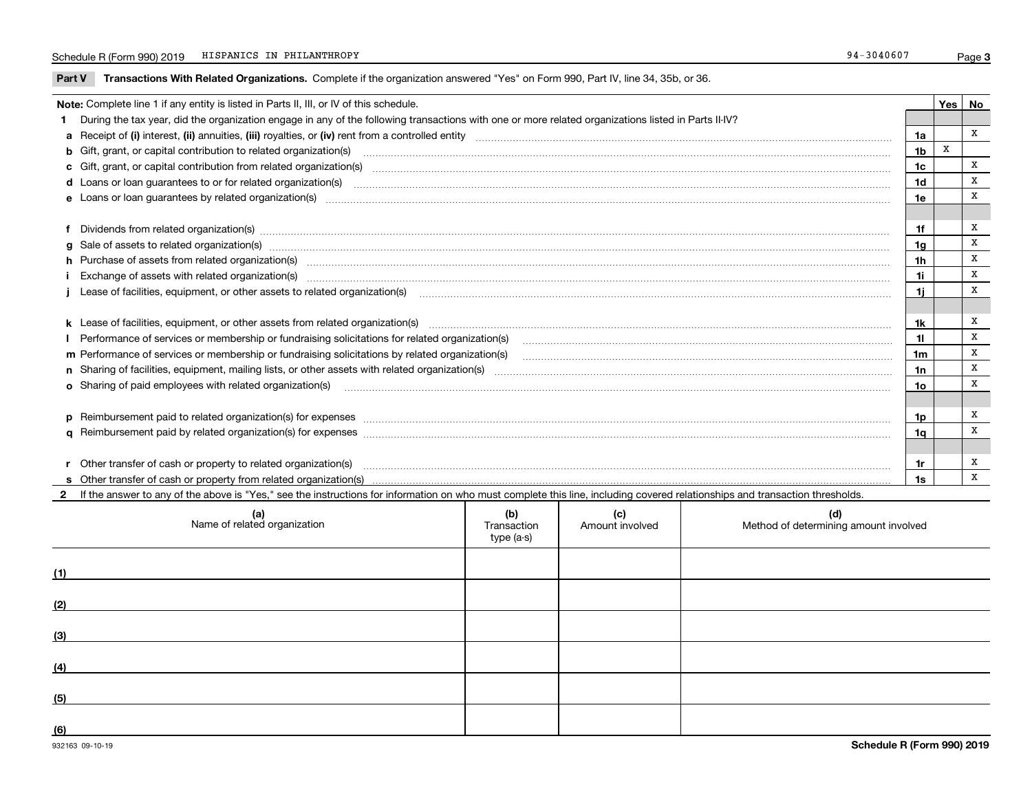### Schedule R (Form 990) 2019 HISPANICS IN PHILANTHROPY 34-3040607 HISPANICS IN PHILANTHROPY

**Part V** T**ransactions With Related Organizations.** Complete if the organization answered "Yes" on Form 990, Part IV, line 34, 35b, or 36.

| Note: Complete line 1 if any entity is listed in Parts II, III, or IV of this schedule.                                                                                                                                        |                | Yes   No |   |
|--------------------------------------------------------------------------------------------------------------------------------------------------------------------------------------------------------------------------------|----------------|----------|---|
|                                                                                                                                                                                                                                |                |          |   |
| During the tax year, did the organization engage in any of the following transactions with one or more related organizations listed in Parts II-IV?                                                                            |                |          | x |
|                                                                                                                                                                                                                                | 1a             |          |   |
| b Gift, grant, or capital contribution to related organization(s) manufaction contracts and contribution to related organization(s)                                                                                            | 1 <sub>b</sub> | X        |   |
| c Gift, grant, or capital contribution from related organization(s) material content and contribution from related organization(s) material content and content and contribution from related organization(s) material content | 1c             |          | x |
|                                                                                                                                                                                                                                | 1d             |          | X |
|                                                                                                                                                                                                                                | 1e             |          | X |
|                                                                                                                                                                                                                                |                |          |   |
| f Dividends from related organization(s) manufactured contains and contained a series of the contact of the contact of the contact of the contact of the contact of the contact of the contact of the contact of the contact o | 1f             |          | X |
| g Sale of assets to related organization(s) www.assettion.com/www.assettion.com/www.assettion.com/www.assettion.com/www.assettion.com/www.assettion.com/www.assettion.com/www.assettion.com/www.assettion.com/www.assettion.co | 1g             |          | x |
|                                                                                                                                                                                                                                | 1 <sub>h</sub> |          | X |
|                                                                                                                                                                                                                                | 1i             |          | X |
| Lease of facilities, equipment, or other assets to related organization(s) contraction contraction control and the set of facilities, equipment, or other assets to related organization(s) contraction control and the set of | 1j             |          | x |
|                                                                                                                                                                                                                                |                |          |   |
| k Lease of facilities, equipment, or other assets from related organization(s) manufaction content and content to the assets from related organization(s) manufaction content and content and content and content and content  | 1k             |          | Х |
| Performance of services or membership or fundraising solicitations for related organization(s) manufaction manufaction and the service of services or membership or fundraising solicitations for related organization(s) manu | 11             |          | X |
|                                                                                                                                                                                                                                | 1 <sub>m</sub> |          | X |
|                                                                                                                                                                                                                                | 1n             |          | х |
| <b>o</b> Sharing of paid employees with related organization(s)                                                                                                                                                                | 1o             |          | X |
|                                                                                                                                                                                                                                |                |          |   |
| p Reimbursement paid to related organization(s) for expenses [1111] and the content of the content of the content of the content of the content of the content of the content of the content of the content of the content of  | 1p             |          | x |
|                                                                                                                                                                                                                                | 1q             |          | X |
|                                                                                                                                                                                                                                |                |          |   |
| r Other transfer of cash or property to related organization(s)                                                                                                                                                                | 1r             |          | х |
| r Other transfer of cash or property to related organization(s) www.community.community.community.community.community or organization and the community of the transfer of cash or property from related organization(s) www.c | 1s             |          | X |
| 2 If the answer to any of the above is "Yes," see the instructions for information on who must complete this line, including covered relationships and transaction thresholds.                                                 |                |          |   |

| (a)<br>Name of related organization | (b)<br>Transaction<br>type (a-s) | (c)<br>Amount involved | (d)<br>Method of determining amount involved |
|-------------------------------------|----------------------------------|------------------------|----------------------------------------------|
| (1)                                 |                                  |                        |                                              |
| (2)                                 |                                  |                        |                                              |
| (3)                                 |                                  |                        |                                              |
| (4)                                 |                                  |                        |                                              |
| (5)                                 |                                  |                        |                                              |
| (6)                                 |                                  |                        |                                              |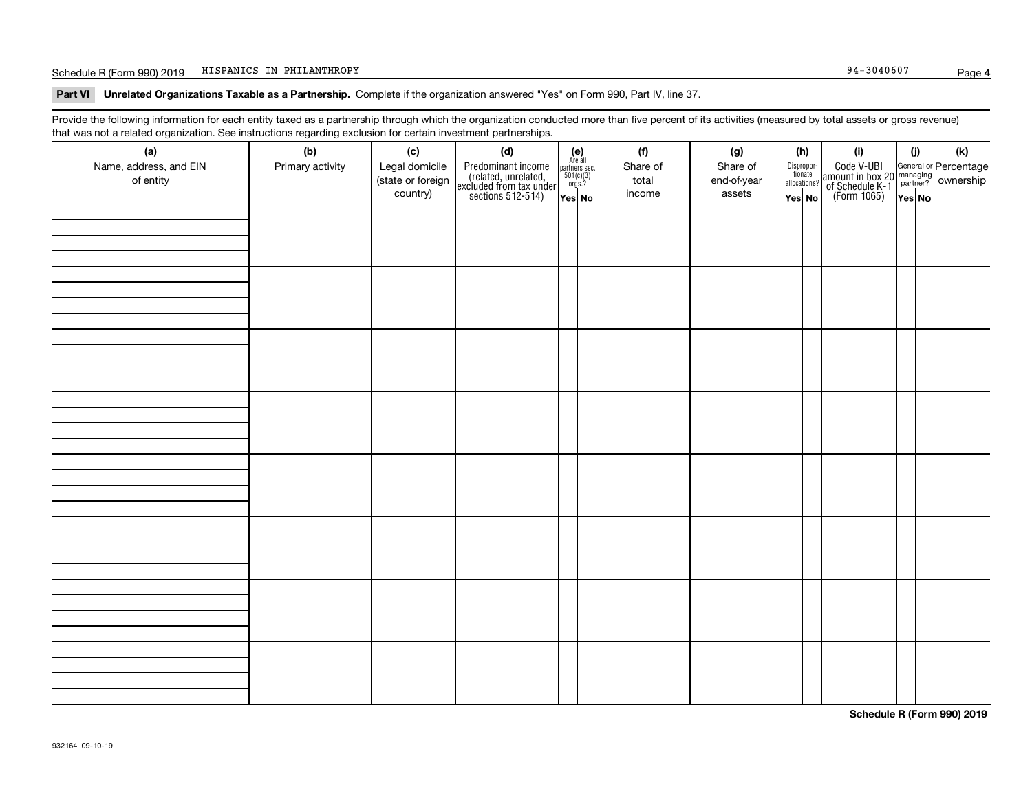### Schedule R (Form 990) 2019 HISPANICS IN PHILANTHROPY 34-3040607 HISPANICS IN PHILANTHROPY

**Part VI Unrelated Organizations Taxable as a Partnership. Complete if the organization answered "Yes" on Form 990, Part IV, line 37.** 

Provide the following information for each entity taxed as a partnership through which the organization conducted more than five percent of its activities (measured by total assets or gross revenue) that was not a related organization. See instructions regarding exclusion for certain investment partnerships.

| (a)<br>Name, address, and EIN<br>of entity | ----- <del>-</del> --------<br>(b)<br>Primary activity | (c)<br>Legal domicile<br>(state or foreign<br>country) | (d)<br>Predominant income<br>(related, unrelated,<br>excluded from tax under<br>sections 512-514) | (e)<br>Are all<br>partners sec.<br>$501(c)(3)$<br>orgs.?<br>Yes No | (f)<br>Share of<br>total<br>income | (g)<br>Share of<br>end-of-year<br>assets | (h)<br>Dispropor-<br>tionate<br>allocations?<br>Yes No | (i)<br>Code V-UBI<br>  amount in box 20 managing<br>  of Schedule K-1 partner? ownership<br>  of Schedule K-1 partner? ownership<br>  Yes No | (i)<br>Yes No | (k) |
|--------------------------------------------|--------------------------------------------------------|--------------------------------------------------------|---------------------------------------------------------------------------------------------------|--------------------------------------------------------------------|------------------------------------|------------------------------------------|--------------------------------------------------------|----------------------------------------------------------------------------------------------------------------------------------------------|---------------|-----|
|                                            |                                                        |                                                        |                                                                                                   |                                                                    |                                    |                                          |                                                        |                                                                                                                                              |               |     |
|                                            |                                                        |                                                        |                                                                                                   |                                                                    |                                    |                                          |                                                        |                                                                                                                                              |               |     |
|                                            |                                                        |                                                        |                                                                                                   |                                                                    |                                    |                                          |                                                        |                                                                                                                                              |               |     |
|                                            |                                                        |                                                        |                                                                                                   |                                                                    |                                    |                                          |                                                        |                                                                                                                                              |               |     |
|                                            |                                                        |                                                        |                                                                                                   |                                                                    |                                    |                                          |                                                        |                                                                                                                                              |               |     |
|                                            |                                                        |                                                        |                                                                                                   |                                                                    |                                    |                                          |                                                        |                                                                                                                                              |               |     |
|                                            |                                                        |                                                        |                                                                                                   |                                                                    |                                    |                                          |                                                        |                                                                                                                                              |               |     |
|                                            |                                                        |                                                        |                                                                                                   |                                                                    |                                    |                                          |                                                        |                                                                                                                                              |               |     |